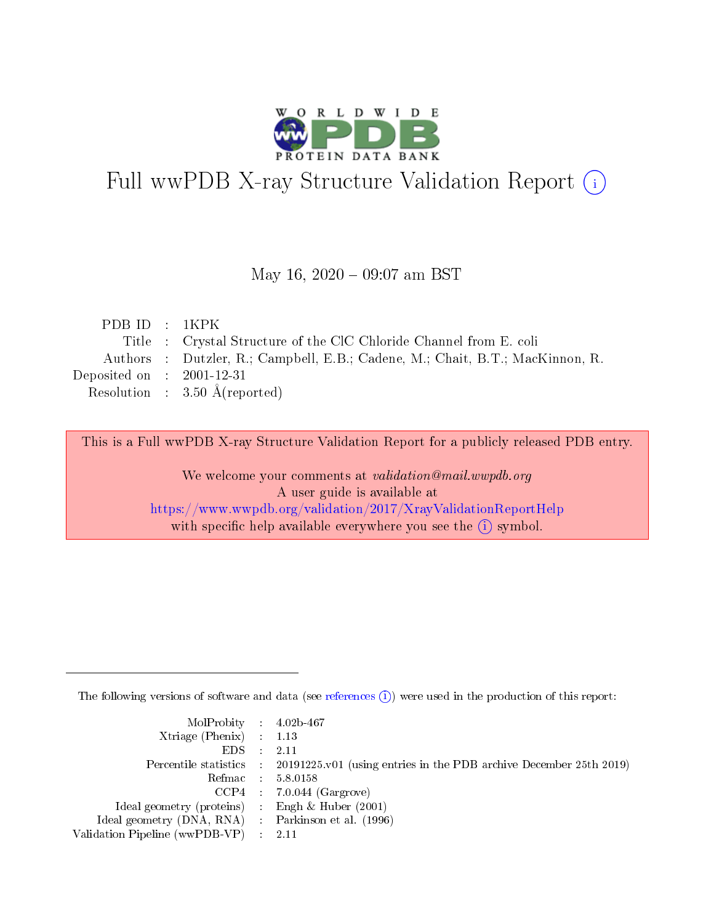

# Full wwPDB X-ray Structure Validation Report (i)

### May 16,  $2020 - 09:07$  am BST

| PDBID : 1KPK                                                                  |
|-------------------------------------------------------------------------------|
| Title : Crystal Structure of the ClC Chloride Channel from E. coli            |
| Authors : Dutzler, R.; Campbell, E.B.; Cadene, M.; Chait, B.T.; MacKinnon, R. |
| Deposited on : $2001-12-31$                                                   |
| Resolution : $3.50 \text{ Å}$ (reported)                                      |
|                                                                               |

This is a Full wwPDB X-ray Structure Validation Report for a publicly released PDB entry.

We welcome your comments at validation@mail.wwpdb.org A user guide is available at <https://www.wwpdb.org/validation/2017/XrayValidationReportHelp> with specific help available everywhere you see the  $(i)$  symbol.

The following versions of software and data (see [references](https://www.wwpdb.org/validation/2017/XrayValidationReportHelp#references)  $(i)$ ) were used in the production of this report:

| MolProbity : $4.02b-467$                            |                                                                                            |
|-----------------------------------------------------|--------------------------------------------------------------------------------------------|
| Xtriage (Phenix) $: 1.13$                           |                                                                                            |
| EDS -                                               | 2.11                                                                                       |
|                                                     | Percentile statistics : 20191225.v01 (using entries in the PDB archive December 25th 2019) |
|                                                     | Refmac 58.0158                                                                             |
|                                                     | $CCP4$ 7.0.044 (Gargrove)                                                                  |
| Ideal geometry (proteins) : Engh $\&$ Huber (2001)  |                                                                                            |
| Ideal geometry (DNA, RNA) : Parkinson et al. (1996) |                                                                                            |
| Validation Pipeline (wwPDB-VP)                      | -2.11                                                                                      |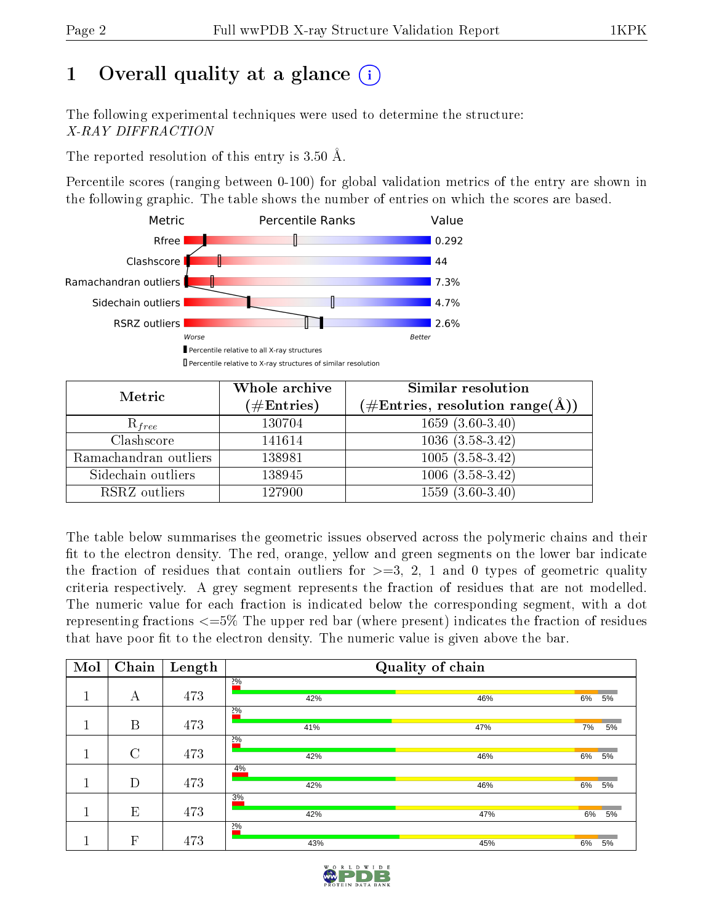# 1 [O](https://www.wwpdb.org/validation/2017/XrayValidationReportHelp#overall_quality)verall quality at a glance  $(i)$

The following experimental techniques were used to determine the structure: X-RAY DIFFRACTION

The reported resolution of this entry is  $3.50 \text{ Å}.$ 

Percentile scores (ranging between 0-100) for global validation metrics of the entry are shown in the following graphic. The table shows the number of entries on which the scores are based.



| Metric                | Whole archive<br>$(\#\text{Entries})$ | Similar resolution<br>$(\#\text{Entries},\, \text{resolution}\; \text{range}(\textup{\AA}))$ |
|-----------------------|---------------------------------------|----------------------------------------------------------------------------------------------|
| $R_{free}$            | 130704                                | $1659(3.60-3.40)$                                                                            |
| Clashscore            | 141614                                | $1036(3.58-3.42)$                                                                            |
| Ramachandran outliers | 138981                                | $\overline{1005}$ $(3.58-3.42)$                                                              |
| Sidechain outliers    | 138945                                | $1006(3.58-3.42)$                                                                            |
| RSRZ outliers         | 127900                                | $1559(3.60-3.40)$                                                                            |

The table below summarises the geometric issues observed across the polymeric chains and their fit to the electron density. The red, orange, yellow and green segments on the lower bar indicate the fraction of residues that contain outliers for  $>=3, 2, 1$  and 0 types of geometric quality criteria respectively. A grey segment represents the fraction of residues that are not modelled. The numeric value for each fraction is indicated below the corresponding segment, with a dot representing fractions  $\epsilon=5\%$  The upper red bar (where present) indicates the fraction of residues that have poor fit to the electron density. The numeric value is given above the bar.

| Mol | Chain          | Length |             | Quality of chain |          |
|-----|----------------|--------|-------------|------------------|----------|
|     | А              | 473    | 20/6<br>42% | 46%              | 6%<br>5% |
|     |                |        | 20/6        |                  |          |
|     | B              | 473    | 41%         | 47%              | 7%<br>5% |
|     |                |        |             |                  |          |
|     |                |        | $2\%$       |                  |          |
|     | $\overline{C}$ | 473    | 42%         | 46%              | 6%<br>5% |
|     |                |        | 4%          |                  |          |
|     | D              | 473    | 42%         | 46%              | 6%<br>5% |
|     |                |        | 3%          |                  |          |
|     | E              | 473    | 42%         | 47%              | 6%<br>5% |
|     |                |        | $2\%$       |                  |          |
|     | $\mathbf{F}$   | 473    | 43%         | 45%              | 6%<br>5% |

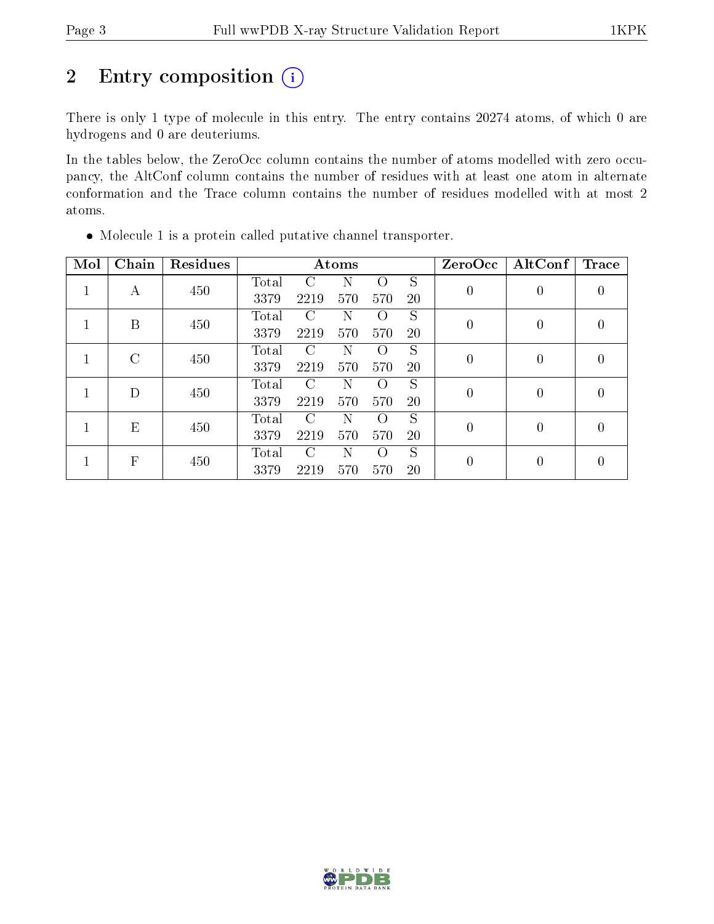# 2 Entry composition  $(i)$

There is only 1 type of molecule in this entry. The entry contains 20274 atoms, of which 0 are hydrogens and 0 are deuteriums.

In the tables below, the ZeroOcc column contains the number of atoms modelled with zero occupancy, the AltConf column contains the number of residues with at least one atom in alternate conformation and the Trace column contains the number of residues modelled with at most 2 atoms.

| Mol | Chain         | Residues |       |      | Atoms |                  |           | $\operatorname{ZeroOcc}$ | AltConf        | <b>Trace</b> |
|-----|---------------|----------|-------|------|-------|------------------|-----------|--------------------------|----------------|--------------|
|     | A             | 450      | Total | C    | N     | $\Omega$         | S         | $\boldsymbol{0}$         | 0              |              |
|     |               |          | 3379  | 2219 | 570   | 570              | <b>20</b> |                          |                | 0            |
|     | B             | 450      | Total | C    | Ν     | $\left( \right)$ | S         | $\theta$                 | 0              | $\Omega$     |
|     |               |          | 3379  | 2219 | 570   | 570              | 20        |                          |                |              |
|     | $\mathcal{C}$ | 450      | Total | C    | N     | $\Omega$         | S         | $\theta$                 | $\overline{0}$ | 0            |
|     |               |          | 3379  | 2219 | 570   | 570              | 20        |                          |                |              |
|     | D             | 450      | Total | C    | Ν     | $\left( \right)$ | S         | $\theta$                 | 0              | 0            |
|     |               |          | 3379  | 2219 | 570   | 570              | <b>20</b> |                          |                |              |
|     | E             | 450      | Total | C    | N     | $\Omega$         | S         | $\theta$                 | 0              | 0            |
|     |               |          | 3379  | 2219 | 570   | 570              | 20        |                          |                |              |
|     | F             | 450      | Total | C    | N     | $\left($         | S         | $\overline{0}$           | 0              | $\theta$     |
|     |               |          | 3379  | 2219 | 570   | 570              | 20        |                          |                |              |

Molecule 1 is a protein called putative channel transporter.

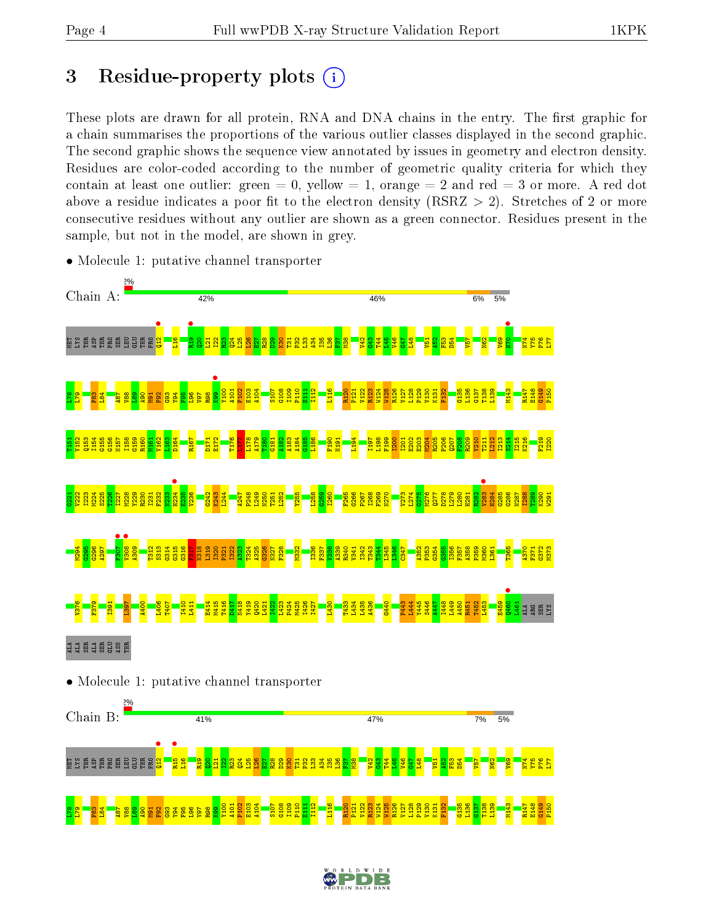$\frac{8}{1}$  $\frac{1}{2}$  $\frac{83}{2}$  $\frac{1}{8}$  $\frac{1}{8}$  $\frac{88}{2}$  $\frac{8}{2}$  $\frac{8}{9}$ M91  $\frac{2}{5}$  $\frac{3}{2}$  $\frac{1}{2}$ F95  $\frac{8}{2}$ V97 R98  $\frac{8}{2}$ Y100 A101 P102 E103 A104 S107 G108 I109 P110  $\frac{11}{11}$  $\frac{12}{11}$ L116 R120 P121 V122 R123 W124 W125 R126 V127 L128 P129 V130 K131 F132 G135 L136  $\frac{6137}{2}$ T138 L139 M143 R147 E148 G149 P150

# 3 Residue-property plots  $(i)$

These plots are drawn for all protein, RNA and DNA chains in the entry. The first graphic for a chain summarises the proportions of the various outlier classes displayed in the second graphic. The second graphic shows the sequence view annotated by issues in geometry and electron density. Residues are color-coded according to the number of geometric quality criteria for which they contain at least one outlier: green  $= 0$ , yellow  $= 1$ , orange  $= 2$  and red  $= 3$  or more. A red dot above a residue indicates a poor fit to the electron density (RSRZ  $> 2$ ). Stretches of 2 or more consecutive residues without any outlier are shown as a green connector. Residues present in the sample, but not in the model, are shown in grey.



• Molecule 1: putative channel transporter

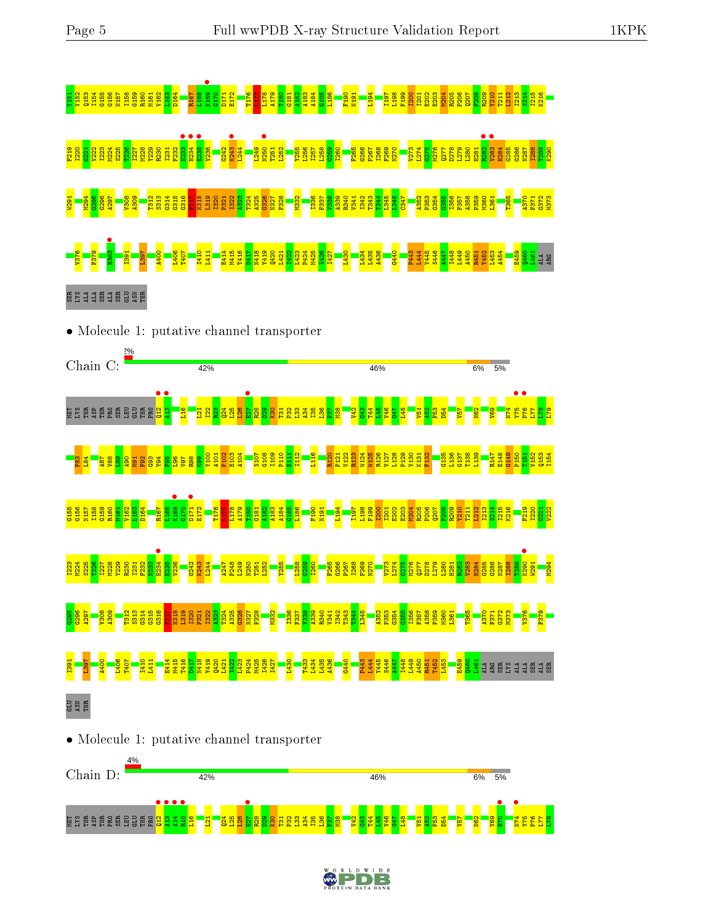

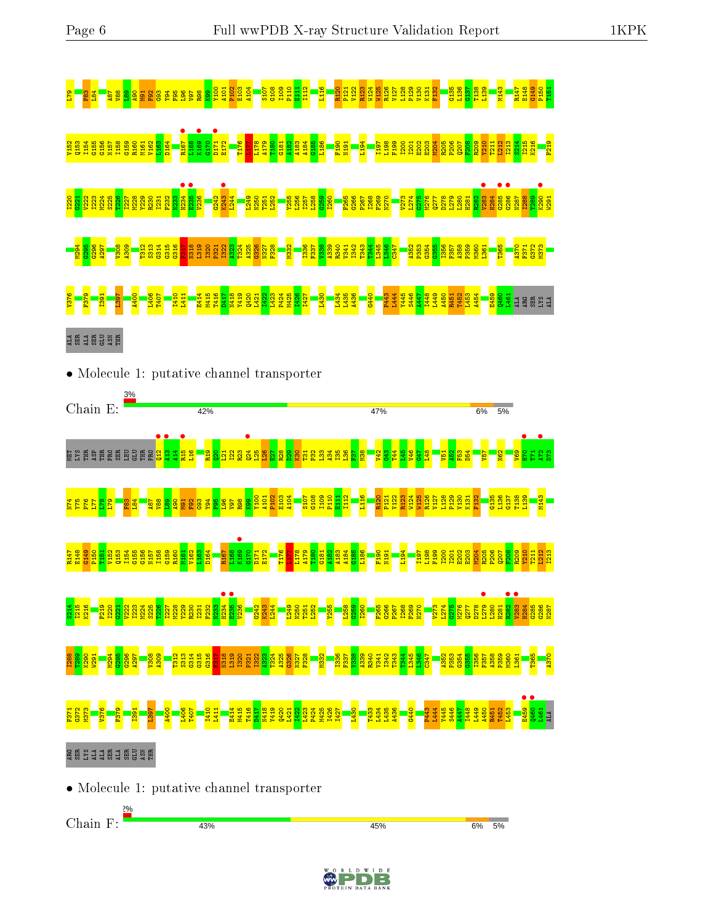

• Molecule 1: putative channel transporter

Chain F:43% 45% 6% 5%

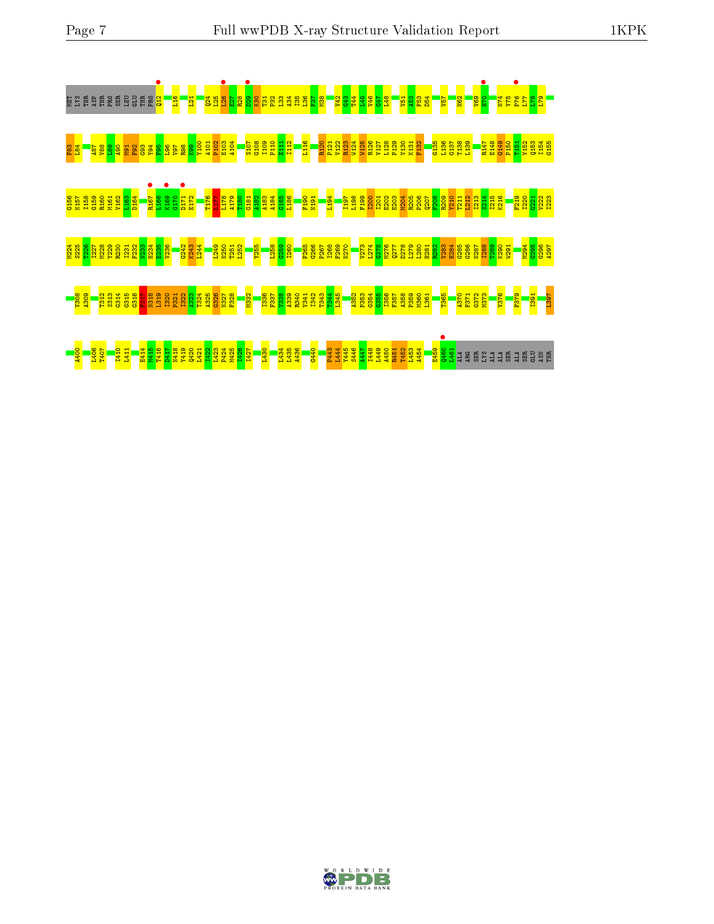



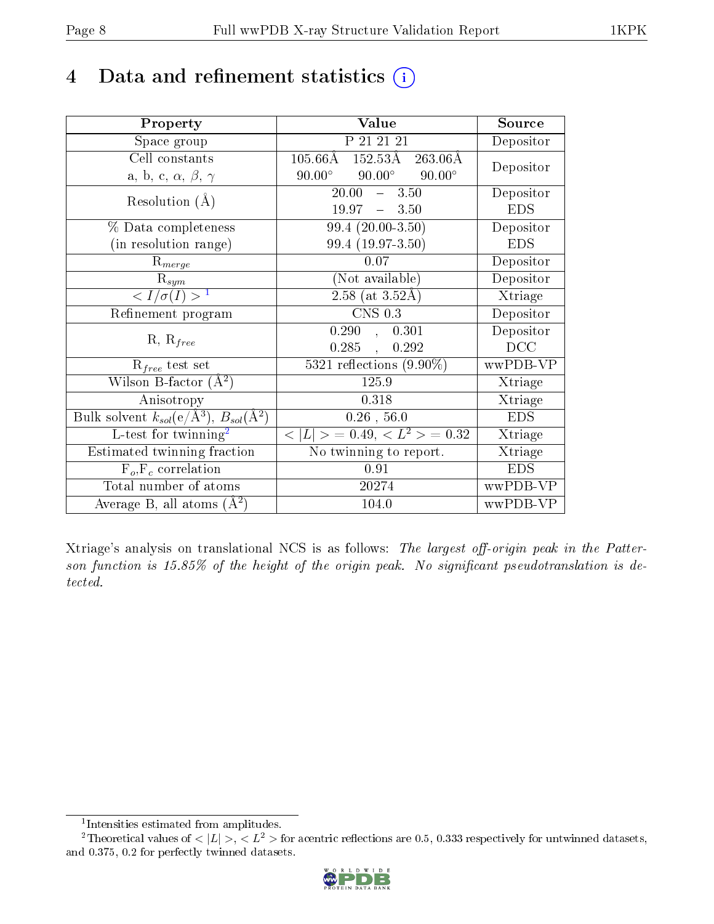# 4 Data and refinement statistics  $(i)$

| Property                                                   | Value                                                       | Source     |
|------------------------------------------------------------|-------------------------------------------------------------|------------|
| Space group                                                | P 21 21 21                                                  | Depositor  |
| Cell constants                                             | $105.66\text{\AA}$ $152.53\text{\AA}$<br>$263.06\text{\AA}$ | Depositor  |
| a, b, c, $\alpha$ , $\beta$ , $\gamma$                     | $90.00^{\circ}$<br>$90.00^\circ$<br>$90.00^\circ$           |            |
| Resolution $(A)$                                           | 20.00<br>$-3.50$                                            | Depositor  |
|                                                            | $19.97 - 3.50$                                              | <b>EDS</b> |
| % Data completeness                                        | $99.4(20.00-3.50)$                                          | Depositor  |
| (in resolution range)                                      | 99.4 (19.97-3.50)                                           | <b>EDS</b> |
| $R_{merge}$                                                | 0.07                                                        | Depositor  |
| $\mathrm{R}_{sym}$                                         | (Not available)                                             | Depositor  |
| $\langle I/\sigma(I) \rangle^{-1}$                         | $\sqrt{2.58 \text{ (at } 3.52 \text{\AA})}$                 | Xtriage    |
| Refinement program                                         | $\overline{\text{CNS } 0.3}$                                | Depositor  |
|                                                            | 0.290,<br>0.301                                             | Depositor  |
| $R, R_{free}$                                              | 0.285,<br>0.292                                             | DCC        |
| $\mathcal{R}_{free}$ test set                              | 5321 reflections $(9.90\%)$                                 | wwPDB-VP   |
| Wilson B-factor $(A^2)$                                    | 125.9                                                       | Xtriage    |
| Anisotropy                                                 | 0.318                                                       | Xtriage    |
| Bulk solvent $k_{sol}$ (e/Å <sup>3</sup> ), $B_{sol}(A^2)$ | $0.26$ , 56.0                                               | <b>EDS</b> |
| L-test for $\overline{\text{twinning}}^2$                  | $< L >$ = 0.49, $< L2$ > = 0.32                             | Xtriage    |
| Estimated twinning fraction                                | No twinning to report.                                      | Xtriage    |
| $F_o, F_c$ correlation                                     | 0.91                                                        | <b>EDS</b> |
| Total number of atoms                                      | 20274                                                       | wwPDB-VP   |
| Average B, all atoms $(A^2)$                               | 104.0                                                       | wwPDB-VP   |

Xtriage's analysis on translational NCS is as follows: The largest off-origin peak in the Patterson function is  $15.85\%$  of the height of the origin peak. No significant pseudotranslation is detected.

<sup>&</sup>lt;sup>2</sup>Theoretical values of  $\langle |L| \rangle$ ,  $\langle L^2 \rangle$  for acentric reflections are 0.5, 0.333 respectively for untwinned datasets, and 0.375, 0.2 for perfectly twinned datasets.



<span id="page-7-1"></span><span id="page-7-0"></span><sup>1</sup> Intensities estimated from amplitudes.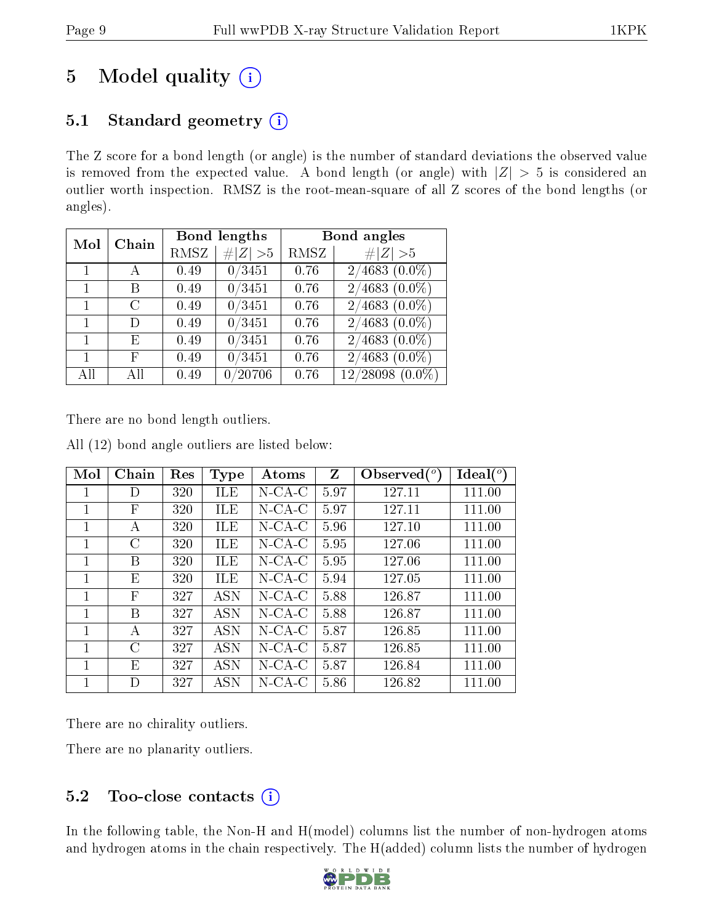# 5 Model quality  $(i)$

## 5.1 Standard geometry  $(i)$

The Z score for a bond length (or angle) is the number of standard deviations the observed value is removed from the expected value. A bond length (or angle) with  $|Z| > 5$  is considered an outlier worth inspection. RMSZ is the root-mean-square of all Z scores of the bond lengths (or angles).

| Mol | Chain |      | Bond lengths        | Bond angles |                      |
|-----|-------|------|---------------------|-------------|----------------------|
|     |       | RMSZ | # $ Z  > 5$         | RMSZ        | # $ Z >5$            |
|     |       | 0.49 | 0/3451              | 0.76        | $2/4683$ $(0.0\%)$   |
|     | В     | 0.49 | 0/3451              | 0.76        | $2/4683$ $(0.0\%)$   |
|     | C     | 0.49 | 0/3451              | 0.76        | $2/4683$ $(0.0\%)$   |
|     | D     | 0.49 | 0/3451              | 0.76        | $2/4683$ $(0.0\%)$   |
|     | E     | 0.49 | 0/3451              | 0.76        | $2/4683$ $(0.0\%)$   |
|     | F     | 0.49 | $\overline{0}/3451$ | 0.76        | $(0.0\%)$<br>2/4683  |
| All | All   | 0.49 | /20706              | 0.76        | $12/28098$ $(0.0\%)$ |

There are no bond length outliers.

All (12) bond angle outliers are listed below:

| Mol | Chain | Res | <b>Type</b> | Atoms                                    | Z    | $\lambda$ Observed $(^\circ)$ | Ideal $(^\circ)$ |
|-----|-------|-----|-------------|------------------------------------------|------|-------------------------------|------------------|
| 1   | D     | 320 | ILE         | $N$ -CA-C                                | 5.97 | 127.11                        | 111.00           |
| 1   | F     | 320 | ILE         | $N$ -CA-C                                | 5.97 | 127.11                        | 111.00           |
| 1   | А     | 320 | ILE         | $N$ -CA-C                                | 5.96 | 127.10                        | 111.00           |
| 1   | C     | 320 | <b>ILE</b>  | $N$ -CA-C                                | 5.95 | 127.06                        | 111.00           |
| 1   | В     | 320 | <b>ILE</b>  | $N$ -CA-C                                | 5.95 | 127.06                        | 111.00           |
| 1   | Ε     | 320 | ILE         | $N$ -CA-C                                | 5.94 | 127.05                        | 111.00           |
| 1   | F     | 327 | <b>ASN</b>  | $N$ -CA-C                                | 5.88 | 126.87                        | 111.00           |
| 1   | В     | 327 | <b>ASN</b>  | $N$ -CA-C                                | 5.88 | 126.87                        | 111.00           |
| 1   | А     | 327 | <b>ASN</b>  | $N\text{-}\mathrm{CA}\text{-}\mathrm{C}$ | 5.87 | 126.85                        | 111.00           |
| 1   | C     | 327 | <b>ASN</b>  | $N\text{-}\mathrm{CA}\text{-}\mathrm{C}$ | 5.87 | 126.85                        | 111.00           |
| 1   | E     | 327 | <b>ASN</b>  | $N$ -CA-C                                | 5.87 | 126.84                        | 111.00           |
| 1   | D     | 327 | ASN         | $N$ -CA-C                                | 5.86 | 126.82                        | 111.00           |

There are no chirality outliers.

There are no planarity outliers.

## 5.2 Too-close contacts  $(i)$

In the following table, the Non-H and H(model) columns list the number of non-hydrogen atoms and hydrogen atoms in the chain respectively. The H(added) column lists the number of hydrogen

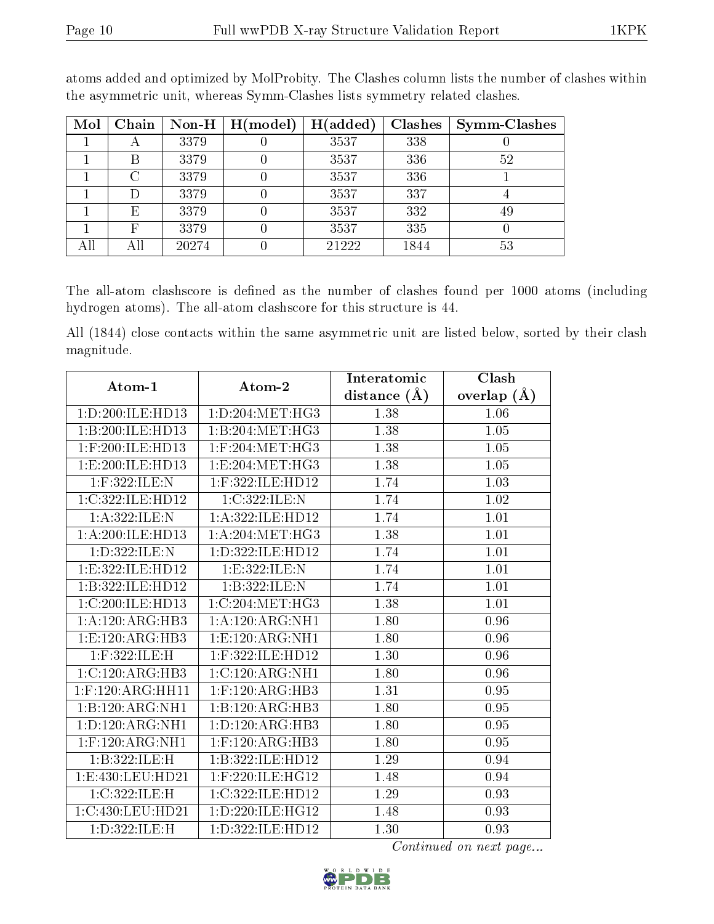| Mol | Chain |       | Non-H $\mid$ H(model) | H(added) | <b>Clashes</b> | <b>Symm-Clashes</b> |
|-----|-------|-------|-----------------------|----------|----------------|---------------------|
|     | A     | 3379  |                       | 3537     | 338            |                     |
|     | В     | 3379  |                       | 3537     | 336            | 52                  |
|     | C     | 3379  |                       | 3537     | 336            |                     |
|     |       | 3379  |                       | 3537     | 337            |                     |
|     | E     | 3379  |                       | 3537     | 332            | 49                  |
|     | F     | 3379  |                       | 3537     | 335            |                     |
| All |       | 20274 |                       | 21222    | 1844           | 53                  |

atoms added and optimized by MolProbity. The Clashes column lists the number of clashes within the asymmetric unit, whereas Symm-Clashes lists symmetry related clashes.

The all-atom clashscore is defined as the number of clashes found per 1000 atoms (including hydrogen atoms). The all-atom clashscore for this structure is 44.

All (1844) close contacts within the same asymmetric unit are listed below, sorted by their clash magnitude.

| Atom-1              | Atom-2               | Interatomic    | Clash         |
|---------------------|----------------------|----------------|---------------|
|                     |                      | distance $(A)$ | overlap $(A)$ |
| 1:D:200:ILE:HD13    | 1: D: 204: MET:HG3   | 1.38           | 1.06          |
| 1:B:200:ILE:HD13    | 1:B:204:MET:HG3      | 1.38           | 1.05          |
| $1:$ F:200:ILE:HD13 | $1:$ F:204:MET:HG3   | 1.38           | 1.05          |
| 1: E:200: ILE: HD13 | 1:E:204:MET:HG3      | 1.38           | 1.05          |
| 1:F:322:ILE:N       | 1:F:322:ILE:HD12     | 1.74           | 1.03          |
| 1:C:322:ILE:HD12    | 1:C:322:ILE:N        | 1.74           | 1.02          |
| 1: A: 322: ILE:N    | 1:A:322:ILE:HD12     | 1.74           | 1.01          |
| 1:A:200:ILE:HD13    | 1: A:204: MET:HG3    | 1.38           | 1.01          |
| 1:D:322:ILE:N       | 1: D: 322: ILE: HD12 | 1.74           | 1.01          |
| 1:E:322:ILE:HD12    | 1:E:322:ILE:N        | 1.74           | 1.01          |
| 1:B:322:ILE:HD12    | 1:B:322:ILE:N        | 1.74           | 1.01          |
| 1:C:200:ILE:HD13    | 1:C:204:MET:HG3      | 1.38           | 1.01          |
| 1:A:120:ARG:HB3     | 1:A:120:ARG:NH1      | 1.80           | 0.96          |
| 1:E:120:ARG:HB3     | 1: E: 120: ARG: NH1  | 1.80           | 0.96          |
| 1:F:322:ILE:H       | 1:F:322:ILE:HD12     | 1.30           | 0.96          |
| 1:C:120:ARG:HB3     | 1:C:120:ARG:NH1      | 1.80           | 0.96          |
| $1:$ F:120:ARG:HH11 | $1:$ F:120:ARG:HB3   | 1.31           | $0.95\,$      |
| 1:B:120:ARG:NH1     | 1:B:120:ARG:HB3      | 1.80           | 0.95          |
| 1:D:120:ARG:NH1     | 1: D: 120: ARG: HB3  | 1.80           | 0.95          |
| $1:$ F:120:ARG:NH1  | $1:$ F:120:ARG:HB3   | 1.80           | 0.95          |
| 1:B:322:ILE:H       | 1:B:322:ILE:HD12     | 1.29           | 0.94          |
| 1:E:430:LEU:HD21    | 1:F:220:ILE:HG12     | 1.48           | 0.94          |
| 1:C:322:ILE:H       | 1:C:322:ILE:HD12     | 1.29           | 0.93          |
| 1:C:430:LEU:HD21    | 1: D: 220: ILE: HG12 | 1.48           | 0.93          |
| 1:D:322:ILE:H       | 1: D: 322: ILE: HD12 | 1.30           | 0.93          |

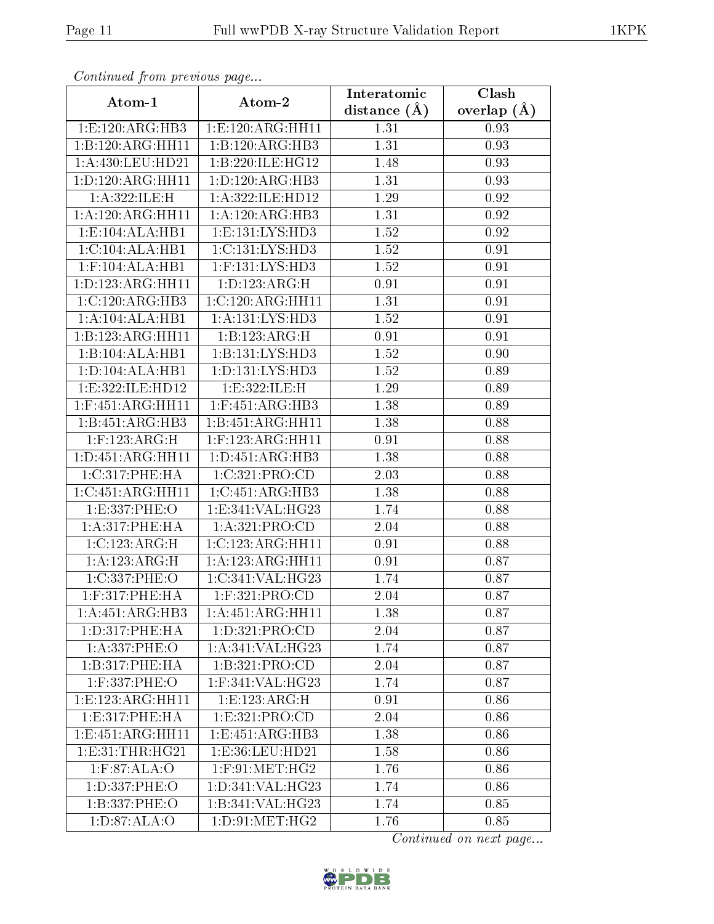| сонинией јтот ртеvиоиз раде |                              | Interatomic      | Clash         |
|-----------------------------|------------------------------|------------------|---------------|
| Atom-1                      | Atom-2                       | distance $(\AA)$ | overlap $(A)$ |
| 1:E:120:ARG:HB3             | 1:E:120:ARG:HH11             | 1.31             | 0.93          |
| 1:B:120:ARG:HH11            | 1:B:120:ARG:HB3              | 1.31             | 0.93          |
| 1:A:430:LEU:HD21            | 1:B:220:ILE:HG12             | 1.48             | 0.93          |
| 1:D:120:ARG:HH11            | 1: D: 120: ARG: HB3          | 1.31             | 0.93          |
| 1:A:322:ILE:H               | 1:A:322:ILE:HD12             | 1.29             | 0.92          |
| 1:A:120:ARG:HH11            | 1:A:120:ARG:HB3              | 1.31             | 0.92          |
| 1: E: 104: ALA: HB1         | 1: E: 131: LYS: HD3          | 1.52             | 0.92          |
| 1:C:104:ALA:HB1             | 1: C: 131: LYS: HD3          | 1.52             | 0.91          |
| $1:$ F:104:ALA:HB1          | 1:F:131:LYS:HD3              | 1.52             | 0.91          |
| 1: D: 123: ARG: HH11        | 1: D: 123: ARG:H             | 0.91             | 0.91          |
| 1:C:120:ARG:HB3             | 1:C:120:ARG:HH11             | 1.31             | 0.91          |
| 1:A:104:ALA:HB1             | 1:A:131:LYS:HD3              | 1.52             | 0.91          |
| 1:B:123:ARG:HH11            | 1:B:123:ARG:H                | 0.91             | 0.91          |
| 1:B:104:ALA:HB1             | 1:B:131:LYS:HD3              | 1.52             | 0.90          |
| 1:D:104:ALA:HB1             | 1: D: 131: LYS: HD3          | 1.52             | 0.89          |
| 1:E:322:ILE:HD12            | 1: E: 322: ILE:H             | 1.29             | 0.89          |
| $1:$ F:451:ARG:HH11         | $1:$ F:451:ARG:HB3           | 1.38             | 0.89          |
| 1:B:451:ARG:HB3             | 1:B:451:ARG:HH11             | 1.38             | 0.88          |
| $1:$ F:123:ARG:H            | $1:$ F:123:ARG:HH11          | 0.91             | 0.88          |
| 1: D: 451: ARG: HH11        | 1: D: 451: ARG: HB3          | 1.38             | 0.88          |
| 1:C:317:PHE:HA              | 1:C:321:PRO:CD               | 2.03             | 0.88          |
| 1:C:451:ARG:HH11            | $1:C:451:ARG:H\overline{B3}$ | 1.38             | 0.88          |
| 1: E: 337: PHE: O           | 1:E:341:VAL:HG23             | 1.74             | 0.88          |
| 1:A:317:PHE:HA              | 1: A:321: PRO:CD             | 2.04             | 0.88          |
| 1:C:123:ARG:H               | 1:C:123:ARG:HH11             | 0.91             | 0.88          |
| $1:A:123:\overline{ARG:H}$  | 1:A:123:ARG:HH11             | 0.91             | 0.87          |
| 1:C:337:PHE:O               | 1:C:341:VAL:HG23             | 1.74             | 0.87          |
| 1:F:317:PHE:HA              | 1:F:321:PRO:CD               | 2.04             | 0.87          |
| 1:A:451:ARG:HB3             | 1:A:451:ARG:HH11             | 1.38             | 0.87          |
| 1: D: 317: PHE: HA          | 1: D: 321: PRO: CD           | 2.04             | 0.87          |
| 1: A: 337: PHE: O           | 1: A:341:VAL:HG23            | 1.74             | 0.87          |
| 1:B:317:PHE:HA              | 1:B:321:PRO:CD               | 2.04             | 0.87          |
| $1:$ F:337:PHE:O            | $1:$ F:341:VAL:HG23          | 1.74             | 0.87          |
| 1:E:123:ARG:HH11            | 1:E:123:ARG:H                | 0.91             | 0.86          |
| 1: E: 317: PHE: HA          | 1: E: 321: PRO: CD           | 2.04             | 0.86          |
| 1:E:451:ARG:HH11            | 1:E:451:ARG:HB3              | 1.38             | 0.86          |
| 1: E:31: THR: HG21          | 1:E:36:LEU:HD21              | 1.58             | 0.86          |
| $1:$ F:87:ALA:O             | $1:$ F:91:MET:HG2            | 1.76             | 0.86          |
| 1:D:337:PHE:O               | 1: D: 341: VAL: HG23         | 1.74             | 0.86          |
| 1:B:337:PHE:O               | 1:B:341:VAL:HG23             | 1.74             | 0.85          |
| 1: D:87: ALA:O              | 1:D:91:MET:HG2               | 1.76             | 0.85          |

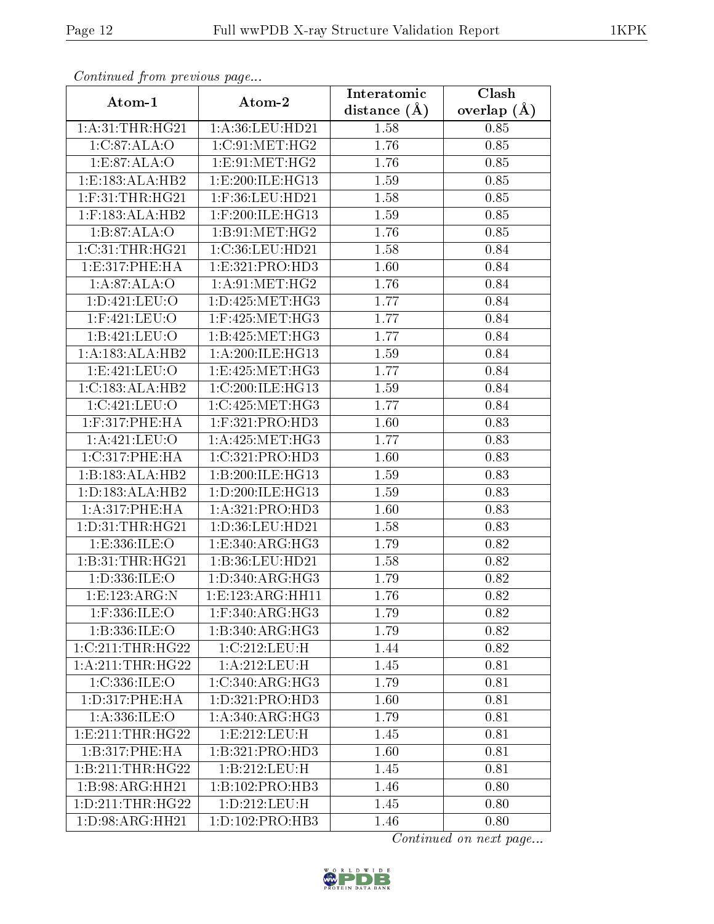| Continuea from previous page |                                         | Interatomic       | Clash           |
|------------------------------|-----------------------------------------|-------------------|-----------------|
| Atom-1                       | Atom-2                                  | distance $(A)$    | overlap $(\AA)$ |
| 1: A:31:THR:HG21             | 1:A:36:LEU:HD21                         | 1.58              | 0.85            |
| 1:C:87:ALA:O                 | 1:C:91:MET:HG2                          | 1.76              | $0.85\,$        |
| 1:E:87:ALA:O                 | 1: E:91: MET:HG2                        | 1.76              | 0.85            |
| 1:E:183:ALA:HB2              | 1:E:200:ILE:HG13                        | 1.59              | 0.85            |
| $1:$ F:31:THR:HG21           | $1:$ F:36:LEU:HD21                      | 1.58              | 0.85            |
| $1:$ F:183:ALA:HB2           | 1:F:200:ILE:HG13                        | 1.59              | 0.85            |
| 1:B:87:ALA:O                 | 1:B:91:MET:HG2                          | 1.76              | 0.85            |
| 1:C:31:THR:HG21              | 1:C:36:LEU:HD21                         | 1.58              | 0.84            |
| 1: E:317: PHE: HA            | 1:E:321:PRO:HD3                         | 1.60              | 0.84            |
| 1:A:87:ALA:O                 | 1: A:91:MET:HG2                         | 1.76              | 0.84            |
| 1:D:421:LEU:O                | 1: D: 425: MET:HG3                      | 1.77              | 0.84            |
| 1:F:421:LEU:O                | $1:$ F:425:MET:HG3                      | 1.77              | 0.84            |
| 1:B:421:LEU:O                | $1:\overline{B}:425:\overline{MET:HG3}$ | 1.77              | 0.84            |
| 1:A:183:ALA:HB2              | 1: A:200: ILE: HG13                     | 1.59              | 0.84            |
| 1:E:421:LEU:O                | 1:E:425:MET:HG3                         | 1.77              | 0.84            |
| 1:C:183:ALA:HB2              | 1:C:200:ILE:HG13                        | 1.59              | 0.84            |
| 1:C:421:LEU:O                | 1:C:425:MET:HG3                         | 1.77              | 0.84            |
| $1:$ F:317:PHE:HA            | 1:F:321:PRO:HD3                         | 1.60              | 0.83            |
| 1:A:421:LEU:O                | 1: A:425:MET:HG3                        | 1.77              | 0.83            |
| 1:C:317:PHE:HA               | 1:C:321:PRO:HD3                         | 1.60              | 0.83            |
| 1:B:183:ALA:HB2              | 1:B:200:ILE:HG13                        | $\overline{1}.59$ | 0.83            |
| 1: D: 183: ALA: HB2          | 1:D:200:ILE:HG13                        | 1.59              | 0.83            |
| 1:A:317:PHE:HA               | 1:A:321:PRO:HD3                         | 1.60              | 0.83            |
| 1: D: 31: THR: HG21          | 1:D:36:LEU:HD21                         | 1.58              | 0.83            |
| 1:E:336:ILE:O                | 1:E:340:ARG:HG3                         | 1.79              | 0.82            |
| 1:B:31:THR:HG21              | 1:B:36:LEU:HD21                         | 1.58              | 0.82            |
| 1:D:336:ILE:O                | 1: D: 340: ARG: HG3                     | 1.79              | 0.82            |
| 1:E:123:ARG:N                | 1:E:123:ARG:HH11                        | 1.76              | 0.82            |
| 1:F:336:ILE:O                | $1:$ F:340:ARG:HG3                      | 1.79              | 0.82            |
| 1:B:336:ILE:O                | 1:B:340:ARG:HG3                         | 1.79              | 0.82            |
| 1:C:211:THR:HG22             | 1:C:212:LEU:H                           | 1.44              | 0.82            |
| 1: A:211:THR:HG22            | 1:A:212:LEU:H                           | 1.45              | 0.81            |
| 1:C:336:ILE:O                | 1:C:340:ARG:HG3                         | 1.79              | 0.81            |
| 1: D: 317: PHE: HA           | 1:D:321:PRO:HD3                         | 1.60              | 0.81            |
| 1: A: 336: ILE: O            | 1: A:340:ARG:HG3                        | 1.79              | 0.81            |
| 1: E: 211: THR: HG22         | 1:E:212:LEU:H                           | 1.45              | 0.81            |
| 1:B:317:PHE:HA               | 1:B:321:PRO:HD3                         | 1.60              | 0.81            |
| 1:B:211:THR:HG22             | 1:B:212:LEU:H                           | 1.45              | 0.81            |
| 1:B:98:ARG:HH21              | 1:B:102:PRO:HB3                         | 1.46              | 0.80            |
| 1: D: 211: THR: HG22         | 1:D:212:LEU:H                           | 1.45              | 0.80            |
| $1:D:98:ARG:\overline{HH21}$ | 1: D: 102: PRO: HB3                     | 1.46              | 0.80            |

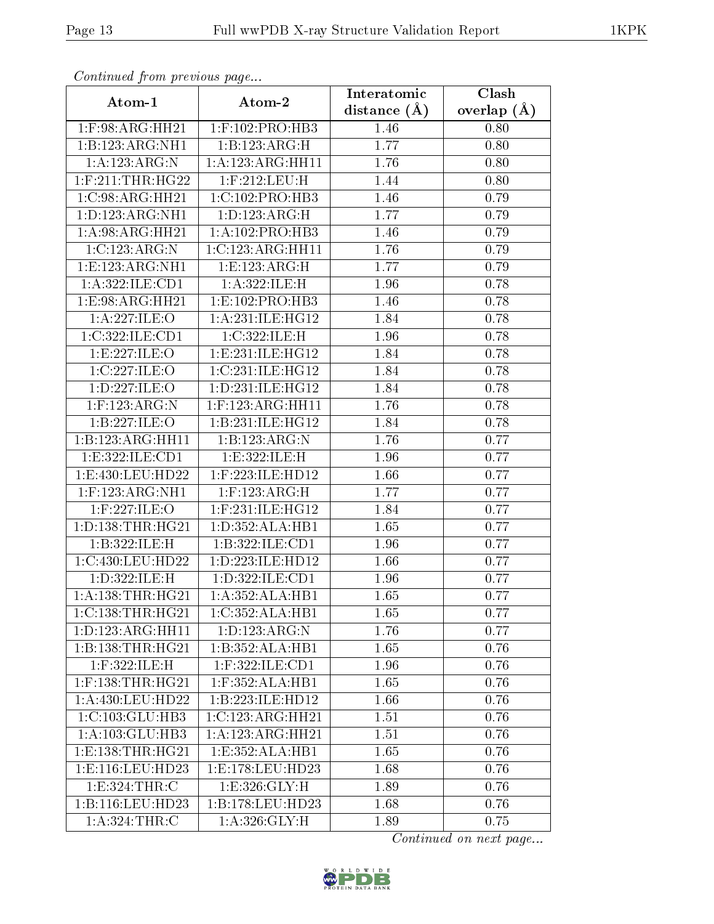| Continuata from previous page |                              | Interatomic       | Clash           |
|-------------------------------|------------------------------|-------------------|-----------------|
| Atom-1                        | Atom-2                       | distance $(A)$    | overlap $(\AA)$ |
| $1:$ F:98:ARG:HH21            | $1:$ F:102:PRO:HB3           | 1.46              | 0.80            |
| 1:B:123:ARG:NH1               | 1:B:123:ARG:H                | 1.77              | 0.80            |
| 1:A:123:ARG:N                 | 1:A:123:ARG:HH11             | 1.76              | 0.80            |
| $1:$ F:211:THR:HG22           | 1:F:212:LEU:H                | 1.44              | 0.80            |
| 1:C:98:ARG:HH21               | 1:C:102:PRO:HB3              | 1.46              | 0.79            |
| 1:D:123:ARG:NH1               | 1: D: 123: ARG:H             | 1.77              | 0.79            |
| 1:A:98:ARG:HH21               | 1:A:102:PRO:HB3              | $\overline{1}.46$ | 0.79            |
| 1:C:123:ARG:N                 | 1:C:123:ARG:HH11             | 1.76              | 0.79            |
| 1:E:123:ARG:NH1               | 1:E:123:ARG:H                | 1.77              | 0.79            |
| $1:$ A:322:ILE:CD1            | 1:A:322:ILE:H                | 1.96              | 0.78            |
| 1:E:98:ARG:HH21               | 1:E:102:PRO:HB3              | 1.46              | 0.78            |
| 1:A:227:ILE:O                 | 1: A:231: ILE: HG12          | 1.84              | 0.78            |
| 1:C:322:ILE:CD1               | 1:C:322:ILE:H                | 1.96              | 0.78            |
| 1:E:227:ILE:O                 | 1: E: 231: ILE: HG12         | 1.84              | 0.78            |
| 1:C:227:ILE:O                 | 1:C:231:ILE:HG12             | 1.84              | 0.78            |
| 1:D:227:ILE:O                 | 1: D: 231: ILE: HG12         | 1.84              | 0.78            |
| $1:$ F:123:ARG:N              | $1:$ F:123:ARG:HH11          | 1.76              | 0.78            |
| 1:B:227:ILE:O                 | 1:B:231:ILE:HGI2             | 1.84              | 0.78            |
| 1:B:123:ARG:HH11              | 1:B:123:ARG:N                | 1.76              | 0.77            |
| 1: E: 322: ILE: CD1           | 1:E:322:ILE:H                | 1.96              | 0.77            |
| 1:E:430:LEU:HD22              | $1:$ F:223:ILE:HD12          | 1.66              | 0.77            |
| $1:$ F:123:ARG:NH1            | $1:$ F:123:ARG:H             | 1.77              | 0.77            |
| $1:$ F:227:ILE:O              | $1:$ F:231:ILE:HG12          | 1.84              | 0.77            |
| 1: D: 138: THR: HG21          | 1: D: 352: ALA: HB1          | 1.65              | 0.77            |
| 1:B:322:ILE:H                 | 1:B:322:ILE:CD1              | 1.96              | 0.77            |
| 1:C:430:LEU:HD22              | 1:D:223:ILE:HD12             | 1.66              | 0.77            |
| 1:D:322:ILE:H                 | 1:D:322:ILE:CD1              | 1.96              | 0.77            |
| 1: A: 138: THR: HG21          | 1:A:352:ALA:HB1              | 1.65              | 0.77            |
| 1:C:138:THR:HG21              | 1:C:352:ALA:HB1              | 1.65              | 0.77            |
| 1:D:123:ARG:HH11              | 1: D: 123: ARG: N            | 1.76              | 0.77            |
| 1:B:138:THR:HG21              | $1:B:352:ALA:\overline{HB1}$ | 1.65              | 0.76            |
| 1:F:322:ILE:H                 | 1:F:322:ILE:CD1              | 1.96              | 0.76            |
| $1:$ F:138:THR:HG21           | $1:$ F:352:ALA:HB1           | 1.65              | 0.76            |
| 1:A:430:LEU:HD22              | 1:B:223:ILE:HD12             | 1.66              | 0.76            |
| 1: C: 103: GLU: HB3           | 1:C:123:ARG:HH21             | 1.51              | 0.76            |
| 1:A:103:GLU:HB3               | 1:A:123:ARG:HH21             | 1.51              | 0.76            |
| 1: E: 138: THR: HG21          | 1:E:352:ALA:HB1              | 1.65              | 0.76            |
| 1: E: 116: LEU: HD23          | 1:E:178:LEU:HD23             | 1.68              | 0.76            |
| 1:E:324:THR:C                 | 1: E:326: GLY: H             | 1.89              | 0.76            |
| 1:B:116:LEU:HD23              | 1:B:178:LEU:HD23             | 1.68              | 0.76            |
| 1: A:324:THR:C                | $1: A:326: \overline{GLY:H}$ | 1.89              | 0.75            |

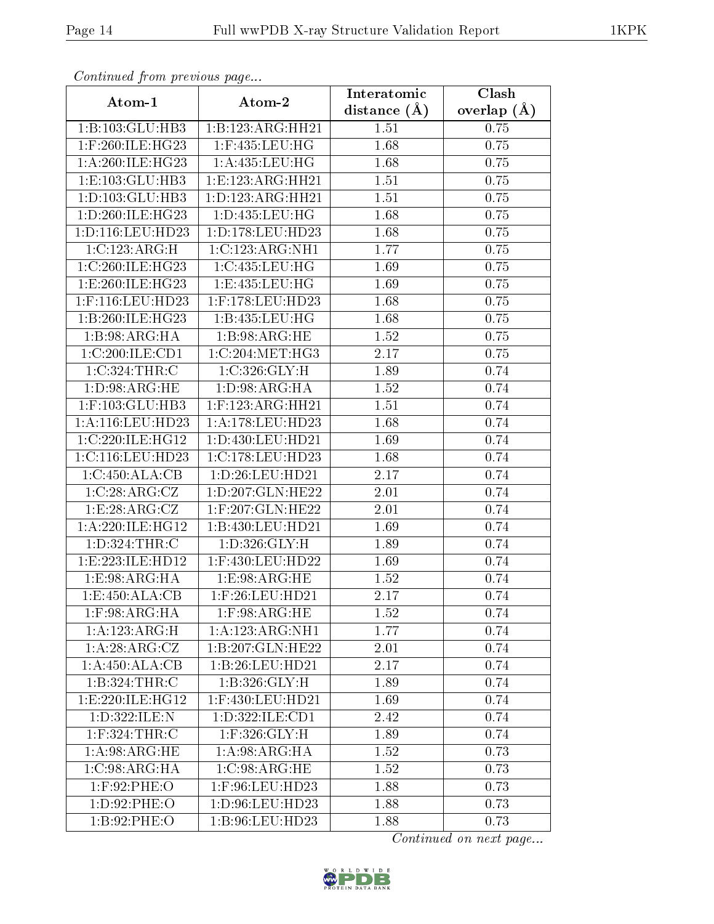| Communa from previous page |                      | Interatomic      | Clash           |
|----------------------------|----------------------|------------------|-----------------|
| Atom-1                     | Atom-2               | distance $(\AA)$ | overlap $(\AA)$ |
| 1:B:103:GLU:HB3            | 1:B:123:ARG:HH21     | 1.51             | 0.75            |
| 1:F:260:ILE:HG23           | $1:$ F:435:LEU:HG    | 1.68             | 0.75            |
| 1: A:260: ILE: HG23        | 1: A: 435: LEU: HG   | 1.68             | 0.75            |
| 1: E: 103: GLU: HB3        | 1:E:123:ARG:HH21     | 1.51             | 0.75            |
| 1: D: 103: GLU: HB3        | 1: D: 123: ARG: HH21 | 1.51             | 0.75            |
| 1: D:260: ILE: HG23        | 1:D:435:LEU:HG       | 1.68             | 0.75            |
| 1: D: 116: LEU: HD23       | 1: D: 178: LEU: HD23 | 1.68             | 0.75            |
| 1:C:123:ARG:H              | 1:C:123:ARG:NH1      | 1.77             | 0.75            |
| 1:C:260:ILE:HG23           | 1:C:435:LEU:HG       | 1.69             | 0.75            |
| 1:E:260:ILE:HG23           | 1:E:435:LEU:HG       | 1.69             | 0.75            |
| 1:F:116:LEU:HD23           | 1:F:178:LEU:HD23     | 1.68             | 0.75            |
| 1:B:260:ILE:HG23           | 1:B:435:LEU:HG       | 1.68             | 0.75            |
| 1:B:98:ARG:HA              | 1:B:98:ARG:HE        | 1.52             | 0.75            |
| 1:C:200:ILE:CD1            | 1:C:204:MET:HG3      | 2.17             | 0.75            |
| 1:C:324:THR:C              | 1:C:326:GLY:H        | 1.89             | 0.74            |
| 1: D:98: ARG: HE           | 1: D:98: ARG: HA     | 1.52             | 0.74            |
| 1:F:103:GLU:HB3            | $1:$ F:123:ARG:HH21  | 1.51             | 0.74            |
| 1:A:116:LEU:HD23           | 1:A:178:LEU:HD23     | 1.68             | 0.74            |
| 1:C:220:ILE:HG12           | 1:D:430:LEU:HD21     | 1.69             | 0.74            |
| 1:C:116:LEU:HD23           | 1:C:178:LEU:HD23     | 1.68             | 0.74            |
| 1:C:450:ALA:CB             | 1: D:26: LEU:HD21    | 2.17             | 0.74            |
| 1:C:28:ARG:CZ              | 1:D:207:GLN:HE22     | $2.01\,$         | 0.74            |
| 1:E:28:ARG:CZ              | 1:F:207:GLN:HE22     | 2.01             | 0.74            |
| 1:A:220:ILE:HG12           | 1:B:430:LEU:HD21     | 1.69             | 0.74            |
| 1:D:324:THR:C              | 1:D:326:GLY:H        | 1.89             | 0.74            |
| 1:E:223:ILE:HD12           | 1:F:430:LEU:HD22     | 1.69             | 0.74            |
| 1:E:98:ARG:HA              | 1:E:98:ARG:HE        | 1.52             | 0.74            |
| 1:E:450:ALA:CB             | $1:$ F:26:LEU:HD21   | 2.17             | 0.74            |
| $1:$ F:98:ARG:HA           | $1:$ F:98:ARG:HE     | 1.52             | 0.74            |
| 1: A: 123: ARG: H          | 1:A:123:ARG:NH1      | 1.77             | 0.74            |
| 1:A:28:ARG:CZ              | 1:B:207:GLN:HE22     | 2.01             | 0.74            |
| 1:A:450:ALA:CB             | 1:B:26:LEU:HD21      | 2.17             | 0.74            |
| 1:B:324:THR:C              | 1: B:326: GLY:H      | 1.89             | 0.74            |
| 1: E: 220: ILE: HG12       | 1:F:430:LEU:HD21     | 1.69             | 0.74            |
| 1:D:322:ILE:N              | 1: D: 322: ILE: CD1  | 2.42             | 0.74            |
| 1:F:324:THR:C              | $1:$ F:326:GLY:H     | 1.89             | 0.74            |
| 1: A:98: ARG: HE           | 1: A:98: ARG: HA     | 1.52             | 0.73            |
| 1:C:98:ARG:HA              | 1:C:98:ARG:HE        | 1.52             | 0.73            |
| $1:$ F:92:PHE:O            | 1:F:96:LEU:HD23      | 1.88             | 0.73            |
| 1:D:92:PHE:O               | 1:D:96:LEU:HD23      | 1.88             | 0.73            |
| 1:B:92:PHE:O               | 1:B:96:LEU:HD23      | 1.88             | 0.73            |

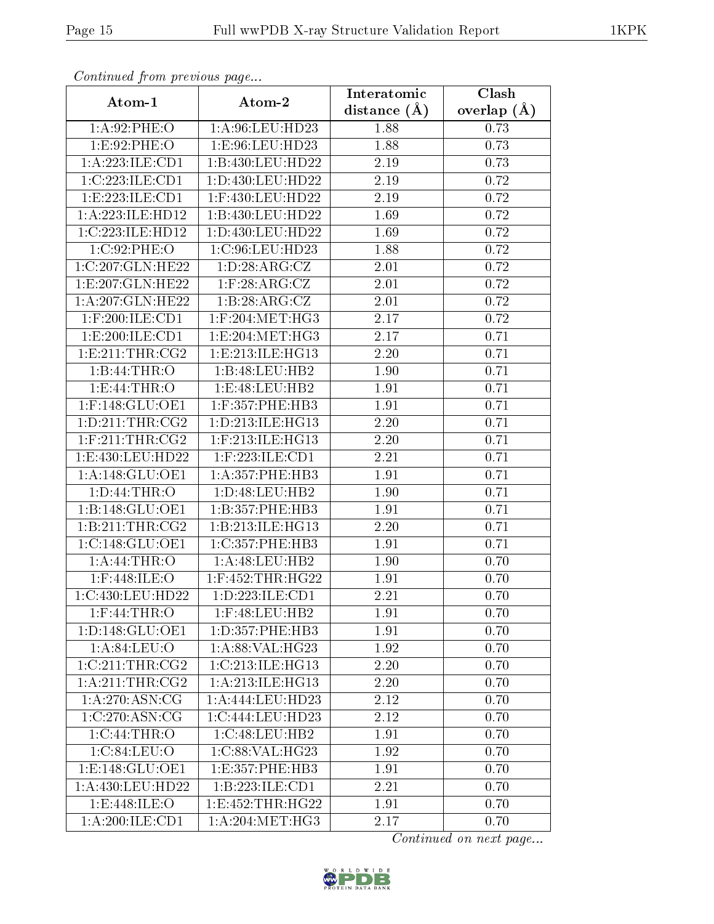| Continuea from previous page |                                       | Interatomic    | Clash         |
|------------------------------|---------------------------------------|----------------|---------------|
| Atom-1                       | Atom-2                                | distance $(A)$ | overlap $(A)$ |
| 1: A:92:PHE:O                | 1:A:96:LEU:HD23                       | 1.88           | 0.73          |
| 1:E:92:PHE:O                 | 1:E:96:LEU:HD23                       | 1.88           | 0.73          |
| 1:A:223:ILE:CD1              | 1:B:430:LEU:HD22                      | 2.19           | 0.73          |
| 1:C:223:ILE:CD1              | 1:D:430:LEU:HD22                      | 2.19           | 0.72          |
| 1: E: 223: ILE: CD1          | 1:F:430:LEU:HD22                      | $2.19\,$       | 0.72          |
| 1:A:223:ILE:HD12             | 1:B:430:LEU:HD22                      | 1.69           | 0.72          |
| 1:C:223:ILE:HD12             | 1:D:430:LEU:HD22                      | 1.69           | 0.72          |
| 1:C:92:PHE:O                 | 1:C:96:LEU:HD23                       | 1.88           | 0.72          |
| 1:C:207:GLN:HE22             | 1:D:28:ARG:CZ                         | 2.01           | 0.72          |
| 1:E:207:GLN:HE22             | $1:$ F:28:ARG: $CZ$                   | 2.01           | 0.72          |
| 1: A:207: GLN: HE22          | 1:B:28:ARG:CZ                         | 2.01           | 0.72          |
| $1:$ F:200:ILE:CD1           | $1:$ F:204:MET:HG3                    | 2.17           | 0.72          |
| 1:E:200:ILE:CD1              | 1:E:204:MET:HG3                       | 2.17           | 0.71          |
| 1: E:211:THR:CG2             | 1: E: 213: ILE: HG13                  | 2.20           | 0.71          |
| 1:B:44:THR:O                 | 1:B:48:LEU:HB2                        | 1.90           | 0.71          |
| 1: E: 44: THR:O              | 1:E:48:LEU:HB2                        | 1.91           | 0.71          |
| $1:$ F:148:GLU:OE1           | 1:F:357:PHE:HB3                       | 1.91           | 0.71          |
| 1: D:211:THR:CG2             | 1: D: 213: ILE: HG13                  | 2.20           | 0.71          |
| $1:$ F:211:THR:CG2           | $1:$ F:213:ILE:HG13                   | 2.20           | 0.71          |
| 1:E:430:LEU:HD22             | $1:$ F:223:ILE: $CD1$                 | 2.21           | 0.71          |
| 1:A:148:GLU:OE1              | 1: A: 357: PHE: HB3                   | 1.91           | 0.71          |
| 1: D:44:THR:O                | 1: D: 48: LEU: HB2                    | 1.90           | 0.71          |
| 1:B:148:GLU:OE1              | 1:B:357:PHE:HB3                       | 1.91           | 0.71          |
| 1: B:211:THR:CG2             | 1:B:213:ILE:HG13                      | 2.20           | 0.71          |
| 1:C:148:GLU:OE1              | 1:C:357:PHE:HB3                       | 1.91           | 0.71          |
| 1: A:44:THR:O                | 1: A:48:LEU:HB2                       | 1.90           | 0.70          |
| $1:$ F:448:ILE:O             | $1:$ F:452:THR:HG22                   | 1.91           | 0.70          |
| 1:C:430:LEU:HD22             | 1:D:223:ILE:CD1                       | 2.21           | 0.70          |
| $1:$ F:44:THR:O              | 1:F:48:LEU:HB2                        | 1.91           | 0.70          |
| 1: D: 148: GLU: OE1          | 1: D: 357: PHE: HB3                   | 1.91           | 0.70          |
| 1: A:84:LEU:O                | $1:A:88:V\overline{\mathrm{AL:HG23}}$ | 1.92           | 0.70          |
| 1:C:211:THR:CG2              | 1:C:213:ILE:HG13                      | 2.20           | 0.70          |
| 1: A:211:THR:CG2             | 1: A:213: ILE: HG13                   | 2.20           | 0.70          |
| 1: A:270:ASN:CG              | 1:A:444:LEU:HD23                      | 2.12           | 0.70          |
| 1:C:270:ASN:CG               | 1:C:444:LEU:HD23                      | 2.12           | 0.70          |
| 1:C:44:THR:O                 | 1:C:48:LEU:HB2                        | 1.91           | 0.70          |
| 1:C:84:LEU:O                 | 1:C:88:VAL:HG23                       | 1.92           | 0.70          |
| 1: E: 148: GLU: OE1          | 1: E: 357: PHE: HB3                   | 1.91           | 0.70          |
| 1:A:430:LEU:HD22             | 1:B:223:ILE:CD1                       | 2.21           | 0.70          |
| 1:E:448:ILE:O                | 1:E:452:THR:HG22                      | 1.91           | 0.70          |
| 1:A:200:ILE:CD1              | 1: A:204:MET:HG3                      | 2.17           | 0.70          |

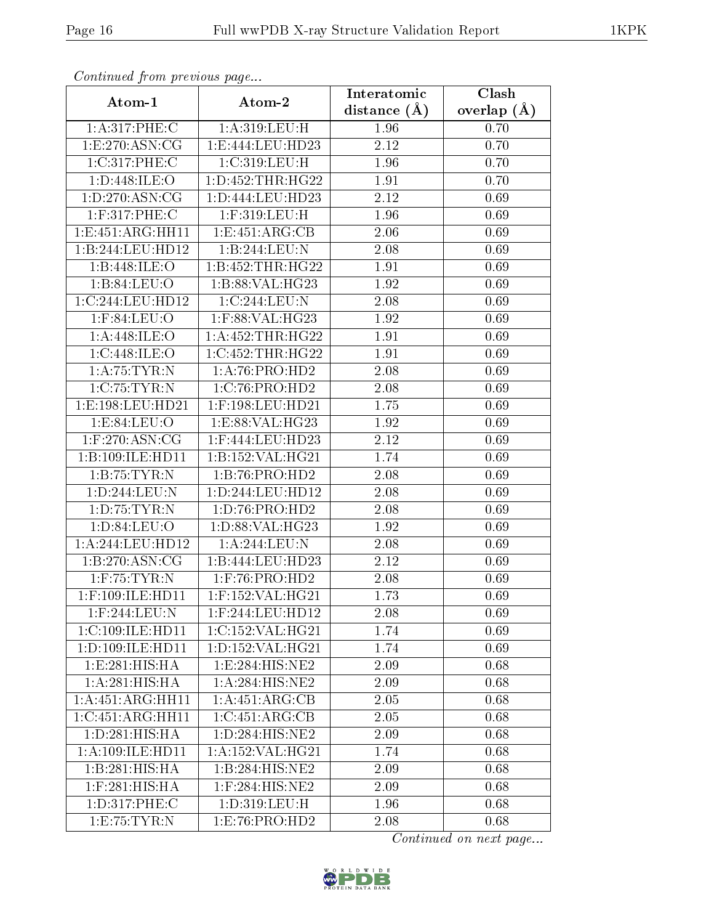| Continuea from previous page      |                                | Interatomic       | Clash           |
|-----------------------------------|--------------------------------|-------------------|-----------------|
| Atom-1                            | Atom-2                         | distance $(A)$    | overlap $(\AA)$ |
| 1:A:317:PHE:C                     | 1:A:319:LEU:H                  | 1.96              | 0.70            |
| 1: E: 270: ASN: CG                | 1:E:444:LEU:HD23               | $\overline{2.12}$ | 0.70            |
| 1:C:317:PHE:C                     | 1:C:319:LEU:H                  | 1.96              | 0.70            |
| 1:D:448:ILE:O                     | 1: D: 452: THR: HG22           | 1.91              | 0.70            |
| 1: D: 270: ASN: CG                | 1: D: 444: LEU: HD23           | 2.12              | 0.69            |
| 1:F:317:PHE:C                     | $1:$ F:319:LEU:H               | 1.96              | 0.69            |
| 1:E:451:ARG:HH11                  | 1:E:451:ARG:CB                 | 2.06              | 0.69            |
| 1:B:244:LEU:HD12                  | 1:B:244:LEU:N                  | 2.08              | 0.69            |
| 1:B:448:ILE:O                     | 1:B:452:THR:HG22               | 1.91              | 0.69            |
| 1:B:84:LEU:O                      | 1:B:88:VAL:HG23                | 1.92              | 0.69            |
| 1:C:244:LEU:HD12                  | 1:C:244:LEU:N                  | 2.08              | 0.69            |
| $1:$ F:84:LEU:O                   | 1:F:88:VAL:HG23                | 1.92              | 0.69            |
| 1: A:448: ILE: O                  | 1:A:452:THR:HG22               | 1.91              | 0.69            |
| 1:C:448:ILE:O                     | 1:C:452:THR:HG22               | 1.91              | 0.69            |
| 1:A:75:TYR:N                      | 1: A:76: PRO:HD2               | 2.08              | 0.69            |
| 1:C:75:TYR:N                      | 1:C:76:PRO:HD2                 | 2.08              | 0.69            |
| 1:E:198:LEU:HD21                  | $1:$ F:198:LEU:HD21            | 1.75              | 0.69            |
| 1: E:84:LEU:O                     | 1:ES:88:VAL:HG23               | 1.92              | 0.69            |
| 1: F: 270: ASN: CG                | 1:F:444:LEU:HD23               | 2.12              | 0.69            |
| 1:B:109:ILE:HD11                  | 1:B:152:VAL:HG21               | 1.74              | 0.69            |
| 1:B:75:TYR:N                      | 1:B:76:PRO:HD2                 | 2.08              | 0.69            |
| 1:D:244:LEU:N                     | 1:D:244:LEU:HD12               | 2.08              | 0.69            |
| 1: D: 75: TYR: N                  | 1: D:76: PRO:HD2               | 2.08              | 0.69            |
| 1: D:84: LEU:O                    | 1:D:88:VAL:HG23                | 1.92              | 0.69            |
| 1:A:244:LEU:HD12                  | 1: A:244:LEU:N                 | 2.08              | 0.69            |
| 1:B:270:ASN:CG                    | 1:B:444:LEU:HD23               | 2.12              | 0.69            |
| $1:$ F:75:TYR:N                   | 1:F:76:PRO:HD2                 | 2.08              | 0.69            |
| $1:$ F:109:ILE:HD $\overline{11}$ | 1:F:152:VAL:HG21               | 1.73              | 0.69            |
| 1:F:244:LEU:N                     | $1:$ F:244:LEU:HD12            | 2.08              | 0.69            |
| 1:C:109:ILE:HD11                  | 1:C:152:VAL:HG21               | 1.74              | 0.69            |
| 1:D:109:ILE:HD11                  | 1:D:152:VAL:HG21               | 1.74              | 0.69            |
| 1:E:281:HIS:HA                    | 1:E:284:HIS:NE2                | 2.09              | 0.68            |
| 1:A:281:HIS:HA                    | 1:A:284:HIS:NE2                | 2.09              | 0.68            |
| 1:A:451:ARG:HH11                  | 1:A:451:ARG:CB                 | 2.05              | 0.68            |
| 1:C:451:ARG:HH11                  | 1:C:451:ARG:CB                 | 2.05              | 0.68            |
| 1: D:281: HIS: HA                 | $1: D: 28\overline{4:HIS:NE2}$ | 2.09              | 0.68            |
| 1:A:109:ILE:HD11                  | 1:A:152:VAL:HG21               | 1.74              | 0.68            |
| 1:B:281:HIS:HA                    | 1:B:284:HIS:NE2                | 2.09              | 0.68            |
| $1:$ F:281:HIS:HA                 | 1:F:284:HIS:NE2                | 2.09              | 0.68            |
| 1:D:317:PHE:C                     | 1:D:319:LEU:H                  | 1.96              | 0.68            |
| 1:E:75:TYR:N                      | 1:E:76:PRO:HD2                 | 2.08              | 0.68            |

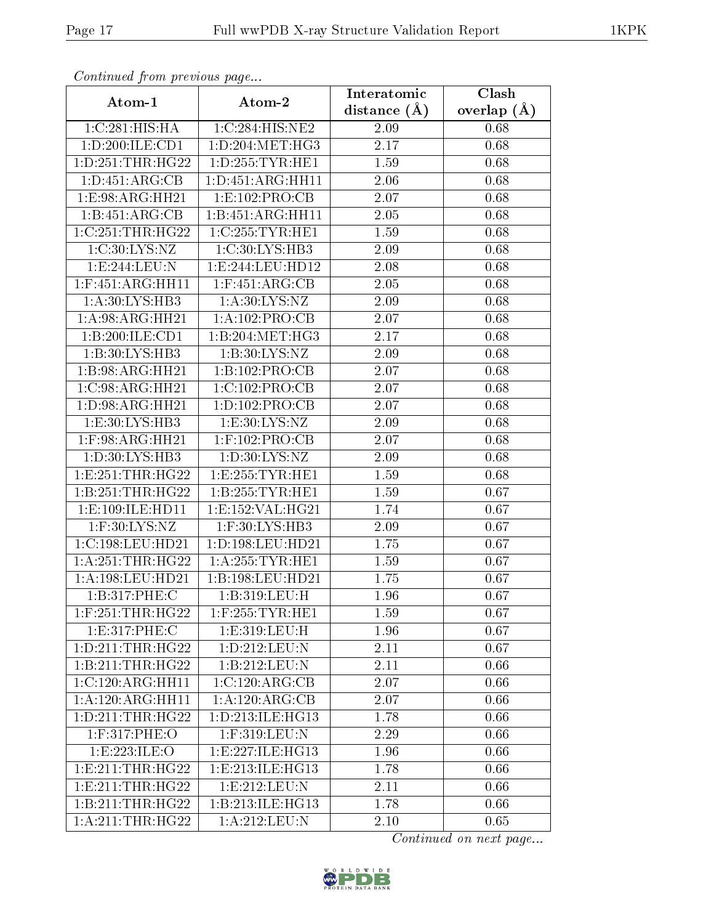| Continuea from previous page           |                      | Interatomic    | Clash         |
|----------------------------------------|----------------------|----------------|---------------|
| Atom-1                                 | Atom-2               | distance $(A)$ | overlap $(A)$ |
| 1:C:281:HIS:HA                         | 1:C:284:HIS:NE2      | 2.09           | 0.68          |
| $1: D: 200: \overline{\text{ILE:CD1}}$ | 1:D:204:MET:HG3      | 2.17           | 0.68          |
| 1: D: 251: THR: HG22                   | 1: D: 255: TYR: HE1  | 1.59           | 0.68          |
| 1: D: 451: ARG: CB                     | 1: D: 451: ARG: HH11 | 2.06           | 0.68          |
| 1:E:98:ARG:HH21                        | 1:E:102:PRO:CB       | 2.07           | 0.68          |
| 1:B:451:ARG:CB                         | 1:B:451:ARG:HH11     | 2.05           | 0.68          |
| 1:C:251:THR:HG22                       | 1:C:255:TYR:HE1      | 1.59           | 0.68          |
| 1:C:30:LYS:NZ                          | 1:C:30:LYS:HB3       | 2.09           | 0.68          |
| 1:E:244:EU:N                           | 1: E: 244: LEU: HD12 | 2.08           | 0.68          |
| $1:$ F:451:ARG:HH11                    | $1:$ F:451:ARG:CB    | 2.05           | 0.68          |
| 1:A:30:LYS:HB3                         | 1: A:30: LYS: NZ     | 2.09           | 0.68          |
| 1:A:98:ARG:HH21                        | 1:A:102:PRO:CB       | 2.07           | 0.68          |
| 1:B:200:ILE:CD1                        | 1:B:204:MET:HG3      | 2.17           | 0.68          |
| 1:B:30:LYS:HB3                         | 1: B:30: LYS: NZ     | 2.09           | 0.68          |
| 1:B:98:ARG:HH21                        | 1:B:102:PRO:CB       | 2.07           | 0.68          |
| 1:C:98:ARG:HH21                        | 1:C:102:PRO:CB       | 2.07           | 0.68          |
| 1: D:98: ARG: HH21                     | 1:D:102:PRO:CB       | 2.07           | 0.68          |
| 1:E:30:LYS:HB3                         | 1:E:30:LYS:NZ        | 2.09           | 0.68          |
| 1:F:98:ARG:HH21                        | 1:F:102:PRO:CB       | 2.07           | 0.68          |
| 1:D:30:LYS:HB3                         | 1: D:30: LYS: NZ     | 2.09           | 0.68          |
| 1: E: 251: THR: HG22                   | 1: E: 255: TYR: HE1  | 1.59           | 0.68          |
| 1:B:251:THR:HG22                       | 1:B:255:TYR:HE1      | 1.59           | 0.67          |
| 1:E:109:ILE:HD11                       | 1:E:152:VAL:HG21     | 1.74           | 0.67          |
| $1:$ F:30:LYS:NZ                       | 1:F:30:LYS:HB3       | 2.09           | 0.67          |
| 1:C:198:LEU:HD21                       | 1:D:198:LEU:HD21     | 1.75           | 0.67          |
| 1: A:251:THR:HG22                      | 1: A:255:TYR:HE1     | 1.59           | 0.67          |
| 1:A:198:LEU:HD21                       | 1:B:198:LEU:HD21     | 1.75           | 0.67          |
| 1:B:317:PHE:C                          | 1:B:319:LEU:H        | 1.96           | 0.67          |
| $1:$ F:251:THR:HG22                    | $1:$ F:255:TYR:HE1   | 1.59           | 0.67          |
| 1:E:317:PHE:C                          | 1: E: 319: LEU: H    | 1.96           | 0.67          |
| 1: D: 211: THR: HG22                   | 1:D:212:LEU:N        | 2.11           | 0.67          |
| 1:B:211:THR:HG22                       | 1:B:212:LEU:N        | 2.11           | 0.66          |
| $1:C:120:ARG:\overline{HH11}$          | 1:C:120:ARG:CB       | 2.07           | 0.66          |
| 1:A:120:ARG:HH11                       | 1:A:120:ARG:CB       | 2.07           | 0.66          |
| 1: D: 211: THR: HG22                   | 1: D: 213: ILE: HG13 | 1.78           | 0.66          |
| 1:F:317:PHE:O                          | 1:F:319:LEU:N        | 2.29           | 0.66          |
| 1:E:223:ILE:O                          | 1: E: 227: ILE: HG13 | 1.96           | 0.66          |
| 1: E: 211: THR: HG22                   | 1:E:213:ILE:HG13     | 1.78           | 0.66          |
| 1: E: 211: THR: HG22                   | 1: E: 212: LEU: N    | 2.11           | 0.66          |
| 1:B:211:THR:HG22                       | 1:B:213:ILE:HG13     | 1.78           | 0.66          |
| 1: A:211:THR:HG22                      | 1:A:212:LEU:N        | 2.10           | 0.65          |

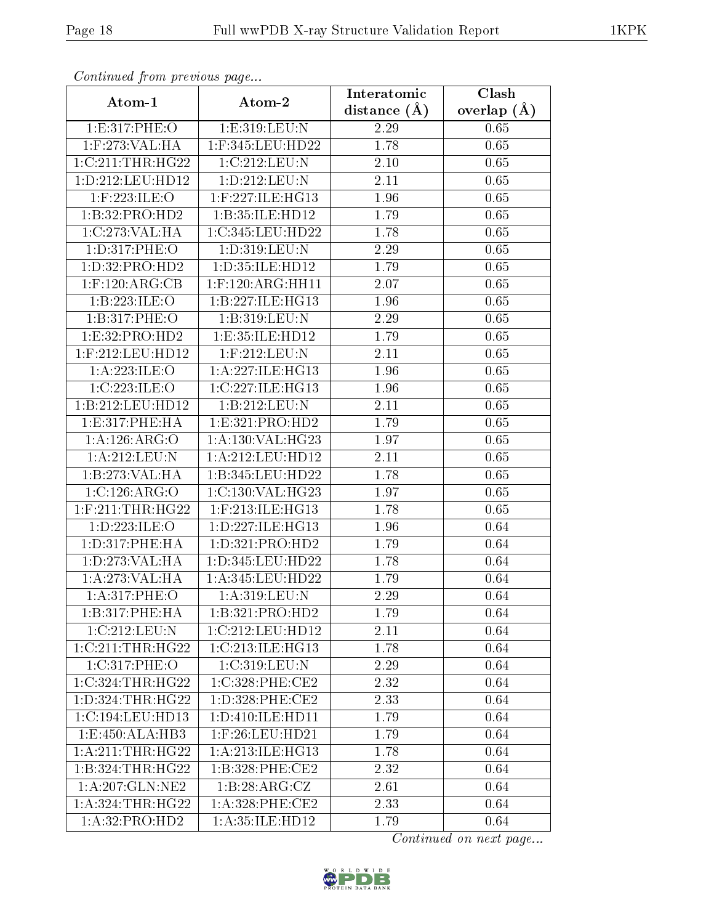| Continued from previous page |                        | Interatomic    | Clash           |
|------------------------------|------------------------|----------------|-----------------|
| Atom-1                       | Atom-2                 | distance $(A)$ | overlap $(\AA)$ |
| 1:E:317:PHE:O                | 1:E:319:LEU:N          | 2.29           | 0.65            |
| 1:F:273:VAL:HA               | 1:F:345:LEU:HD22       | 1.78           | 0.65            |
| 1:C:211:THR:HG22             | 1:C:212:LEU:N          | $2.10\,$       | 0.65            |
| 1:D:212:LEU:HD12             | 1: D: 212: LEU: N      | 2.11           | 0.65            |
| $1:$ F:223: ILE: O           | $1:$ F:227:ILE:HG13    | $1.96\,$       | 0.65            |
| 1:B:32:PRO:HD2               | 1:B:35:ILE:HD12        | 1.79           | 0.65            |
| 1:C:273:VAL:HA               | 1:C:345:LEU:HD22       | 1.78           | 0.65            |
| 1:D:317:PHE:O                | 1:D:319:LEU:N          | 2.29           | 0.65            |
| 1:D:32:PRO:HD2               | 1: D: 35: ILE: HD12    | 1.79           | 0.65            |
| $1:$ F:120:ARG:CB            | $1:$ F:120:ARG:HH11    | 2.07           | 0.65            |
| 1:B:223:ILE:O                | 1:B:227:ILE:HG13       | 1.96           | 0.65            |
| 1:B:317:PHE:O                | 1:B:319:LEU:N          | 2.29           | 0.65            |
| 1:E:32:PRO:HD2               | 1:E:35:ILE:HD12        | 1.79           | 0.65            |
| 1:F:212:LEU:HD12             | 1:F:212:LEU:N          | 2.11           | 0.65            |
| 1:A:223:ILE:O                | 1:A:227:ILE:HG13       | 1.96           | 0.65            |
| 1:C:223:ILE:O                | 1:C:227:ILE:HG13       | 1.96           | 0.65            |
| 1:B:212:LEU:HD12             | 1:B:212:LEU:N          | 2.11           | 0.65            |
| 1: E:317: PHE: HA            | 1: E: 321: PRO: HD2    | 1.79           | 0.65            |
| 1:A:126:ARG:O                | 1:A:130:VAL:HG23       | 1.97           | 0.65            |
| 1:A:212:LEU:N                | 1:A:212:LEU:HD12       | 2.11           | 0.65            |
| 1:B:273:VAL:HA               | 1:B:345:LEU:HD22       | 1.78           | 0.65            |
| 1:C:126:ARG:O                | 1:C:130:VAL:HG23       | 1.97           | 0.65            |
| $1:$ F:211:THR:HG22          | $1:$ F:213:ILE:HG $13$ | 1.78           | 0.65            |
| 1:D:223:ILE:O                | 1: D: 227: ILE: HG13   | 1.96           | 0.64            |
| 1: D: 317: PHE: HA           | 1: D: 321: PRO: HD2    | 1.79           | 0.64            |
| 1: D: 273: VAL: HA           | 1:D:345:LEU:HD22       | 1.78           | 0.64            |
| 1:A:273:VAL:HA               | 1:A:345:LEU:HD22       | 1.79           | 0.64            |
| 1:A:317:PHE:O                | 1:A:319:LEU:N          | 2.29           | 0.64            |
| 1:B:317:PHE:HA               | 1:B:321:PRO:HD2        | 1.79           | 0.64            |
| 1:C:212:LEU:N                | 1:C:212:LEU:HD12       | 2.11           | 0.64            |
| 1:C:211:THR:HG22             | 1:C:213:ILE:HG13       | 1.78           | 0.64            |
| 1:C:317:PHE:O                | 1:C:319:LEU:N          | 2.29           | 0.64            |
| 1:C:324:THR:HG22             | 1:C:328:PHE:CE2        | 2.32           | 0.64            |
| 1:D:324:THR:HG22             | 1: D: 328: PHE: CE2    | 2.33           | 0.64            |
| 1:C:194:LEU:HD13             | 1: D: 410: ILE: HDI1   | 1.79           | 0.64            |
| 1:E:450:ALA:HB3              | $1:$ F:26:LEU:HD21     | 1.79           | 0.64            |
| 1: A:211:THR:HG22            | 1:A:213:ILE:HG13       | 1.78           | 0.64            |
| 1:B:324:THR:HG22             | $1: B: 328:$ PHE:CE2   | 2.32           | 0.64            |
| 1: A:207: GLN:NE2            | 1:B:28:ARG:CZ          | 2.61           | 0.64            |
| 1: A:324:THR:HG22            | $1: A:328:$ PHE:CE2    | 2.33           | 0.64            |
| 1:A:32:PRO:HD2               | 1:A:35:ILE:HD12        | 1.79           | 0.64            |

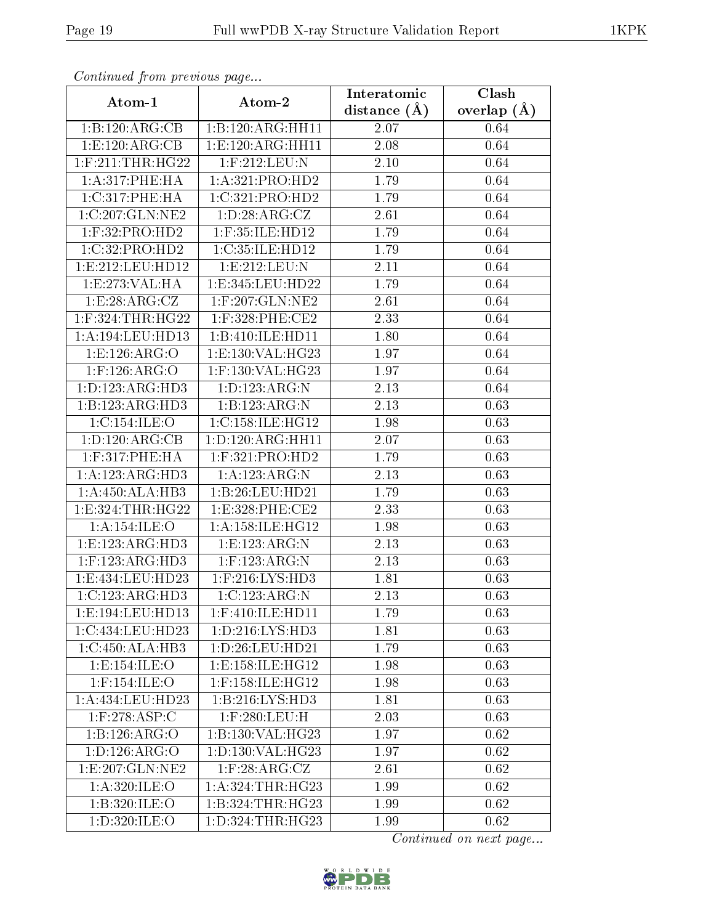| Communa from previous page |                      | Interatomic      | Clash           |
|----------------------------|----------------------|------------------|-----------------|
| Atom-1                     | Atom-2               | distance $(\AA)$ | overlap $(\AA)$ |
| 1:B:120:ARG:CB             | 1:B:120:ARG:HH11     | 2.07             | 0.64            |
| 1:E:120:ARG:CB             | 1: E: 120: ARG: HH11 | 2.08             | 0.64            |
| $1:$ F:211:THR:HG22        | 1:F:212:LEU:N        | $2.10\,$         | 0.64            |
| 1:A:317:PHE:HA             | 1:A:321:PRO:HD2      | 1.79             | 0.64            |
| 1:C:317:PHE:HA             | 1:C:321:PRO:HD2      | 1.79             | 0.64            |
| 1:C:207:GLN:NE2            | 1:D:28:ARG:CZ        | 2.61             | 0.64            |
| $1:$ F:32:PRO:HD2          | $1:$ F:35:ILE:HD12   | 1.79             | 0.64            |
| 1:C:32:PRO:HD2             | 1:C:35:ILE:HD12      | 1.79             | 0.64            |
| 1:E:212:LEU:HD12           | 1:E:212:EU:N         | 2.11             | 0.64            |
| 1:E:273:VAL:HA             | 1:E:345:LEU:HD22     | 1.79             | 0.64            |
| 1:E:28:ARG:CZ              | $1:$ F:207:GLN:NE2   | 2.61             | 0.64            |
| $1:$ F:324:THR:HG22        | $1:$ F:328:PHE:CE2   | 2.33             | 0.64            |
| 1:A:194:LEU:HD13           | 1:B:410:ILE:HD11     | 1.80             | 0.64            |
| 1:E:126:ARG:O              | 1: E: 130: VAL: HG23 | 1.97             | 0.64            |
| $1:$ F:126:ARG:O           | 1:F:130:VAL:HG23     | 1.97             | 0.64            |
| 1: D: 123: ARG: HD3        | 1:D:123:ARG:N        | 2.13             | 0.64            |
| 1:B:123:ARG:HD3            | 1:B:123:ARG:N        | 2.13             | 0.63            |
| 1:C:154:ILE:O              | 1:C:158:ILE:HG12     | 1.98             | 0.63            |
| 1:D:120:ARG:CB             | 1:D:120:ARG:HH11     | 2.07             | 0.63            |
| $1:$ F:317:PHE:HA          | $1:$ F:321:PRO:HD2   | 1.79             | 0.63            |
| 1:A:123:ARG:HD3            | 1: A: 123: ARG: N    | 2.13             | 0.63            |
| 1: A: 450: ALA: HB3        | 1:B:26:LEU:HD21      | 1.79             | 0.63            |
| 1: E: 324: THR: HG22       | 1: E: 328: PHE: CE2  | 2.33             | 0.63            |
| 1: A:154: ILE: O           | 1: A: 158: ILE: HG12 | 1.98             | 0.63            |
| 1: E: 123: ARG: HD3        | 1: E: 123: ARG: N    | 2.13             | 0.63            |
| $1:$ F:123:ARG:HD3         | $1:$ F:123:ARG:N     | 2.13             | 0.63            |
| 1:E:434:LEU:HD23           | $1:$ F:216:LYS:HD3   | 1.81             | 0.63            |
| 1:C:123:ARG:HD3            | 1:C:123:ARG:N        | 2.13             | 0.63            |
| 1:E:194:LEU:HD13           | 1:F:410:ILE:HD11     | 1.79             | 0.63            |
| 1:C:434:LEU:HD23           | 1: D: 216: LYS: HD3  | 1.81             | 0.63            |
| 1:C:450:ALA:HB3            | 1: D:26: LEU:HD21    | 1.79             | 0.63            |
| 1:E:154:ILE:O              | 1:E:158:ILE:HG12     | 1.98             | 0.63            |
| $1:$ F:154:ILE:O           | 1:F:158:ILE:HG12     | 1.98             | 0.63            |
| 1:A:434:LEU:HD23           | 1:B:216:LYS:HD3      | 1.81             | 0.63            |
| $1:$ F:278:ASP:C           | 1:F:280:LEU:H        | 2.03             | 0.63            |
| 1:B:126:ARG:O              | 1:B:130:VAL:HG23     | 1.97             | 0.62            |
| 1:D:126:ARG:O              | 1: D: 130: VAL:HG23  | 1.97             | 0.62            |
| 1: E: 207: GLN: NE2        | $1:$ F:28:ARG:CZ     | 2.61             | 0.62            |
| 1: A:320: ILE:O            | 1: A:324:THR:HG23    | 1.99             | 0.62            |
| 1:B:320:ILE:O              | 1:B:324:THR:HG23     | 1.99             | 0.62            |
| 1:D:320:ILE:O              | 1: D: 324: THR: HG23 | 1.99             | 0.62            |

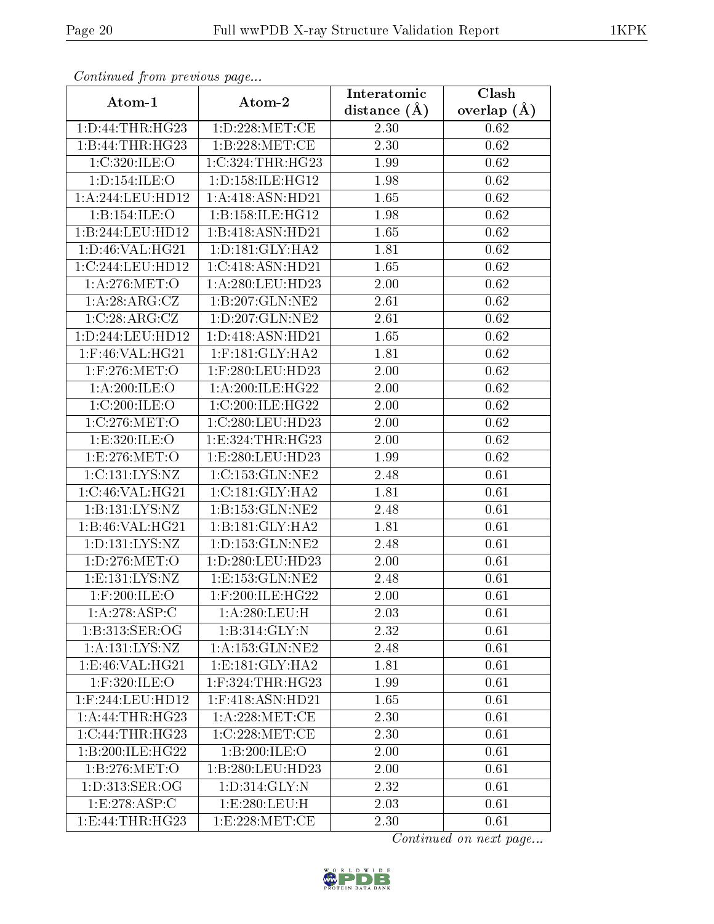| Communa from previous page                |                      | Interatomic    | Clash           |
|-------------------------------------------|----------------------|----------------|-----------------|
| Atom-1                                    | Atom-2               | distance $(A)$ | overlap $(\AA)$ |
| 1: D: 44: THR: HG23                       | 1: D: 228: MET:CE    | 2.30           | 0.62            |
| 1:B:44:THR:HG23                           | 1:B:228:MET:CE       | 2.30           | 0.62            |
| 1:C:320:ILE:O                             | 1:C:324:THR:HG23     | 1.99           | 0.62            |
| 1: D: 154: ILE: O                         | 1: D: 158: ILE: HG12 | 1.98           | 0.62            |
| $1:\overline{A}:244:\underline{LEU}:HD12$ | 1:A:418:ASN:HD21     | 1.65           | 0.62            |
| 1:B:154:ILE:O                             | 1: B:158: ILE: HG12  | 1.98           | 0.62            |
| 1:B:244:LEU:HD12                          | 1:B:418:ASN:HD21     | 1.65           | $0.62\,$        |
| 1: D: 46: VAL:HG21                        | 1: D:181: GLY:HA2    | 1.81           | 0.62            |
| 1:C:244:LEU:HD12                          | 1:C:418:ASN:HD21     | 1.65           | 0.62            |
| 1: A:276: MET:O                           | 1:A:280:LEU:HD23     | 2.00           | 0.62            |
| 1:A:28:ARG:CZ                             | 1:B:207:GLN:NE2      | 2.61           | 0.62            |
| 1:C:28:ARG:CZ                             | 1:D:207:GLN:NE2      | 2.61           | 0.62            |
| 1:D:244:LEU:HD12                          | 1:D:418:ASN:HD21     | 1.65           | 0.62            |
| $1:$ F:46:VAL:HG21                        | $1:$ F:181:GLY:HA2   | 1.81           | 0.62            |
| 1:F:276:MET:O                             | 1:F:280:LEU:HD23     | 2.00           | 0.62            |
| 1: A:200: ILE:O                           | 1:A:200:ILE:HG22     | 2.00           | 0.62            |
| 1:C:200:ILE:O                             | 1:C:200:ILE:HG22     | 2.00           | 0.62            |
| 1: C: 276: MET:O                          | 1:C:280:LEU:HD23     | 2.00           | 0.62            |
| 1:E:320:ILE:O                             | 1:E:324:THR:HG23     | $2.00\,$       | 0.62            |
| 1:E:276:MET:O                             | 1: E: 280: LEU: HD23 | 1.99           | 0.62            |
| 1: C: 131: LYS: NZ                        | 1:C:153:GLN:NE2      | 2.48           | 0.61            |
| 1:C:46:VAL:HG21                           | 1:C:181:GLY:HA2      | 1.81           | 0.61            |
| 1:B:131:LYS:NZ                            | 1:B:153:GLN:NE2      | 2.48           | 0.61            |
| 1:B:46:VAL:H G21                          | 1:B:181:GLY:HA2      | 1.81           | 0.61            |
| $1: D: 131: LYS: \overline{NZ}$           | 1: D: 153: GLN: NE2  | 2.48           | 0.61            |
| 1:D:276:MET:O                             | 1:D:280:LEU:HD23     | $2.00\,$       | 0.61            |
| 1: E: 131: LYS: NZ                        | 1: E: 153: GLN: NE2  | 2.48           | 0.61            |
| $1:$ $F:200:$ $ILE:$ $O$                  | $1:$ F:200:ILE:HG22  | 2.00           | 0.61            |
| 1:A:278:ASP:C                             | 1:A:280:LEU:H        | 2.03           | 0.61            |
| 1:B:313:SER:OG                            | 1:B:314:GLY:N        | 2.32           | 0.61            |
| 1: A: 131: LYS: NZ                        | 1: A: 153: GLN: NE2  | 2.48           | 0.61            |
| 1:E:46:VAL:HG21                           | 1:E:181:GLY:HA2      | 1.81           | 0.61            |
| $1:$ F:320:ILE:O                          | $1:$ F:324:THR:HG23  | 1.99           | 0.61            |
| 1:F:244:LEU:HD12                          | 1:F:418:ASN:HD21     | 1.65           | 0.61            |
| 1:A:44:THR:HG23                           | 1: A:228: MET:CE     | 2.30           | 0.61            |
| 1:C:44:THR:HG23                           | 1:C:228:MET:CE       | 2.30           | 0.61            |
| 1:B:200:ILE:HG22                          | 1:B:200:ILE:O        | 2.00           | 0.61            |
| 1:B:276:MET:O                             | 1:B:280:LEU:HD23     | 2.00           | 0.61            |
| 1: D: 313: SER: OG                        | 1: D: 314: GLY: N    | 2.32           | 0.61            |
| 1:E:278:ASP:C                             | 1: E: 280: LEU: H    | 2.03           | 0.61            |
| 1: E:44: THR: HG23                        | 1: E:228: MET:CE     | 2.30           | 0.61            |

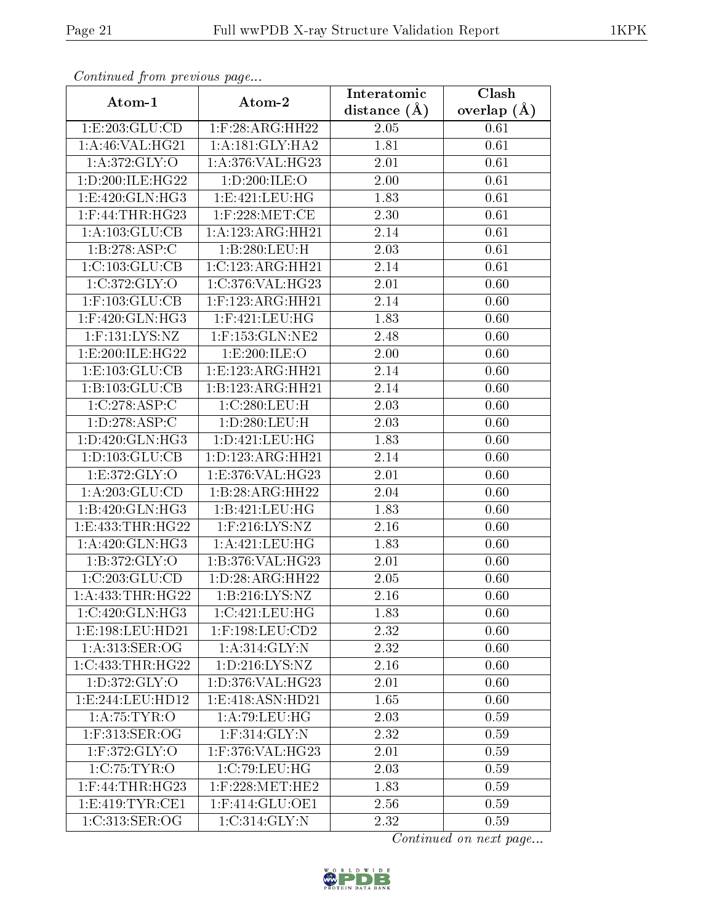| сонинией јтот ртеvиоиз раде |                              | Interatomic    | Clash         |
|-----------------------------|------------------------------|----------------|---------------|
| Atom-1                      | Atom-2                       | distance $(A)$ | overlap $(A)$ |
| 1:E:203:GLU:CD              | $1:$ F:28:ARG:HH22           | 2.05           | 0.61          |
| 1: A:46: VAL:HG21           | 1: A:181: GLY: HA2           | 1.81           | 0.61          |
| 1: A:372: GLY:O             | 1:A:376:VAL:HG23             | 2.01           | 0.61          |
| 1:D:200:ILE:HG22            | 1:D:200:ILE:O                | 2.00           | 0.61          |
| 1:E:420:GLN:HG3             | 1: E: 421: LEU: HG           | 1.83           | 0.61          |
| $1:$ F:44:THR:HG23          | $1:$ F:228:MET:CE            | 2.30           | 0.61          |
| 1:A:103:GLU:CB              | 1:A:123:ARG:HH21             | 2.14           | 0.61          |
| 1:B:278:ASP:C               | 1:B:280:LEU:H                | 2.03           | 0.61          |
| 1:C:103:GLU:CB              | 1:C:123:ARG:HH21             | 2.14           | 0.61          |
| 1:C:372:GLY:O               | 1:C:376:VAL:HG23             | 2.01           | 0.60          |
| $1:$ F:103:GLU:CB           | $1:$ F:123:ARG:HH21          | 2.14           | 0.60          |
| $1:$ F:420:GLN:HG3          | $1:$ F:421:LEU:HG            | 1.83           | 0.60          |
| $1:$ F:131:LYS:NZ           | $1:$ F:153: $GLN:NE2$        | 2.48           | 0.60          |
| 1:E:200:ILE:HG22            | 1:E:200:ILE:O                | 2.00           | 0.60          |
| 1:E:103:GLU:CB              | 1: E: 123: ARG: HH21         | 2.14           | 0.60          |
| 1:B:103:GLU:CB              | 1:B:123:ARG:HH21             | 2.14           | 0.60          |
| 1:C:278:ASP:C               | 1:C:280:LEU:H                | 2.03           | 0.60          |
| 1:D:278:ASP:C               | 1: D: 280: LEU: H            | 2.03           | 0.60          |
| 1:D:420:GLN:HG3             | 1:D:421:LEU:HG               | 1.83           | 0.60          |
| 1:D:103:GLU:CB              | 1:D:123:ARG:HH21             | 2.14           | 0.60          |
| 1:E:372:GLY:O               | 1:E:376:VAL:HG23             | 2.01           | 0.60          |
| 1: A:203: GLU:CD            | 1:B:28:ARG:HH22              | 2.04           | 0.60          |
| 1:B:420:GLN:HG3             | 1:B:421:LEU:HG               | 1.83           | 0.60          |
| 1:E:433:THR:HG22            | $1:$ F:216:LYS:NZ            | 2.16           | 0.60          |
| 1:A:420:GLN:HG3             | 1: A: 421: LEU: HG           | 1.83           | 0.60          |
| 1: B:372: GLY:O             | 1:B:376:VAL:HG23             | $2.01\,$       | 0.60          |
| 1:C:203:GLU:CD              | 1:D:28:ARG:HH22              | 2.05           | 0.60          |
| 1:A:433:THR:HG22            | 1:B:216:LYS:NZ               | 2.16           | 0.60          |
| 1:C:420:GLN:HG3             | 1:C:421:LEU:HG               | 1.83           | 0.60          |
| 1:E:198:LEU:HD21            | $1:$ F:198:LEU: $CD2$        | 2.32           | 0.60          |
| 1: A:313: SER:OG            | $1: A:314: \overline{GLY:N}$ | 2.32           | 0.60          |
| 1:C:433:THR:HG22            | 1: D: 216: LYS: NZ           | 2.16           | 0.60          |
| 1: D: 372: GLY: O           | 1: D: 376: VAL:HG23          | 2.01           | 0.60          |
| 1:E:244:EU:HD12             | 1: E:418: ASN: HD21          | 1.65           | 0.60          |
| 1: A:75:TYR:O               | 1:A:79:LEU:HG                | 2.03           | 0.59          |
| $1:$ F:313:SER:OG           | $1:$ F:314:GLY:N             | 2.32           | 0.59          |
| $1:$ F:372:GLY:O            | 1:F:376:VAL:HG23             | 2.01           | 0.59          |
| 1:C:75:TYR:O                | 1:C:79:LEU:HG                | 2.03           | 0.59          |
| $1:$ F:44:THR:HG23          | $1:$ F:228:MET:HE2           | 1.83           | 0.59          |
| 1: E:419: TYR: CE1          | 1:F:414:GLU:OE1              | 2.56           | 0.59          |
| 1:C:313:SER:OG              | 1:C:314:GLY:N                | 2.32           | 0.59          |

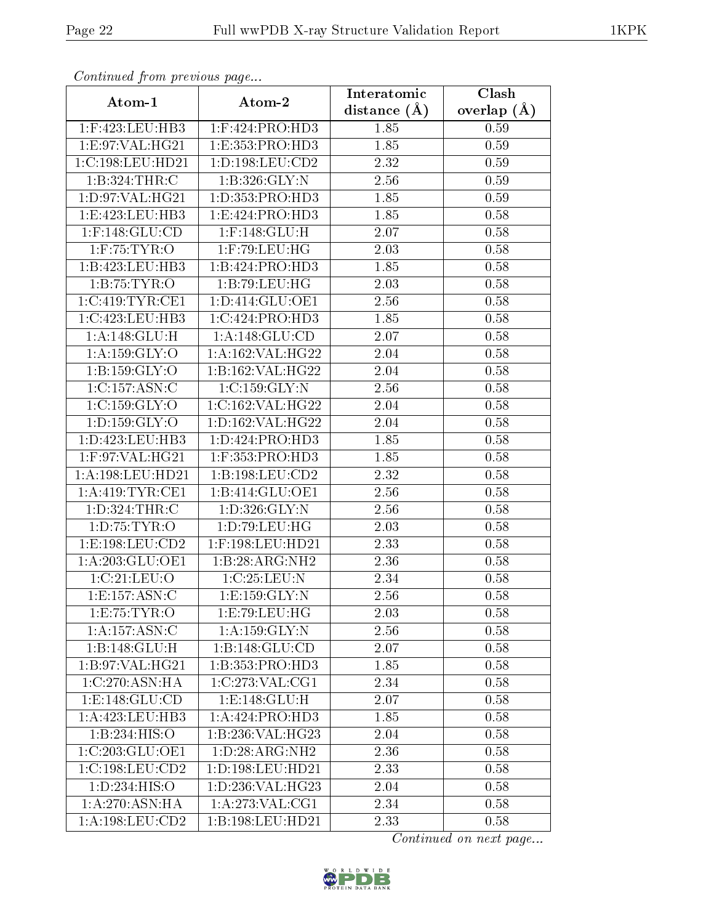| Continuea from previous page |                                | Interatomic       | Clash         |
|------------------------------|--------------------------------|-------------------|---------------|
| Atom-1                       | Atom-2                         | distance $(A)$    | overlap $(A)$ |
| $1:$ F:423:LEU:HB3           | $1:$ F:424:PRO:HD3             | 1.85              | 0.59          |
| 1:E:97:VAL:HG21              | 1:E:353:PRO:HD3                | 1.85              | 0.59          |
| 1:C:198:LEU:HD21             | 1: D: 198: LEU: CD2            | 2.32              | 0.59          |
| 1:B:324:THR:C                | 1:B:326:GLY:N                  | 2.56              | 0.59          |
| 1: D: 97: VAL:HG21           | 1: D: 353: PRO: HD3            | 1.85              | 0.59          |
| 1:E:423:EU:HB3               | 1: E: 424: PRO:H <sub>D3</sub> | 1.85              | 0.58          |
| $1:$ F:148:GLU:CD            | $1:$ F:148: $GLU$ :H           | 2.07              | 0.58          |
| $1:$ F:75:TYR:O              | $1:$ F:79:LEU:HG               | 2.03              | 0.58          |
| 1:B:423:LEU:HB3              | 1:B:424:PRO:HD3                | 1.85              | 0.58          |
| 1:B:75:TYR:O                 | 1:B:79:LEU:HG                  | 2.03              | 0.58          |
| 1:C:419:TYR:CE1              | 1: D: 414: GLU: OE1            | 2.56              | 0.58          |
| 1:C:423:LEU:HB3              | $1:C:424:P\overline{RO:HD3}$   | 1.85              | 0.58          |
| 1:A:148:GLU:H                | 1: A:148: GLU:CD               | 2.07              | 0.58          |
| 1: A:159: GLY:O              | 1:A:162:VAL:HG22               | 2.04              | 0.58          |
| 1: B: 159: GLY:O             | 1:B:162:VAL:HG22               | 2.04              | 0.58          |
| 1:C:157:ASN:C                | 1:C:159:GLY:N                  | 2.56              | 0.58          |
| 1:C:159:GLY:O                | 1:C:162:VAL:HG22               | 2.04              | 0.58          |
| 1: D: 159: GLY: O            | 1:D:162:VAL:HG22               | 2.04              | 0.58          |
| 1:D:423:LEU:HB3              | 1:D:424:PRO:HD3                | 1.85              | 0.58          |
| $1:$ F:97:VAL:HG21           | $1:$ F:353:PRO:HD3             | 1.85              | 0.58          |
| 1:A:198:LEU:HD21             | 1:B:198:LEU:CD2                | 2.32              | 0.58          |
| 1: A:419: TYR: CE1           | 1:B:414:GLU:OE1                | 2.56              | 0.58          |
| 1:D:324:THR:C                | 1:D:326:GLY:N                  | 2.56              | 0.58          |
| 1: D: 75: TYR: O             | 1: D: 79: LEU: HG              | $\overline{2}.03$ | 0.58          |
| 1:E:198:LEU:CD2              | 1:F:198:LEU:HD21               | 2.33              | 0.58          |
| 1: A:203: GLU:OE1            | 1:B:28:ARG:NH2                 | $\overline{2.36}$ | 0.58          |
| 1:C:21:LEU:O                 | 1:C:25:LEU:N                   | 2.34              | 0.58          |
| 1: E: 157: ASN: C            | 1: E: 159: GLY: N              | 2.56              | 0.58          |
| 1:E:75:TYR:O                 | 1:E:79:EU:HG                   | 2.03              | 0.58          |
| $1:A:157:ASN:\overline{C}$   | 1: A: 159: GLY: N              | 2.56              | 0.58          |
| 1:B:148:GLU:H                | 1:B:148:GLU:CD                 | 2.07              | 0.58          |
| 1:B:97:VAL:HG21              | 1:B:353:PRO:HD3                | 1.85              | 0.58          |
| 1:C:270:ASN:HA               | 1:C:273:VAL:CG1                | 2.34              | 0.58          |
| 1: E: 148: GLU: CD           | 1:E:148:GLU:H                  | 2.07              | 0.58          |
| 1: A: 423: LEU: HB3          | 1:A:424:PRO:HD3                | 1.85              | 0.58          |
| 1:B:234:HIS:O                | 1:B:236:VAL:HG23               | 2.04              | 0.58          |
| 1:C:203:GLU:OE1              | 1: D:28: ARG: NH2              | 2.36              | 0.58          |
| 1:C:198:LEU:CD2              | 1:D:198:LEU:HD21               | 2.33              | 0.58          |
| 1:D:234:HIS:O                | 1: D: 236: VAL: HG23           | 2.04              | 0.58          |
| 1:A:270:ASN:HA               | 1: A:273: VAL:CG1              | 2.34              | 0.58          |
| 1:A:198:LEU:CD2              | 1:B:198:LEU:HD21               | 2.33              | 0.58          |

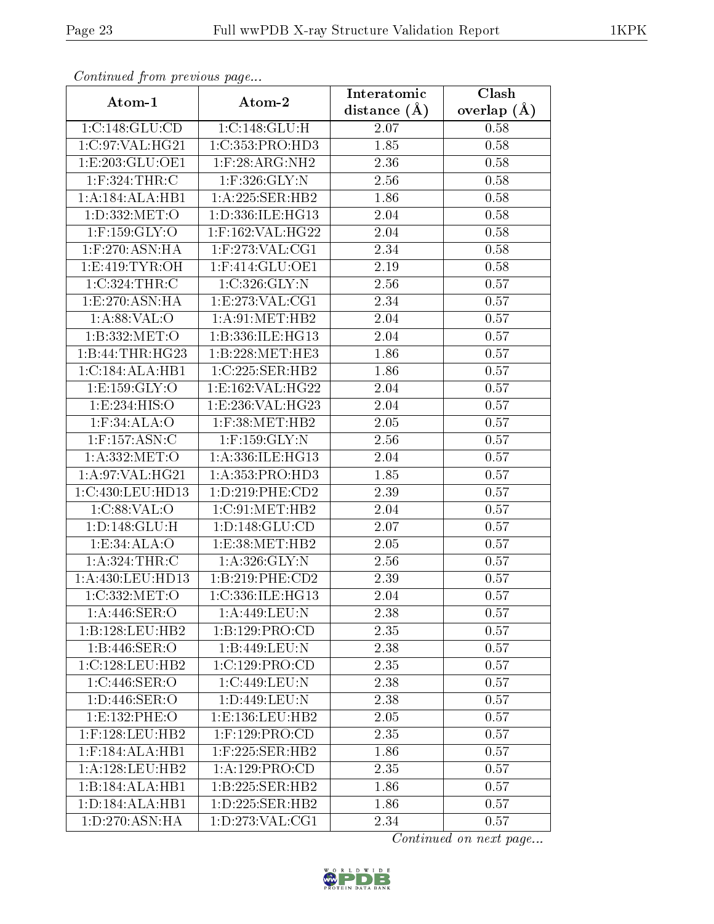| Communica from precious page |                             | Interatomic    | Clash           |
|------------------------------|-----------------------------|----------------|-----------------|
| Atom-1                       | Atom-2                      | distance $(A)$ | overlap $(\AA)$ |
| 1:C:148:GLU:CD               | 1:C:148:GLU:H               | 2.07           | 0.58            |
| 1:C:97:VAL:HG21              | 1:C:353:PRO:HD3             | 1.85           | 0.58            |
| 1:E:203:GLU:OE1              | $1:$ F:28:ARG:NH2           | 2.36           | 0.58            |
| $1:$ F:324:THR:C             | 1:F:326:GLY:N               | 2.56           | 0.58            |
| $1:A:184:ALA:\overline{HBI}$ | 1:A:225:SER:HB2             | 1.86           | 0.58            |
| 1: D: 332: MET:O             | 1:D:336:ILE:HG13            | 2.04           | 0.58            |
| $1:$ F:159:GLY:O             | $1:$ F:162:VAL:HG22         | 2.04           | 0.58            |
| $1:$ F:270:ASN:HA            | $1:$ F:273:VAL:CG1          | 2.34           | 0.58            |
| 1:E:419:TYR:OH               | 1:F:414:GLU:OE1             | 2.19           | 0.58            |
| 1:C:324:THR:C                | 1:C:326:GLY:N               | 2.56           | 0.57            |
| 1: E:270: ASN: HA            | 1:E:273:VAL:CG1             | 2.34           | 0.57            |
| 1: A:88: VAL:O               | 1: A:91: MET:HB2            | 2.04           | 0.57            |
| 1:B:332:MET:O                | 1:B:336:ILE:HG13            | 2.04           | 0.57            |
| 1:B:44:THR:HG23              | 1:B:228:MET:HE3             | 1.86           | 0.57            |
| 1:C:184:ALA:HB1              | 1:C:225:SER:HB2             | 1.86           | 0.57            |
| 1: E: 159: GLY: O            | 1:E:162:VAL:HG22            | 2.04           | 0.57            |
| 1:E:234:HIS:O                | 1:E:236:VAL:HG23            | 2.04           | 0.57            |
| $1:$ F:34:ALA:O              | $1:$ F:38:MET:HB2           | 2.05           | 0.57            |
| $1:$ F:157:ASN:C             | $1:$ F:159:GLY:N            | 2.56           | 0.57            |
| 1:A:332:MET:O                | 1: A: 336: ILE: HG13        | 2.04           | 0.57            |
| 1: A:97: VAL:HG21            | 1:A:353:PRO:HD3             | 1.85           | 0.57            |
| 1:C:430:LEU:HD13             | 1: D: 219: PHE: CD2         | 2.39           | 0.57            |
| 1:C:88:VAL:O                 | $1:C:91:MET:H\overline{B2}$ | 2.04           | 0.57            |
| 1: D: 148: GLU: H            | 1: D: 148: GLU: CD          | 2.07           | 0.57            |
| 1:E:34:ALA:O                 | 1:E:38:MET:HB2              | 2.05           | 0.57            |
| 1: A:324:THR:C               | 1: A: 326: GLY:N            | 2.56           | 0.57            |
| 1:A:430:LEU:HD13             | 1:B:219:PHE:CD2             | 2.39           | 0.57            |
| 1:C:332:MET:O                | 1:C:336:ILE:HG13            | 2.04           | 0.57            |
| 1: A:446: SER:O              | 1: A:449:LEU:N              | 2.38           | 0.57            |
| 1:B:128:LEU:HB2              | 1:B:129:PRO:CD              | 2.35           | 0.57            |
| 1:B:446:SER:O                | 1:B:449:LEU:N               | 2.38           | 0.57            |
| 1:C:128:LEU:HB2              | 1:C:129:PRO:CD              | 2.35           | 0.57            |
| 1:C:446:SER:O                | 1:C:449:LEU:N               | 2.38           | 0.57            |
| 1:D:446:SER:O                | 1:D:449:LEU:N               | 2.38           | 0.57            |
| 1:E:132:PHE:O                | 1: E: 136: LEU: HB2         | 2.05           | 0.57            |
| $1:$ F:128:LEU:HB2           | $1:$ F:129:PRO:CD           | 2.35           | 0.57            |
| $1:$ F:184:ALA:HB1           | $1:$ F:225:SER:HB2          | 1.86           | 0.57            |
| 1: A: 128: LEU: HB2          | 1:A:129:PRO:CD              | 2.35           | 0.57            |
| 1:B:184:ALA:HB1              | 1:B:225:SER:HB2             | 1.86           | 0.57            |
| 1: D: 184: ALA: HB1          | 1: D: 225: SER: HB2         | 1.86           | 0.57            |
| 1: D: 270: ASN: HA           | 1: D: 273: VAL: CG1         | 2.34           | 0.57            |

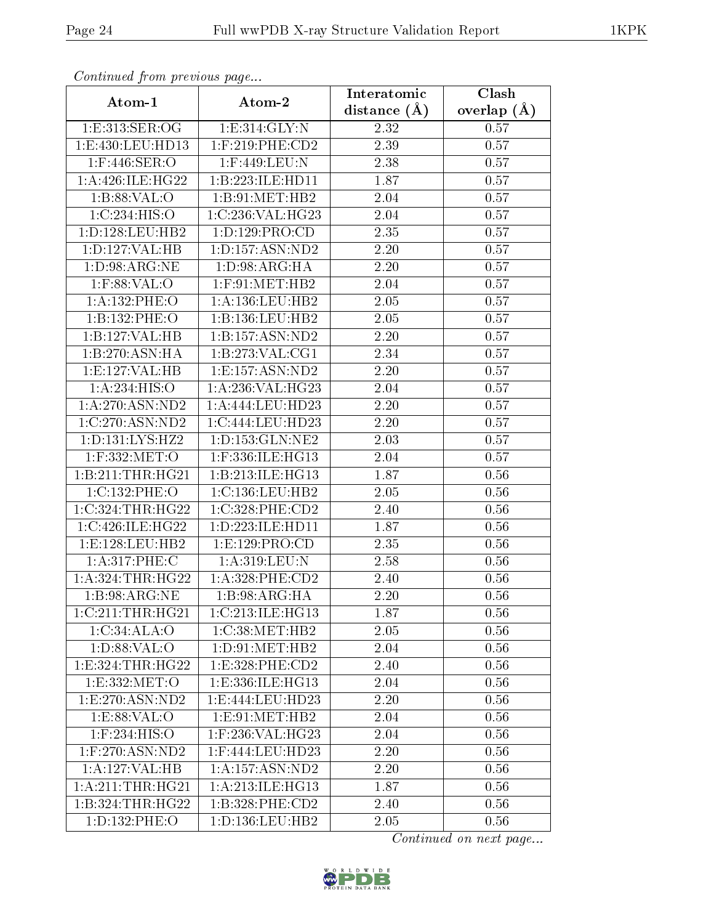| Comunaca jiom previous page |                      | Interatomic       | Clash           |
|-----------------------------|----------------------|-------------------|-----------------|
| Atom-1                      | Atom-2               | distance $(A)$    | overlap $(\AA)$ |
| 1:E:313:SER:OG              | 1: E:314: GLY:N      | 2.32              | 0.57            |
| 1:E:430:LEU:HD13            | $1:$ F:219:PHE:CD2   | 2.39              | 0.57            |
| $1:$ F:446:SER:O            | $1:$ F:449:LEU:N     | 2.38              | 0.57            |
| 1: A:426: ILE:HG22          | 1:B:223:ILE:HD11     | 1.87              | 0.57            |
| 1:B:88:VAL:O                | 1:B:91:MET:HB2       | 2.04              | 0.57            |
| 1:C:234:HIS:O               | 1:C:236:VAL:HG23     | 2.04              | 0.57            |
| 1:D:128:LEU:HB2             | 1:D:129:PRO:CD       | 2.35              | 0.57            |
| 1:D:127:VAL:HB              | 1: D: 157: ASN: ND2  | 2.20              | 0.57            |
| 1: D:98: ARG: NE            | 1: D:98: ARG: HA     | 2.20              | 0.57            |
| $1:$ F:88:VAL:O             | $1:$ F:91:MET:HB2    | 2.04              | 0.57            |
| 1:A:132:PHE:O               | 1: A: 136: LEU: HB2  | 2.05              | 0.57            |
| 1:B:132:PHE:O               | 1:B:136:LEU:HB2      | 2.05              | 0.57            |
| 1:B:127:VAL:HB              | 1:B:157:ASN:ND2      | 2.20              | 0.57            |
| 1:B:270:ASN:HA              | 1:B:273:VAL:CG1      | 2.34              | 0.57            |
| 1:E:127:VAL:HB              | 1:E:157:ASN:ND2      | 2.20              | 0.57            |
| 1:A:234:HIS:O               | 1: A:236: VAL:HG23   | 2.04              | 0.57            |
| 1:A:270:ASN:ND2             | 1:A:444:LEU:HD23     | 2.20              | 0.57            |
| 1:C:270:ASN:ND2             | 1:C:444:LEU:HD23     | 2.20              | 0.57            |
| 1:D:131:LYS:HZ2             | 1: D: 153: GLN: NE2  | 2.03              | 0.57            |
| 1:F:332:MET:O               | 1:F:336:ILE:HG13     | 2.04              | 0.57            |
| 1:B:211:THR:HG21            | 1:B:213:ILE:HG13     | $\overline{1.87}$ | 0.56            |
| 1:C:132:PHE:O               | 1:C:136:LEU:HB2      | 2.05              | 0.56            |
| 1:C:324:THR:HG22            | 1:C:328:PHE:CD2      | 2.40              | 0.56            |
| 1:C:426:ILE:HG22            | 1: D: 223: ILE: HD11 | 1.87              | 0.56            |
| 1: E: 128: LEU: HB2         | 1: E: 129: PRO:CD    | 2.35              | 0.56            |
| 1:A:317:PHE:C               | 1:A:319:LEU:N        | 2.58              | 0.56            |
| 1:A:324:THR:HG22            | 1: A:328: PHE:CD2    | 2.40              | 0.56            |
| 1:B:98:ARG:NE               | 1:B:98:ARG:HA        | 2.20              | 0.56            |
| 1:C:211:THR:HG21            | 1:C:213:ILE:HG13     | 1.87              | 0.56            |
| 1:C:34:ALA:O                | 1:C:38:MET:HB2       | 2.05              | 0.56            |
| 1: D:88: VAL:O              | 1: D: 91: MET: HB2   | 2.04              | 0.56            |
| 1: E: 324: THR: HG22        | 1:E:328:PHE:CD2      | 2.40              | 0.56            |
| 1:E:332:MET:O               | 1:E:336:ILE:HG13     | 2.04              | 0.56            |
| 1: E: 270: ASN: ND2         | 1:E:444:LEU:HD23     | 2.20              | 0.56            |
| 1: E:88: VAL:O              | 1: E: 91: MET: HB2   | 2.04              | 0.56            |
| $1:$ F:234:HIS:O            | $1:$ F:236:VAL:HG23  | 2.04              | $0.56\,$        |
| $1:$ F:270:ASN:ND2          | $1:$ F:444:LEU:HD23  | 2.20              | 0.56            |
| 1:A:127:VAL:HB              | 1: A: 157: ASN: ND2  | 2.20              | 0.56            |
| 1: A:211:THR:HG21           | 1: A:213: ILE: HG13  | 1.87              | 0.56            |
| 1:B:324:THR:HG22            | 1:B:328:PHE:CD2      | 2.40              | 0.56            |
| 1: D: 132: PHE: O           | 1: D: 136: LEU: HB2  | 2.05              | 0.56            |

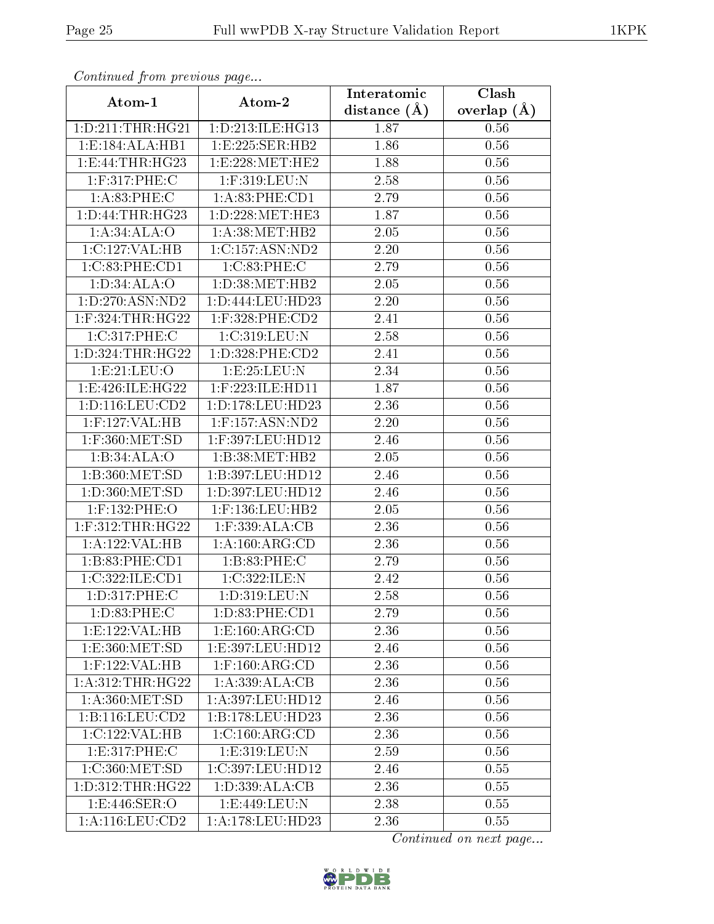| Continuea from previous page |                                    | Interatomic    | Clash         |
|------------------------------|------------------------------------|----------------|---------------|
| Atom-1                       | Atom-2                             | distance $(A)$ | overlap $(A)$ |
| 1: D: 211: THR: HG21         | 1: D: 213: ILE: HG13               | 1.87           | 0.56          |
| 1:E:184:ALA:HB1              | 1:E:225:SER:HB2                    | 1.86           | 0.56          |
| 1: E: 44: THR: HG23          | 1:E:228:MET:HE2                    | 1.88           | 0.56          |
| 1:F:317:PHE:C                | 1:F:319:LEU:N                      | 2.58           | 0.56          |
| 1: A:83:PHE: C               | 1:A:83:PHE:CD1                     | 2.79           | 0.56          |
| 1: D: 44: THR: HG23          | 1:D:228:MET:HE3                    | 1.87           | 0.56          |
| 1:A:34:ALA:O                 | 1: A:38:MET:HB2                    | 2.05           | 0.56          |
| 1: C: 127: VAL: HB           | 1:C:157:ASN:ND2                    | 2.20           | 0.56          |
| 1:C:83:PHE:CD1               | 1:C:83:PHE:C                       | 2.79           | 0.56          |
| 1: D:34: ALA:O               | 1: D:38: MET:HB2                   | 2.05           | 0.56          |
| 1: D: 270: ASN: ND2          | 1: D: 444: LEU: HD23               | 2.20           | 0.56          |
| $1:$ F:324:THR:HG22          | $1:$ F:328:PHE:CD2                 | 2.41           | 0.56          |
| 1:C:317:PHE:C                | 1:C:319:LEU:N                      | 2.58           | 0.56          |
| 1: D: 324: THR: HG22         | 1:D:328:PHE:CD2                    | 2.41           | 0.56          |
| 1:E:21:EU:O                  | 1:E:25:LEU:N                       | 2.34           | 0.56          |
| 1:E:426:ILE:HG22             | 1:F:223:ILE:HD11                   | 1.87           | 0.56          |
| 1: D: 116: LEU: CD2          | 1: D: 178: LEU: HD23               | 2.36           | 0.56          |
| 1:F:127:VAL:HB               | $1:$ F:157:ASN:ND2                 | 2.20           | 0.56          |
| 1:F:360:MET:SD               | 1:F:397:LEU:HD12                   | 2.46           | 0.56          |
| 1:B:34:ALA:O                 | 1:B:38:MET:HB2                     | 2.05           | 0.56          |
| 1:B:360:MET:SD               | 1:B:397:LEU:HD12                   | 2.46           | 0.56          |
| 1: D:360:MET:SD              | 1:D:397:LEU:HD12                   | 2.46           | 0.56          |
| 1:F:132:PHE:O                | $1:$ F:136:LEU:HB2                 | 2.05           | 0.56          |
| $1:$ F:312:THR:HG22          | $1:$ F:339:ALA:CB                  | 2.36           | 0.56          |
| 1:A:122:VAL:HB               | 1: A:160:ARG:CD                    | 2.36           | 0.56          |
| 1:B:83:PHE:CD1               | 1:B:83:PHE:C                       | 2.79           | 0.56          |
| 1:C:322:ILE:CD1              | 1:C:322:ILE:N                      | 2.42           | 0.56          |
| 1:D:317:PHE:C                | 1:D:319:LEU:N                      | $2.58\,$       | 0.56          |
| 1: D:83: PHE: C              | 1:D:83:PHE:CD1                     | 2.79           | 0.56          |
| 1: E: 122: VAL: HB           | 1: E: 160: ARG: CD                 | 2.36           | 0.56          |
| 1: E: 360: MET: SD           | 1:E:397:LEU:HD12                   | 2.46           | 0.56          |
| $1:$ F:122:VAL:HB            | $1:$ F:160:ARG:CD                  | 2.36           | 0.56          |
| 1: A:312:THR:HG22            | 1: A: 339: ALA: CB                 | 2.36           | 0.56          |
| 1: A:360:MET:SD              | 1:A:397:LEU:HD12                   | 2.46           | 0.56          |
| 1: B: 116: LEU: CD2          | 1:B:178:LEU:HD23                   | 2.36           | 0.56          |
| 1:C:122:VAL:HB               | $1:C:160:\overline{\text{ARG:CD}}$ | 2.36           | 0.56          |
| 1:E:317:PHE:C                | 1:E:319:LEU:N                      | 2.59           | 0.56          |
| 1:C:360:MET:SD               | 1:C:397:LEU:HD12                   | 2.46           | 0.55          |
| 1: D: 312: THR: HG22         | 1: D: 339: ALA: CB                 | 2.36           | 0.55          |
| 1: E:446: SER:O              | 1:E:449:LEU:N                      | 2.38           | 0.55          |
| 1: A: 116: LEU: CD2          | 1: A:178: LEU: HD23                | 2.36           | 0.55          |

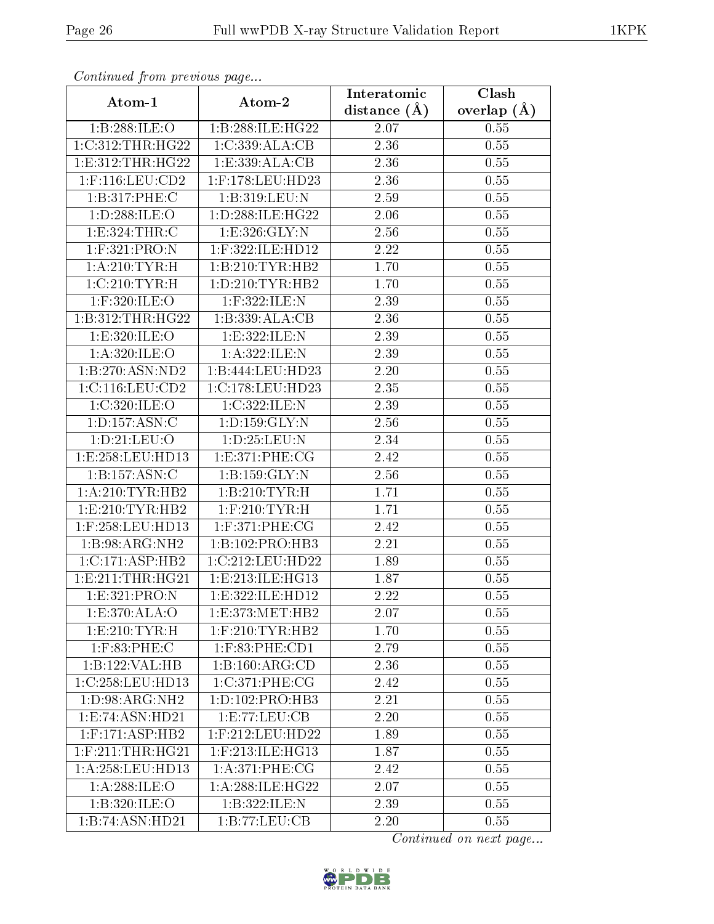| Continuatu jibin previous puge |                      | Interatomic       | Clash           |
|--------------------------------|----------------------|-------------------|-----------------|
| Atom-1                         | Atom-2               | distance $(A)$    | overlap $(\AA)$ |
| 1:B:288:ILE:O                  | 1:B:288:ILE:HG22     | 2.07              | 0.55            |
| 1:C:312:THR:HG22               | 1:C:339:ALA:CB       | 2.36              | 0.55            |
| 1: E: 312: THR: HG22           | 1: E: 339: ALA: CB   | 2.36              | 0.55            |
| $1:$ F:116:LEU:CD2             | $1:$ F:178:LEU:HD23  | 2.36              | 0.55            |
| 1:B:317:PHE:C                  | 1:B:319:LEU:N        | 2.59              | 0.55            |
| 1:D:288:ILE:O                  | 1: D:288: ILE: HG22  | 2.06              | 0.55            |
| 1: E: 324: THR: C              | 1:E:326:GLY:N        | 2.56              | 0.55            |
| $1:$ F:321:PRO:N               | 1:F:322:ILE:HD12     | 2.22              | 0.55            |
| 1: A:210:TYR:H                 | 1:B:210:TYR:HB2      | 1.70              | 0.55            |
| 1:C:210:TYR:H                  | 1: D: 210: TYR: HB2  | 1.70              | 0.55            |
| $1:$ F:320:ILE:O               | 1:F:322:ILE:N        | 2.39              | 0.55            |
| 1:B:312:THR:HG22               | 1:B:339:ALA:CB       | 2.36              | 0.55            |
| 1:E:320:ILE:O                  | 1:E:322:ILE:N        | 2.39              | 0.55            |
| 1: A:320: ILE:O                | 1:A:322:ILE:N        | 2.39              | 0.55            |
| 1:B:270:ASN:ND2                | 1:B:444:LEU:HD23     | 2.20              | 0.55            |
| 1:C:116:LEU:CD2                | 1:C:178:LEU:HD23     | 2.35              | 0.55            |
| 1:C:320:ILE:O                  | 1:C:322:ILE:N        | 2.39              | 0.55            |
| 1: D: 157: ASN: C              | 1: D: 159: GLY: N    | 2.56              | 0.55            |
| 1:D:21:LEU:O                   | 1:D:25:LEU:N         | 2.34              | 0.55            |
| 1:E:258:LEU:HD13               | 1: E:371: PHE: CG    | 2.42              | 0.55            |
| 1:B:157:ASN:C                  | 1:B:159:GLY:N        | $\overline{2}.56$ | 0.55            |
| 1: A:210:TYR:HB2               | 1:B:210:TYR:H        | 1.71              | 0.55            |
| 1: E: 210: TYR: HB2            | $1:$ F:210:TYR:H     | 1.71              | 0.55            |
| 1:F:258:LEU:HD13               | $1:$ F:371:PHE:CG    | 2.42              | 0.55            |
| 1:B:98:ARG:NH2                 | 1:B:102:PRO:HB3      | 2.21              | 0.55            |
| 1:C:171:ASP:HB2                | 1:C:212:LEU:HD22     | 1.89              | 0.55            |
| 1: E: 211: THR: HG21           | 1:E:213:ILE:HG13     | 1.87              | 0.55            |
| 1: E: 321: PRO: N              | 1:E:322:ILE:HD12     | 2.22              | 0.55            |
| 1:E:370:ALA:O                  | 1: E: 373: MET: HB2  | 2.07              | 0.55            |
| 1: E:210: TYR:H                | $1:$ F:210:TYR:HB2   | 1.70              | 0.55            |
| $1:$ F:83:PHE:C                | $1:$ F:83:PHE: $CD1$ | 2.79              | 0.55            |
| 1:B:122:VAL:HB                 | 1:B:160:ARG:CD       | 2.36              | 0.55            |
| 1:C:258:LEU:HD13               | 1:C:371:PHE:CG       | 2.42              | 0.55            |
| 1:D:98:ARG:NH2                 | 1: D: 102: PRO: HB3  | 2.21              | 0.55            |
| 1:E:74:ASN:HD21                | 1:E:77:LEU:CB        | 2.20              | 0.55            |
| $1:$ F:171:ASP:HB2             | $1:$ F:212:LEU:HD22  | 1.89              | 0.55            |
| $1:$ F:211:THR:HG21            | $1:$ F:213:ILE:HG13  | 1.87              | 0.55            |
| 1:A:258:LEU:HD13               | 1: A:371: PHE: CG    | 2.42              | 0.55            |
| 1: A:288: ILE: O               | 1: A:288: ILE: HG22  | 2.07              | 0.55            |
| 1:B:320:ILE:O                  | 1:B:322:ILE:N        | 2.39              | 0.55            |
| 1:B:74:ASN:HD21                | 1:B:77:LEU:CB        | 2.20              | 0.55            |

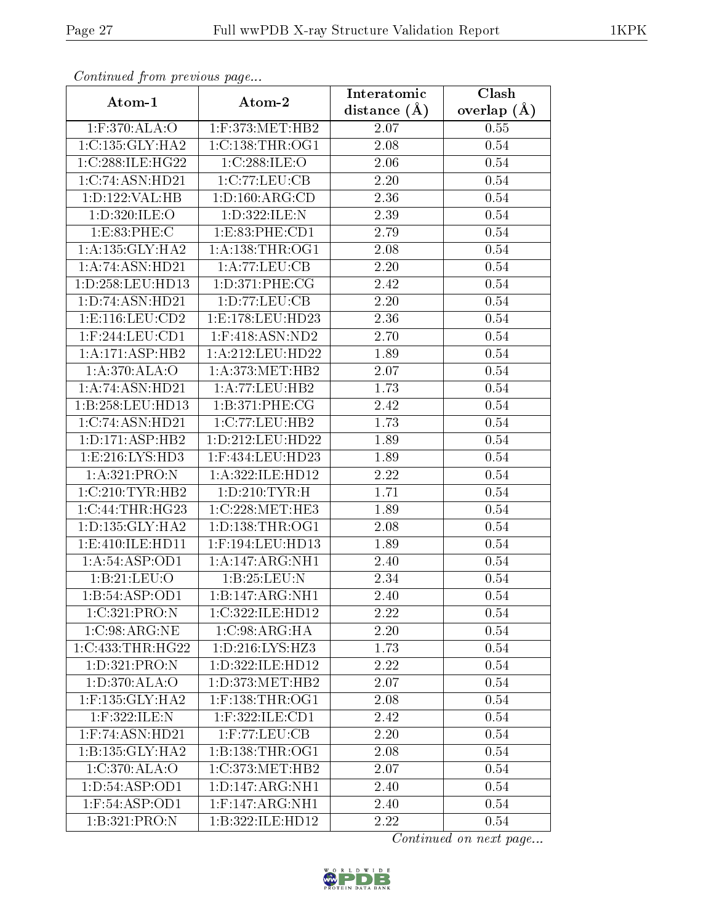| Continuea from previous page |                                       | Interatomic       | Clash           |
|------------------------------|---------------------------------------|-------------------|-----------------|
| Atom-1                       | Atom-2                                | distance $(A)$    | overlap $(\AA)$ |
| $1:$ F:370:ALA:O             | $1:$ F:373:MET:HB2                    | 2.07              | 0.55            |
| 1:C:135:GLY:HA2              | 1:C:138:THR:OG1                       | $\overline{2}.08$ | 0.54            |
| 1:C:288:ILE:HG22             | 1:C:288:ILE:O                         | 2.06              | 0.54            |
| 1:C:74:ASN:HD21              | 1:C:77:LEU:CB                         | 2.20              | 0.54            |
| 1: D: 122: VAL: HB           | 1: D: 160: ARG: CD                    | 2.36              | 0.54            |
| 1:D:320:ILE:O                | 1:D:322:ILE:N                         | 2.39              | 0.54            |
| 1:E:83:PHE:C                 | 1:ES3:PHE:CD1                         | 2.79              | 0.54            |
| 1: A: 135: GLY: HA2          | 1: A: 138: THR: OG1                   | 2.08              | 0.54            |
| 1:A:74:ASN:HD21              | 1:A:77:LEU:CB                         | 2.20              | 0.54            |
| 1:D:258:LEU:HD13             | 1: D:371: PHE: CG                     | 2.42              | 0.54            |
| 1:D:74:ASN:HD21              | 1: D: 77: LEU: CB                     | 2.20              | 0.54            |
| 1: E: 116: LEU: CD2          | 1:E:178:LEU:HD23                      | 2.36              | 0.54            |
| $1:$ F:244:LEU:CD1           | $1:$ F:418:ASN:ND2                    | 2.70              | 0.54            |
| 1: A:171: ASP:HB2            | 1:A:212:LEU:HD22                      | 1.89              | 0.54            |
| 1:A:370:ALA:O                | 1: A:373:MET:HB2                      | 2.07              | 0.54            |
| 1:A:74:A SN:H D21            | 1:A:77:LEU:HB2                        | 1.73              | 0.54            |
| 1:B:258:LEU:HD13             | 1:B:371:PHE:CG                        | 2.42              | 0.54            |
| 1:C:74:ASN:HD21              | 1:C:77:LEU:HB2                        | 1.73              | 0.54            |
| 1:D:171:ASP:HB2              | 1:D:212:LEU:HD22                      | 1.89              | 0.54            |
| 1: E:216: LYS: HD3           | 1:F:434:LEU:HD23                      | 1.89              | 0.54            |
| 1: A:321: PRO: N             | 1:A:322:ILE:HD12                      | 2.22              | 0.54            |
| 1:C:210:TYR:HB2              | 1: D: 210: TYR:H                      | 1.71              | 0.54            |
| 1:C:44:THR:HG23              | 1:C:228:MET:HE3                       | 1.89              | 0.54            |
| 1: D: 135: GLY: HA2          | 1: D: 138: THR: OG1                   | 2.08              | 0.54            |
| 1:E:410:ILE:HD11             | 1:F:194:LEU:HD13                      | 1.89              | 0.54            |
| 1: A:54:ASP:OD1              | 1:A:147:ARG:NH1                       | $\overline{2}.40$ | 0.54            |
| 1:B:21:LEU:O                 | 1:B:25:LEU:N                          | 2.34              | 0.54            |
| 1:B:54:ASP:OD1               | 1:B:147:ARG:NH1                       | 2.40              | 0.54            |
| 1:C:321:PRO:N                | 1:C:322:ILE:HD12                      | 2.22              | $0.54\,$        |
| 1:C:98:ARG:NE                | 1:C:98:ARG:HA                         | 2.20              | 0.54            |
| 1:C:433:THR:HG22             | 1:D:216:LYS:HZ3                       | 1.73              | 0.54            |
| 1:D:321:PRO:N                | 1:D:322:ILE:HD12                      | 2.22              | 0.54            |
| 1:D:370:ALA:O                | 1: D: 373: MET: HB2                   | 2.07              | 0.54            |
| $1:$ F:135: $GLY:HA2$        | $1:$ F:138:THR:OG1                    | 2.08              | 0.54            |
| 1:F:322:ILE:N                | $1:$ F:322:ILE:CD1                    | 2.42              | 0.54            |
| $1:$ F:74:ASN:HD21           | $1:$ F:77:LEU:CB                      | 2.20              | 0.54            |
| 1:B:135:GLY:HA2              | 1: B: 138: THR: OG1                   | 2.08              | 0.54            |
| 1:C:370:ALA:O                | $1:C:373:\overline{\mathrm{MET:HB2}}$ | 2.07              | 0.54            |
| 1: D: 54: ASP: OD1           | 1: D: 147: ARG: NH1                   | 2.40              | 0.54            |
| $1:$ F:54:ASP:OD1            | 1:F:147:ARG:NH1                       | 2.40              | 0.54            |
| 1:B:321:PRO:N                | 1:B:322:ILE:HD12                      | 2.22              | 0.54            |

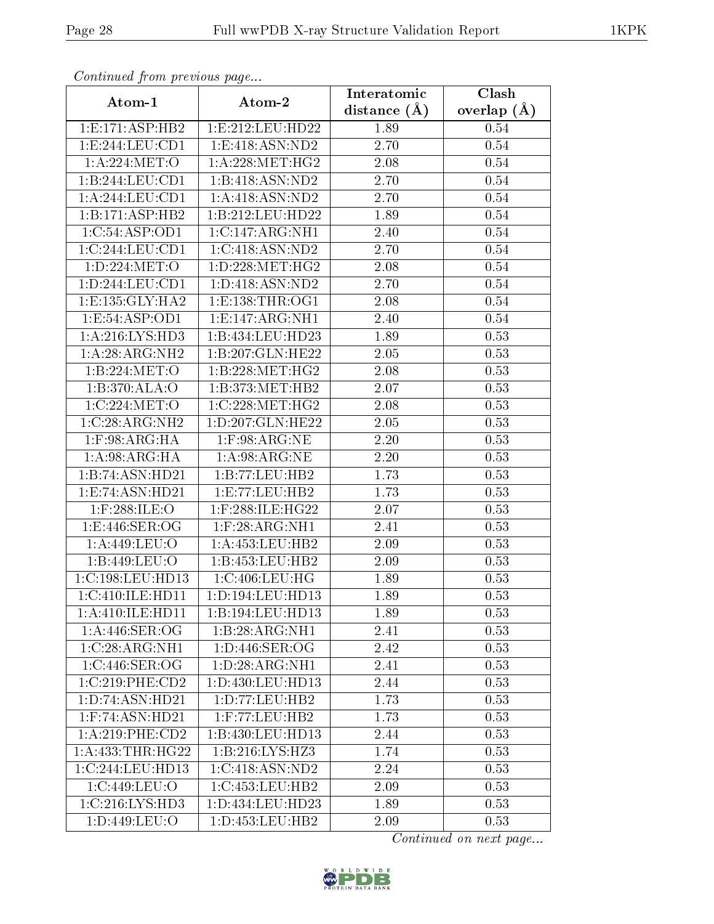| Continuea from previous page   |                                | Interatomic       | Clash         |
|--------------------------------|--------------------------------|-------------------|---------------|
| Atom-1                         | Atom-2                         | distance $(A)$    | overlap $(A)$ |
| 1: E: 171: ASP: HB2            | 1:E:212:LEU:HD22               | 1.89              | 0.54          |
| 1:E:244:EU:CD1                 | 1:E:418:ASN:ND2                | 2.70              | 0.54          |
| 1:A:224:MET:O                  | 1: A:228: MET:HG2              | 2.08              | 0.54          |
| 1:B:244:LEU:CD1                | 1:B:418:ASN:ND2                | 2.70              | 0.54          |
| 1:A:244:LEU:CD1                | 1: A:418: ASN:ND2              | 2.70              | 0.54          |
| 1:B:171:ASP:HB2                | 1:B:212:LEU:HD22               | 1.89              | 0.54          |
| 1:C:54:ASP:OD1                 | 1:C:147:ARG:NH1                | 2.40              | $0.54\,$      |
| 1:C:244:LEU:CD1                | 1:C:418:ASN:ND2                | 2.70              | 0.54          |
| 1:D:224:MET:O                  | 1: D: 228: MET:HG2             | <b>2.08</b>       | 0.54          |
| 1: D: 244: LEU: CD1            | 1: D: 418: ASN: ND2            | 2.70              | $0.54\,$      |
| 1: E: 135: GLY: HA2            | 1: E: 138: THR: OG1            | 2.08              | 0.54          |
| $1: E: 54: \overline{APP:OD1}$ | 1:E:147:ARG:NH1                | 2.40              | 0.54          |
| 1: A:216: LYS: HD3             | 1:B:434:LEU:HD23               | 1.89              | 0.53          |
| 1:A:28:ARG:NH2                 | 1:B:207:GLN:HE22               | 2.05              | 0.53          |
| 1:B:224:MET:O                  | 1:B:228:MET:HG2                | 2.08              | 0.53          |
| 1:B:370:ALA:O                  | 1:B:373:MET:HB2                | 2.07              | $0.53\,$      |
| 1:C:224:MET:O                  | 1:C:228:MET:HG2                | 2.08              | 0.53          |
| 1:C:28:ARG:NH2                 | 1:D:207:GLN:HE22               | 2.05              | 0.53          |
| $1:$ F:98:ARG:HA               | $1:$ F:98:ARG:NE               | $\overline{2}.20$ | 0.53          |
| 1: A:98: ARG: HA               | 1: A:98: ARG: NE               | 2.20              | 0.53          |
| 1:B:74:ASN:HD21                | 1:B:77:LEU:HB2                 | 1.73              | 0.53          |
| 1:E:74:ASN:HD21                | 1:E:77:LEU:HB2                 | 1.73              | 0.53          |
| 1:F:288:ILE:O                  | 1:F:288:ILE:HG22               | 2.07              | 0.53          |
| 1:E:446:SER:OG                 | $1:$ F:28:ARG:NH $1$           | 2.41              | 0.53          |
| 1:A:449:LEU:O                  | 1: A: 453: LEU: HB2            | 2.09              | 0.53          |
| 1:B:449:LEU:O                  | 1:B:453:LEU:HB2                | 2.09              | 0.53          |
| 1:C:198:LEU:HD13               | 1:C:406:LEU:HG                 | 1.89              | 0.53          |
| 1:C:410:ILE:H <sub>D11</sub>   | 1: D: 194: LEU: HD13           | 1.89              | 0.53          |
| 1:A:410:ILE:HD11               | 1:B:194:LEU:HD13               | 1.89              | 0.53          |
| 1: A:446: SER:OG               | 1:B:28:ARG:NH1                 | 2.41              | 0.53          |
| 1:C:28:ARG:NH1                 | $1: D:446: SER: \overline{OG}$ | 2.42              | 0.53          |
| 1:C:446:SER:OG                 | 1: D:28: ARG:NH1               | 2.41              | 0.53          |
| 1:C:219:PHE:CD2                | 1:D:430:LEU:HD13               | 2.44              | 0.53          |
| 1:D:74:ASN:HD21                | 1:D:77:LEU:HB2                 | 1.73              | 0.53          |
| 1: F:74: ASN:HD21              | 1:F:77:LEU:HB2                 | 1.73              | 0.53          |
| 1:A:219:PHE:CD2                | 1:B:430:LEU:HD13               | 2.44              | 0.53          |
| 1: A: 433: THR: HG22           | 1:B:216:LYS:HZ3                | 1.74              | 0.53          |
| 1:C:244:LEU:HD13               | 1:C:418:ASN:ND2                | 2.24              | 0.53          |
| 1:C:449:LEU:O                  | 1:C:453:LEU:HB2                | 2.09              | 0.53          |
| 1: C: 216: LYS: HD3            | 1:D:434:LEU:HD23               | 1.89              | 0.53          |
| 1:D:449:LEU:O                  | 1: D: 453: LEU: HB2            | 2.09              | 0.53          |

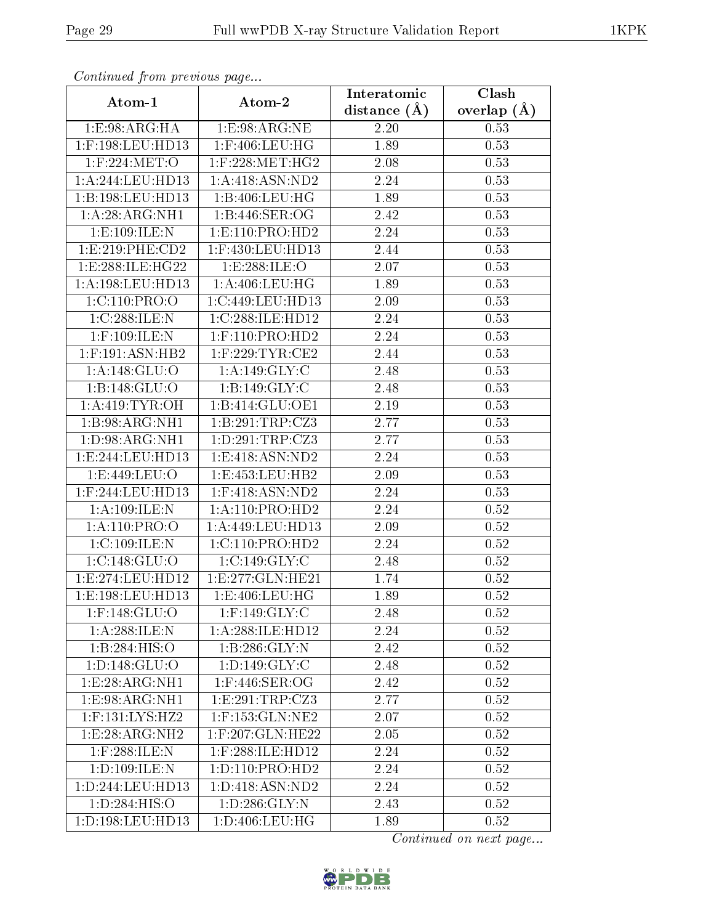| connana promo provio ao pago<br>Atom-1 | Atom-2                          | Interatomic      | $\overline{\text{Clash}}$ |
|----------------------------------------|---------------------------------|------------------|---------------------------|
|                                        |                                 | distance $(\AA)$ | overlap $(\AA)$           |
| 1: E: 98: ARG: HA                      | 1: E: 98: ARG: NE               | 2.20             | 0.53                      |
| 1:F:198:LEU:HD13                       | $1:$ F:406:LEU:HG               | 1.89             | 0.53                      |
| $1:$ F:224:MET:O                       | $1:$ F:228:MET:HG2              | 2.08             | 0.53                      |
| 1:A:244:LEU:HD13                       | 1: A:418: ASN:ND2               | 2.24             | 0.53                      |
| 1:B:198:LEU:HD13                       | 1:B:406:LEU:HG                  | 1.89             | 0.53                      |
| 1:A:28:ARG:NH1                         | 1: B:446: SER:OG                | 2.42             | 0.53                      |
| 1:E:109:ILE:N                          | $1: E: 110: \overline{PRO:HD2}$ | 2.24             | 0.53                      |
| 1: E:219: PHE:CD2                      | $1:$ F:430:LEU:HD13             | 2.44             | 0.53                      |
| 1:E:288:ILE:HG22                       | 1:E:288:ILE:O                   | 2.07             | 0.53                      |
| 1: A: 198: LEU: HD13                   | 1: A:406:LEU:HG                 | 1.89             | 0.53                      |
| 1:C:110:PRO:O                          | 1:C:449:LEU:HD13                | 2.09             | 0.53                      |
| 1:C:288:ILE:N                          | 1:C:288:ILE:HD12                | 2.24             | 0.53                      |
| $1:$ F:109:ILE:N                       | $1:$ F:110:PRO:HD2              | 2.24             | 0.53                      |
| $1:$ F:191:ASN:HB2                     | $1:$ F:229:TYR:CE2              | 2.44             | 0.53                      |
| 1: A:148: GLU:O                        | 1: A:149: GLY: C                | 2.48             | 0.53                      |
| 1:B:148:GLU:O                          | 1:B:149:GLY:C                   | 2.48             | 0.53                      |
| 1: A:419: TYR:OH                       | 1:B:414:GLU:OE1                 | 2.19             | 0.53                      |
| 1:B:98:ARG:NH1                         | 1:B:291:TRP:C <sub>23</sub>     | 2.77             | 0.53                      |
| 1:D:98:ARG:NH1                         | 1:D:291:TRP:CZ3                 | 2.77             | 0.53                      |
| 1: E: 244: LEU: HD13                   | 1: E: 418: ASN: ND2             | 2.24             | 0.53                      |
| 1: E: 449: LEU: O                      | 1:E:453:LEU:HB2                 | 2.09             | 0.53                      |
| 1:F:244:LEU:HD13                       | $1:$ F:418:ASN:ND2              | 2.24             | 0.53                      |
| 1: A:109: ILE:N                        | 1: A: 110: PRO: HD2             | 2.24             | $0.52\,$                  |
| 1: A: 110: PRO: O                      | 1:A:449:LEU:HD13                | 2.09             | $0.52\,$                  |
| 1:C:109:ILE:N                          | 1: C: 110: PRO: HD2             | 2.24             | 0.52                      |
| 1:C:148:GLU:O                          | 1:C:149:GLY:C                   | 2.48             | 0.52                      |
| 1:E:274:LEU:HD12                       | 1: E: 277: GLN: HE21            | 1.74             | 0.52                      |
| 1:E:198:LEU:HD13                       | 1:E:406:LEU:HG                  | 1.89             | 0.52                      |
| $1:$ F:148: $GLU:$ O                   | $1:$ F:149:GLY:C                | 2.48             | 0.52                      |
| 1: A:288: ILE:N                        | 1:A:288:ILE:HD12                | 2.24             | 0.52                      |
| 1:B:284:HIS:O                          | 1: B:286: GLY:N                 | 2.42             | 0.52                      |
| 1: D: 148: GLU: O                      | 1: D: 149: GLY: C               | 2.48             | 0.52                      |
| 1: E:28: ARG:NH1                       | $1:$ F:446:SER:OG               | 2.42             | 0.52                      |
| 1: E: 98: ARG: NH1                     | 1: E:291:TRP: CZ3               | 2.77             | 0.52                      |
| $1:$ F:131:LYS:HZ2                     | $1:$ F:153: $GLN:NE2$           | 2.07             | 0.52                      |
| 1: E:28: ARG: NH2                      | 1:F:207:GLN:HE22                | 2.05             | 0.52                      |
| $1:$ F:288:ILE:N                       | $1:$ F:288:ILE:HD12             | 2.24             | 0.52                      |
| 1:D:109:ILE:N                          | 1:D:110:PRO:HD2                 | 2.24             | 0.52                      |
| 1: D: 244: LEU: HD13                   | 1:D:418:ASN:ND2                 | 2.24             | 0.52                      |
| 1:D:284:HIS:O                          | 1: D: 286: GLY: N               | 2.43             | 0.52                      |
| 1:D:198:LEU:HD13                       | 1:D:406:LEU:HG                  | 1.89             | 0.52                      |

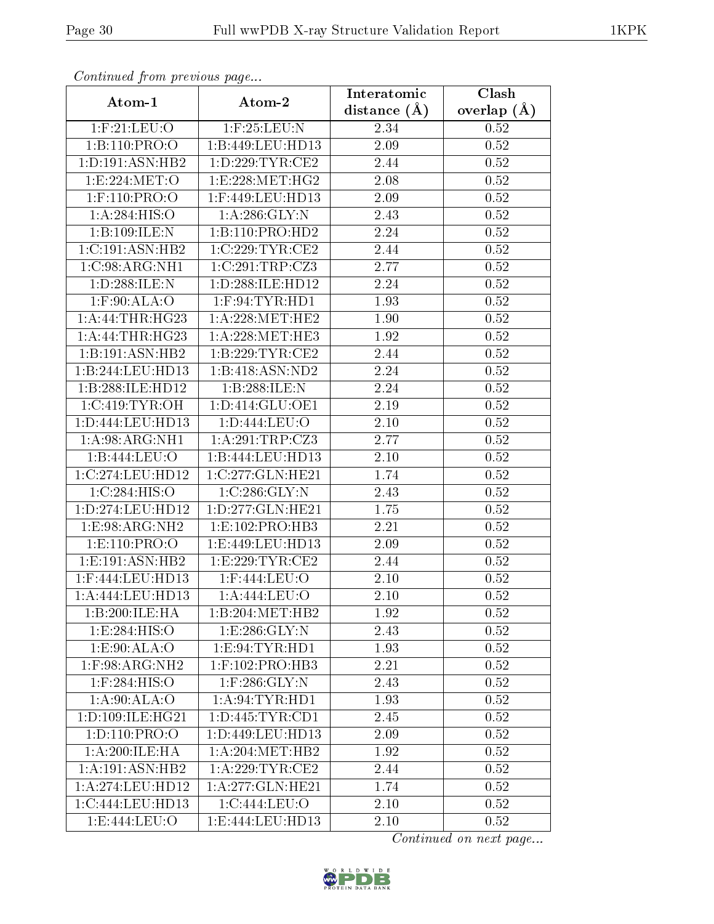| Continuea from previous page |                     | Interatomic    | Clash           |
|------------------------------|---------------------|----------------|-----------------|
| Atom-1                       | Atom-2              | distance $(A)$ | overlap $(\AA)$ |
| $1:$ F: $21:$ LEU: $O$       | $1:$ F:25:LEU:N     | 2.34           | 0.52            |
| 1:B:110:PRO:O                | 1:B:449:LEU:HD13    | 2.09           | 0.52            |
| 1: D: 191: ASN: HB2          | 1: D: 229: TYR: CE2 | 2.44           | 0.52            |
| 1:E:224:MET:O                | 1:E:228:MET:HG2     | 2.08           | 0.52            |
| $1:$ F:110:PRO:O             | 1:F:449:LEU:HD13    | 2.09           | 0.52            |
| 1:A:284:HIS:O                | 1: A:286: GLY:N     | 2.43           | 0.52            |
| 1:B:109:ILE:N                | 1:B:110:PRO:HD2     | 2.24           | 0.52            |
| 1:C:191:ASN:HB2              | 1:C:229:TYR:CE2     | 2.44           | 0.52            |
| 1:C:98:ARG:NH1               | 1:C:291:TRP:CZ3     | 2.77           | 0.52            |
| 1:D:288:ILE:N                | 1:D:288:ILE:HD12    | 2.24           | 0.52            |
| $1:$ F:90:ALA:O              | $1:$ F:94:TYR:HD1   | 1.93           | 0.52            |
| 1:A:44:THR:HG23              | 1: A:228: MET:HE2   | 1.90           | 0.52            |
| 1:A:44:THR:HG23              | 1: A:228: MET:HE3   | 1.92           | 0.52            |
| 1:B:191:ASN:HB2              | 1: B: 229: TYR: CE2 | 2.44           | 0.52            |
| 1:B:244:LEU:HD13             | 1:B:418:ASN:ND2     | 2.24           | 0.52            |
| 1:B:288:ILE:HD12             | 1:B:288:ILE:N       | 2.24           | 0.52            |
| 1:C:419:TYR:OH               | 1: D: 414: GLU: OE1 | 2.19           | $0.52\,$        |
| 1:D:444:LEU:HD13             | 1:D:444:LEU:O       | 2.10           | $0.52\,$        |
| 1: A:98: ARG: NH1            | 1:A:291:TRP:CZ3     | 2.77           | 0.52            |
| 1:B:444:LEU:O                | 1:B:444:LEU:HD13    | 2.10           | 0.52            |
| 1:C:274:LEU:HD12             | 1:C:277:GLN:HE21    | 1.74           | 0.52            |
| 1:C:284:HIS:O                | 1:C:286:GLY:N       | 2.43           | 0.52            |
| 1:D:274:LEU:HD12             | 1:D:277:GLN:HE21    | 1.75           | 0.52            |
| 1:E:98:ARG:NH2               | 1: E: 102: PRO: HB3 | 2.21           | 0.52            |
| 1: E: 110: PRO: O            | 1:E:449:LEU:HD13    | 2.09           | 0.52            |
| 1: E: 191: ASN: HB2          | 1:E:229:TYR:CE2     | 2.44           | 0.52            |
| 1:F:444:LEU:HD13             | 1:F:444:LEU:O       | $2.10\,$       | 0.52            |
| 1:A:444:LEU:HD13             | 1: A:444:LEU:O      | $2.10\,$       | 0.52            |
| 1:B:200:ILE:HA               | 1:B:204:MET:HB2     | 1.92           | 0.52            |
| 1:E:284:HIS:O                | 1:E:286:GLY:N       | 2.43           | 0.52            |
| 1: E: 90: ALA: O             | 1: E:94: TYR: HD1   | 1.93           | 0.52            |
| $1:$ F:98:ARG:NH2            | $1:$ F:102:PRO:HB3  | 2.21           | 0.52            |
| $1:$ F:284:HIS:O             | 1:F:286:GLY:N       | 2.43           | 0.52            |
| 1: A:90:ALA:O                | 1: A:94:TYR:HD1     | 1.93           | 0.52            |
| 1: D: 109: ILE: HG21         | 1: D: 445: TYR: CD1 | 2.45           | 0.52            |
| 1: D: 110: PRO: O            | 1:D:449:LEU:HD13    | 2.09           | 0.52            |
| 1:A:200:ILE:HA               | 1: A:204:MET:HB2    | 1.92           | 0.52            |
| 1:A:191:ASN:HB2              | 1: A:229:TYR:CE2    | 2.44           | 0.52            |
| 1: A:274:LEU:HD12            | 1:A:277:GLN:HE21    | 1.74           | 0.52            |
| 1:C:444:LEU:HD13             | 1:C:444:LEU:O       | $2.10\,$       | 0.52            |
| 1:E:444:LEU:O                | 1:E:444:LEU:HD13    | 2.10           | 0.52            |

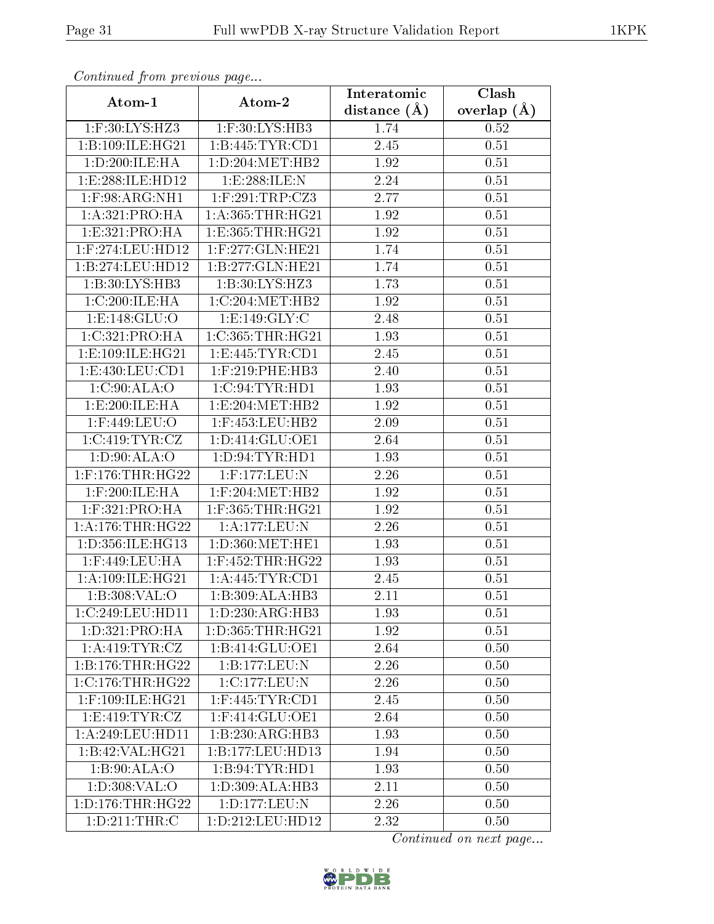| Communaca from previous page |                              | Interatomic    | Clash         |
|------------------------------|------------------------------|----------------|---------------|
| Atom-1                       | Atom-2                       | distance $(A)$ | overlap $(A)$ |
| 1:F:30:LYS:HZ3               | 1:F:30:LYS:HB3               | 1.74           | 0.52          |
| 1:B:109:ILE:HG21             | 1:B:445:TYR:CD1              | 2.45           | 0.51          |
| 1:D:200:ILE:HA               | 1: D: 204: MET: HB2          | 1.92           | 0.51          |
| 1:E:288:ILE:HD12             | 1:E:288:ILE:N                | 2.24           | 0.51          |
| $1:$ F:98:ARG:NH $1$         | $1:$ F:291:TRP:CZ3           | 2.77           | 0.51          |
| 1:A:321:PRO:HA               | 1: A: 365: THR: HG21         | 1.92           | 0.51          |
| 1:E:321:PRO:HA               | 1: E: 365: THR: HG21         | 1.92           | 0.51          |
| 1:F:274:LEU:HD12             | 1:F:277:GLN:HE21             | 1.74           | 0.51          |
| 1:B:274:LEU:HD12             | 1:B:277:GLN:HE21             | 1.74           | 0.51          |
| 1:B:30:LYS:HB3               | 1:B:30:LYS:HZ3               | 1.73           | 0.51          |
| 1:C:200:ILE:HA               | 1:C:204:MET:HB2              | 1.92           | 0.51          |
| 1: E: 148: GLU:O             | 1:E:149:GLY:C                | 2.48           | 0.51          |
| 1:C:321:PRO:HA               | 1:C:365:THR:HG21             | 1.93           | 0.51          |
| 1:E:109:ILE:HG21             | 1: E: 445: TYR: CD1          | 2.45           | 0.51          |
| 1:E:430:LEU:CD1              | 1:F:219:PHE:HB3              | 2.40           | 0.51          |
| 1:C:90:ALA:O                 | 1:C:94:TYR:HD1               | 1.93           | 0.51          |
| 1:E:200:ILE:HA               | 1:E:204:MET:HB2              | 1.92           | 0.51          |
| 1:F:449:LEU:O                | $1:$ F:453:LEU:HB2           | 2.09           | 0.51          |
| 1:C:419:TYR:CZ               | 1:D:414:GLU:OE1              | 2.64           | 0.51          |
| 1: D:90: ALA:O               | 1: D:94: TYR: HD1            | 1.93           | 0.51          |
| $1:$ F:176:THR:HG22          | 1:F:177:LEU:N                | 2.26           | 0.51          |
| $1:$ F:200:ILE:HA            | $1:$ F:204:MET:HB2           | 1.92           | 0.51          |
| $1:$ F:321:PRO:HA            | $1:$ F:365:THR:HG21          | 1.92           | 0.51          |
| 1: A:176:THR:HG22            | 1:A:177:LEU:N                | 2.26           | 0.51          |
| 1:D:356:ILE:HG13             | 1:D:360:MET:HE1              | 1.93           | 0.51          |
| $1:$ F:449:LEU:HA            | $1:$ F:452:THR:HG22          | 1.93           | 0.51          |
| 1: A:109: ILE: HG21          | 1: A: 445: TYR: CD1          | 2.45           | 0.51          |
| 1:B:308:VAL:O                | 1:B:309:ALA:HB3              | 2.11           | 0.51          |
| 1:C:249:LEU:HD11             | $1:D:230:AR\overline{G:HB3}$ | 1.93           | 0.51          |
| 1:D:321:PRO:HA               | 1:D:365:THR:HG21             | 1.92           | 0.51          |
| 1:A:419:TYR:CZ               | 1:B:414:GLU:OE1              | 2.64           | 0.50          |
| 1:B:176:THR:HG22             | 1:B:177:LEU:N                | 2.26           | 0.50          |
| $1:C:176$ :THR:HG22          | 1:C:177:LEU:N                | 2.26           | 0.50          |
| $1:$ F:109:ILE:HG21          | $1:$ F:445:TYR:CD1           | 2.45           | 0.50          |
| 1: E:419: TYR: CZ            | 1:F:414:GLU:OE1              | 2.64           | 0.50          |
| 1:A:249:LEU:HD11             | 1:B:230:ARG:HB3              | 1.93           | 0.50          |
| 1:B:42:VAL:H G21             | 1:B:177:LEU:HD13             | 1.94           | 0.50          |
| 1: B:90:ALA:O                | 1:B:94:TYR:HD1               | 1.93           | 0.50          |
| 1: D:308: VAL:O              | 1: D: 309: ALA: HB3          | 2.11           | 0.50          |
| 1: D: 176: THR: HG22         | 1:D:177:LEU:N                | 2.26           | 0.50          |
| 1: D:211:THR:C               | 1:D:212:LEU:HD12             | 2.32           | 0.50          |

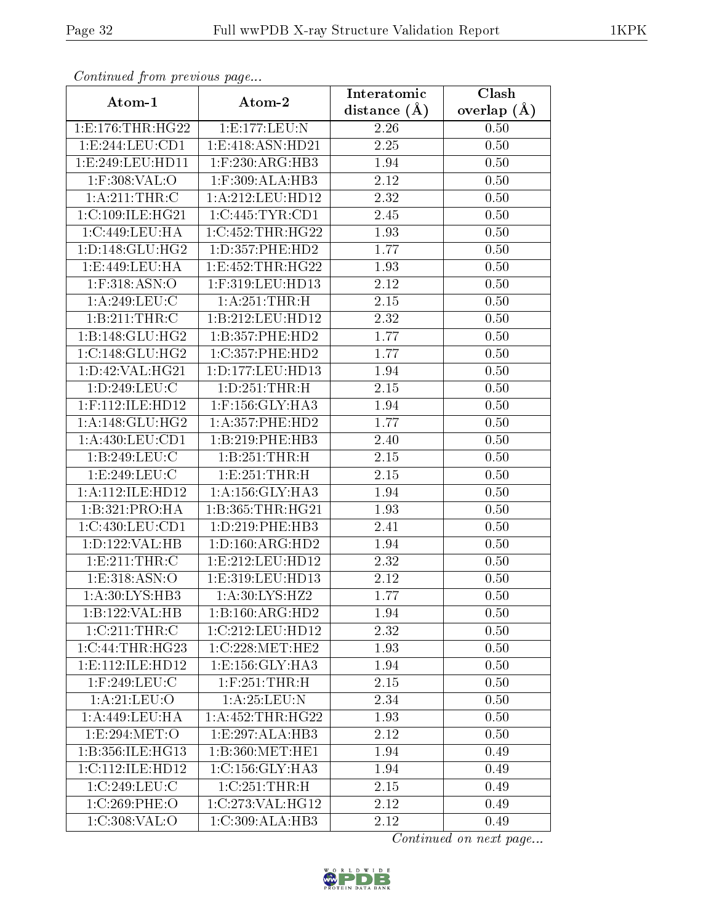| Continuea jioin previous page |                                        | Interatomic       | Clash         |
|-------------------------------|----------------------------------------|-------------------|---------------|
| Atom-1                        | Atom-2                                 | distance $(A)$    | overlap $(A)$ |
| 1: E: 176: THR: HG22          | 1:E:177:LEU:N                          | 2.26              | 0.50          |
| 1:E:244:EU:CD1                | 1:E:418:ASN:HD21                       | $\overline{2.25}$ | 0.50          |
| 1:E:249:LEU:HD11              | $1:$ F:230:ARG:HB3                     | 1.94              | 0.50          |
| $1:$ F:308:VAL:O              | 1:F:309:ALA:HB3                        | 2.12              | 0.50          |
| 1: A:211:THR:C                | 1:A:212:LEU:HD12                       | 2.32              | 0.50          |
| 1:C:109:ILE:HG21              | 1:C:445:TYR:CD1                        | 2.45              | 0.50          |
| 1:C:449:LEU:HA                | 1:C:452:THR:HG22                       | 1.93              | 0.50          |
| 1: D: 148: GLU: HG2           | 1: D: 357: PHE: HD2                    | 1.77              | 0.50          |
| 1: E:449: LEU: HA             | 1: E: 452: THR: HG22                   | 1.93              | 0.50          |
| $1:$ F:318:ASN:O              | 1:F:319:LEU:HD13                       | 2.12              | 0.50          |
| 1:A:249:LEU:C                 | 1:A:251:THR:H                          | 2.15              | 0.50          |
| 1:B:211:THR:C                 | 1:B:212:LEU:HD12                       | 2.32              | 0.50          |
| 1:B:148:GLU:HG2               | 1:B:357:PHE:HD2                        | 1.77              | 0.50          |
| 1:C:148:GLU:HG2               | $1:C:\overline{357:PHE:HD2}$           | 1.77              | 0.50          |
| 1: D: 42: VAL:HG21            | 1:D:177:LEU:HD13                       | 1.94              | 0.50          |
| 1:D:249:LEU:C                 | 1: D: 251: THR:H                       | 2.15              | 0.50          |
| 1:F:112:ILE:HD12              | $1:$ F:156: $GLY:HA3$                  | 1.94              | 0.50          |
| 1: A:148: GLU: HG2            | $1: A:357:$ PHE:HD2                    | 1.77              | 0.50          |
| 1:A:430:LEU:CD1               | 1:B:219:PHE:HB3                        | 2.40              | 0.50          |
| 1:B:249:LEU:C                 | 1:B:251:THR:H                          | 2.15              | 0.50          |
| 1:E:249:LEU:C                 | 1:E:251:THR:H                          | 2.15              | 0.50          |
| 1:A:112:ILE:HD12              | 1: A: 156: GLY: HA3                    | 1.94              | 0.50          |
| 1:B:321:PRO:HA                | 1:B:365:THR:HG21                       | 1.93              | 0.50          |
| 1:C:430:LEU:CD1               | 1: D: 219: PHE: HB3                    | 2.41              | 0.50          |
| 1:D:122:VAL:HB                | 1: D: 160: ARG: HD2                    | 1.94              | 0.50          |
| 1:E:211:THR:C                 | 1:E:212:LEU:HD12                       | $\overline{2}.32$ | 0.50          |
| 1:E:318:ASN:O                 | 1:E:319:LEU:HD13                       | 2.12              | 0.50          |
| 1:A:30:LYS:HB3                | 1:A:30:LYS:HZ2                         | 1.77              | 0.50          |
| $1:B:122:V\overline{AL:H}B$   | 1:B:160:ARG:HD2                        | 1.94              | 0.50          |
| 1:C:211:THR:C                 | 1:C:212:LEU:HD12                       | 2.32              | 0.50          |
| 1:C:44:THR:HG23               | 1:C:228:MET:HE2                        | 1.93              | 0.50          |
| 1: E: 112: ILE: HD12          | 1:E:156:GLY:HA3                        | 1.94              | 0.50          |
| $1:$ F:249:LEU:C              | $1:$ F:251:THR:H                       | 2.15              | 0.50          |
| 1: A:21:LEV:O                 | 1: A:25:LEU: N                         | 2.34              | 0.50          |
| 1:A:449:LEU:HA                | 1: A: 452: THR: HG22                   | 1.93              | 0.50          |
| 1: E:294: MET:O               | 1:E:297:ALA:HB3                        | 2.12              | 0.50          |
| 1:B:356:ILE:HG13              | 1:B:360:MET:HE1                        | 1.94              | 0.49          |
| 1:C:112:ILE:HD12              | 1:C:156:GLY:HA3                        | 1.94              | 0.49          |
| 1:C:249:LEU:C                 | $1:C:251$ : THR: H                     | 2.15              | 0.49          |
| 1:C:269:PHE:O                 | $1:C:273:V\overline{\mathrm{AL:HG12}}$ | 2.12              | 0.49          |
| 1:C:308:VAL:O                 | 1:C:309:ALA:HB3                        | 2.12              | 0.49          |

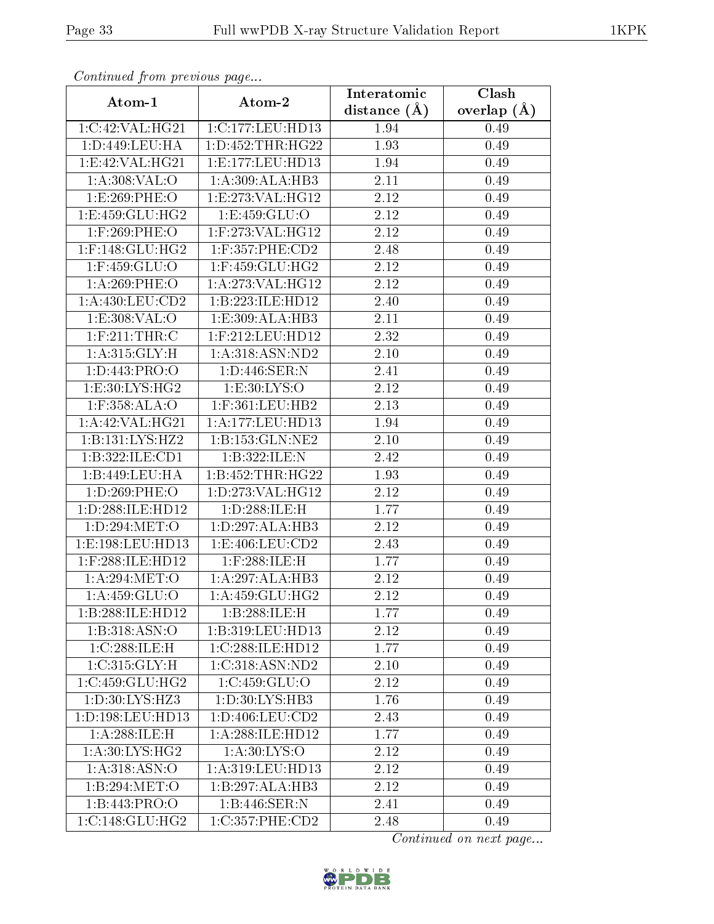| Continuea from previous page         |                                   | Interatomic       | Clash         |
|--------------------------------------|-----------------------------------|-------------------|---------------|
| Atom-1                               | Atom-2                            | distance $(A)$    | overlap $(A)$ |
| 1:C:42:VAL:HG21                      | 1:C:177:LEU:HD13                  | 1.94              | 0.49          |
| 1:D:449:LEU:HA                       | 1:D:452:THR:HG22                  | 1.93              | 0.49          |
| 1:E:42:VAL:HG21                      | 1:E:177:LEU:HD13                  | 1.94              | 0.49          |
| $1: A:308:\overline{\mathsf{VAL}}:O$ | 1:A:309:ALA:HB3                   | 2.11              | 0.49          |
| 1:E:269:PHE:O                        | 1:E:273:VAL:HG12                  | 2.12              | 0.49          |
| 1:E:459:GLU:HG2                      | 1:E:459:GLU:O                     | 2.12              | 0.49          |
| $1:$ F:269:PHE:O                     | 1:F:273:VAL:HG12                  | 2.12              | 0.49          |
| $1:$ F:148:GLU:HG2                   | $1:$ F:357:PHE:CD2                | 2.48              | 0.49          |
| $1:$ F:459:GLU:O                     | $1:$ F:459:GLU:HG2                | 2.12              | 0.49          |
| 1: A:269:PHE:O                       | 1:A:273:VAL:HG12                  | 2.12              | 0.49          |
| 1:A:430:LEU:CD2                      | 1:B:223:ILE:HD12                  | 2.40              | 0.49          |
| 1: E: 308: VAL: O                    | 1:E:309:ALA:HB3                   | 2.11              | 0.49          |
| $1:$ F:211:THR:C                     | 1:F:212:LEU:HD12                  | 2.32              | 0.49          |
| 1: A:315: GLY:H                      | 1: A:318: <b>ASN</b> : <b>ND2</b> | $2.10\,$          | 0.49          |
| 1: D: 443: PRO: O                    | 1:D:446:SER:N                     | 2.41              | 0.49          |
| $1: E:30: LYS: H\overline{G2}$       | 1: E:30: LYS:O                    | 2.12              | 0.49          |
| $1:$ F:358:ALA:O                     | $1:$ F:361:LEU:HB2                | 2.13              | 0.49          |
| 1: A:42: VAL:HG21                    | 1:A:177:LEU:HD13                  | 1.94              | 0.49          |
| 1:B:131:LYS:HZ2                      | 1:B:153:GLN:NE2                   | $2.10\,$          | 0.49          |
| 1:B:322:ILE:CD1                      | 1:B:322:ILE:N                     | 2.42              | 0.49          |
| 1:B:449:LEU:HA                       | 1:B:452:THR:HG22                  | 1.93              | 0.49          |
| 1:D:269:PHE:O                        | 1:D:273:VAL:HG12                  | 2.12              | 0.49          |
| 1:D:288:ILE:HD12                     | 1:D:288:ILE:H                     | 1.77              | 0.49          |
| 1:D:294:MET:O                        | 1: D: 297: ALA: HB3               | $\overline{2}.12$ | 0.49          |
| 1:E:198:LEU:HD13                     | 1:E:406:LEU:CD2                   | 2.43              | 0.49          |
| 1:F:288:ILE:HD12                     | $1:$ F:288:ILE:H                  | 1.77              | 0.49          |
| 1: A:294: MET:O                      | 1:A:297:ALA:HB3                   | 2.12              | 0.49          |
| 1: A: 459: GLU:O                     | 1: A: 459: GLU: HG2               | 2.12              | 0.49          |
| 1:B:288:ILE:HD12                     | 1:B:288:ILE:H                     | 1.77              | 0.49          |
| 1:B:318:ASN:O                        | 1:B:319:LEU:HD13                  | 2.12              | 0.49          |
| 1:C:288:ILE:H                        | 1:C:288:ILE:HD12                  | 1.77              | 0.49          |
| 1:C:315:GLY:H                        | 1:C:318:ASN:ND2                   | 2.10              | 0.49          |
| 1:C:459:CLU:HG2                      | 1:C:459:GLU:O                     | 2.12              | 0.49          |
| 1: D: 30: LYS: HZ3                   | 1:D:30:LYS:HB3                    | 1.76              | 0.49          |
| 1: D: 198: LEU: HD13                 | 1: D: 406: LEU: CD2               | 2.43              | 0.49          |
| 1: A:288: ILE:H                      | 1:A:288:ILE:HD12                  | 1.77              | 0.49          |
| $1: A:30: LYS: H\overline{G2}$       | 1: A:30: LYS:O                    | 2.12              | 0.49          |
| 1: A:318: ASN:O                      | 1:A:319:LEU:HD13                  | 2.12              | 0.49          |
| 1:B:294:MET:O                        | 1:B:297:ALA:HB3                   | 2.12              | 0.49          |
| 1:B:443:PRO:O                        | 1:B:446:SER:N                     | 2.41              | 0.49          |
| 1:C:148:GLU:HG2                      | 1:C:357:PHE:CD2                   | 2.48              | 0.49          |

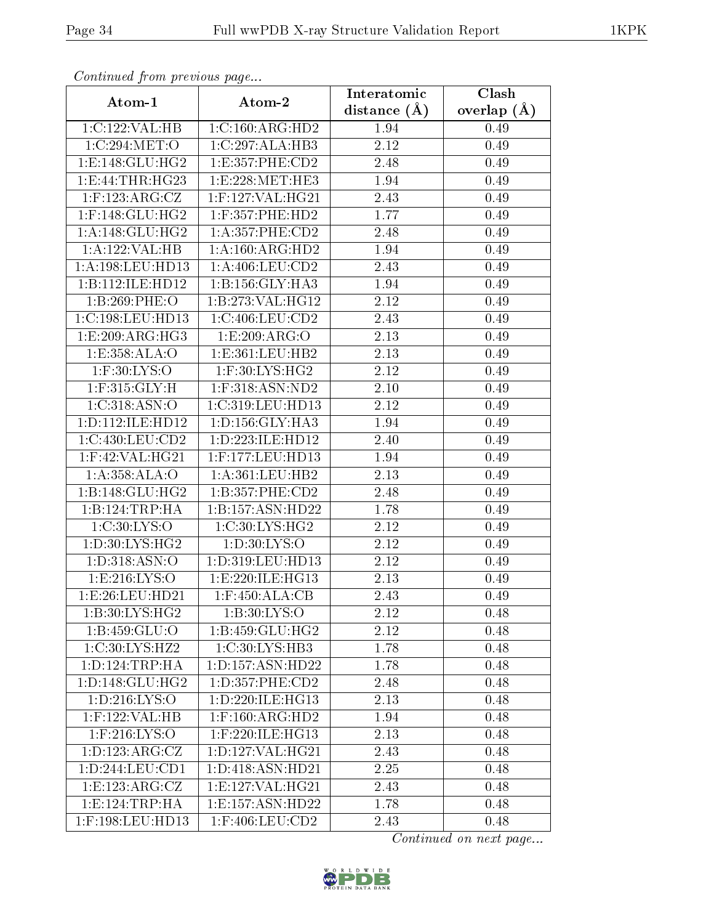| Continuea from previous page  |                             | Interatomic    | Clash         |
|-------------------------------|-----------------------------|----------------|---------------|
| Atom-1                        | Atom-2                      | distance $(A)$ | overlap $(A)$ |
| 1:C:122:VAL:HB                | 1:C:160:ARG:HD2             | 1.94           | 0.49          |
| 1:C:294:MET:O                 | 1:C:297:ALA:HB3             | 2.12           | 0.49          |
| 1: E: 148: GLU: HG2           | 1:E:357:PHE:CD2             | 2.48           | 0.49          |
| 1:E:44:THR:HG23               | 1:E:228:MET:HE3             | 1.94           | 0.49          |
| $1:$ F:123:ARG:CZ             | $1:$ F:127:VAL:HG21         | 2.43           | 0.49          |
| $1:$ F:148:GLU:HG2            | $1:$ F:357:PHE:HD2          | 1.77           | 0.49          |
| 1: A:148: GLU: HG2            | 1: A: 357: PHE: CD2         | 2.48           | 0.49          |
| 1:A:122:VAL:HB                | 1:A:160:ARG:HD2             | 1.94           | 0.49          |
| 1:A:198:LEU:HD13              | 1: A:406:LEU:CD2            | 2.43           | 0.49          |
| 1:B:112:ILE:HD12              | 1: B:156: GLY:HA3           | 1.94           | 0.49          |
| 1:B:269:PHE:O                 | 1:B:273:VAL:HG12            | 2.12           | 0.49          |
| 1:C:198:LEU:HD13              | 1:C:406:LEU:CD2             | 2.43           | 0.49          |
| 1:E:209:ARG:HG3               | 1:E:209:ARG:O               | 2.13           | 0.49          |
| 1: E: 358: ALA: O             | 1: E: 361: LEU: HB2         | 2.13           | 0.49          |
| $1:$ F:30:LYS:O               | $1:$ F:30:LYS:HG2           | 2.12           | 0.49          |
| $1:$ F:315: $GLY:H$           | $1:$ F:318:ASN:ND2          | 2.10           | 0.49          |
| 1:C:318:ASN:O                 | 1:C:319:LEU:HD13            | 2.12           | 0.49          |
| 1: D: 112: ILE: HD12          | 1: D: 156: GLY: HA3         | 1.94           | 0.49          |
| 1:C:430:LEU:CD2               | 1:D:223:ILE:HD12            | 2.40           | 0.49          |
| $1:$ F:42:VAL:HG21            | 1:F:177:LEU:HD13            | 1.94           | 0.49          |
| 1:A:358:ALA:O                 | 1: A: 361: LEU: HB2         | 2.13           | 0.49          |
| 1:B:148:GLU:HG2               | 1:B:357:PHE:CD2             | 2.48           | 0.49          |
| 1:B:124:TRP:HA                | 1:B:157:ASN:HD22            | 1.78           | 0.49          |
| 1:C:30:LYS:O                  | 1:C:30:LYS:HG2              | 2.12           | 0.49          |
| 1:D:30:LYS:HG2                | 1: D: 30: LYS: O            | 2.12           | 0.49          |
| 1:D:318:ASN:O                 | 1: D: 319: LEU: HD13        | 2.12           | 0.49          |
| 1: E:216: LYS:O               | 1: E: 220: ILE: HG13        | 2.13           | 0.49          |
| 1:E:26:LEU:HD21               | 1:F:450:ALA:CB              | $2.43\,$       | 0.49          |
| 1:B:30:LYS:HG2                | 1: B:30: LYS:O              | 2.12           | 0.48          |
| 1:B:459:GLU:O                 | 1:B:459:GLU:HG2             | 2.12           | 0.48          |
| 1:C:30:LYS:HZ2                | $1:C:30:L\overline{YS:H}B3$ | 1.78           | 0.48          |
| 1: D: 124: TRP: HA            | 1: D: 157: ASN: HD22        | 1.78           | 0.48          |
| 1: D: 148: GLU: HG2           | 1: D: 357: PHE: CD2         | 2.48           | 0.48          |
| $1: D: 216: L\overline{YS:O}$ | 1: D: 220: ILE: HG13        | 2.13           | 0.48          |
| $1:$ F:122:VAL:HB             | $1:$ F:160:ARG:HD2          | 1.94           | 0.48          |
| $1:$ F:216:LYS:O              | 1:F:220:ILE:HG13            | 2.13           | 0.48          |
| 1: D: 123: ARG: CZ            | 1: D: 127: VAL: HG21        | 2.43           | 0.48          |
| 1:D:244:LEU:CD1               | 1:D:418:ASN:HD21            | 2.25           | 0.48          |
| 1:E:123:ARG:CZ                | 1: E: 127: VAL: HG21        | 2.43           | 0.48          |
| 1: E: 124: TRP: HA            | 1:E:157:ASN:HD22            | 1.78           | 0.48          |
| 1:F:198:LEU:HD13              | $1:$ F:406:LEU:CD2          | 2.43           | 0.48          |

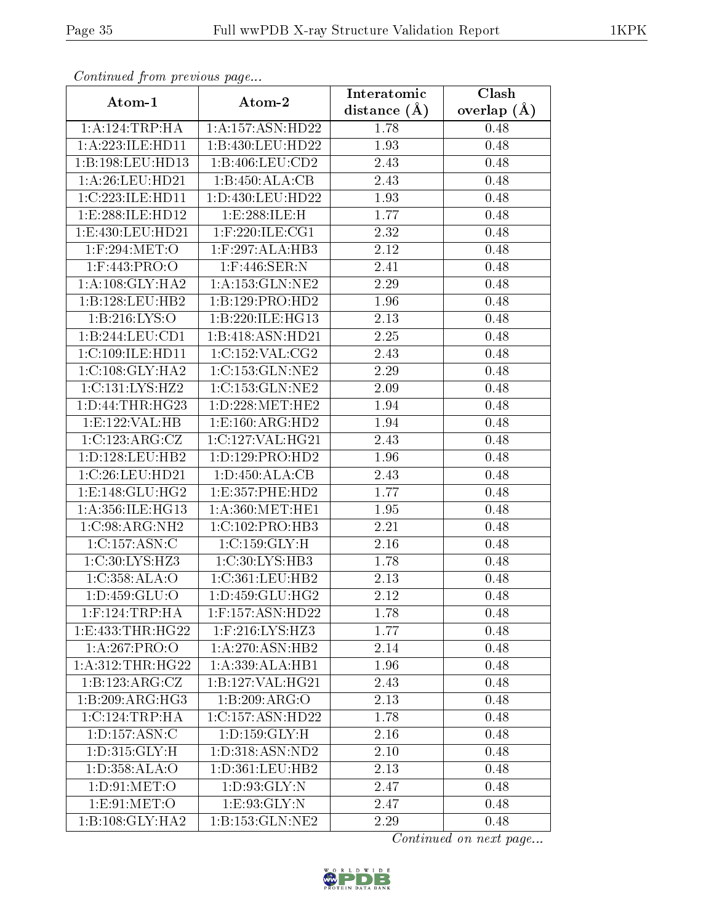| Commuca from previous page   |                                  | Interatomic    | Clash           |
|------------------------------|----------------------------------|----------------|-----------------|
| Atom-1                       | Atom-2                           | distance $(A)$ | overlap $(\AA)$ |
| 1: A: 124: TRP: HA           | 1:A:157:ASN:HD22                 | 1.78           | 0.48            |
| 1:A:223:ILE:HD11             | 1:B:430:LEU:HD22                 | 1.93           | 0.48            |
| 1:B:198:LEU:HD13             | $1: B:406:$ LEU: $CD2$           | 2.43           | 0.48            |
| 1:A:26:LEU:HD21              | 1:B:450:ALA:CB                   | 2.43           | 0.48            |
| 1:C:223:ILE:HD11             | 1:D:430:LEU:HD22                 | 1.93           | 0.48            |
| 1: E:288: ILE: HD12          | 1:E:288:ILE:H                    | 1.77           | 0.48            |
| 1:E:430:LEU:HD21             | $1:$ F:220:ILE:CG1               | 2.32           | 0.48            |
| 1:F:294:MET:O                | $1:$ F:297:ALA:HB3               | 2.12           | 0.48            |
| 1:F:443:PRO:O                | $1:$ F:446:SER:N                 | 2.41           | 0.48            |
| 1: A:108: GLY:HA2            | 1: A: 153: GLN: NE2              | 2.29           | 0.48            |
| 1:B:128:LEU:HB2              | 1:B:129:PRO:HD2                  | 1.96           | 0.48            |
| 1:B:216:LYS:O                | 1:B:220:ILE:HG13                 | 2.13           | 0.48            |
| 1:B:244:LEU:CD1              | 1:B:418:ASN:HD21                 | 2.25           | 0.48            |
| 1:C:109:ILE:HD11             | 1:C:152:VAL:CG2                  | 2.43           | 0.48            |
| 1:C:108:GLY:HA2              | 1:C:153:GLN:NE2                  | 2.29           | 0.48            |
| 1:C:131:LYS:HZ2              | 1:C:153:GLN:NE2                  | 2.09           | 0.48            |
| 1: D: 44: THR: HG23          | 1:D:228:MET:HE2                  | 1.94           | 0.48            |
| 1:E:122:VAL:HB               | 1: E: 160: ARG: HD2              | 1.94           | 0.48            |
| 1:C:123:ARG:CZ               | 1:C:127:VAL:HG21                 | 2.43           | 0.48            |
| 1: D: 128: LEU: HB2          | 1: D: 129: PRO: HD2              | 1.96           | 0.48            |
| 1:C:26:LEU:HD21              | 1: D: 450: ALA: CB               | 2.43           | 0.48            |
| 1: E: 148: GLU: HG2          | 1:E:357:PHE:HD2                  | 1.77           | 0.48            |
| 1:A:356:ILE:HG13             | 1: A:360:MET:HE1                 | 1.95           | 0.48            |
| 1:C:98:ARG:NH2               | 1:C:102:PRO:HB3                  | 2.21           | 0.48            |
| 1:C:157:ASN:C                | 1:C:159:GLY:H                    | 2.16           | 0.48            |
| 1:C:30:LYS:HZ3               | 1:C:30:LYS:HB3                   | 1.78           | 0.48            |
| 1:C:358:ALA:O                | 1:C:361:LEU:HB2                  | 2.13           | 0.48            |
| 1: D: 459: GLU: O            | $1: D: 459: GLU: H\overline{G2}$ | 2.12           | 0.48            |
| $1:$ F:124:TRP:HA            | 1:F:157:ASN:HD22                 | 1.78           | 0.48            |
| 1: E: 433: THR: HG22         | $1:$ F:216:LYS:HZ3               | 1.77           | 0.48            |
| 1:A:267:PRO:O                | 1:A:270:ASN:HB2                  | 2.14           | 0.48            |
| 1: A:312:THR:HG22            | 1: A: 339: ALA: HB1              | 1.96           | 0.48            |
| 1:B:123:ARG:CZ               | 1:B:127:VAL:HG21                 | 2.43           | 0.48            |
| $1:B:209:AR\overline{G:HG3}$ | 1:B:209:ARG:O                    | 2.13           | 0.48            |
| 1:C:124:TRP:HA               | 1:C:157:ASN:HD22                 | 1.78           | 0.48            |
| 1: D: 157: ASN: C            | 1: D: 159: GLY: H                | 2.16           | $0.48\,$        |
| 1: D: 315: GLY: H            | 1:D:318:ASN:ND2                  | 2.10           | 0.48            |
| 1:D:358:ALA:O                | 1: D: 361: LEU: HB2              | 2.13           | 0.48            |
| 1: D:91: MET:O               | 1: D: 93: GLY: N                 | 2.47           | 0.48            |
| 1:E:91:MET:O                 | 1: E: 93: GLY:N                  | 2.47           | 0.48            |
| 1:B:108:GLY:HA2              | 1:B:153:GLN:NE2                  | 2.29           | 0.48            |

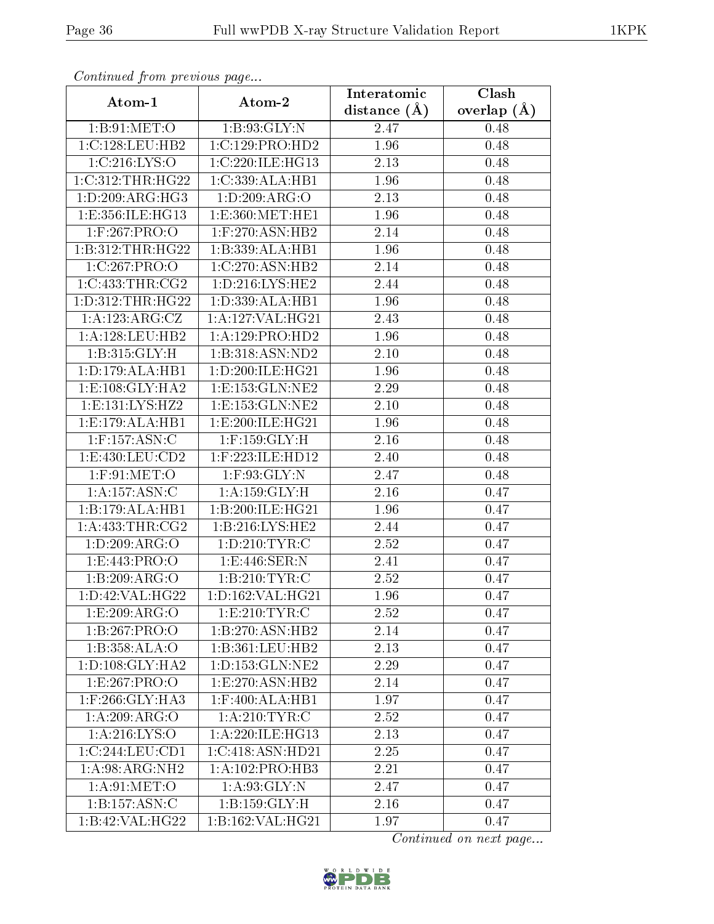| Continuea from previous page |                                  | Interatomic    | Clash           |
|------------------------------|----------------------------------|----------------|-----------------|
| Atom-1                       | Atom-2                           | distance $(A)$ | overlap $(\AA)$ |
| 1: B:91:MET:O                | 1: B:93: GLY:N                   | 2.47           | 0.48            |
| 1:C:128:LEU:HB2              | 1:C:129:PRO:HD2                  | 1.96           | 0.48            |
| 1:C:216:LYS:O                | 1:C:220:ILE:HG13                 | 2.13           | 0.48            |
| 1:C:312:THR:HG22             | 1:C:339:ALA:HB1                  | 1.96           | 0.48            |
| 1: D:209: ARG:HG3            | 1:D:209:ARG:O                    | 2.13           | 0.48            |
| 1:E:356:ILE:HG13             | 1:E:360:MET:HE1                  | 1.96           | 0.48            |
| 1:F:267:PRO:O                | 1:F:270:ASN:HB2                  | 2.14           | 0.48            |
| 1:B:312:THR:HG22             | 1:B:339:ALA:HB1                  | 1.96           | 0.48            |
| 1:C:267:PRO:O                | 1:C:270:ASN:HB2                  | 2.14           | 0.48            |
| 1:C:433:THR:CG2              | 1: D: 216: LYS: HE2              | 2.44           | 0.48            |
| 1: D: 312: THR: HG22         | 1: D: 339: ALA: HB1              | 1.96           | 0.48            |
| 1: A: 123: ARG: CZ           | 1:A:127:VAL:HG21                 | 2.43           | 0.48            |
| 1: A: 128: LEU: HB2          | 1:A:129:PRO:HD2                  | 1.96           | 0.48            |
| 1:B:315:GLY:H                | 1:B:318:ASN:ND2                  | 2.10           | 0.48            |
| 1:D:179:ALA:HB1              | 1: D:200: ILE: HG21              | 1.96           | 0.48            |
| 1: E: 108: GLY: HA2          | 1: E: 153: GLN: NE2              | 2.29           | 0.48            |
| 1:E:131:LYS:HZ2              | 1: E: 153: GLN: NE2              | 2.10           | 0.48            |
| 1: E: 179: ALA: HB1          | 1:E:200:ILE:HG21                 | 1.96           | 0.48            |
| $1:$ F:157:ASN:C             | $1:$ F:159:GLY:H                 | 2.16           | 0.48            |
| 1:E:430:LEU:CD2              | 1:F:223:ILE:HD12                 | 2.40           | 0.48            |
| $1:$ F:91:MET:O              | $1:$ F:93:GLY:N                  | 2.47           | 0.48            |
| 1:A:157:ASN:C                | 1: A: 159: GLY: H                | 2.16           | 0.47            |
| 1:B:179:ALA:HB1              | 1:B:200:ILE:HG21                 | 1.96           | 0.47            |
| 1: A: 433: THR: CG2          | 1: B: 216: LYS: HE2              | 2.44           | 0.47            |
| 1:D:209:ARG:O                | 1: D: 210: TYR: C                | 2.52           | 0.47            |
| 1:E:443:PRO:O                | 1: E:446: SER: N                 | 2.41           | 0.47            |
| $1:B:209:ARG:\overline{O}$   | 1:B:210:TYR:C                    | 2.52           | 0.47            |
| 1:D:42:VAL:HG22              | 1:D:162:VAL:HG21                 | 1.96           | 0.47            |
| 1:E:209:ARG:O                | 1: E:210: TYR: C                 | 2.52           | 0.47            |
| 1:B:267:PRO:O                | 1:B:270:ASN:HB2                  | 2.14           | 0.47            |
| 1:B:358:ALA:O                | 1:B:361:LEU:HB2                  | 2.13           | 0.47            |
| 1: D: 108: GLY: HA2          | 1: D: 153: GLN: NE2              | 2.29           | 0.47            |
| 1:E:267:PRO:O                | $1: E: 270: ASN: \overline{HB2}$ | 2.14           | 0.47            |
| $1:$ F:266: $GLY:HA3$        | $1:$ F:400:ALA:HB1               | 1.97           | 0.47            |
| 1:A:209:ARG:O                | 1: A:210:TYR: C                  | 2.52           | 0.47            |
| 1: A:216: LYS:O              | 1: A:220: ILE: HG13              | 2.13           | 0.47            |
| 1:C:244:LEU:CD1              | 1:C:418:ASN:HD21                 | 2.25           | 0.47            |
| 1:A:98:ARG:NH2               | 1:A:102:PRO:HB3                  | 2.21           | 0.47            |
| 1: A:91: MET:O               | 1: A:93: GLY:N                   | 2.47           | 0.47            |
| 1:B:157:ASN:C                | 1: B: 159: GLY: H                | 2.16           | 0.47            |
| $1:B:42:VAL$ : HG22          | 1:B:162:VAL:HG21                 | 1.97           | 0.47            |

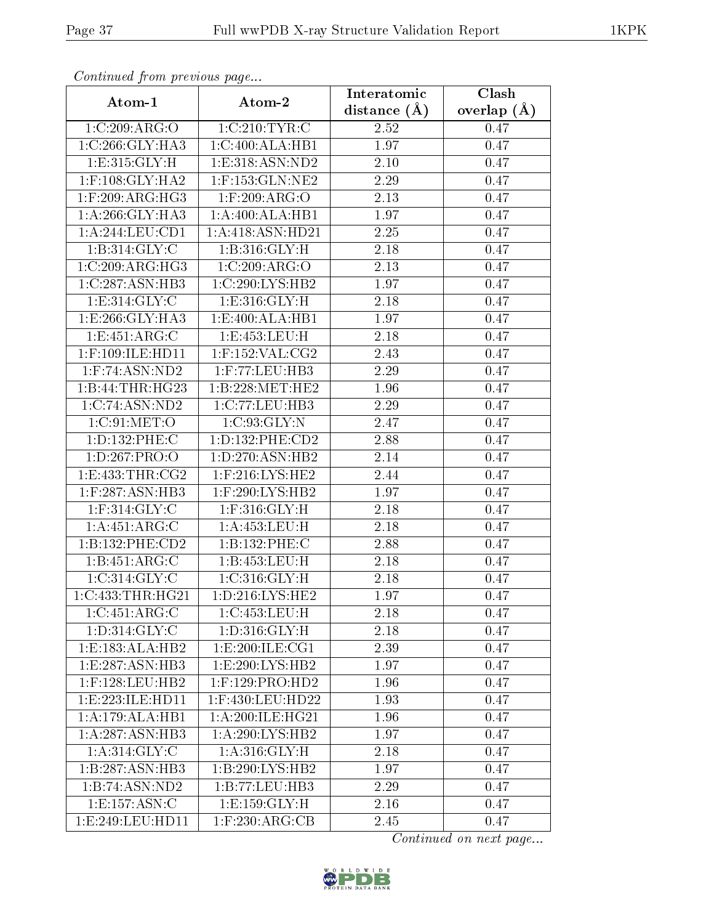| Continuou from proctious pugon. |                     | Interatomic       | Clash           |
|---------------------------------|---------------------|-------------------|-----------------|
| Atom-1                          | Atom-2              | distance $(A)$    | overlap $(\AA)$ |
| 1:C:209:ARG:O                   | 1:C:210:TYR:C       | 2.52              | 0.47            |
| 1:C:266:GLY:HA3                 | 1:C:400:ALA:HB1     | 1.97              | 0.47            |
| 1: E: 315: GLY: H               | 1: E: 318: ASN: ND2 | 2.10              | 0.47            |
| $1:$ F:108:GLY:HA2              | 1:F:153:GLN:NE2     | 2.29              | 0.47            |
| $1:$ F:209:ARG:HG3              | $1:$ F:209:ARG:O    | 2.13              | 0.47            |
| 1: A:266: GLY:HA3               | 1:A:400:ALA:HB1     | 1.97              | 0.47            |
| 1: A:244:LEU:CD1                | 1:A:418:ASN:HD21    | 2.25              | 0.47            |
| 1: B:314: GLY: C                | 1:B:316:GLY:H       | 2.18              | 0.47            |
| 1:C:209:ARG:HG3                 | 1:C:209:ARG:O       | 2.13              | 0.47            |
| 1:C:287:ASN:HB3                 | 1:C:290:LYS:HB2     | 1.97              | 0.47            |
| 1: E: 314: GLY: C               | 1: E:316: GLY: H    | 2.18              | 0.47            |
| 1: E: 266: GLY: HA3             | 1:E:400:ALA:HB1     | 1.97              | 0.47            |
| 1:E:451:ARG:C                   | 1: E: 453: LEU: H   | 2.18              | 0.47            |
| $1:$ F:109:ILE:HD11             | $1:$ F:152:VAL:CG2  | 2.43              | 0.47            |
| $1:$ F:74:ASN:ND2               | 1:F:77:LEU:HB3      | 2.29              | 0.47            |
| 1:B:44:THR:HG23                 | 1:B:228:MET:HE2     | 1.96              | 0.47            |
| 1:C:74:ASN:ND2                  | 1:C:77:LEU:HB3      | 2.29              | 0.47            |
| 1:C:91:MET:O                    | 1:C:93:GLY:N        | 2.47              | 0.47            |
| 1:D:132:PHE:C                   | 1: D: 132: PHE: CD2 | 2.88              | 0.47            |
| 1: D: 267: PRO: O               | 1: D: 270: ASN: HB2 | 2.14              | 0.47            |
| 1:E:433:THR:CG2                 | 1:F:216:LYS:HE2     | 2.44              | 0.47            |
| 1:F:287:ASN:HB3                 | 1:F:290:LYS:HB2     | 1.97              | 0.47            |
| $1:$ F:314:GLY:C                | $1:$ F:316:GLY:H    | 2.18              | 0.47            |
| $1:\overline{A:451:ARG:C}$      | 1:A:453:LEU:H       | 2.18              | 0.47            |
| 1:B:132:PHE:CD2                 | 1:B:132:PHE:C       | 2.88              | 0.47            |
| 1:B:451:ARG:C                   | 1:B:453:LEU:H       | $\overline{2}.18$ | 0.47            |
| 1:C:314:GLY:C                   | 1: C:316: GLY:H     | 2.18              | 0.47            |
| 1:C:433:THR:HG21                | 1: D: 216: LYS: HE2 | 1.97              | 0.47            |
| 1:C:451:ARG:C                   | 1:C:453:LEU:H       | 2.18              | 0.47            |
| 1: D: 314: GLY: C               | 1: D: 316: GLY: H   | 2.18              | 0.47            |
| 1:E:183:ALA:HB2                 | 1:E:200:ILE:CG1     | 2.39              | 0.47            |
| 1:E:287:ASN:HB3                 | 1:E:290:LYS:HB2     | 1.97              | 0.47            |
| $1:$ F:128:LEU:HB2              | $1:$ F:129:PRO:HD2  | 1.96              | 0.47            |
| 1: E: 223: ILE: HD11            | 1:F:430:LEU:HD22    | 1.93              | 0.47            |
| 1:A:179:ALA:HB1                 | 1: A:200:ILE:HG21   | 1.96              | 0.47            |
| 1: A:287: ASN:HB3               | 1: A:290: LYS: HB2  | 1.97              | 0.47            |
| 1: A:314: GLY: C                | 1: A:316: GLY:H     | 2.18              | 0.47            |
| 1:B:287:ASN:HB3                 | 1:B:290:LYS:HB2     | 1.97              | 0.47            |
| 1:B:74:ASN:ND2                  | 1:B:77:LEU:HB3      | 2.29              | 0.47            |
| 1:E:157:ASN:C                   | 1: E: 159: GLY: H   | 2.16              | 0.47            |
| 1:E:249:LEU:HD11                | $1:$ F:230:ARG:CB   | 2.45              | 0.47            |

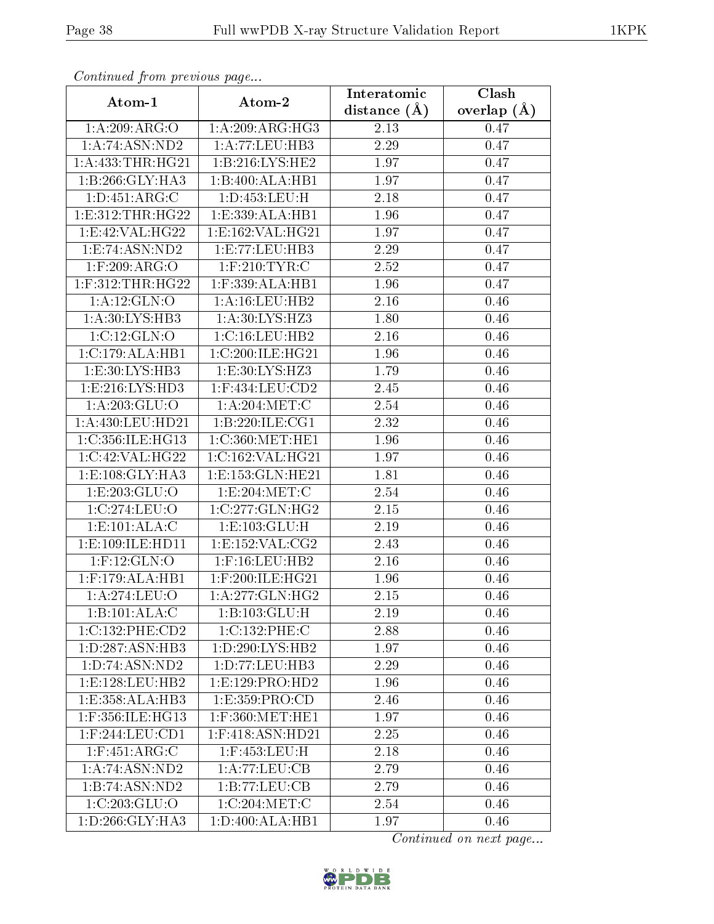| Communaca from previous page |                       | Interatomic       | Clash           |
|------------------------------|-----------------------|-------------------|-----------------|
| Atom-1                       | Atom-2                | distance $(\AA)$  | overlap $(\AA)$ |
| 1:A:209:ARG:O                | 1: A:209: ARG: HG3    | 2.13              | 0.47            |
| 1: A:74: ASN:ND2             | 1:A:77:LEU:HB3        | 2.29              | 0.47            |
| 1: A: 433: THR: HG21         | 1:B:216:LYS:HE2       | 1.97              | 0.47            |
| 1:B:266:GLY:HA3              | 1:B:400:ALA:HB1       | 1.97              | 0.47            |
| 1:D:451:ARG:C                | 1: D: 453: LEU:H      | 2.18              | 0.47            |
| 1: E: 312: THR: HG22         | 1:E:339:ALA:HB1       | 1.96              | 0.47            |
| 1:E:42:VAL:HG22              | 1:E:162:VAL:HG21      | 1.97              | 0.47            |
| 1: E: 74: ASN: ND2           | 1:E:77:LEU:HB3        | 2.29              | 0.47            |
| $1:$ F:209:ARG:O             | $1:$ F:210:TYR:C      | $\overline{2}.52$ | 0.47            |
| $1:$ F:312:THR:HG22          | $1:$ F:339:ALA:HB1    | 1.96              | 0.47            |
| 1:A:12:GLN:O                 | 1:A:16:LEU:HB2        | 2.16              | 0.46            |
| 1:A:30:LYS:HB3               | 1:A:30:LYS:HZ3        | 1.80              | 0.46            |
| 1:C:12:GLN:O                 | 1:C:16:LEU:HB2        | 2.16              | 0.46            |
| 1:C:179:ALA:HB1              | 1:C:200:ILE:HG21      | 1.96              | 0.46            |
| 1:E:30:LYS:HB3               | 1:E:30:LYS:HZ3        | 1.79              | 0.46            |
| 1:E:216:LYS:HD3              | $1:$ F:434:LEU: $CD2$ | 2.45              | 0.46            |
| 1: A:203: GLU:O              | 1: A:204:MET:C        | 2.54              | 0.46            |
| 1:A:430:LEU:HD21             | 1:B:220:ILE:CG1       | 2.32              | 0.46            |
| 1:C:356:ILE:HG13             | 1:C:360:MET:HE1       | 1.96              | 0.46            |
| 1:C:42:VAL:HG22              | 1:C:162:VAL:HG21      | 1.97              | 0.46            |
| 1: E: 108: GLY: HA3          | 1:E:153:GLN:HE21      | 1.81              | 0.46            |
| 1: E: 203: GLU:O             | 1:E:204:MET:C         | 2.54              | 0.46            |
| 1:C:274:LEU:O                | 1:C:277:GLN:HG2       | 2.15              | 0.46            |
| 1: E: 101: ALA: C            | 1:E:103:GLU:H         | 2.19              | 0.46            |
| 1:E:109:ILE:HD11             | 1:E:152:VAL:CG2       | 2.43              | 0.46            |
| $1:$ F:12:GLN:O              | $1:$ F:16:LEU:HB2     | 2.16              | 0.46            |
| $1:$ F:179:ALA:HB1           | $1:$ F:200:ILE:HG21   | 1.96              | 0.46            |
| 1:A:274:LEU:O                | 1: A:277: GLN: HG2    | 2.15              | 0.46            |
| 1:B:101:ALA:C                | 1:B:103:GLU:H         | 2.19              | 0.46            |
| 1:C:132:PHE:CD2              | 1:C:132:PHE:C         | 2.88              | 0.46            |
| 1: D: 287: ASN: HB3          | 1:D:290:LYS:HB2       | 1.97              | 0.46            |
| 1:D:74:ASN:ND2               | 1:D:77:LEU:HB3        | 2.29              | 0.46            |
| 1:E:128:EU:HB2               | 1:E:129:PRO:HD2       | 1.96              | 0.46            |
| 1:E:358:ALA:HB3              | 1:E:359:PRO:CD        | 2.46              | 0.46            |
| 1:F:356:ILE:HG13             | $1:$ F:360:MET:HE1    | 1.97              | 0.46            |
| $1:$ F:244:LEU:CD1           | 1:F:418:ASN:HD21      | 2.25              | 0.46            |
| $1:$ F:451:ARG:C             | $1:$ F:453:LEU:H      | 2.18              | 0.46            |
| 1:A:74:ASN:ND2               | 1:A:77:LEU:CB         | 2.79              | 0.46            |
| 1:B:74:ASN:ND2               | 1:B:77:LEU:CB         | 2.79              | 0.46            |
| 1:C:203:GLU:O                | 1:C:204:MET:C         | 2.54              | 0.46            |
| 1:D:266:GLY:HA3              | 1: D:400: ALA:HB1     | 1.97              | 0.46            |

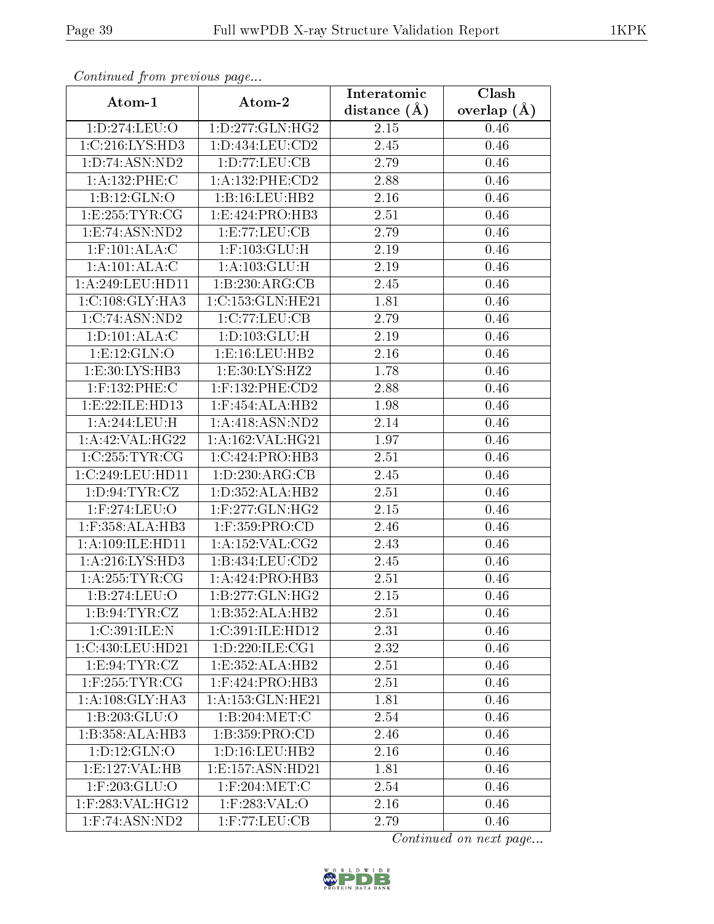| Communa from previous page |                       | Interatomic    | Clash           |
|----------------------------|-----------------------|----------------|-----------------|
| Atom-1                     | Atom-2                | distance $(A)$ | overlap $(\AA)$ |
| 1:D:274:LEU:O              | 1: D: 277: GLN: HG2   | 2.15           | 0.46            |
| 1:C:216:LYS:HD3            | 1:D:434:LEU:CD2       | 2.45           | 0.46            |
| 1:D:74:ASN:ND2             | 1: D: 77: LEU: CB     | 2.79           | 0.46            |
| 1:A:132:PHE:C              | 1:A:132:PHE:CD2       | 2.88           | 0.46            |
| 1:B:12:GLN:O               | 1:B:16:LEU:HB2        | 2.16           | 0.46            |
| 1:E:255:TYR:CG             | 1:E:424:PRO:HB3       | 2.51           | 0.46            |
| 1:E:74:ASN:ND2             | 1: E: 77: LEU: CB     | 2.79           | 0.46            |
| $1:$ F:101:ALA:C           | $1:$ F:103:GLU:H      | 2.19           | 0.46            |
| 1:A:101:ALA:C              | 1: A: 103: GLU: H     | 2.19           | 0.46            |
| 1:A:249:LEU:HD11           | 1:B:230:ARG:CB        | 2.45           | 0.46            |
| 1:C:108:GLY:HA3            | 1:C:153:GLN:HE21      | 1.81           | 0.46            |
| 1:C:74:ASN:ND2             | 1:C:77:LEU:CB         | 2.79           | 0.46            |
| 1: D: 101: ALA: C          | 1: D: 103: GLU: H     | 2.19           | 0.46            |
| 1: E: 12: GLN: O           | 1:E:16:LEU:HB2        | 2.16           | 0.46            |
| 1:E:30:LYS:HB3             | 1:E:30:LYS:HZ2        | 1.78           | 0.46            |
| $1:$ F:132:PHE:C           | $1:$ F:132:PHE: $CD2$ | 2.88           | 0.46            |
| 1:E:22:ILE:HD13            | $1:$ F:454:ALA:HB2    | 1.98           | 0.46            |
| 1:A:244:LEU:H              | 1: A:418: ASN:ND2     | 2.14           | 0.46            |
| 1:A:42:VAL:HG22            | 1:A:162:VAL:HG21      | 1.97           | 0.46            |
| 1:C:255:TYR:CG             | 1:C:424:PRO:HB3       | 2.51           | 0.46            |
| 1:C:249:LEU:HD11           | 1: D: 230: ARG: CB    | 2.45           | 0.46            |
| 1: D:94: TYR: CZ           | 1: D: 352: ALA: HB2   | $2.51\,$       | 0.46            |
| $1:$ F:274:LEU:O           | $1:$ F:277:GLN:HG2    | 2.15           | 0.46            |
| $1:$ F:358:ALA:HB3         | $1:$ F:359:PRO:CD     | 2.46           | 0.46            |
| 1:A:109:ILE:HD11           | 1:A:152:VAL:CG2       | 2.43           | 0.46            |
| 1: A:216: LYS: HD3         | 1:B:434:LEU:CD2       | 2.45           | 0.46            |
| 1: A:255:TYR:CG            | 1:A:424:PRO:HB3       | 2.51           | 0.46            |
| 1:B:274:LEU:O              | 1:B:277:GLN:HG2       | 2.15           | 0.46            |
| 1: B:94: TYR: CZ           | 1:B:352:ALA:HB2       | 2.51           | 0.46            |
| 1:C:391:ILE:N              | 1:C:391:ILE:HD12      | 2.31           | 0.46            |
| 1:C:430:LEU:HD21           | 1: D: 220: ILE: CG1   | 2.32           | 0.46            |
| 1: E:94: TYR: CZ           | 1:E:352:ALA:HB2       | 2.51           | 0.46            |
| $1:$ F:255:TYR:CG          | 1:F:424:PRO:HB3       | 2.51           | 0.46            |
| 1: A:108: GLY:HA3          | 1:A:153:GLN:HE21      | 1.81           | 0.46            |
| 1:B:203:GLU:O              | 1:B:204:MET:C         | 2.54           | 0.46            |
| 1:B:358:ALA:HB3            | 1:B:359:PRO:CD        | 2.46           | 0.46            |
| 1:D:12:GLN:O               | 1: D: 16: LEU: HB2    | 2.16           | 0.46            |
| 1: E: 127: VAL: HB         | 1:E:157:ASN:HD21      | 1.81           | 0.46            |
| $1:$ F:203:GLU:O           | $1:$ F:204:MET:C      | 2.54           | 0.46            |
| 1:F:283:VAL:HG12           | $1:$ F:283:VAL:O      | 2.16           | 0.46            |
| $1:$ F:74:ASN:ND2          | $1:$ F:77:LEU:CB      | 2.79           | 0.46            |

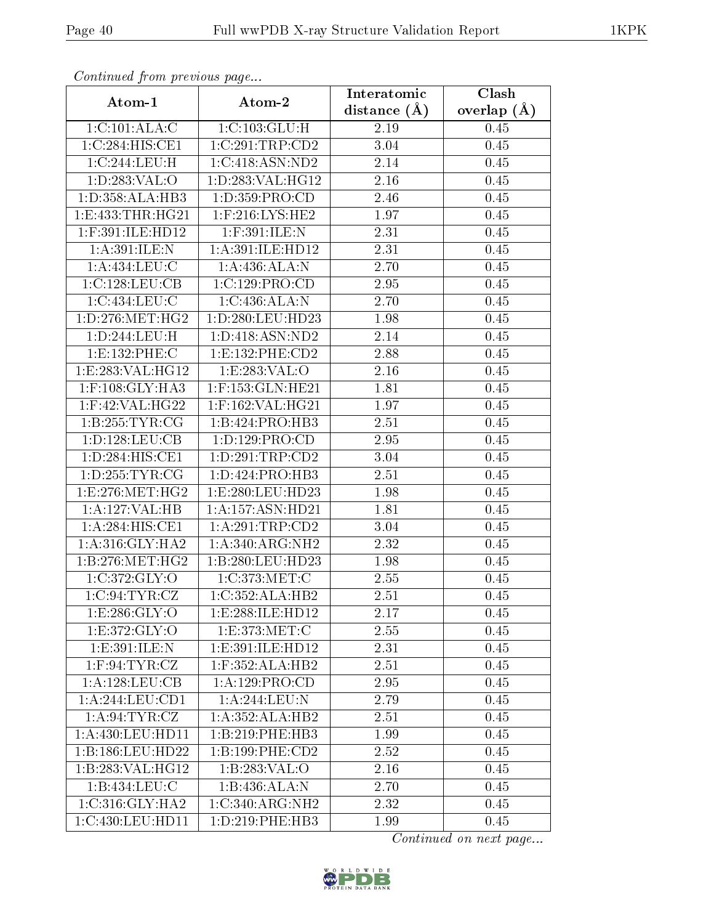| Communa from previous page       |                      | Interatomic      | Clash           |
|----------------------------------|----------------------|------------------|-----------------|
| Atom-1                           | Atom-2               | distance $(\AA)$ | overlap $(\AA)$ |
| 1:C:101:ALA:C                    | 1:C:103:GLU:H        | 2.19             | 0.45            |
| 1:C:284:HIS:CE1                  | 1:C:291:TRP:CD2      | 3.04             | 0.45            |
| 1:C:244:LEU:H                    | 1:C:418:ASN:ND2      | 2.14             | 0.45            |
| 1: D: 283: VAL:O                 | 1:D:283:VAL:HG12     | 2.16             | 0.45            |
| $1: D: 358: ALA: \overline{HB3}$ | 1: D: 359: PRO:CD    | 2.46             | 0.45            |
| 1: E: 433: THR: HG21             | $1:$ F:216:LYS:HE2   | 1.97             | 0.45            |
| 1:F:391:ILE:HD12                 | 1:F:391:ILE:N        | 2.31             | 0.45            |
| 1: A:391: ILE:N                  | 1:A:391:ILE:HD12     | 2.31             | 0.45            |
| 1:A:434:LEU:C                    | 1:A:436:ALA:N        | 2.70             | 0.45            |
| 1:C:128:LEU:CB                   | 1:C:129:PRO:CD       | 2.95             | 0.45            |
| 1:C:434:LEU:C                    | 1:C:436:ALA:N        | 2.70             | 0.45            |
| 1: D: 276: MET:HG2               | 1: D: 280: LEU: HD23 | 1.98             | 0.45            |
| 1:D:244:LEU:H                    | 1: D: 418: ASN: ND2  | 2.14             | 0.45            |
| 1:E:132:PHE:C                    | 1: E: 132: PHE: CD2  | 2.88             | 0.45            |
| 1:E:283:VAL:HG12                 | 1:E:283:VAL:O        | 2.16             | 0.45            |
| $1:$ F:108:GLY:HA3               | $1:$ F:153:GLN:HE21  | 1.81             | 0.45            |
| $1:$ F:42:VAL:HG22               | 1:F:162:VAL:HG21     | 1.97             | 0.45            |
| 1:B:255:TYR:CG                   | 1:B:424:PRO:HB3      | 2.51             | 0.45            |
| 1:D:128:LEU:CB                   | 1:D:129:PRO:CD       | 2.95             | 0.45            |
| 1: D:284: HIS: CE1               | 1: D:291:TRP:CD2     | 3.04             | 0.45            |
| 1: D: 255: TYR: CG               | 1: D: 424: PRO: HB3  | 2.51             | 0.45            |
| 1:E:276:MET:HG2                  | 1:E:280:LEU:HD23     | 1.98             | 0.45            |
| 1:A:127:VAL:HB                   | 1:A:157:ASN:HD21     | 1.81             | 0.45            |
| 1: A:284: HIS: CE1               | 1:A:291:TRP:CD2      | 3.04             | 0.45            |
| 1: A:316: GLY:HA2                | 1:A:340:ARG:NH2      | 2.32             | 0.45            |
| 1: B: 276: MET:HG2               | 1:B:280:LEU:HD23     | 1.98             | 0.45            |
| 1:C:372:GLY:O                    | 1:C:373:MET:C        | 2.55             | 0.45            |
| 1:C:94:TYR:CZ                    | 1:C:352:ALA:HB2      | 2.51             | 0.45            |
| 1:E:286:GLY:O                    | 1:E:288:ILE:HD12     | 2.17             | 0.45            |
| 1:E:372:GLY:O                    | 1:E:373:MET:C        | 2.55             | 0.45            |
| 1:E:391:ILE:N                    | 1: E:391: ILE: HD12  | 2.31             | 0.45            |
| $1:$ F:94:TYR:CZ                 | 1:F:352:ALA:HB2      | 2.51             | 0.45            |
| 1:A:128:LEU:CB                   | 1: A: 129: PRO:CD    | 2.95             | 0.45            |
| 1:A:244:LEU:CD1                  | 1: A:244:LEU:N       | 2.79             | 0.45            |
| 1: A:94:TYR:CZ                   | 1: A: 352: ALA: HB2  | 2.51             | 0.45            |
| 1:A:430:LEU:HD11                 | 1:B:219:PHE:HB3      | 1.99             | 0.45            |
| 1:B:186:LEU:HD22                 | 1:B:199:PHE:CD2      | 2.52             | 0.45            |
| 1:B:283:VAL:HG12                 | 1:B:283:VAL:O        | 2.16             | 0.45            |
| 1:B:434:LEU:C                    | 1:B:436:ALA:N        | 2.70             | 0.45            |
| 1:C:316:GLY:HA2                  | 1:C:340:ARG:NH2      | 2.32             | 0.45            |
| 1:C:430:LEU:HD11                 | 1:D:219:PHE:HB3      | 1.99             | 0.45            |

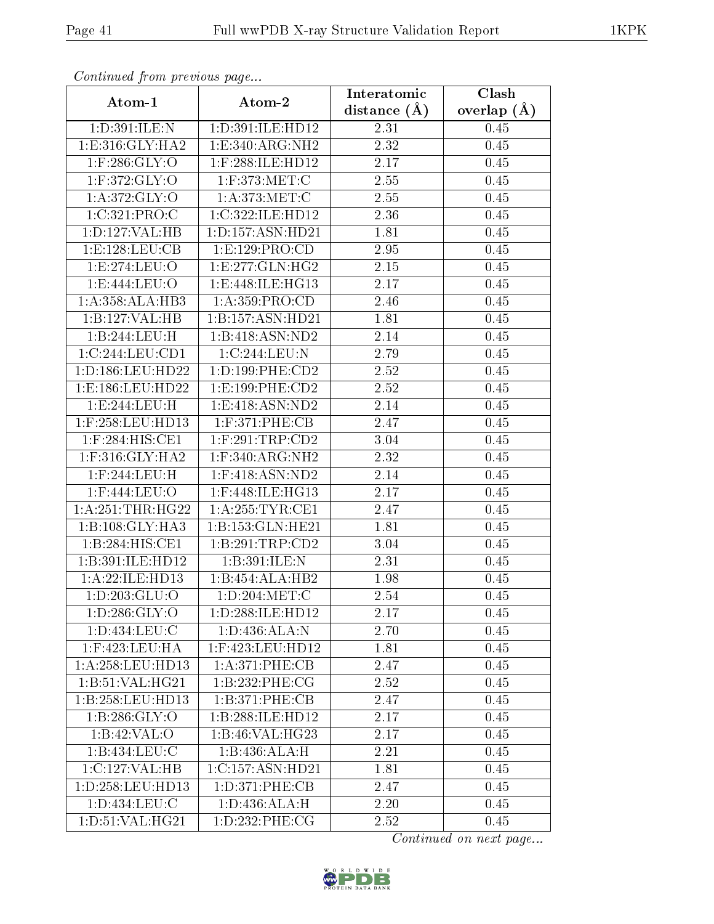| Communa from previous page |                                      | Interatomic       | Clash           |
|----------------------------|--------------------------------------|-------------------|-----------------|
| Atom-1                     | Atom-2                               | distance $(A)$    | overlap $(\AA)$ |
| 1: D:391: ILE:N            | 1: D:391: ILE: HD12                  | 2.31              | 0.45            |
| 1: E: 316: GLY: HA2        | 1:E:340:ARG:NH2                      | $\overline{2.32}$ | 0.45            |
| $1:$ F:286:GLY:O           | $1:$ F:288:ILE:HD12                  | $2.17\,$          | 0.45            |
| $1:$ F:372:GLY:O           | $1:$ F:373:MET:C                     | $\overline{2}.55$ | 0.45            |
| 1: A:372: GLY:O            | 1: A:373:MET:C                       | 2.55              | 0.45            |
| 1:C:321:PRO:C              | 1:C:322:ILE:HD12                     | 2.36              | 0.45            |
| 1:D:127:VAL:HB             | 1:D:157:ASN:HD21                     | 1.81              | 0.45            |
| 1: E: 128: LEU: CB         | 1:E:129:PRO:CD                       | 2.95              | 0.45            |
| 1:E:274:LEU:O              | 1: E: 277: GLN: HG2                  | 2.15              | 0.45            |
| 1:E:444:EU:O               | 1:E:448:ILE:HG13                     | 2.17              | 0.45            |
| 1: A: 358: ALA: HB3        | 1:A:359:PRO:CD                       | 2.46              | 0.45            |
| 1:B:127:VAL:HB             | 1:B:157:ASN:HD21                     | 1.81              | 0.45            |
| 1:B:244:LEU:H              | $1:B:418: \overline{\text{ASN:ND2}}$ | 2.14              | 0.45            |
| 1:C:244:LEU:CD1            | 1:C:244:LEU:N                        | 2.79              | 0.45            |
| 1:D:186:LEU:HD22           | 1:D:199:PHE:CD2                      | 2.52              | 0.45            |
| 1:E:186:LEU:HD22           | 1: E: 199: PHE: CD2                  | 2.52              | 0.45            |
| 1:E:244:LEU:H              | 1: E: 418: ASN: ND2                  | 2.14              | 0.45            |
| 1:F:258:LEU:HD13           | $1:$ F:371:PHE:CB                    | 2.47              | 0.45            |
| 1:F:284:HIS:CE1            | $1:$ F:291:TRP:CD2                   | 3.04              | 0.45            |
| 1:F:316:GLY:HA2            | $1:$ F:340:ARG:NH2                   | 2.32              | 0.45            |
| 1:F:244:LEU:H              | $1:$ F:418:ASN:ND2                   | 2.14              | 0.45            |
| 1:F:444:LEU:O              | 1:F:448:ILE:HG13                     | 2.17              | 0.45            |
| 1: A:251:THR:HG22          | 1: A:255:TYR:CE1                     | 2.47              | 0.45            |
| 1:B:108:GLY:HA3            | 1:B:153:GLN:HE21                     | 1.81              | 0.45            |
| 1:B:284:HIS:CE1            | 1:B:291:TRP:CD2                      | 3.04              | 0.45            |
| 1:B:391:ILE:HD12           | 1:B:391:ILE:N                        | 2.31              | 0.45            |
| 1:A:22:ILE:HD13            | 1:B:454:ALA:HB2                      | 1.98              | 0.45            |
| 1: D: 203: GLU: O          | 1: D:204:MET:C                       | 2.54              | 0.45            |
| 1: D:286: GLY:O            | 1:D:288:ILE:HD12                     | 2.17              | 0.45            |
| 1:D:434:LEU:C              | 1:D:436:ALA:N                        | 2.70              | 0.45            |
| 1:F:423:LEU:HA             | $1:$ F:423:LEU:HD12                  | 1.81              | 0.45            |
| 1:A:258:LEU:HD13           | 1:A:371:PHE:CB                       | 2.47              | 0.45            |
| 1: B:51: VAL:HG21          | 1:B:232:PHE:CG                       | 2.52              | 0.45            |
| 1:B:258:LEU:HD13           | 1:B:371:PHE:CB                       | 2.47              | 0.45            |
| 1: B: 286: GLY:O           | 1:B:288:ILE:HD12                     | 2.17              | 0.45            |
| 1:B:42:VAL:O               | 1:B:46:VAL:HG23                      | 2.17              | 0.45            |
| 1:B:434:LEU:C              | 1:B:436:ALA:H                        | 2.21              | 0.45            |
| 1:C:127:VAL:HB             | 1:C:157:ASN:HD21                     | 1.81              | 0.45            |
| 1:D:258:LEU:HD13           | 1: D: 371: PHE: CB                   | 2.47              | 0.45            |
| 1:D:434:LEU:C              | 1: D: 436: ALA:H                     | 2.20              | 0.45            |
| 1: D: 51: VAL: HG21        | 1:D:232:PHE:CG                       | 2.52              | 0.45            |

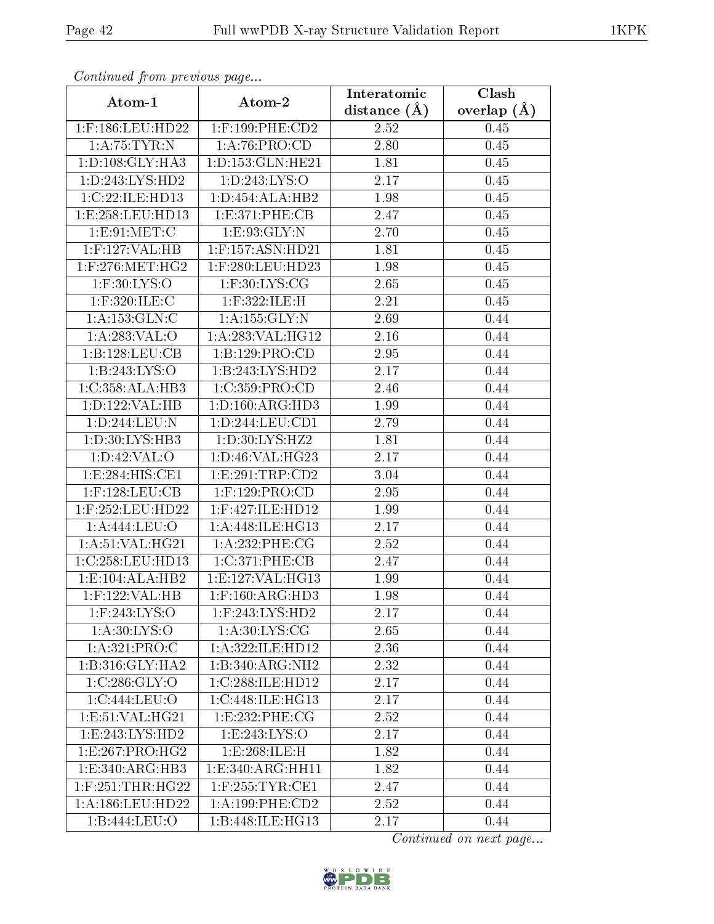| Commuca from previous page |                       | Interatomic       | Clash           |
|----------------------------|-----------------------|-------------------|-----------------|
| Atom-1                     | Atom-2                | distance $(A)$    | overlap $(\AA)$ |
| 1:F:186:LEU:HD22           | $1:$ F:199:PHE: $CD2$ | 2.52              | 0.45            |
| 1: A:75:TYR:N              | 1: A:76: PRO:CD       | 2.80              | 0.45            |
| 1: D: 108: GLY: HA3        | 1: D: 153: GLN: HE21  | 1.81              | 0.45            |
| 1: D: 243: LYS: HD2        | 1:D:243:LYS:O         | 2.17              | 0.45            |
| 1:C:22:ILE:HD13            | 1: D: 454: ALA: HB2   | 1.98              | 0.45            |
| 1:E:258:EU:HD13            | 1:E:371:PHE:CB        | 2.47              | 0.45            |
| 1:E:91:MET:C               | 1:E:93:GLY:N          | 2.70              | 0.45            |
| $1:$ F:127:VAL:HB          | $1:$ F:157:ASN:HD21   | 1.81              | 0.45            |
| $1:$ F:276:MET:HG2         | 1:F:280:LEU:HD23      | 1.98              | 0.45            |
| $1:$ F:30:LYS:O            | $1:$ F:30:LYS:CG      | 2.65              | 0.45            |
| $1:$ F:320:ILE:C           | 1:F:322:ILE:H         | 2.21              | 0.45            |
| 1: A: 153: GLN: C          | 1:A:155:GLY:N         | 2.69              | 0.44            |
| 1:A:283:VAL:O              | 1: A:283: VAL:HG12    | 2.16              | 0.44            |
| 1:B:128:LEU:CB             | 1:B:129:PRO:CD        | 2.95              | 0.44            |
| 1:B:243:LYS:O              | 1:B:243:LYS:HD2       | 2.17              | 0.44            |
| 1:C:358:ALA:HB3            | 1:C:359:PRO:CD        | 2.46              | 0.44            |
| 1:D:122:VAL:HB             | 1: D: 160: ARG: HD3   | 1.99              | 0.44            |
| 1:D:244:LEU:N              | 1: D: 244: LEU: CD1   | 2.79              | 0.44            |
| 1:D:30:LYS:HB3             | 1:D:30:LYS:HZ2        | 1.81              | 0.44            |
| 1: D:42: VAL:O             | 1: D: 46: VAL:HG23    | 2.17              | 0.44            |
| 1:E:284:HIS:CE1            | 1:E:291:TRP:CD2       | $\overline{3}.04$ | 0.44            |
| $1:$ F:128:LEU:CB          | $1:$ F:129:PRO:CD     | 2.95              | 0.44            |
| 1:F:252:LEU:HD22           | 1:F:427:ILE:HD12      | 1.99              | 0.44            |
| 1:A:444:LEU:O              | 1: A:448: ILE: HG13   | 2.17              | 0.44            |
| 1: A:51: VAL:HG21          | 1:A:232:PHE:CG        | 2.52              | 0.44            |
| 1:C:258:LEU:HD13           | 1:C:371:PHE:CB        | 2.47              | 0.44            |
| 1:E:104:ALA:HB2            | 1: E: 127: VAL: HG13  | 1.99              | 0.44            |
| $1:$ F:122:VAL:HB          | $1:$ F:160:ARG:HD3    | 1.98              | 0.44            |
| $1:$ F:243:LYS:O           | 1:F:243:LYS:HD2       | 2.17              | 0.44            |
| 1: A:30: LYS:O             | 1: A:30: LYS: CG      | 2.65              | 0.44            |
| 1:A:321:PRO:C              | 1:A:322:ILE:HD12      | 2.36              | 0.44            |
| 1:B:316:GLY:HA2            | 1:B:340:ARG:NH2       | 2.32              | 0.44            |
| 1:C:286:GLY:O              | 1:C:288:ILE:HD12      | 2.17              | 0.44            |
| 1:C:444:LEU:O              | 1:C:448:ILE:HG13      | 2.17              | 0.44            |
| 1: E: 51: VAL: HG21        | 1:E:232:PHE:CG        | 2.52              | 0.44            |
| 1:E:243:LYS:HD2            | 1: E: 243: LYS: O     | 2.17              | 0.44            |
| 1:E:267:PRO:HG2            | 1:E:268:ILE:H         | 1.82              | 0.44            |
| 1:E:340:ARG:HB3            | 1:E:340:ARG:HH11      | 1.82              | 0.44            |
| $1:$ F:251:THR:HG22        | $1:$ F:255:TYR:CE1    | 2.47              | 0.44            |
| 1:A:186:LEU:HD22           | 1: A: 199: PHE: CD2   | 2.52              | 0.44            |
| 1:B:444:LEU:O              | 1:B:448:ILE:HG13      | 2.17              | 0.44            |

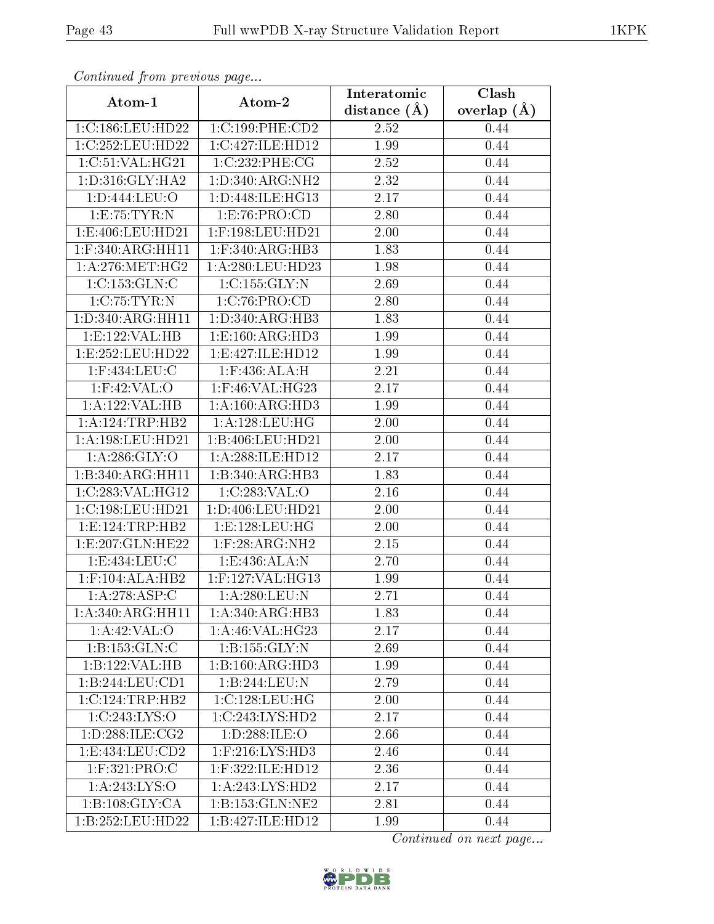| Continued from previous page |                                               | Interatomic       | Clash         |
|------------------------------|-----------------------------------------------|-------------------|---------------|
| Atom-1                       | Atom-2                                        | distance $(\AA)$  | overlap $(A)$ |
| 1:C:186:LEU:HD22             | 1:C:199:PHE:CD2                               | 2.52              | 0.44          |
| 1:C:252:LEU:HD22             | 1:C:427:ILE:HD12                              | 1.99              | 0.44          |
| 1:C:51:VAL:HG21              | 1:C:232:PHE:CG                                | 2.52              | 0.44          |
| 1: D: 316: GLY: HA2          | 1: D: 340: ARG: NH2                           | 2.32              | 0.44          |
| 1:D:444:LEU:O                | 1:D:448:ILE:HG13                              | 2.17              | 0.44          |
| 1:E:75:TYR:N                 | 1: E: 76: PRO: CD                             | 2.80              | 0.44          |
| 1:E:406:LEU:HD21             | 1:F:198:LEU:HD21                              | 2.00              | 0.44          |
| $1:$ F:340:ARG:HH11          | $1:$ F:340:ARG:HB3                            | 1.83              | 0.44          |
| 1: A:276:MET:HG2             | 1:A:280:LEU:HD23                              | $\overline{1}.98$ | 0.44          |
| 1:C:153:GLN:C                | 1:C:155:GLY:N                                 | 2.69              | 0.44          |
| 1:C:75:TYR:N                 | 1:C:76:PRO:CD                                 | 2.80              | 0.44          |
| 1:D:340:ARG:HH11             | 1: D:340: ARG:HB3                             | 1.83              | 0.44          |
| 1:E:122:VAL:HB               | 1:E:160:ARG:HD3                               | 1.99              | 0.44          |
| 1:E:252:LEU:HD22             | 1:E:427:ILE:HD12                              | 1.99              | 0.44          |
| 1:F:434:LEU:C                | $1:$ F:436:ALA:H                              | 2.21              | 0.44          |
| $1:$ F:42:VAL:O              | 1:F:46:VAL:HG23                               | 2.17              | 0.44          |
| 1:A:122:VAL:HB               | 1: A:160: ARG:HD3                             | 1.99              | 0.44          |
| 1:A:124:TRP:HB2              | 1: A: 128: LEU: HG                            | $2.00\,$          | 0.44          |
| 1:A:198:LEU:HD21             | 1:B:406:LEU:HD21                              | 2.00              | 0.44          |
| 1: A:286: GLY:O              | 1:A:288:ILE:HD12                              | 2.17              | 0.44          |
| 1:B:340:ARG:HH11             | 1:B:340:ARG:HB3                               | 1.83              | 0.44          |
| 1:C:283:VAL:HG12             | 1:C:283:VAL:O                                 | 2.16              | 0.44          |
| 1:C:198:LEU:HD21             | 1: D: 406: LEU: HD21                          | 2.00              | 0.44          |
| 1: E: 124: TRP: HB2          | 1:E:128:LEU:HG                                | 2.00              | 0.44          |
| 1:E:207:GLN:HE22             | $1:$ F:28:ARG:NH2                             | 2.15              | 0.44          |
| 1: E: 434: LEU: C            | 1: E: 436: ALA: N                             | 2.70              | 0.44          |
| $1:$ F:104:ALA:HB2           | 1:F:127:VAL:HG13                              | 1.99              | 0.44          |
| 1: A:278: ASP:C              | 1:A:280:LEU:N                                 | 2.71              | 0.44          |
| 1: A:340:ARG:HH11            | $1:A:340:A\overline{RG:H}B3$                  | 1.83              | 0.44          |
| 1: A:42: VAL:O               | $1:A:46:\overline{VAL:HG23}$                  | 2.17              | 0.44          |
| 1:B:153:GLN:C                | 1: B: 155: GLY:N                              | 2.69              | 0.44          |
| 1:B:122:VAL:HB               | 1:B:160:ARG:HD3                               | 1.99              | 0.44          |
| 1:B:244:LEU:CD1              | 1:B:244:LEU:N                                 | 2.79              | 0.44          |
| 1:C:124:TRP:HB2              | $1:C:128:\overline{\textrm{LEU}:\textrm{HG}}$ | 2.00              | 0.44          |
| 1:C:243:LYS:O                | $1:C:243:LYS:H\overline{D2}$                  | 2.17              | 0.44          |
| 1: D: 288: ILE: CG2          | 1:D:288:ILE:O                                 | 2.66              | 0.44          |
| 1:E:434:LEU:CD2              | $1:$ F:216:LYS:H $\overline{D3}$              | 2.46              | 0.44          |
| $1:$ F:321:PRO:C             | 1:F:322:ILE:HD12                              | 2.36              | 0.44          |
| 1: A:243: LYS:O              | 1:A:243:LYS:HD2                               | 2.17              | 0.44          |
| 1:B:108:GLY:CA               | 1:B:153:GLN:NE2                               | 2.81              | 0.44          |
| 1:B:252:LEU:HD22             | 1:B:427:ILE:HD12                              | 1.99              | 0.44          |

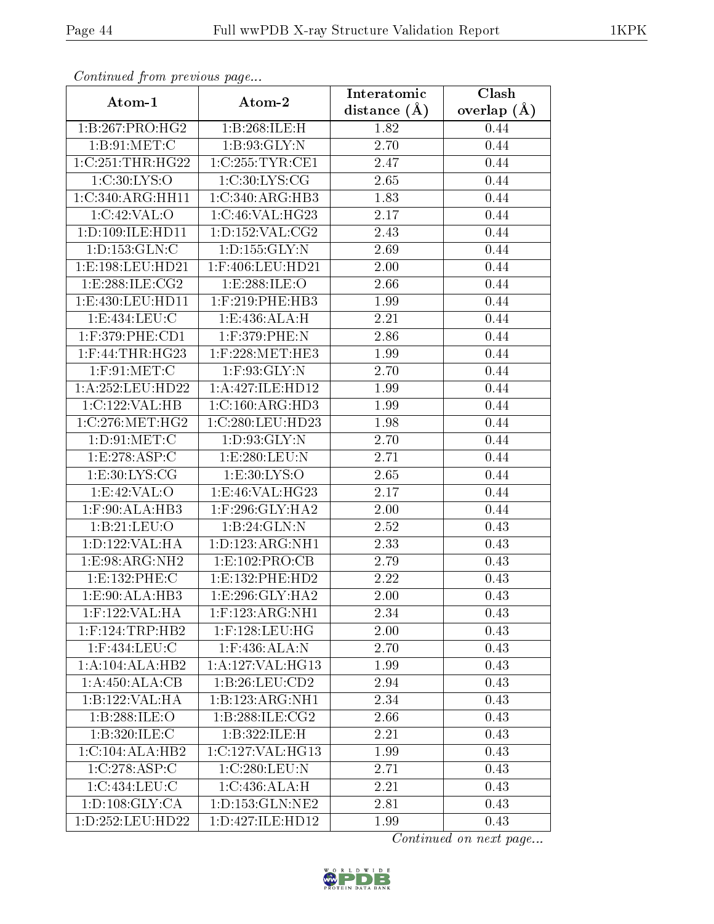| Continuatu from previous page |                     | Interatomic       | Clash         |
|-------------------------------|---------------------|-------------------|---------------|
| Atom-1                        | Atom-2              | distance $(A)$    | overlap $(A)$ |
| 1:B:267:PRO:HG2               | 1:B:268:ILE:H       | 1.82              | 0.44          |
| 1: B:91:MET:C                 | 1: B:93: GLY:N      | 2.70              | 0.44          |
| 1:C:251:THR:HG22              | 1:C:255:TYR:CE1     | 2.47              | 0.44          |
| 1:C:30:LYS:O                  | 1:C:30:LYS:CG       | 2.65              | 0.44          |
| 1:C:340:ARG:HH11              | 1:C:340:ARG:HB3     | 1.83              | 0.44          |
| 1:C:42:VAL:O                  | 1:C:46:VAL:HG23     | 2.17              | 0.44          |
| 1:D:109:ILE:HD11              | 1: D: 152: VAL: CG2 | 2.43              | 0.44          |
| 1: D: 153: GLN: C             | 1: D: 155: GLY: N   | 2.69              | 0.44          |
| 1:E:198:LEU:HD21              | 1:F:406:LEU:HD21    | $\overline{2}.00$ | 0.44          |
| 1:E:288:ILE:CG2               | 1:E:288:ILE:O       | 2.66              | 0.44          |
| 1:E:430:LEU:HD11              | $1:$ F:219:PHE:HB3  | 1.99              | 0.44          |
| 1:E:434:LEU:C                 | 1: E: 436: ALA: H   | 2.21              | 0.44          |
| $1:$ F:379:PHE:CD1            | $1:$ F:379:PHE:N    | 2.86              | 0.44          |
| $1:$ F:44:THR:HG23            | $1:$ F:228:MET:HE3  | 1.99              | 0.44          |
| $1:$ F:91:MET:C               | 1:F:93:GLY:N        | 2.70              | 0.44          |
| 1: A:252:LEU:HD22             | 1:A:427:ILE:HD12    | 1.99              | 0.44          |
| 1:C:122:VAL:HB                | 1:C:160:ARG:HD3     | 1.99              | 0.44          |
| 1:C:276:MET:HG2               | 1:C:280:LEU:HD23    | 1.98              | 0.44          |
| 1: D:91: MET:C                | 1: D: 93: GLY:N     | 2.70              | 0.44          |
| 1:E:278:ASP:C                 | 1:E:280:EEU:N       | 2.71              | 0.44          |
| 1: E: 30: LYS: CG             | 1: E:30: LYS:O      | 2.65              | 0.44          |
| 1:E:42:VAL:O                  | 1:E:46:VAL:HG23     | 2.17              | 0.44          |
| 1:F:90:ALA:HB3                | $1:$ F:296:GLY:HA2  | 2.00              | 0.44          |
| 1:B:21:LEU:O                  | 1:B:24:GLN:N        | 2.52              | 0.43          |
| 1:D:122:VAL:HA                | 1: D: 123: ARG: NH1 | 2.33              | 0.43          |
| 1:E:98:ARG:NH2                | 1:E:102:PRO:CB      | 2.79              | 0.43          |
| 1:E:132:PHE:C                 | 1: E: 132: PHE: HD2 | 2.22              | 0.43          |
| 1:E:90:ALA:HB3                | 1: E:296: GLY: HA2  | 2.00              | 0.43          |
| $1:$ F:122:VAL:HA             | $1:$ F:123:ARG:NH1  | 2.34              | 0.43          |
| $1:$ F:124:TRP:HB2            | $1:$ F:128:LEU:HG   | 2.00              | 0.43          |
| 1:F:434:LEU:C                 | $1:$ F:436:ALA:N    | 2.70              | 0.43          |
| 1:A:104:ALA:HB2               | 1:A:127:VAL:HG13    | 1.99              | 0.43          |
| 1:A:450:ALA:CB                | 1:B:26:LEU:CD2      | 2.94              | 0.43          |
| 1:B:122:VAL:HA                | 1:B:123:ARG:NH1     | 2.34              | 0.43          |
| 1:B:288:ILE:O                 | 1:B:288:ILE:CG2     | 2.66              | 0.43          |
| 1:B:320:ILE:C                 | 1:B:322:ILE:H       | 2.21              | 0.43          |
| 1:C:104:ALA:HB2               | 1:C:127:VAL:HG13    | 1.99              | 0.43          |
| 1:C:278:ASP:C                 | 1:C:280:LEU:N       | 2.71              | 0.43          |
| 1:C:434:LEU:C                 | 1: C:436:ALA:H      | 2.21              | 0.43          |
| 1: D: 108: GLY: CA            | 1: D: 153: GLN: NE2 | 2.81              | 0.43          |
| 1:D:252:LEU:HD22              | 1:D:427:ILE:HD12    | 1.99              | 0.43          |

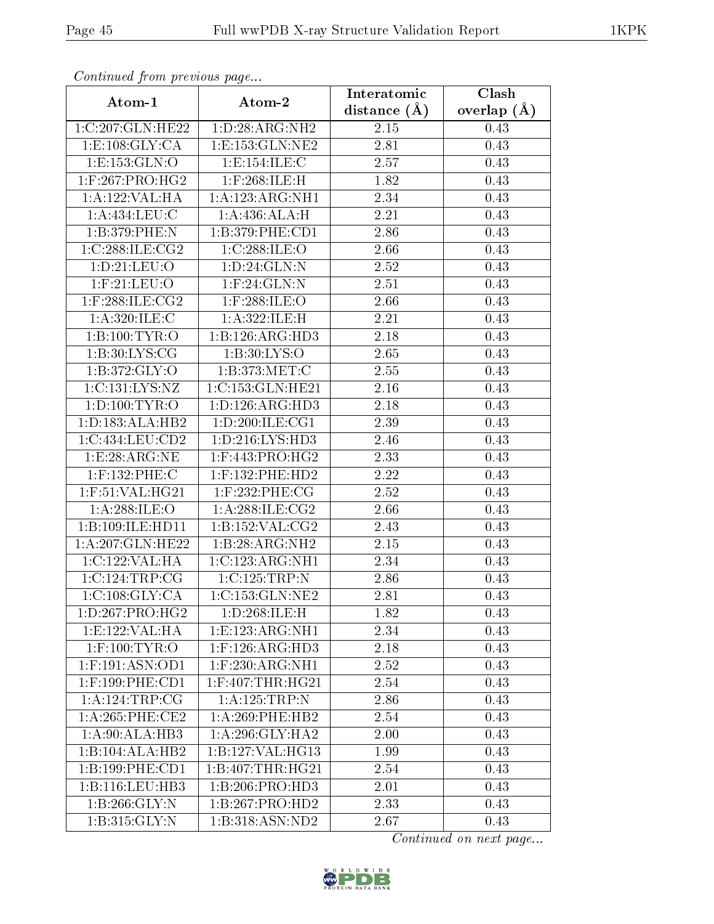| Continuea jioin pievivus page |                                     | Interatomic       | Clash         |
|-------------------------------|-------------------------------------|-------------------|---------------|
| Atom-1                        | Atom-2                              | distance $(A)$    | overlap $(A)$ |
| 1:C:207:GLN:HE22              | 1: D:28: ARG: NH2                   | 2.15              | 0.43          |
| 1:E:108:GLY:CA                | 1:E:153:GLN:NE2                     | $\overline{2.81}$ | 0.43          |
| 1: E: 153: GLN:O              | 1:E:154:ILE:C                       | 2.57              | 0.43          |
| $1:$ F:267:PRO:HG2            | $1:$ F:268:ILE:H                    | 1.82              | 0.43          |
| 1:A:122:VAL:HA                | 1:A:123:ARG:NH1                     | 2.34              | 0.43          |
| 1:A:434:LEU:C                 | 1:A:436:ALA:H                       | 2.21              | 0.43          |
| 1:B:379:PHE:N                 | 1:B:379:PHE:CD1                     | $\overline{2}.86$ | 0.43          |
| 1:C:288:ILE:CG2               | 1:C:288:ILE:O                       | 2.66              | 0.43          |
| 1: D: 21: LEU: O              | 1: D:24: GLN:N                      | $\overline{2}.52$ | 0.43          |
| $1:$ F: $21:$ LEU: $O$        | $1:$ F:24:GLN:N                     | 2.51              | 0.43          |
| $1:$ F:288:ILE:CG2            | $1:$ F:288:ILE:O                    | 2.66              | 0.43          |
| 1: A:320: ILE:C               | 1:A:322:ILE:H                       | 2.21              | 0.43          |
| 1:B:100:TYR:O                 | 1:B:126:ARG:HD3                     | 2.18              | 0.43          |
| 1: B:30: LYS: CG              | 1: B:30: LYS:O                      | 2.65              | 0.43          |
| 1: B:372: GLY:O               | 1:B:373:MET:C                       | 2.55              | 0.43          |
| 1:C:131:LYS:NZ                | 1:C:153:GLN:HE21                    | 2.16              | 0.43          |
| 1: D: 100: TYR: O             | 1: D: 126: ARG: HD3                 | 2.18              | 0.43          |
| 1: D: 183: ALA: HB2           | 1: D:200: ILE:CG1                   | 2.39              | 0.43          |
| 1:C:434:LEU:CD2               | 1:D:216:LYS:HD3                     | 2.46              | 0.43          |
| 1:E:28:ARG:NE                 | $1:$ F:443:PRO:HG2                  | 2.33              | 0.43          |
| 1:F:132:PHE:C                 | $1:$ F:132:PHE:HD2                  | 2.22              | 0.43          |
| $1:$ F:51:VAL:H $G21$         | 1:F:232:PHE:CG                      | 2.52              | 0.43          |
| 1:A:288:ILE:O                 | 1: A:288: ILE: CG2                  | 2.66              | 0.43          |
| 1:B:109:ILE:HD11              | 1: B: 152: VAL: CG2                 | 2.43              | 0.43          |
| 1:A:207:GLN:HE22              | 1:B:28:ARG:NH2                      | $2.15\,$          | 0.43          |
| 1:C:122:VAL:HA                | 1:C:123:ARG:NH1                     | 2.34              | 0.43          |
| 1:C:124:TRP:CG                | 1:C:125:TRP:N                       | 2.86              | 0.43          |
| 1:C:108:GLY:CA                | $1:C:153:GLN:\overline{\text{NE2}}$ | 2.81              | 0.43          |
| 1: D: 267: PRO:HG2            | 1:D:268:ILE:H                       | 1.82              | 0.43          |
| 1:E:122:VAL:HA                | 1: E: 123: ARG: NH1                 | 2.34              | 0.43          |
| $1:$ F:100:TYR:O              | $1:$ F:126:AR $\overline{G:HD3}$    | 2.18              | 0.43          |
| $1:$ F:191:ASN:OD1            | $1:$ F:230:ARG:NH1                  | 2.52              | 0.43          |
| $1:$ F:199:PHE:CD1            | $1:$ F:407:THR:HG21                 | 2.54              | 0.43          |
| 1:A:124:TRP:CG                | 1:A:125:TRP:N                       | 2.86              | 0.43          |
| $1: A:265:$ PHE:CE2           | $1: A:269:$ PHE:HB2                 | 2.54              | 0.43          |
| 1:A:90:ALA:HB3                | 1:A:296:GLY:HA2                     | 2.00              | 0.43          |
| 1:B:104:ALA:HB2               | 1:B:127:VAL:HG13                    | 1.99              | 0.43          |
| 1:B:199:PHE:CD1               | 1:B:407:THR:HG21                    | 2.54              | 0.43          |
| 1:B:116:LEU:HB3               | 1:B:206:PRO:HD3                     | 2.01              | 0.43          |
| 1:B:266:GLY:N                 | 1:B:267:PRO:HD2                     | 2.33              | 0.43          |
| 1:B:315:GLY:N                 | 1:B:318:ASN:ND2                     | 2.67              | 0.43          |

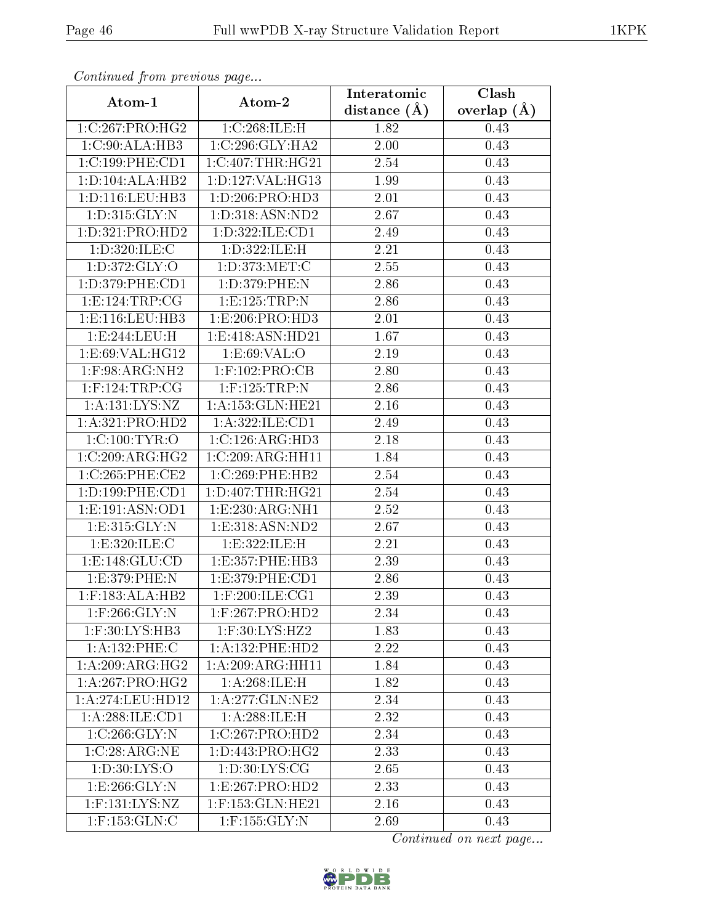| Continuati pont previous page |                          | Interatomic       | Clash           |
|-------------------------------|--------------------------|-------------------|-----------------|
| Atom-1                        | Atom-2                   | distance $(A)$    | overlap $(\AA)$ |
| 1:C:267:PRO:HG2               | 1:C:268:ILE:H            | 1.82              | 0.43            |
| 1:C:90:ALA:HB3                | 1:C:296:GLY:HA2          | 2.00              | 0.43            |
| 1:C:199:PHE:CD1               | $1:C:407$ : THR: H $G21$ | $2.54\,$          | 0.43            |
| 1: D: 104: ALA: HB2           | 1:D:127:VAL:HG13         | 1.99              | 0.43            |
| 1: D: 116: LEU: HB3           | 1: D: 206: PRO: HD3      | 2.01              | 0.43            |
| 1: D: 315: GLY: N             | 1: D: 318: ASN: ND2      | 2.67              | 0.43            |
| 1: D: 321: PRO: HD2           | 1:D:322:ILE:CD1          | 2.49              | 0.43            |
| 1:D:320:ILE:C                 | 1:D:322:ILE:H            | 2.21              | 0.43            |
| 1: D: 372: GLY: O             | 1: D: 373: MET:C         | $\overline{2}.55$ | 0.43            |
| 1: D: 379: PHE: CD1           | 1:D:379:PHE:N            | 2.86              | 0.43            |
| 1:E:124:TRP:CG                | 1: E: 125: TRP: N        | 2.86              | 0.43            |
| 1: E: 116: LEU: HB3           | 1:E:206:PRO:HD3          | 2.01              | 0.43            |
| 1:E:244:LEU:H                 | 1:E:418:ASN:HD21         | 1.67              | 0.43            |
| 1: E:69: VAL: HG12            | 1: E:69: VAL:O           | 2.19              | 0.43            |
| 1:F:98:ARG:NH2                | $1:$ F:102:PRO:CB        | 2.80              | 0.43            |
| $1:$ F:124:TRP:CG             | $1:$ F:125:TRP:N         | 2.86              | 0.43            |
| 1: A: 131: LYS: NZ            | 1:A:153:GLN:HE21         | $\overline{2}.16$ | 0.43            |
| 1:A:321:PRO:HD2               | 1:A:322:ILE:CD1          | 2.49              | 0.43            |
| 1:C:100:TYR:O                 | 1:C:126:ARG:HD3          | 2.18              | 0.43            |
| 1:C:209:ARG:HG2               | 1:C:209:ARG:HH11         | 1.84              | 0.43            |
| 1:C:265:PHE:CE2               | 1:C:269:PHE:HB2          | 2.54              | 0.43            |
| 1: D: 199: PHE: CD1           | 1: D: 407: THR: HG21     | 2.54              | 0.43            |
| 1: E: 191: ASN: OD1           | 1: E: 230: ARG: NH1      | 2.52              | 0.43            |
| 1: E: 315: GLY: N             | 1: E: 318: ASN: ND2      | 2.67              | 0.43            |
| 1:E:320:ILE:C                 | 1:E:322:ILE:H            | 2.21              | 0.43            |
| 1:E:148:GLU:CD                | 1: E: 357: PHE: HB3      | 2.39              | 0.43            |
| 1:E:379:PHE:N                 | 1:E:379:PHE:CD1          | 2.86              | 0.43            |
| $1:$ F:183:ALA:HB2            | $1:$ F:200:ILE:CG1       | 2.39              | 0.43            |
| $1:$ F:266:GLY:N              | $1:$ F:267:PRO:HD2       | 2.34              | 0.43            |
| 1:F:30:LYS:HB3                | 1:F:30:LYS:HZ2           | 1.83              | 0.43            |
| 1:A:132:PHE:C                 | $1:A:132:$ PHE:HD2       | 2.22              | 0.43            |
| 1: A:209: ARG: HG2            | 1:A:209:ARG:HH11         | 1.84              | 0.43            |
| 1: A:267:PRO:HG2              | 1:A:268:ILE:H            | 1.82              | 0.43            |
| 1:A:274:LEU:HD12              | 1: A:277: GLN:NE2        | 2.34              | 0.43            |
| 1:A:288:ILE:CD1               | 1:A:288:ILE:H            | 2.32              | 0.43            |
| 1:C:266:GLY:N                 | 1:C:267:PRO:HD2          | 2.34              | 0.43            |
| 1:C:28:ARG:NE                 | 1: D: 443: PRO:HG2       | 2.33              | 0.43            |
| 1: D:30: LYS:O                | 1: D:30: LYS: CG         | 2.65              | 0.43            |
| 1: E: 266: GLY:N              | 1:E:267:PRO:HD2          | 2.33              | 0.43            |
| 1:F:131:LYS:NZ                | 1:F:153:GLN:HE21         | 2.16              | 0.43            |
| $1:$ F:153: $GLN:C$           | $1:$ F:155: $GLY:N$      | 2.69              | 0.43            |

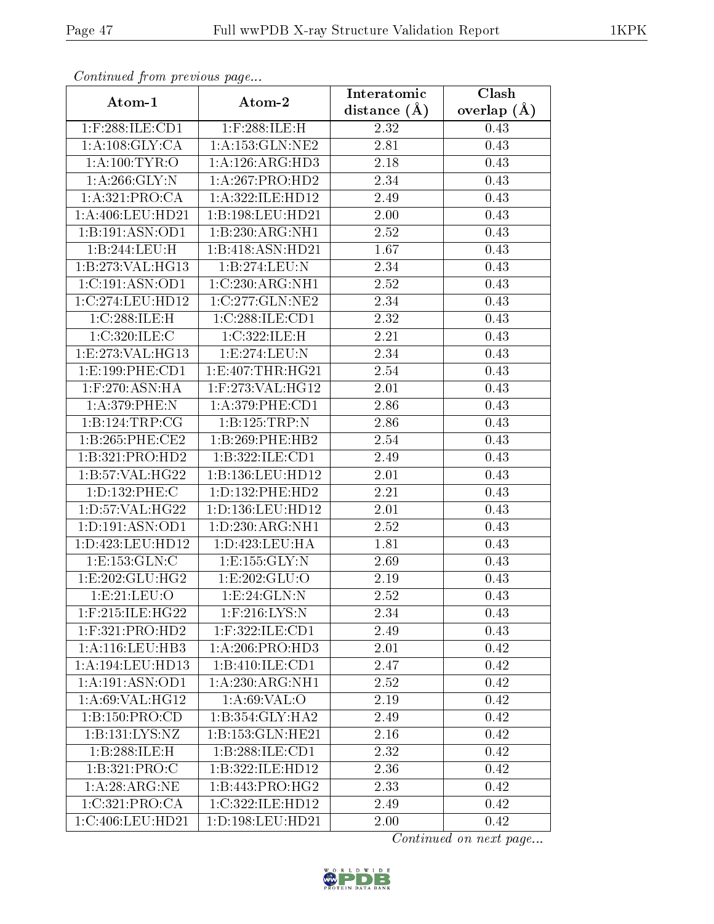| Continuati pont previous page |                                         | Interatomic      | Clash           |
|-------------------------------|-----------------------------------------|------------------|-----------------|
| Atom-1                        | Atom-2                                  | distance $(\AA)$ | overlap $(\AA)$ |
| 1:F:288:ILE:CD1               | $1:$ F:288:ILE:H                        | 2.32             | 0.43            |
| 1: A:108: GLY:CA              | 1: A: 153: GLN: NE2                     | 2.81             | 0.43            |
| 1: A: 100: TYR: O             | 1:A:126:ARG:HD3                         | 2.18             | 0.43            |
| 1:A:266:GLY:N                 | 1:A:267:PRO:HD2                         | 2.34             | 0.43            |
| 1: A:321: PRO:CA              | 1:A:322:ILE:HD12                        | 2.49             | 0.43            |
| 1:A:406:LEU:HD21              | 1:B:198:LEU:HD21                        | 2.00             | 0.43            |
| 1:B:191:ASN:OD1               | 1:B:230:ARG:NH1                         | 2.52             | 0.43            |
| 1:B:244:LEU:H                 | 1:B:418:ASN:HD21                        | 1.67             | 0.43            |
| 1:B:273:VAL:HG13              | 1:B:274:LEU:N                           | 2.34             | 0.43            |
| 1:C:191:ASN:OD1               | $1:C:230:A\overline{\mathrm{RG:NH1}}$   | 2.52             | 0.43            |
| 1:C:274:LEU:HD12              | 1:C:277:GLN:NE2                         | 2.34             | 0.43            |
| 1:C:288:ILE:H                 | 1:C:288:ILE:CD1                         | 2.32             | 0.43            |
| 1:C:320:ILE:C                 | 1:C:322:ILE:H                           | 2.21             | 0.43            |
| 1: E: 273: VAL:HG13           | 1:E:274:LEU:N                           | 2.34             | 0.43            |
| 1:E:199:PHE:CD1               | 1:E:407:THR:HG21                        | 2.54             | 0.43            |
| 1:F:270:ASN:HA                | 1:F:273:VAL:HG12                        | 2.01             | 0.43            |
| 1:A:379:PHE:N                 | 1: A:379: PHE:CD1                       | 2.86             | 0.43            |
| 1:B:124:TRP:CG                | 1:B:125:TRP:N                           | 2.86             | 0.43            |
| 1:B:265:PHE:CE2               | 1:B:269:PHE:HB2                         | 2.54             | 0.43            |
| 1:B:321:PRO:HD2               | 1:B:322:ILE:CD1                         | 2.49             | 0.43            |
| 1: B:57: VAL:HG22             | 1:B:136:LEU:HD12                        | 2.01             | 0.43            |
| 1:D:132:PHE:C                 | 1: D: 132: PHE: HD2                     | 2.21             | 0.43            |
| 1: D: 57: VAL:HG22            | 1:D:136:LEU:HD12                        | 2.01             | 0.43            |
| 1: D: 191: ASN: OD1           | 1: D: 230: ARG: NH1                     | 2.52             | 0.43            |
| 1:D:423:LEU:HD12              | 1: D: 423: LEU: HA                      | 1.81             | 0.43            |
| 1: E: 153: GLN: C             | 1: E: 155: GLY: N                       | 2.69             | 0.43            |
| 1:E:202:GLU:HG2               | 1:E:202:GLU:O                           | 2.19             | 0.43            |
| 1:E:21:EU:O                   | 1:E:24:GLN:N                            | 2.52             | 0.43            |
| $1:$ F:215:ILE:HG22           | $1:$ F:216:LYS:N                        | 2.34             | 0.43            |
| $1:$ F:321:PRO:HD2            | 1:F:322:ILE:CD1                         | 2.49             | 0.43            |
| $1: A: 116: \text{LEU:HB3}$   | 1: A:206:PRO:HD3                        | 2.01             | 0.42            |
| 1:A:194:LEU:HD13              | 1:B:410:ILE:CD1                         | 2.47             | 0.42            |
| 1:A:191:ASN:OD1               | 1:A:230:ARG:NH1                         | 2.52             | 0.42            |
| 1:A:69:VAL:HG12               | $1: A:69: \overline{VAL}:$ <sup>O</sup> | 2.19             | 0.42            |
| 1:B:150:PRO:CD                | $1:B:354:GLY:H\overline{A2}$            | 2.49             | 0.42            |
| 1:B:131:LYS:NZ                | 1:B:153:GLN:HE21                        | 2.16             | 0.42            |
| 1:B:288:ILE:H                 | 1: B: 288: ILE: CD1                     | 2.32             | 0.42            |
| 1:B:321:PRO:C                 | 1:B:322:ILE:HD12                        | 2.36             | 0.42            |
| 1: A:28: ARG:NE               | 1:B:443:PRO:HG2                         | 2.33             | 0.42            |
| 1:C:321:PRO:CA                | 1:C:322:ILE:HD12                        | 2.49             | 0.42            |
| 1:C:406:LEU:HD21              | 1:D:198:LEU:HD21                        | 2.00             | 0.42            |

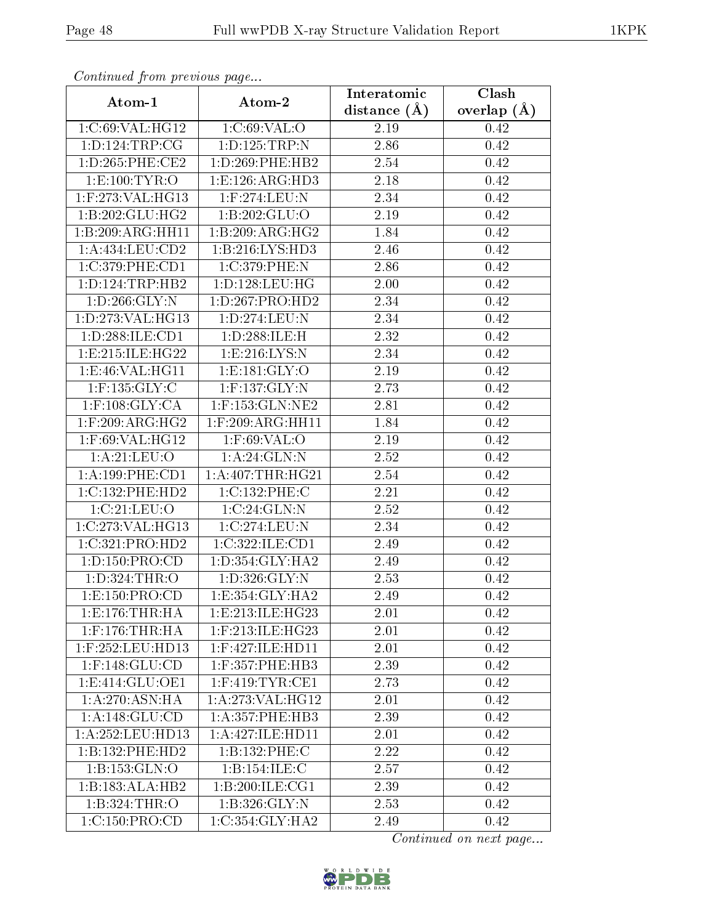| сонинией јтот ртеvиоиз раде |                       | Interatomic    | Clash           |
|-----------------------------|-----------------------|----------------|-----------------|
| Atom-1                      | Atom-2                | distance $(A)$ | overlap $(\AA)$ |
| 1:C:69:VAL:HG12             | 1:C:69:VAL:O          | 2.19           | 0.42            |
| 1: D: 124: TRP: CG          | 1:D:125:TRP:N         | 2.86           | 0.42            |
| 1: D: 265: PHE: CE2         | 1: D:269: PHE:HB2     | 2.54           | 0.42            |
| 1:E:100:TYR:O               | 1:E:126:ARG:HD3       | 2.18           | 0.42            |
| $1:$ F:273:VAL:HG13         | $1:$ F:274:LEU:N      | 2.34           | 0.42            |
| 1:B:202:GLU:HG2             | 1:B:202:GLU:O         | 2.19           | 0.42            |
| 1:B:209:ARG:HH11            | 1:B:209:ARG:HG2       | 1.84           | 0.42            |
| 1: A: 434: LEU: CD2         | 1:B:216:LYS:HD3       | 2.46           | 0.42            |
| 1:C:379:PHE:CD1             | 1:C:379:PHE:N         | 2.86           | 0.42            |
| 1: D: 124: TRP: HB2         | 1: D: 128: LEU: HG    | 2.00           | 0.42            |
| 1: D:266: GLY:N             | 1: D: 267: PRO: HD2   | 2.34           | 0.42            |
| 1: D: 273: VAL: HG13        | 1:D:274:LEU:N         | 2.34           | 0.42            |
| 1:D:288:ILE:CD1             | 1:D:288:ILE:H         | 2.32           | 0.42            |
| 1: E: 215: ILE: HG22        | 1: E:216: LYS:N       | 2.34           | 0.42            |
| 1:E:46:VAL:HG11             | 1: E: 181: GLY: O     | 2.19           | 0.42            |
| $1:$ F:135:GLY:C            | $1:$ F:137:GLY:N      | 2.73           | 0.42            |
| $1:$ F:108:GLY:CA           | $1:$ F:153: $GLN:NE2$ | 2.81           | 0.42            |
| $1:$ F:209:ARG:HG2          | $1:$ F:209:ARG:HH11   | 1.84           | 0.42            |
| 1:F:69:VAL:HG12             | $1:$ F:69:VAL:O       | 2.19           | 0.42            |
| 1: A:21:LEV:O               | 1: A:24: GLN:N        | 2.52           | 0.42            |
| 1: A: 199: PHE: CD1         | 1: A:407:THR:HG21     | 2.54           | 0.42            |
| 1:C:132:PHE:HD2             | 1:C:132:PHE:C         | 2.21           | 0.42            |
| 1:C:21:LEU:O                | 1:C:24:GLN:N          | 2.52           | 0.42            |
| 1:C:273:VAL:HG13            | 1:C:274:LEU:N         | 2.34           | 0.42            |
| 1:C:321:PRO:HD2             | 1:C:322:ILE:CD1       | 2.49           | 0.42            |
| 1:D:150:PRO:CD              | 1: D: 354: GLY: HA2   | 2.49           | 0.42            |
| 1:D:324:THR:O               | 1: D: 326: GLY: N     | 2.53           | 0.42            |
| 1:E:150:PRO:CD              | 1:E:354:GLY:HA2       | $2.49\,$       | 0.42            |
| 1: E: 176: THR: HA          | 1:E:213:ILE:HG23      | 2.01           | 0.42            |
| $1:$ F:176:THR:HA           | $1:$ F:213:ILE:HG23   | 2.01           | 0.42            |
| $1:$ F:252:LEU:HD13         | $1:$ F:427:ILE:HD11   | 2.01           | 0.42            |
| $1:$ F:148:GLU:CD           | $1:$ F:357:PHE:HB3    | 2.39           | 0.42            |
| 1: E: 414: GLU: OE1         | $1:$ F:419:TYR:CE1    | 2.73           | 0.42            |
| 1:A:270:ASN:HA              | 1: A:273: VAL:HG12    | 2.01           | 0.42            |
| 1: A:148: GLU:CD            | 1: A: 357: PHE: HB3   | 2.39           | 0.42            |
| 1:A:252:LEU:HD13            | 1:A:427:ILE:HD11      | 2.01           | 0.42            |
| 1:B:132:PHE:HD2             | 1:B:132:PHE:C         | 2.22           | 0.42            |
| 1:B:153:GLN:O               | 1:B:154:ILE:C         | 2.57           | 0.42            |
| 1:B:183:ALA:HB2             | 1:B:200:ILE:CG1       | 2.39           | 0.42            |
| 1:B:324:THR:O               | 1: B:326: GLY:N       | 2.53           | 0.42            |
| 1:C:150:PRO:CD              | 1:C:354:GLY:HA2       | 2.49           | 0.42            |

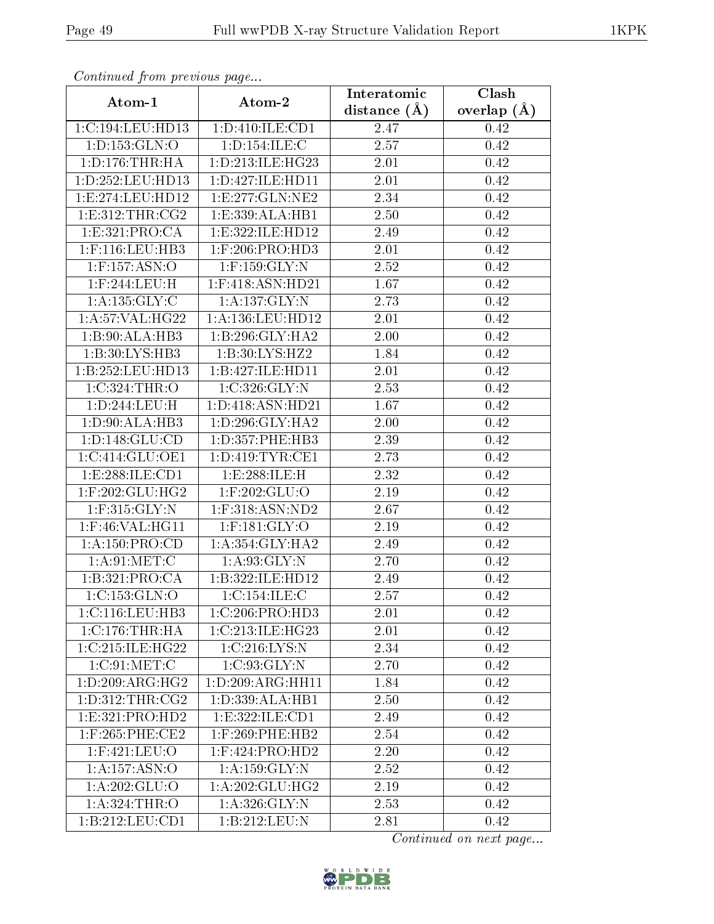| Communica from precious page |                                       | Interatomic       | Clash           |  |  |
|------------------------------|---------------------------------------|-------------------|-----------------|--|--|
| Atom-1                       | Atom-2                                | distance $(A)$    | overlap $(\AA)$ |  |  |
| 1:C:194:LEU:HD13             | 1:D:410:ILE:CD1                       | 2.47              | 0.42            |  |  |
| 1: D: 153: GLN: O            | 1: D: 154: ILE:C                      | 2.57              | 0.42            |  |  |
| 1: D: 176: THR: HA           | 1: D: 213: ILE: HG23                  | 2.01              | 0.42            |  |  |
| 1:D:252:LEU:HD13             | 1:D:427:ILE:HD11                      | 2.01              | 0.42            |  |  |
| 1: E: 274: LEU: HD12         | 1: E: 277: GLN: NE2                   | 2.34              | 0.42            |  |  |
| 1: E: 312: THR: CG2          | 1:E:339:ALA:HB1                       | 2.50              | 0.42            |  |  |
| 1: E: 321: PRO:CA            | 1:E:322:ILE:HD12                      | $\overline{2}.49$ | 0.42            |  |  |
| $1:$ F:116:LEU:HB3           | $1:$ F:206:PRO:HD3                    | 2.01              | 0.42            |  |  |
| $1:$ F:157:ASN:O             | $1:$ F:159:GLY:N                      | 2.52              | 0.42            |  |  |
| $1:$ F:244:LEU:H             | 1:F:418:ASN:HD21                      | 1.67              | 0.42            |  |  |
| 1: A: 135: GLY: C            | 1:A:137:GLY:N                         | 2.73              | 0.42            |  |  |
| 1: A:57: VAL:HG22            | 1:A:136:LEU:HD12                      | 2.01              | 0.42            |  |  |
| 1:B:90:ALA:HB3               | 1:B:296:GLY:HA2                       | 2.00              | 0.42            |  |  |
| 1:B:30:LYS:HB3               | 1:B:30:LYS:HZ2                        | 1.84              | 0.42            |  |  |
| 1:B:252:LEU:HD13             | 1:B:427:ILE:HD11                      | 2.01              | 0.42            |  |  |
| 1:C:324:THR:O                | 1:C:326:GLY:N                         | 2.53              | 0.42            |  |  |
| 1:D:244:LEU:H                | 1:D:418:ASN:HD21                      | 1.67              | 0.42            |  |  |
| 1: D: 90: ALA: HB3           | 1: D:296: GLY:HA2                     | 2.00              | 0.42            |  |  |
| 1: D: 148: GLU: CD           | 1:D:357:PHE:HB3                       | 2.39              | 0.42            |  |  |
| 1:C:414:GLU:OE1              | 1: D: 419: TYR: CE1                   | 2.73              | 0.42            |  |  |
| 1:E:288:ILE:CD1              | 1: E: 288: ILE:H                      | $\overline{2.32}$ | 0.42            |  |  |
| $1:$ F:202:GLU:HG2           | $1:$ F:202: $\overline{\text{GLU:O}}$ | 2.19              | 0.42            |  |  |
| $1:$ F:315: $GLY:N$          | $1:$ F:318:ASN:ND2                    | 2.67              | 0.42            |  |  |
| $1:$ F:46:VAL:HG11           | $1:$ F:181:GLY:O                      | 2.19              | 0.42            |  |  |
| 1: A: 150: PRO:CD            | 1: A:354: GLY:HA2                     | 2.49              | 0.42            |  |  |
| 1: A:91: MET:C               | 1: A:93: GLY:N                        | 2.70              | 0.42            |  |  |
| 1:B:321:PRO:CA               | 1:B:322:ILE:HD12                      | 2.49              | 0.42            |  |  |
| 1:C:153:GLN:O                | 1:C:154:ILE:C                         | 2.57              | 0.42            |  |  |
| 1:C:116:LEU:HB3              | 1:C:206:PRO:HD3                       | 2.01              | 0.42            |  |  |
| 1:C:176:THR:HA               | 1:C:213:ILE:HG23                      | 2.01              | 0.42            |  |  |
| 1:C:215:ILE:HG22             | 1:C:216:LYS:N                         | 2.34              | 0.42            |  |  |
| 1:C:91:MET:C                 | 1:C:93:GLY:N                          | 2.70              | 0.42            |  |  |
| 1: D:209: ARG: HG2           | 1: D: 209: ARG: HH11                  | 1.84              | 0.42            |  |  |
| 1: D:312: THR:CG2            | 1:D:339:ALA:HB1                       | 2.50              | 0.42            |  |  |
| 1: E: 321: PRO: HD2          | 1:E:322:ILE:CD1                       | 2.49              | 0.42            |  |  |
| $1:$ F:265:PHE:CE2           | $1:$ F:269:PHE:HB2                    | 2.54              | 0.42            |  |  |
| $1:$ F:421:LEU:O             | $1:$ F:424:PRO:HD2                    | 2.20              | 0.42            |  |  |
| 1:A:157:ASN:O                | 1:A:159:GLY:N                         | 2.52              | 0.42            |  |  |
| 1: A:202: GLU:O              | 1: A:202: GLU:HG2                     | 2.19              | 0.42            |  |  |
| 1: A:324:THR:O               | 1:A:326:GLY:N                         | 2.53              | 0.42            |  |  |
| 1: B: 212: LEU: CD1          | 1:B:212:LEU:N                         | 2.81              | 0.42            |  |  |

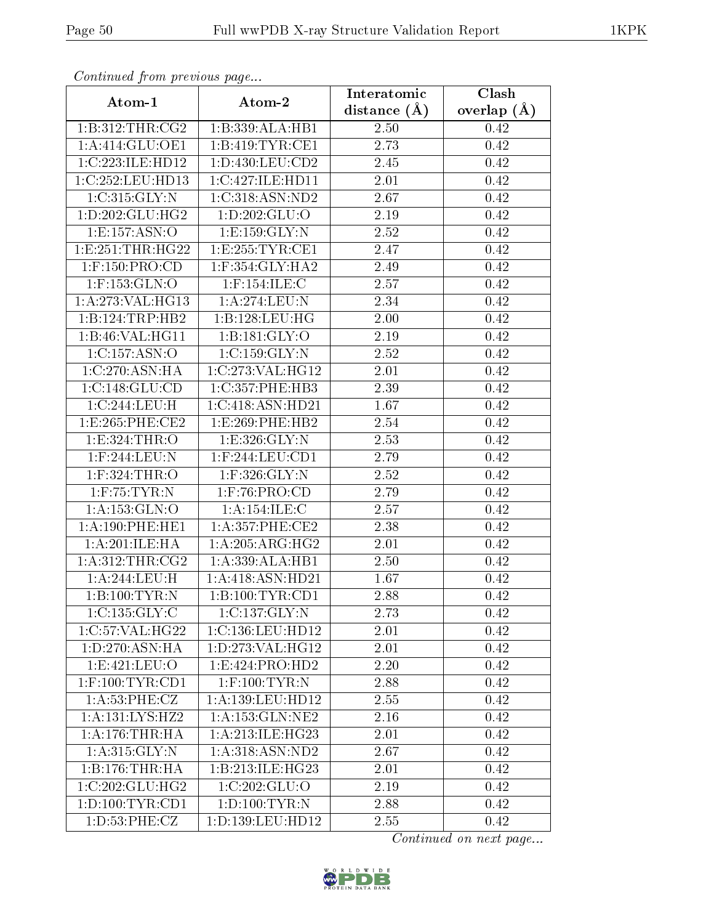| Communa from previous page    |                                         | Interatomic       | Clash           |  |  |
|-------------------------------|-----------------------------------------|-------------------|-----------------|--|--|
| Atom-1                        | Atom-2                                  | distance $(A)$    | overlap $(\AA)$ |  |  |
| $1:B:312:THR: \overline{CG2}$ | 1:B:339:ALA:HB1                         | 2.50              | 0.42            |  |  |
| 1:A:414:GLU:OE1               | 1:B:419:TYR:CE1                         | 2.73              | 0.42            |  |  |
| 1:C:223:ILE:HD12              | 1: D: 430: LEU: CD2                     | $2.45\,$          | 0.42            |  |  |
| 1:C:252:LEU:HD13              | 1:C:427:ILE:HD11                        | 2.01              | 0.42            |  |  |
| 1:C:315:GLY:N                 | 1:C:318:ASN:ND2                         | 2.67              | 0.42            |  |  |
| 1: D: 202: GLU: HG2           | 1:D:202:GLU:O                           | 2.19              | 0.42            |  |  |
| 1:E:157:ASN:O                 | 1: E: 159: GLY:N                        | 2.52              | 0.42            |  |  |
| 1: E: 251: THR: HG22          | 1:E:255:TYR:CE1                         | 2.47              | 0.42            |  |  |
| $1:$ F:150:PRO:CD             | $1:$ F:354:GLY:HA2                      | 2.49              | 0.42            |  |  |
| $1:$ F:153: $GLN:$ O          | $1:$ F:154:ILE:C                        | 2.57              | 0.42            |  |  |
| 1:A:273:VAL:HG13              | 1:A:274:LEU:N                           | 2.34              | 0.42            |  |  |
| 1:B:124:TRP:HB2               | 1: B: 128: LEU: HG                      | 2.00              | 0.42            |  |  |
| 1:B:46:VAL:HG11               | 1: B: 181: GLY:O                        | 2.19              | 0.42            |  |  |
| 1:C:157:ASN:O                 | 1:C:159:GLY:N                           | 2.52              | 0.42            |  |  |
| 1:C:270:ASN:HA                | 1:C:273:VAL:HG12                        | 2.01              | 0.42            |  |  |
| 1:C:148:GLU:CD                | 1:C:357:PHE:HB3                         | 2.39              | 0.42            |  |  |
| 1:C:244:LEU:H                 | 1:C:418:ASN:HD21                        | 1.67              | 0.42            |  |  |
| 1: E: 265: PHE: CE2           | 1: E: 269: PHE: HB2                     | 2.54              | 0.42            |  |  |
| 1:E:324:THR:O                 | 1:E:326:GLY:N                           | 2.53              | 0.42            |  |  |
| $1:$ F:244:LEU:N              | $1:$ F:244:LEU:CD1                      | 2.79              | 0.42            |  |  |
| 1:F:324:THR:O                 | 1:F:326:GLY:N                           | 2.52              | 0.42            |  |  |
| $1:$ F:75:TYR:N               | $1:$ F:76:PRO:CD                        | 2.79              | 0.42            |  |  |
| 1:A:153:GLN:O                 | 1: A:154: ILE:C                         | 2.57              | 0.42            |  |  |
| 1:A:190:PHE:HE1               | $1: A:357:$ PHE:CE2                     | $\overline{2}.38$ | 0.42            |  |  |
| 1:A:201:ILE:HA                | 1: A:205: ARG: HG2                      | 2.01              | 0.42            |  |  |
| 1:A:312:THR:CG2               | 1: A: 339: ALA: HB1                     | 2.50              | 0.42            |  |  |
| 1:A:244:LEU:H                 | 1:A:418:ASN:HD21                        | 1.67              | 0.42            |  |  |
| 1:B:100:TYR:N                 | 1:B:100:TYR:CD1                         | 2.88              | 0.42            |  |  |
| 1:C:135:GLY:C                 | 1:C:137:GLY:N                           | 2.73              | 0.42            |  |  |
| 1:C:57:VAL:HG22               | 1:C:136:LEU:HD12                        | 2.01              | 0.42            |  |  |
| 1: D: 270: ASN: HA            | $1:D:273:V\overline{AL:HG12}$           | 2.01              | 0.42            |  |  |
| 1:E:421:LEU:O                 | 1: E: 424: PRO: HD2                     | 2.20              | 0.42            |  |  |
| $1:$ F:100:TYR:CD1            | $1:$ F:100:TYR:N                        | 2.88              | 0.42            |  |  |
| 1: A:53:PHE: CZ               | 1:A:139:LEU:HD12                        | 2.55              | 0.42            |  |  |
| 1: A: 131: LYS: HZ2           | $1: A: 153: GLN: \overline{\text{NE2}}$ | 2.16              | 0.42            |  |  |
| 1: A:176:THR:HA               | 1:A:213:ILE:HG23                        | 2.01              | 0.42            |  |  |
| 1: A:315: GLY:N               | 1: A:318: ASN:ND2                       | 2.67              | 0.42            |  |  |
| 1:B:176:THR:HA                | 1:B:213:ILE:HG23                        | 2.01              | 0.42            |  |  |
| 1:C:202:GLU:HG2               | 1:C:202:GLU:O                           | 2.19              | 0.42            |  |  |
| 1: D: 100: TYR: CD1           | 1: D: 100: TYR: N                       | 2.88              | 0.42            |  |  |
| 1: D: 53: PHE: CZ             | 1:D:139:LEU:HD12                        | 2.55              | 0.42            |  |  |

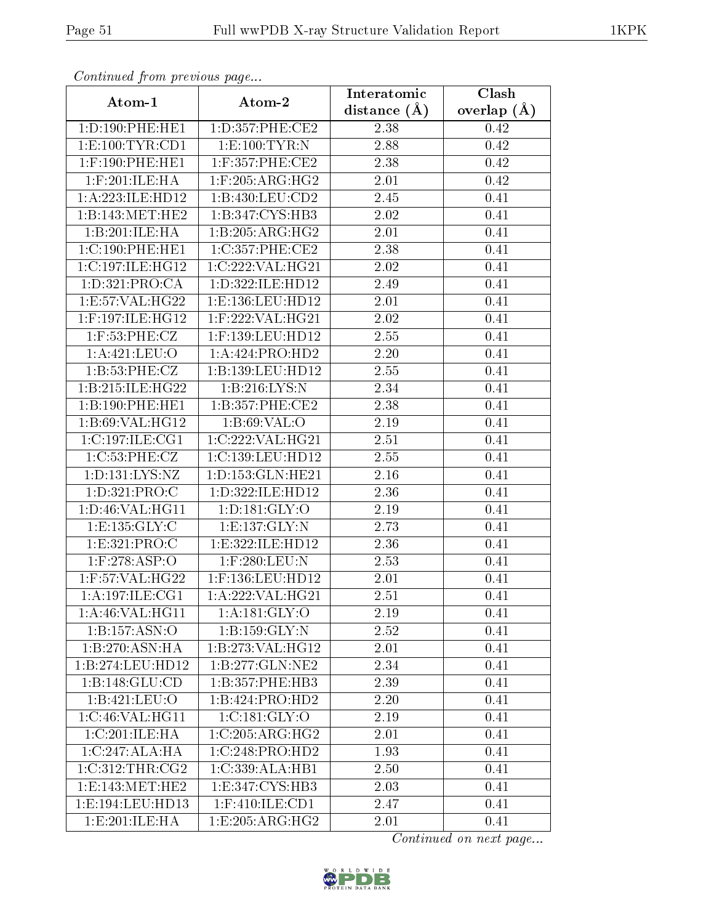| Commuca from previous page  |                                              | Interatomic       | Clash         |  |  |
|-----------------------------|----------------------------------------------|-------------------|---------------|--|--|
| Atom-1                      | Atom-2                                       | distance $(A)$    | overlap $(A)$ |  |  |
| 1:D:190:PHE:HE1             | 1:D:357:PHE:CE2                              | 2.38              | 0.42          |  |  |
| 1: E: 100: TYR: CD1         | 1: E: 100: TYR: N                            | 2.88              | 0.42          |  |  |
| $1:$ F:190:PHE:HE1          | $1:$ F:357:PHE:CE2                           | 2.38              | 0.42          |  |  |
| $1:$ F:201:ILE:HA           | $1:$ F:205:ARG:HG2                           | 2.01              | 0.42          |  |  |
| 1:A:223:ILE:HD12            | 1:B:430:LEU:CD2                              | $\overline{2.45}$ | 0.41          |  |  |
| 1:B:143:MET:HE2             | 1:B:347:CYS:HB3                              | 2.02              | 0.41          |  |  |
| 1:B:201:ILE:HA              | 1:B:205:ARG:HG2                              | 2.01              | 0.41          |  |  |
| 1:C:190:PHE:HE1             | 1:C:357:PHE:CE2                              | 2.38              | 0.41          |  |  |
| 1:C:197:ILE:HG12            | 1:C:222:VAL:HG21                             | 2.02              | 0.41          |  |  |
| 1:D:321:PRO:CA              | 1:D:322:ILE:HD12                             | 2.49              | 0.41          |  |  |
| 1:E:57:VAL:HG22             | 1:E:136:LEU:HD12                             | 2.01              | 0.41          |  |  |
| 1:F:197:ILE:HG12            | $1:$ F:222:VAL:HG21                          | 2.02              | 0.41          |  |  |
| $1:$ F:53:PHE:CZ            | 1:F:139:LEU:HD12                             | 2.55              | 0.41          |  |  |
| 1:A:421:LEU:O               | 1:A:424:PRO:HD2                              | 2.20              | 0.41          |  |  |
| 1:B:53:PHE:CZ               | 1:B:139:LEU:HD12                             | 2.55              | 0.41          |  |  |
| 1:B:215:ILE:HG22            | 1:B:216:LYS:N                                | 2.34              | 0.41          |  |  |
| 1:B:190:PHE:HE1             | 1:B:357:PHE:CE2                              | 2.38              | 0.41          |  |  |
| 1: B:69: VAL:HG12           | 1: B:69: VAL:O                               | 2.19              | 0.41          |  |  |
| 1:C:197:ILE:CG1             | 1:C:222:VAL:HG21                             | 2.51              | 0.41          |  |  |
| 1: C:53: PHE: CZ            | 1:C:139:LEU:HD12                             | 2.55              | 0.41          |  |  |
| 1:D:131:LYS:NZ              | 1: D: 153: GLN: HE21                         | 2.16              | 0.41          |  |  |
| 1:D:321:PRO:C               | 1:D:322:ILE:HD12                             | 2.36              | 0.41          |  |  |
| 1:D:46:VAL:HG11             | 1: D: 181: GLY: O                            | 2.19              | 0.41          |  |  |
| 1: E: 135: GLY: C           | 1: E: 137: GLY: N                            | $\overline{2}.73$ | 0.41          |  |  |
| 1:E:321:PRO:C               | 1:E:322:ILE:HD12                             | 2.36              | 0.41          |  |  |
| $1:$ F:278:ASP:O            | 1:F:280:LEU:N                                | 2.53              | 0.41          |  |  |
| $1:$ F:57:VAL:H $G22$       | 1:F:136:LEU:HD12                             | 2.01              | 0.41          |  |  |
| 1: A:197: ILE: CG1          | 1: A:222: VAL: HG21                          | 2.51              | 0.41          |  |  |
| 1: A:46: VAL:HGI1           | 1:A:181:GLY:O                                | 2.19              | 0.41          |  |  |
| 1:B:157:ASN:O               | 1:B:159:GLY:N                                | 2.52              | 0.41          |  |  |
| 1:B:270:ASN:HA              | 1:B:273:VAL:HG12                             | 2.01              | 0.41          |  |  |
| 1:B:274:LEU:HD12            | 1:B:277:GLN:NE2                              | 2.34              | 0.41          |  |  |
| 1:B:148:GLU:CD              | 1:B:357:PHE:HB3                              | 2.39              | 0.41          |  |  |
| 1:B:421:LEU:O               | 1:B:424:PRO:HD2                              | 2.20              | 0.41          |  |  |
| 1:C:46:VAL:HG11             | 1:C:181:GLY:O                                | 2.19              | 0.41          |  |  |
| 1:C:201:ILE:HA              | $1:C:205: \overline{\text{ARG}: \text{HG2}}$ | 2.01              | 0.41          |  |  |
| $1:C:247:ALA:\overline{HA}$ | 1:C:248:PRO:HD2                              | 1.93              | 0.41          |  |  |
| 1:C:312:THR:CG2             | 1:C:339:ALA:HB1                              | 2.50              | 0.41          |  |  |
| 1:E:143:MET:HE2             | 1:E:347:CYS:HB3                              | 2.03              | 0.41          |  |  |
| 1:E:194:LEU:HD13            | 1:F:410:ILE:CD1                              | 2.47              | 0.41          |  |  |
| 1: E:201: ILE: HA           | 1:E:205:ARG:HG2                              | 2.01              | 0.41          |  |  |

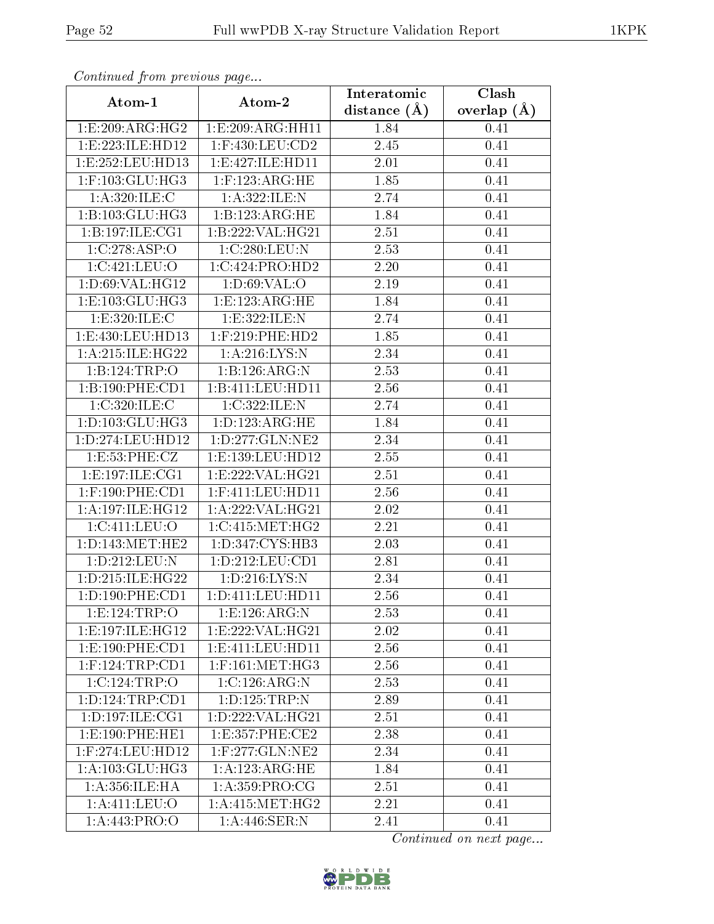| Commuca from previous page |                      | Interatomic       | Clash           |  |  |
|----------------------------|----------------------|-------------------|-----------------|--|--|
| Atom-1                     | Atom-2               | distance $(A)$    | overlap $(\AA)$ |  |  |
| 1:E:209:ARG:HG2            | 1:E:209:ARG:HH11     | 1.84              | 0.41            |  |  |
| 1:E:223:ILE:HD12           | 1:F:430:LEU:CD2      | 2.45              | 0.41            |  |  |
| 1:E:252:LEU:HD13           | 1: E:427: ILE: HD11  | 2.01              | 0.41            |  |  |
| $1:$ F:103:GLU:HG3         | $1:$ F:123:ARG:HE    | 1.85              | 0.41            |  |  |
| 1:A:320:ILE:C              | 1:A:322:ILE:N        | 2.74              | 0.41            |  |  |
| 1:B:103:GLU:HG3            | 1: B: 123: ARG: HE   | 1.84              | 0.41            |  |  |
| 1: B: 197: ILE: CG1        | 1:B:222:VAL:HG21     | 2.51              | 0.41            |  |  |
| 1:C:278:ASP:O              | 1:C:280:LEU:N        | 2.53              | 0.41            |  |  |
| 1:C:421:LEU:O              | 1:C:424:PRO:HD2      | 2.20              | 0.41            |  |  |
| 1:D:69:VAL:HG12            | 1: D:69:VAL:O        | 2.19              | 0.41            |  |  |
| 1:E:103:GLU:HG3            | 1:E:123:ARG:HE       | 1.84              | 0.41            |  |  |
| 1:E:320:ILE:C              | 1:E:322:ILE:N        | 2.74              | 0.41            |  |  |
| 1:E:430:LEU:HD13           | $1:$ F:219:PHE:HD2   | 1.85              | 0.41            |  |  |
| 1: A:215: ILE: HG22        | 1: A:216: LYS:N      | 2.34              | 0.41            |  |  |
| 1:B:124:TRP:O              | 1:B:126:ARG:N        | 2.53              | 0.41            |  |  |
| 1:B:190:PHE:CD1            | 1:B:411:LEU:HD11     | 2.56              | 0.41            |  |  |
| 1:C:320:ILE:C              | 1:C:322:ILE:N        | 2.74              | 0.41            |  |  |
| 1: D: 103: GLU: HG3        | 1: D: 123: ARG: HE   | 1.84              | 0.41            |  |  |
| 1:D:274:LEU:HD12           | 1:D:277:GLN:NE2      | 2.34              | 0.41            |  |  |
| 1: E: 53: PHE: CZ          | 1:E:139:LEU:HD12     | 2.55              | 0.41            |  |  |
| 1:E:197:ILE:CG1            | 1:E:222:VAL:HG21     | 2.51              | 0.41            |  |  |
| $1:$ F:190:PHE:CD1         | $1:$ F:411:LEU:HD11  | 2.56              | 0.41            |  |  |
| 1: A:197: ILE: HG12        | 1:A:222:VAL:HG21     | 2.02              | 0.41            |  |  |
| 1:C:411:LEU:O              | 1:C:415:MET:HG2      | 2.21              | 0.41            |  |  |
| 1: D: 143: MET: HE2        | 1: D: 347: CYS: HB3  | 2.03              | 0.41            |  |  |
| 1:D:212:LEU:N              | 1: D: 212: LEU: CD1  | $\overline{2}.81$ | 0.41            |  |  |
| 1: D: 215: ILE: HG22       | 1: D: 216: LYS: N    | 2.34              | 0.41            |  |  |
| 1: D: 190: PHE: CD1        | 1: D: 411: LEU: HD11 | 2.56              | 0.41            |  |  |
| 1: E: 124: TRP:O           | 1:E:126:ARG:N        | 2.53              | 0.41            |  |  |
| 1:E:197:ILE:HG12           | 1:E:222:VAL:HG21     | 2.02              | 0.41            |  |  |
| 1: E: 190: PHE: CD1        | 1: E: 411: LEU: HD11 | 2.56              | 0.41            |  |  |
| $1:$ F:124:TRP:CD1         | $1:$ F:161:MET:HG3   | 2.56              | 0.41            |  |  |
| 1:C:124:TRP:O              | 1:C:126:ARG:N        | 2.53              | 0.41            |  |  |
| 1: D: 124: TRP: CD1        | 1:D:125:TRP:N        | 2.89              | 0.41            |  |  |
| 1: D: 197: ILE: CG1        | 1: D: 222: VAL: HG21 | 2.51              | 0.41            |  |  |
| 1:E:190:PHE:HE1            | 1: E: 357: PHE: CE2  | 2.38              | 0.41            |  |  |
| 1:F:274:LEU:HD12           | $1:$ F:277:GLN:NE2   | 2.34              | 0.41            |  |  |
| 1: A: 103: GLU: HG3        | 1:A:123:ARG:HE       | 1.84              | 0.41            |  |  |
| 1: A: 356: ILE: HA         | 1: A:359: PRO:CG     | 2.51              | 0.41            |  |  |
| 1:A:411:LEU:O              | 1: A: 415: MET: HG2  | 2.21              | 0.41            |  |  |
| 1:A:443:PRO:O              | 1:A:446:SER:N        | 2.41              | 0.41            |  |  |

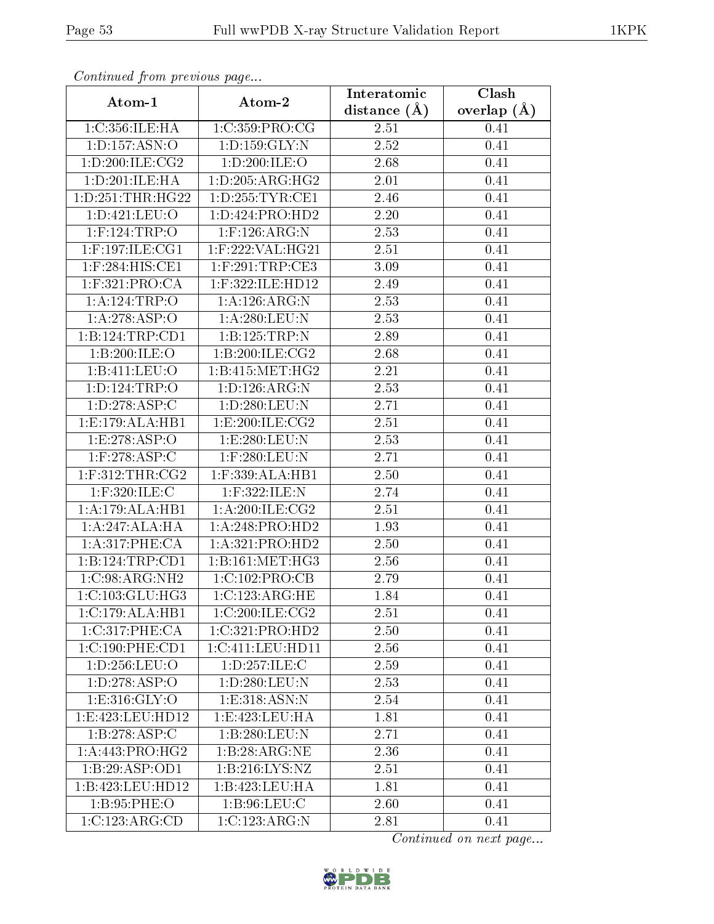| Communaca from previous page |                     | Interatomic       | Clash           |  |  |
|------------------------------|---------------------|-------------------|-----------------|--|--|
| Atom-1                       | Atom-2              | distance $(A)$    | overlap $(\AA)$ |  |  |
| 1:C:356:ILE:HA               | 1:C:359:PRO:CG      | 2.51              | 0.41            |  |  |
| 1:D:157:ASN:O                | 1: D: 159: GLY: N   | $\overline{2.52}$ | 0.41            |  |  |
| 1: D:200: ILE: CG2           | 1:D:200:ILE:O       | $2.68\,$          | 0.41            |  |  |
| 1:D:201:ILE:HA               | 1: D: 205: ARG: HG2 | 2.01              | 0.41            |  |  |
| 1:D:251:THR:HG22             | 1: D: 255: TYR: CE1 | 2.46              | 0.41            |  |  |
| 1:D:421:LEU:O                | 1:D:424:PRO:HD2     | 2.20              | 0.41            |  |  |
| $1:$ F:124:TRP:O             | $1:$ F:126:ARG:N    | 2.53              | 0.41            |  |  |
| $1:$ F:197:ILE:CG1           | $1:$ F:222:VAL:HG21 | 2.51              | 0.41            |  |  |
| 1:F:284:HIS:CE1              | $1:$ F:291:TRP:CE3  | 3.09              | 0.41            |  |  |
| $1:$ F:321:PRO:CA            | 1:F:322:ILE:HD12    | 2.49              | 0.41            |  |  |
| 1:A:124:TRP:O                | 1:A:126:ARG:N       | 2.53              | 0.41            |  |  |
| 1:A:278:ASP:O                | 1: A:280:LEU:N      | 2.53              | 0.41            |  |  |
| 1:B:124:TRP:CD1              | 1:B:125:TRP:N       | 2.89              | 0.41            |  |  |
| 1:B:200:ILE:O                | 1: B:200: ILE: CG2  | 2.68              | 0.41            |  |  |
| 1:Bi:411:LEU:O               | 1: B: 415: MET:HG2  | 2.21              | 0.41            |  |  |
| 1: D: 124: TRP:O             | 1: D: 126: ARG: N   | 2.53              | 0.41            |  |  |
| 1:D:278:ASP:C                | 1:D:280:LEU:N       | 2.71              | 0.41            |  |  |
| 1:E:179:ALA:HB1              | 1: E:200: ILE: CG2  | 2.51              | 0.41            |  |  |
| 1:E:278:ASP:O                | 1:E:280:LEU:N       | 2.53              | 0.41            |  |  |
| $1:$ F:278:ASP:C             | $1:$ F:280:LEU:N    | 2.71              | 0.41            |  |  |
| $1:$ F:312:THR:CG2           | 1:F:339:ALA:HB1     | 2.50              | 0.41            |  |  |
| $1:$ F:320:ILE:C             | 1:F:322:ILE:N       | 2.74              | 0.41            |  |  |
| 1:A:179:ALA:HB1              | 1: A:200: ILE: CG2  | <b>2.51</b>       | 0.41            |  |  |
| 1:A:247:ALA:HA               | 1:A:248:PRO:HD2     | 1.93              | 0.41            |  |  |
| 1:A:317:PHE:CA               | 1:A:321:PRO:HD2     | 2.50              | 0.41            |  |  |
| 1:B:124:TRP:CD1              | 1:B:161:MET:HG3     | 2.56              | 0.41            |  |  |
| $1:C:98:ARG:N\overline{H2}$  | 1:C:102:PRO:CB      | 2.79              | 0.41            |  |  |
| 1:C:103:GLU:HG3              | 1:C:123:ARG:HE      | 1.84              | 0.41            |  |  |
| 1:C:179:ALA:HB1              | 1:C:200:ILE:CG2     | 2.51              | 0.41            |  |  |
| 1:C:317:PHE:CA               | 1:C:321:PRO:HD2     | 2.50              | 0.41            |  |  |
| 1:C:190:PHE:CD1              | 1:C:411:LEU:HD11    | 2.56              | 0.41            |  |  |
| 1:D:256:LEU:O                | 1: D: 257: ILE:C    | 2.59              | 0.41            |  |  |
| 1: D: 278: ASP: O            | 1: D: 280: LEU: N   | 2.53              | 0.41            |  |  |
| 1: E: 316: GLY: O            | 1: E: 318: ASN: N   | 2.54              | 0.41            |  |  |
| 1:E:423:LEU:HD12             | 1: E: 423: LEU: HA  | 1.81              | 0.41            |  |  |
| 1:B:278:ASP:C                | 1:B:280:LEU:N       | 2.71              | 0.41            |  |  |
| 1:A:443:PRO:HG2              | 1:B:28:ARG:NE       | 2.36              | 0.41            |  |  |
| 1:B:29:ASP:OD1               | 1: B: 216: LYS: NZ  | 2.51              | 0.41            |  |  |
| 1:B:423:LEU:HD12             | 1:B:423:LEU:HA      | 1.81              | 0.41            |  |  |
| 1:B:95:PHE:O                 | 1: B:96: LEU: C     | 2.60              | 0.41            |  |  |
| 1:C:123:ARG:CD               | 1:C:123:ARG:N       | 2.81              | 0.41            |  |  |

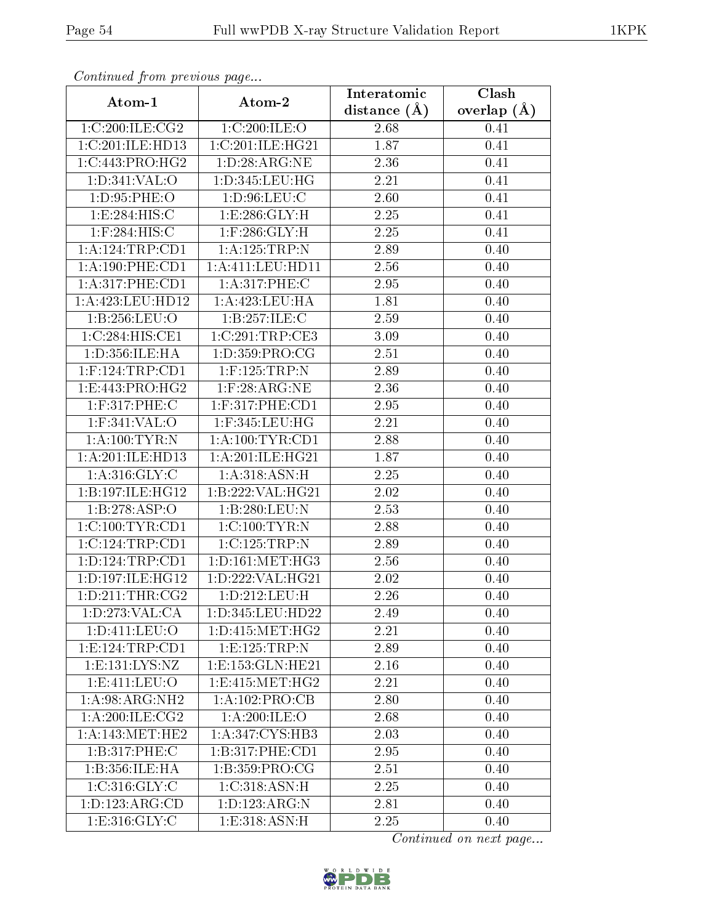| Commuca from previous page |                          | Interatomic       | Clash         |  |  |
|----------------------------|--------------------------|-------------------|---------------|--|--|
| Atom-1                     | Atom-2                   | distance $(A)$    | overlap $(A)$ |  |  |
| 1:C:200:ILE:CG2            | 1:C:200:ILE:O            | 2.68              | 0.41          |  |  |
| 1:C:201:ILE:HD13           | 1:C:201:ILE:HG21         | 1.87              | 0.41          |  |  |
| 1:C:443:PRO:HG2            | 1: D:28: ARG:NE          | 2.36              | 0.41          |  |  |
| 1:D:341:VAL:O              | 1:D:345:LEU:HG           | 2.21              | 0.41          |  |  |
| 1: D: 95: PHE: O           | 1: D:96: LEU: C          | 2.60              | 0.41          |  |  |
| 1:E:284:HIS:C              | 1: E: 286: GLY: H        | 2.25              | 0.41          |  |  |
| $1:$ F:284:HIS:C           | $1:$ $F:286:$ $GLY:$ $H$ | 2.25              | 0.41          |  |  |
| 1: A:124:TRP:CD1           | 1:A:125:TRP:N            | 2.89              | 0.40          |  |  |
| 1: A: 190: PHE: CD1        | 1:A:411:LEU:HD11         | 2.56              | 0.40          |  |  |
| 1: A:317: PHE:CD1          | 1:A:317:PHE:C            | 2.95              | 0.40          |  |  |
| 1:A:423:LEU:HD12           | 1:A:423:LEU:HA           | 1.81              | 0.40          |  |  |
| 1:B:256:LEU:O              | 1:B:257:ILE:C            | 2.59              | 0.40          |  |  |
| 1:C:284:HIS:CE1            | 1:C:291:TRP:CE3          | 3.09              | 0.40          |  |  |
| 1:D:356:ILE:HA             | 1:D:359:PRO:CG           | 2.51              | 0.40          |  |  |
| $1:$ F:124:TRP:CD1         | $1:$ F:125:TRP:N         | 2.89              | 0.40          |  |  |
| 1:E:443:PRO:HG2            | $1:$ F:28:ARG:NE         | 2.36              | 0.40          |  |  |
| 1:F:317:PHE:C              | $1:$ F:317:PHE:CD1       | 2.95              | 0.40          |  |  |
| 1:F:341:VAL:O              | $1:$ F:345:LEU:HG        | 2.21              | 0.40          |  |  |
| 1: A: 100: TYR: N          | 1: A: 100: TYR: CD1      | 2.88              | 0.40          |  |  |
| 1:A:201:ILE:HD13           | 1: A:201: ILE: HG21      | $\overline{1.87}$ | 0.40          |  |  |
| 1: A:316: GLY: C           | 1: A:318: ASN:H          | 2.25              | 0.40          |  |  |
| 1:B:197:ILE:HG12           | 1:B:222:VAL:HG21         | $2.02\,$          | 0.40          |  |  |
| 1:B:278:ASP:O              | 1:B:280:LEU:N            | 2.53              | 0.40          |  |  |
| 1:C:100:TYR:CD1            | 1:C:100:TYR:N            | 2.88              | 0.40          |  |  |
| 1:C:124:TRP:CD1            | 1:C:125:TRP:N            | 2.89              | 0.40          |  |  |
| 1: D: 124: TRP: CD1        | 1: D: 161: MET:HG3       | 2.56              | 0.40          |  |  |
| 1:D:197:ILE:HG12           | 1:D:222:VAL:HG21         | 2.02              | 0.40          |  |  |
| 1: D:211:THR:CG2           | 1:D:212:LEU:H            | 2.26              | 0.40          |  |  |
| 1: D: 273: VAL: CA         | 1:D:345:LEU:HD22         | 2.49              | 0.40          |  |  |
| 1:D:411:LEU:O              | 1: D: 415: MET:HG2       | 2.21              | 0.40          |  |  |
| 1:E:124:TRP:CD1            | 1: E: 125: TRP: N        | 2.89              | 0.40          |  |  |
| 1: E: 131: LYS: NZ         | 1:E:153:GLN:HE21         | 2.16              | 0.40          |  |  |
| 1: E: 411: LEU: O          | 1: E: 415: MET: HG2      | 2.21              | 0.40          |  |  |
| 1: A:98: ARG: NH2          | 1:A:102:PRO:CB           | 2.80              | 0.40          |  |  |
| 1: A:200: ILE: CG2         | 1: A:200: ILE:O          | 2.68              | 0.40          |  |  |
| 1: A:143:MET:HE2           | 1:A:347:CYS:HB3          | 2.03              | 0.40          |  |  |
| 1:B:317:PHE:C              | 1:B:317:PHE:CD1          | 2.95              | 0.40          |  |  |
| 1:B:356:ILE:HA             | 1:B:359:PRO:CG           | 2.51              | 0.40          |  |  |
| 1:C:316:GLY:C              | 1:C:318:ASN:H            | 2.25              | 0.40          |  |  |
| 1:D:123:ARG:CD             | 1:D:123:ARG:N            | 2.81              | 0.40          |  |  |
| 1: E: 316: GLY: C          | 1: E: 318: ASN: H        | 2.25              | 0.40          |  |  |

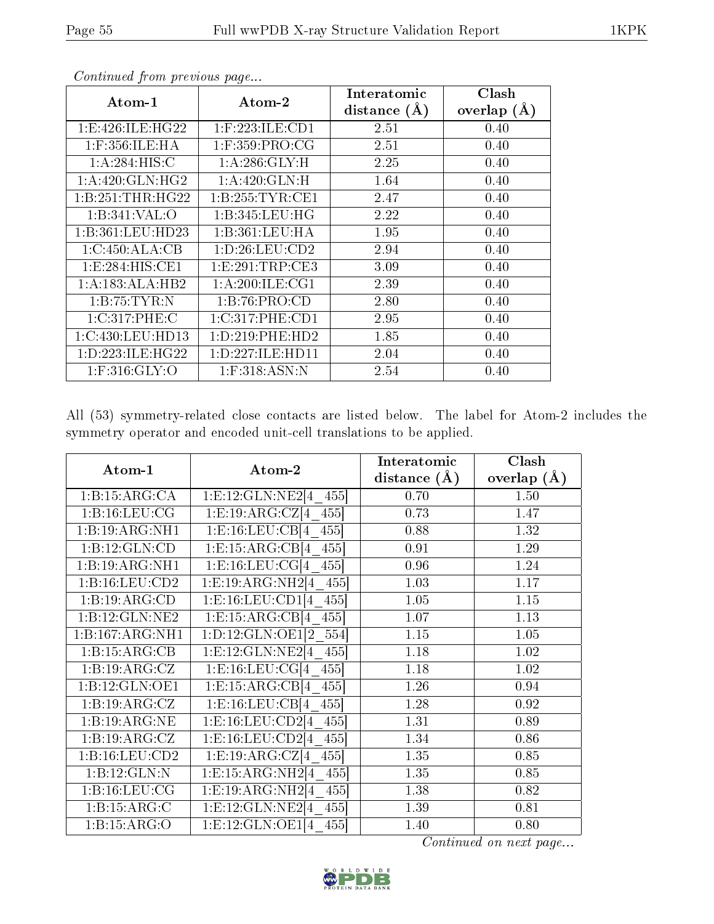|                      |                                       | Interatomic    | Clash         |
|----------------------|---------------------------------------|----------------|---------------|
| $\rm{Atom\text{-}1}$ | $\boldsymbol{\mathrm{Atom}\text{-}2}$ | distance $(A)$ | overlap $(A)$ |
| 1: E:426: ILE: HG22  | $1:$ F:223:ILE:CD1                    | 2.51           | 0.40          |
| $1:$ F:356:ILE:HA    | $1:$ F:359:PRO:CG                     | 2.51           | 0.40          |
| 1:A:284:HIS:C        | 1:A:286:GLY:H                         | 2.25           | 0.40          |
| 1:A:420:GLN:HG2      | 1: A:420: GLN:H                       | 1.64           | 0.40          |
| 1:B:251:THR:HG22     | 1: B: 255: TYR: CE1                   | 2.47           | 0.40          |
| 1:B:341:VAL:O        | 1: B: 345: LEU: HG                    | 2.22           | 0.40          |
| 1:B:361:LEU:HD23     | 1:B:361:LEU:HA                        | 1.95           | 0.40          |
| 1:C:450:ALA:CB       | 1: D: 26: LEU: CD2                    | 2.94           | 0.40          |
| 1: E: 284: HIS: CE1  | 1:E:291:TRP:CE3                       | 3.09           | 0.40          |
| 1:A:183:ALA:HB2      | 1: A:200: ILE: CG1                    | 2.39           | 0.40          |
| 1:B:75:TYR:N         | 1:B:76:PRO:CD                         | 2.80           | 0.40          |
| 1:C:317:PHE:C        | 1:C:317:PHE:CD1                       | 2.95           | 0.40          |
| 1:C:430:LEU:HD13     | 1: D: 219: PHE: HD2                   | 1.85           | 0.40          |
| 1: D: 223: ILE: HG22 | 1: D: 227: ILE: HD11                  | 2.04           | 0.40          |
| $1:$ F:316: $GLY$ :O | $1:$ F:318:ASN:N                      | 2.54           | 0.40          |

All (53) symmetry-related close contacts are listed below. The label for Atom-2 includes the symmetry operator and encoded unit-cell translations to be applied.

| Atom-1            | Atom-2                                                 | Interatomic    | Clash         |
|-------------------|--------------------------------------------------------|----------------|---------------|
|                   |                                                        | distance $(A)$ | overlap $(A)$ |
| 1:B:15:ARG:CA     | 1:E:12:GLN:NE2[4 455]                                  | 0.70           | 1.50          |
| 1: B: 16: LEU: CG | $1: \mathrm{E}: 19: \mathrm{ARG}: \mathrm{CZ}[4\ 455]$ | 0.73           | 1.47          |
| 1:B:19:ARG:NH1    | 1: E: 16: LEU: CB[4 455]                               | 0.88           | 1.32          |
| 1:B:12:GLN:CD     | 1: E: 15: ARG: CB[4 455]                               | 0.91           | 1.29          |
| 1:B:19:ARG:NH1    | 1:E:16:LEU:CG[4 455]                                   | 0.96           | 1.24          |
| 1:B:16:LEU:CD2    | 1:E:19:ARG:NH2[4 455]                                  | 1.03           | 1.17          |
| 1:B:19:ARG:CD     | $1: E: 16: LEU: CD1[4 \ \overline{455}]$               | 1.05           | 1.15          |
| 1:B:12:GLN:NE2    | 1: E: 15: ARG: CB[4 455]                               | 1.07           | 1.13          |
| 1:B:167:ARG:NH1   | 1:D:12:GLN:OE1[2 554]                                  | 1.15           | 1.05          |
| 1:B:15:ARG:CB     | 1:E:12:GLN:NE2[4 455]                                  | 1.18           | 1.02          |
| 1:B:19:ARG:CZ     | 1: E: 16: LEU: CG[4 455]                               | 1.18           | 1.02          |
| 1:B:12:GLN:OE1    | 1: E: 15: ARG: CB[4 455]                               | 1.26           | 0.94          |
| 1:B:19:ARG:CZ     | 1: E: 16: LEU: CB[4 455]                               | 1.28           | 0.92          |
| 1:B:19:ARG:NE     | 1:E:16:LEU:CD2[4 455]                                  | 1.31           | 0.89          |
| 1:B:19:ARG:CZ     | 1:E:16:LEU:CD2[4 455]                                  | 1.34           | 0.86          |
| 1:B:16:LEU:CD2    | $1:E:19:ARG:CZ[4$ 455                                  | 1.35           | 0.85          |
| 1:B:12:GLN:N      | 1:E:15:ARG:NH2[4 455]                                  | 1.35           | 0.85          |
| 1:B:16:LEU:CG     | 1:E:19:ARG:NH2[4 455]                                  | 1.38           | 0.82          |
| 1:B:15:ARG:C      | 1: E: 12: GLN: NE2[4 455]                              | 1.39           | 0.81          |
| 1:B:15:ARG:O      | 1:E:12:GLN:OE1[4 455]                                  | 1.40           | 0.80          |

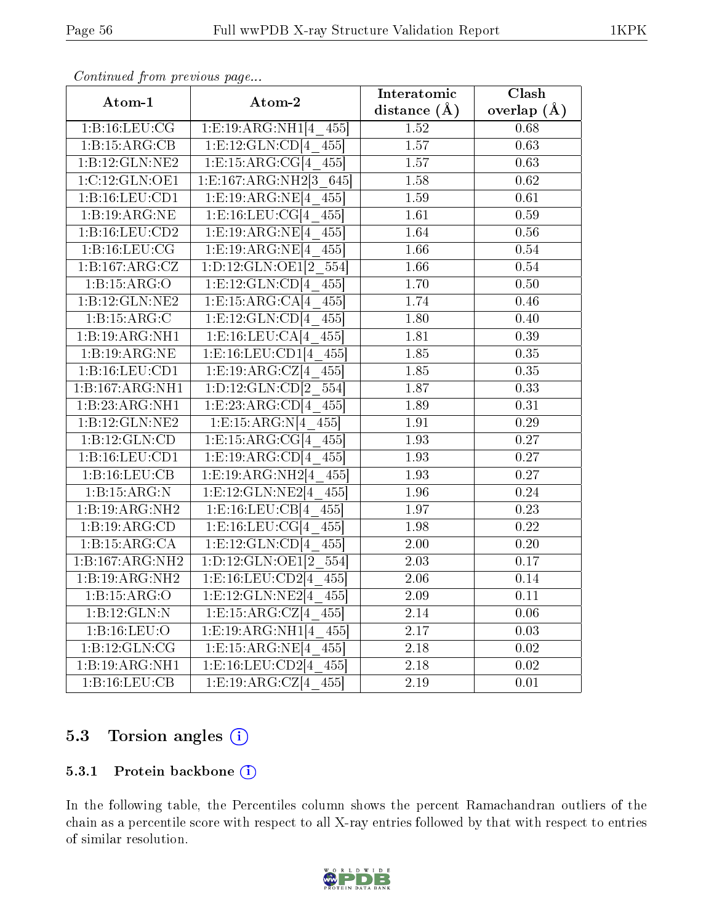| Atom-1             | Atom-2                                           | Interatomic       | Clash             |
|--------------------|--------------------------------------------------|-------------------|-------------------|
|                    |                                                  | distance $(A)$    | overlap $(\AA)$   |
| 1: B: 16: LEU: CG  | 1: E: 19: ARG: NH1[4 455]                        | 1.52              | 0.68              |
| 1:B:15:ARG:CB      | 1: E: 12: GLN: CD[4 455]                         | $\overline{1.57}$ | $\overline{0.63}$ |
| 1:B:12:GLN:NE2     | 1: E: 15: ARG: CG[4 455]                         | 1.57              | 0.63              |
| 1:C:12:GLN:OE1     | 1:E:167:ARG:NH2[3 645]                           | 1.58              | 0.62              |
| 1:B:16:LEU:CD1     | $1: E: 19: \overline{\text{ARG:NE}[4\quad 455]}$ | 1.59              | 0.61              |
| 1:B:19:ARG:NE      | 1:E:16:LEU:CG[4 455]                             | 1.61              | 0.59              |
| 1: B: 16: LEU: CD2 | 1: E: 19: ARG: NE[4 455]                         | 1.64              | 0.56              |
| 1:B:16:LEU:CG      | 1:E:19:ARG:NE[4 455]                             | 1.66              | 0.54              |
| 1:B:167:ARG:CZ     | 1:D:12:GLN:OE1[2 554]                            | $\overline{1.66}$ | 0.54              |
| 1:B:15:ARG:O       | 1: E: 12: GLN: CD[4 455]                         | 1.70              | 0.50              |
| 1:B:12:GLN:NE2     | 1: E: 15: ARG: CA[4 455]                         | 1.74              | 0.46              |
| 1:B:15:ARG:C       | $1: E: 12: GLN: CD[4 \ 455]$                     | 1.80              | 0.40              |
| 1:B:19:ARG:NH1     | 1: E: 16: LEU: CA[4 455]                         | 1.81              | 0.39              |
| 1:B:19:ARG:NE      | 1: E: 16: LEU: CD1[4 455]                        | 1.85              | 0.35              |
| 1:B:16:LEU:CD1     | 1: E: 19: ARG: CZ[4 455]                         | 1.85              | 0.35              |
| 1:B:167:ARG:NH1    | 1:D:12:GLN:CD[2 554]                             | 1.87              | 0.33              |
| 1:B:23:ARG:NH1     | 1: E: 23: ARG: CD[4 455]                         | 1.89              | 0.31              |
| 1:B:12:GLN:NE2     | 1: E: 15: ARG: N[4 455]                          | 1.91              | 0.29              |
| 1:B:12:GLN:CD      | 1:E:15:ARG:CG[4 455]                             | $\overline{1.93}$ | 0.27              |
| 1:B:16:LEU:CD1     | 1: E: 19: ARG: CD[4 455]                         | 1.93              | 0.27              |
| 1:B:16:LEU:CB      | 1: E: 19: ARG: NH2[4 455]                        | 1.93              | 0.27              |
| 1:B:15:ARG:N       | 1: E: 12: GLN: NE2[4 455]                        | 1.96              | 0.24              |
| 1:B:19:ARG:NH2     | 1: E: 16: LEU: CB[4 455]                         | 1.97              | 0.23              |
| 1:B:19:ARG:CD      | 1: E: 16: LEU: CG[4 455]                         | 1.98              | 0.22              |
| 1:B:15:ARG:CA      | $1: E: 12: GLN: CD[4 \ 455]$                     | $\overline{2.00}$ | $\overline{0.20}$ |
| 1:B:167:ARG:NH2    | 1:D:12:GLN:OE1[2 554]                            | 2.03              | 0.17              |
| 1:B:19:ARG:NH2     | 1: E: 16: LEU: CD2[4 455]                        | $\overline{2.06}$ | 0.14              |
| 1:B:15:ARG:O       | $1: E: 12: GLN: NE2[4 \ 455]$                    | 2.09              | 0.11              |
| 1:B:12:GLN:N       | 1: E: 15: ARG: CZ[4 455]                         | 2.14              | 0.06              |
| 1:B:16:LEU:O       | 1: E: 19: ARG: NH1[4 455]                        | $2.17\,$          | 0.03              |
| 1:B:12:GLN:CG      | 1: E: 15: ARG: NE[4 455]                         | 2.18              | $\overline{0.02}$ |
| 1:B:19:ARG:NH1     | $1: E: 16: LEU: \overline{CD2[4 \ 455]}$         | 2.18              | 0.02              |
| 1:B:16:LEU:CB      | 1: E: 19: ARG: CZ[4 455]                         | 2.19              | $\overline{0.01}$ |

## 5.3 Torsion angles (i)

#### 5.3.1 Protein backbone (i)

In the following table, the Percentiles column shows the percent Ramachandran outliers of the chain as a percentile score with respect to all X-ray entries followed by that with respect to entries of similar resolution.

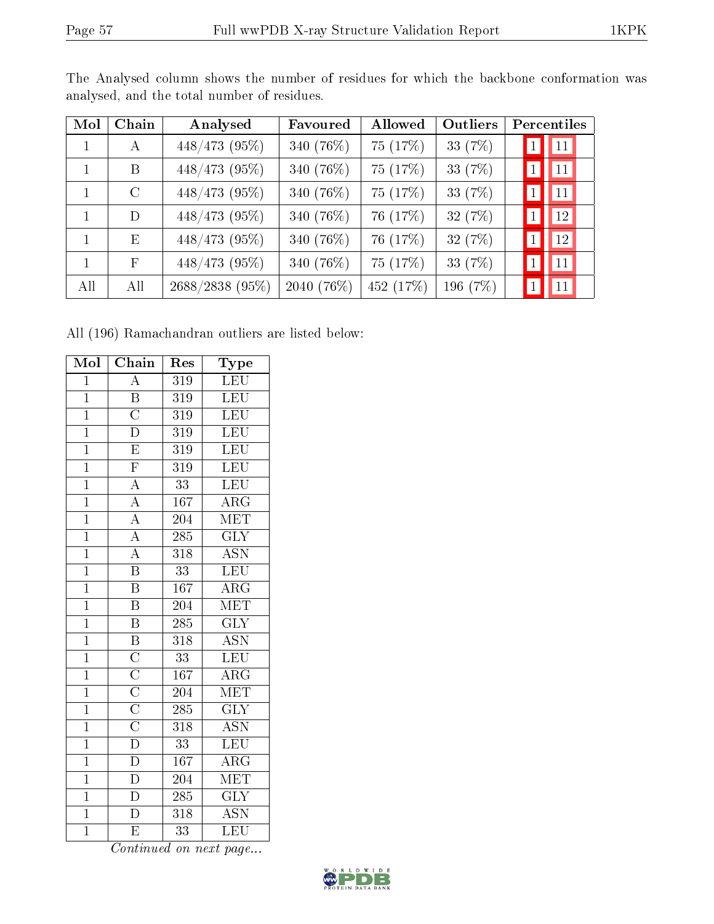| Mol | Chain         | Analysed        | Favoured   | Allowed   | Outliers  |              | Percentiles  |  |
|-----|---------------|-----------------|------------|-----------|-----------|--------------|--------------|--|
| 1   | A             | 448/473 (95%)   | 340 (76%)  | 75 (17%)  | 33 (7%)   |              | 11           |  |
| 1   | B             | 448/473 (95%)   | 340 (76%)  | 75 (17%)  | 33 $(7%)$ | $\mathbf{1}$ | $ 11\rangle$ |  |
| 1   | $\mathcal{C}$ | 448/473 (95%)   | 340 (76%)  | 75 (17%)  | 33 (7%)   | $\mathbf{1}$ | 11           |  |
| 1   | D             | 448/473 (95%)   | 340 (76%)  | 76 (17%)  | 32 (7%)   |              | 12           |  |
| 1   | Ε             | 448/473 (95%)   | 340 (76%)  | 76 (17%)  | 32 (7%)   | $\mathbf{1}$ | 12           |  |
| 1   | $\mathbf{F}$  | 448/473 (95%)   | 340 (76%)  | 75 (17%)  | 33 (7%)   | $\mathbf{1}$ | 11           |  |
| All | All           | 2688/2838 (95%) | 2040 (76%) | 452 (17%) | 196 (7%)  |              | 11           |  |

The Analysed column shows the number of residues for which the backbone conformation was analysed, and the total number of residues.

All (196) Ramachandran outliers are listed below:

| Mol            | Chain                                                                                                                     | Res              | Type                      |
|----------------|---------------------------------------------------------------------------------------------------------------------------|------------------|---------------------------|
| $\overline{1}$ | $\overline{A}$                                                                                                            | 319              | <b>LEU</b>                |
| $\overline{1}$ | $\overline{\text{B}}$                                                                                                     | 319              | LEU                       |
| $\overline{1}$ | $\overline{\text{C}}$                                                                                                     | 319              | $\overline{\text{LEU}}$   |
| $\overline{1}$ | $\overline{\rm D}$                                                                                                        | $\overline{319}$ | LEU                       |
| $\overline{1}$ | $\overline{\mathrm{E}}$                                                                                                   | $\overline{319}$ | LEU                       |
| $\overline{1}$ | $\overline{\mathrm{F}}$                                                                                                   | $\overline{319}$ | LEU                       |
| $\overline{1}$ | $\overline{A}$                                                                                                            | $\overline{33}$  | <b>LEU</b>                |
| $\overline{1}$ | $\overline{A}$                                                                                                            | 167              | $\overline{\rm{ARG}}$     |
| $\overline{1}$ | $\overline{A}$                                                                                                            | 204              | MET                       |
| $\overline{1}$ | $\overline{A}$                                                                                                            | 285              | $\overline{\text{GLY}}$   |
| $\overline{1}$ | $\overline{A}$                                                                                                            | $\overline{318}$ | $\overline{\mathrm{ASN}}$ |
| $\overline{1}$ | $\overline{\mathrm{B}}$                                                                                                   | $\overline{33}$  | LEU                       |
| $\overline{1}$ | $\overline{\mathbf{B}}$                                                                                                   | 167              | $\overline{\rm{ARG}}$     |
| $\overline{1}$ | $\overline{\mathbf{B}}$                                                                                                   | $\overline{204}$ | $\overline{\text{MET}}$   |
| $\overline{1}$ | $\overline{\mathrm{B}}$                                                                                                   | 285              | $\overline{\text{GLY}}$   |
| $\overline{1}$ | $\overline{\mathbf{B}}$                                                                                                   | $\overline{318}$ | <b>ASN</b>                |
| $\overline{1}$ |                                                                                                                           | 33               | LEU                       |
| $\overline{1}$ |                                                                                                                           | 167              | $\overline{\rm{ARG}}$     |
| $\overline{1}$ |                                                                                                                           | 204              | $\overline{\text{MET}}$   |
| $\overline{1}$ | $\overline{\text{C}}$<br>$\overline{\text{C}}$<br>$\overline{\text{C}}$<br>$\overline{\text{C}}$<br>$\overline{\text{D}}$ | 285              | $\overline{\text{GLY}}$   |
| $\overline{1}$ |                                                                                                                           | $\overline{318}$ | $\overline{\text{ASN}}$   |
| $\mathbf{1}$   |                                                                                                                           | 33               | LEU                       |
| $\mathbf{1}$   | $\overline{D}$                                                                                                            | 167              | $\overline{\rm{ARG}}$     |
| $\overline{1}$ | $\overline{D}$                                                                                                            | 204              | MET                       |
| $\overline{1}$ | $\overline{\rm D}$                                                                                                        | 285              | $\overline{\text{GLY}}$   |
| $\overline{1}$ | $\overline{\rm D}$                                                                                                        | $\overline{318}$ | $\overline{\text{ASN}}$   |
| $\overline{1}$ | E                                                                                                                         | 33               | LEU                       |

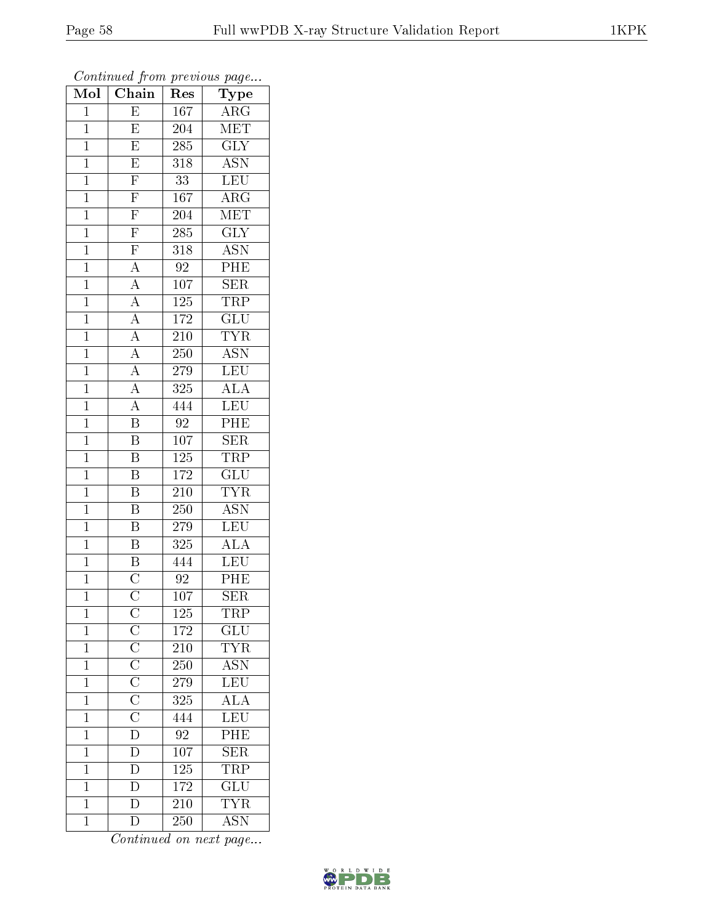| Mol            | $\overline{\text{Chain}}$                                                                                                      | $\mathbf{r}$<br>Res | $r \sim \sigma$<br>Type   |
|----------------|--------------------------------------------------------------------------------------------------------------------------------|---------------------|---------------------------|
| $\mathbf 1$    | E                                                                                                                              | 167                 | $\rm{ARG}$                |
| $\mathbf{1}$   | E                                                                                                                              | 204                 | MET                       |
| $\overline{1}$ | $\overline{\mathrm{E}}$                                                                                                        | 285                 | $\overline{\text{GLY}}$   |
| $\mathbf{1}$   | $\overline{E}$                                                                                                                 | 318                 | <b>ASN</b>                |
| $\overline{1}$ | $\overline{\mathrm{F}}$                                                                                                        | $\overline{33}$     | <b>LEU</b>                |
| $\mathbf 1$    | F                                                                                                                              | 167                 | $\rm{ARG}$                |
| $\overline{1}$ | $\overline{F}$                                                                                                                 | 204                 | $\overline{\text{MET}}$   |
| $\overline{1}$ | $\overline{\mathrm{F}}$                                                                                                        | 285                 | $\overline{\text{GLY}}$   |
| $\overline{1}$ | $\overline{F}$                                                                                                                 | 318                 | <b>ASN</b>                |
| $\overline{1}$ | $\overline{A}$                                                                                                                 | 92                  | $\overline{\rm{PHE}}$     |
| $\overline{1}$ | $\overline{A}$                                                                                                                 | 107                 | $\overline{\text{SER}}$   |
| $\overline{1}$ | $\overline{A}$                                                                                                                 | 125                 | <b>TRP</b>                |
| $\mathbf{1}$   |                                                                                                                                | 172                 | $\overline{\text{GLU}}$   |
| $\mathbf{1}$   | $\frac{\overline{A}}{\overline{A}}$ $\frac{\overline{A}}{\overline{A}}$                                                        | 210                 | <b>TYR</b>                |
| $\overline{1}$ |                                                                                                                                | 250                 | <b>ASN</b>                |
| $\mathbf{1}$   |                                                                                                                                | 279                 | LEU                       |
| $\overline{1}$ | $\frac{\overline{A}}{A}$                                                                                                       | 325                 | $\overline{ALA}$          |
| $\mathbf{1}$   |                                                                                                                                | 444                 | <b>LEU</b>                |
| $\mathbf{1}$   | $\overline{\mathrm{B}}$                                                                                                        | $\overline{92}$     | PHE                       |
| $\mathbf{1}$   | $\overline{\mathrm{B}}$                                                                                                        | 107                 | $\overline{\text{SER}}$   |
| $\overline{1}$ | $\overline{\mathrm{B}}$                                                                                                        | 125                 | <b>TRP</b>                |
| $\overline{1}$ | $\overline{\mathrm{B}}$                                                                                                        | $\overline{172}$    | $\overline{\mathrm{GLU}}$ |
| $\mathbf{1}$   | $\overline{\mathrm{B}}$                                                                                                        | 210                 | <b>TYR</b>                |
| $\overline{1}$ | $\overline{\mathrm{B}}$                                                                                                        | 250                 | $\overline{\mathrm{ASN}}$ |
| $\mathbf{1}$   | $\overline{\mathrm{B}}$                                                                                                        | 279                 | <b>LEU</b>                |
| $\overline{1}$ | $\overline{\mathrm{B}}$                                                                                                        | 325                 | $\overline{\text{ALA}}$   |
| $\overline{1}$ | $\overline{B}$                                                                                                                 | 444                 | $\overline{\text{LEU}}$   |
| $\mathbf{1}$   | $\overline{\text{C}}$                                                                                                          | 92                  | PHE                       |
| $\overline{1}$ | $\overline{\rm C}$                                                                                                             | $\overline{10}7$    | $\overline{\text{SER}}$   |
| 1              |                                                                                                                                | 125                 | TRP                       |
| $\mathbf{1}$   |                                                                                                                                | 172                 | GLU                       |
| $\mathbf{1}$   | $\overline{C}\ \overline{C}\ \overline{C}\ \overline{C}\ \overline{C}\ \overline{C}\ \overline{C}\ \overline{C}\ \overline{D}$ | $21\overline{0}$    | <b>TYR</b>                |
| $\mathbf{1}$   |                                                                                                                                | 250                 | $\overline{\text{ASN}}$   |
| $\overline{1}$ |                                                                                                                                | 279                 | $\frac{L}{L}$             |
| $\mathbf{1}$   |                                                                                                                                | 325                 | $\overline{\text{ALA}}$   |
| $\overline{1}$ |                                                                                                                                | 444                 | LEU                       |
| $\mathbf{1}$   |                                                                                                                                | 92                  | PHE                       |
| $\mathbf{1}$   | $\overline{D}$                                                                                                                 | 107                 | $\overline{\text{SER}}$   |
| $\mathbf{1}$   | $\frac{\overline{D}}{\overline{D}}$                                                                                            | $125\,$             | $\overline{\text{TRP}}$   |
| $\mathbf{1}$   |                                                                                                                                | 172                 | $\overline{\text{GLU}}$   |
| $\mathbf{1}$   |                                                                                                                                | 210                 | <b>TYR</b>                |
| $\mathbf{1}$   | $\overline{\rm D}$                                                                                                             | 250                 | <b>ASN</b>                |

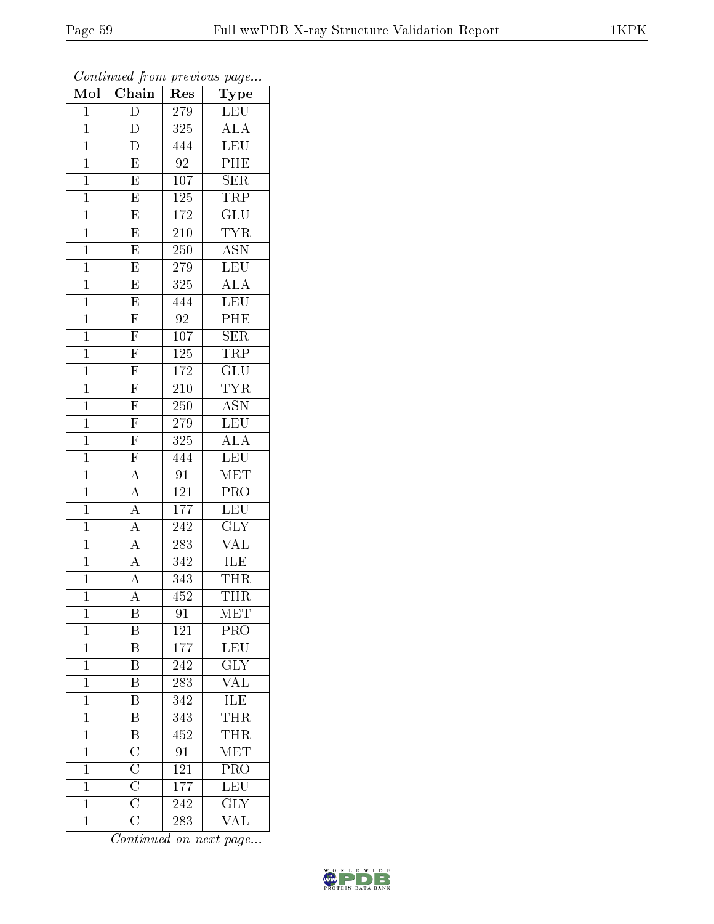| $\overline{\text{Mol}}$ | $\boldsymbol{\mathsf{u}}$<br>Chain                                                                                                                      | Res              | $\overline{ }$<br>$\overline{\phantom{a}}$<br>Type |
|-------------------------|---------------------------------------------------------------------------------------------------------------------------------------------------------|------------------|----------------------------------------------------|
| $\overline{1}$          | $\overline{D}$                                                                                                                                          | 279              | <b>LEU</b>                                         |
| $\mathbf{1}$            | D                                                                                                                                                       | 325              | $\overline{\rm ALA}$                               |
| $\overline{1}$          | $\overline{\rm D}$                                                                                                                                      | 444              | $\overline{\text{LEU}}$                            |
| $\mathbf 1$             | $\overline{\mathrm{E}}$                                                                                                                                 | $\overline{92}$  | $\overline{\text{PHE}}$                            |
| $\mathbf{1}$            | $\overline{E}$                                                                                                                                          | 107              | SER                                                |
| $\mathbf{1}$            | $\overline{E}$                                                                                                                                          | 125              | <b>TRP</b>                                         |
| $\mathbf{1}$            | $\overline{E}$                                                                                                                                          | 172              | $\overline{\text{GLU}}$                            |
| $\mathbf{1}$            | $\overline{E}$                                                                                                                                          | 210              | <b>TYR</b>                                         |
| $\mathbf{1}$            | $\overline{E}$                                                                                                                                          | 250              | <b>ASN</b>                                         |
| $\mathbf{1}$            | $\overline{\mathrm{E}}$                                                                                                                                 | 279              | LEU                                                |
| $\mathbf{1}$            | $\overline{E}$                                                                                                                                          | 325              | $\overline{\text{ALA}}$                            |
| $\mathbf{1}$            | $\overline{E}$                                                                                                                                          | 444              | LEU                                                |
| $\overline{1}$          | $\overline{F}$                                                                                                                                          | $\overline{92}$  | PHE                                                |
| $\mathbf{1}$            | $\overline{F}$                                                                                                                                          | 107              | SER                                                |
| $\mathbf{1}$            | $\frac{\overline{F}}{\overline{F}}$ $\frac{\overline{F}}{\overline{F}}$ $\frac{\overline{F}}{\overline{F}}$ $\frac{\overline{F}}{\overline{F}}$         | <b>125</b>       | <b>TRP</b>                                         |
| $\mathbf{1}$            |                                                                                                                                                         | 172              | $\overline{\text{GLU}}$                            |
| $\overline{1}$          |                                                                                                                                                         | $\overline{210}$ | <b>TYR</b>                                         |
| $\mathbf{1}$            |                                                                                                                                                         | 250              | <b>ASN</b>                                         |
| $\mathbf{1}$            |                                                                                                                                                         | 279              | LEU                                                |
| $\overline{1}$          |                                                                                                                                                         | 325              | $\overline{\rm ALA}$                               |
| $\mathbf{1}$            | $\overline{\mathrm{F}}$                                                                                                                                 | 444              | LEU                                                |
| $\overline{1}$          | $\frac{\overline{A}}{\overline{A}}$                                                                                                                     | $\overline{91}$  | $\overline{\text{MET}}$                            |
| $\mathbf 1$             |                                                                                                                                                         | 121              | PRO                                                |
| $\mathbf 1$             | $\overline{A}$                                                                                                                                          | 177              | LEU                                                |
| $\mathbf{1}$            | $\overline{A}$                                                                                                                                          | 242              | $\overline{\text{GLY}}$                            |
| $\overline{1}$          | $\overline{A}$                                                                                                                                          | 283              | $\overline{\text{VAL}}$                            |
| $\mathbf{1}$            | $\overline{A}$                                                                                                                                          | 342              | ILE                                                |
| $\mathbf{1}$            | $\overline{A}$                                                                                                                                          | 343              | <b>THR</b>                                         |
| $\mathbf 1$             | $\overline{\rm A}$                                                                                                                                      | 452              | <b>THR</b>                                         |
| $\mathbf 1$             | B                                                                                                                                                       | 91               | MET                                                |
| $\mathbf 1$             | Β                                                                                                                                                       | 121              | PRO                                                |
| $\mathbf{1}$            | $\overline{\mathrm{B}}$                                                                                                                                 | 177              | LEU <sup>-</sup>                                   |
| $\mathbf 1$             | $\boldsymbol{B}$                                                                                                                                        | 242              | <b>GLY</b>                                         |
| $\mathbf 1$             | $\overline{\mathrm{B}}$                                                                                                                                 | 283              | $\overline{\text{VAL}}$                            |
| $\mathbf 1$             | B                                                                                                                                                       | 342              | ILE                                                |
| $\mathbf 1$             | $\overline{\mathrm{B}}$                                                                                                                                 | 343              | <b>THR</b>                                         |
| $\mathbf 1$             |                                                                                                                                                         | 452              | $\overline{\text{THR}}$                            |
| $\mathbf 1$             |                                                                                                                                                         | 91               | MET                                                |
| $\mathbf{1}$            |                                                                                                                                                         | 121              | $\overline{\text{PRO}}$                            |
| $\overline{1}$          |                                                                                                                                                         | 177              | $\overline{\text{LEU}}$                            |
| $\mathbf{1}$            | $\frac{\overline{\text{B}}}{\overline{\text{C}}}}$ $\frac{\overline{\text{C}}}{\overline{\text{C}}}}$ $\frac{\overline{\text{C}}}{\overline{\text{C}}}$ | 242              | $\overline{\text{GLY}}$                            |
| $\mathbf 1$             |                                                                                                                                                         | 283              | VAL                                                |

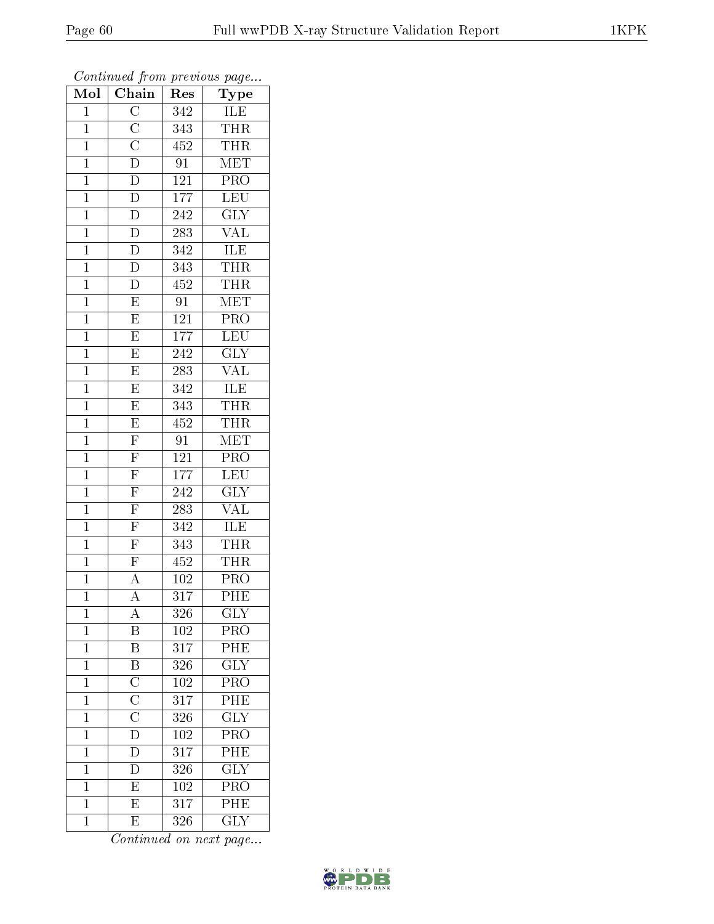| Mol            | $\sum_{i=1}^{n} a_i$<br>Chain                                                                               | $\bar{R}$ es     | $r \sim 3$<br>Type        |
|----------------|-------------------------------------------------------------------------------------------------------------|------------------|---------------------------|
| $\mathbf 1$    | $\overline{C}$                                                                                              | 342              | ILE                       |
| $\mathbf{1}$   |                                                                                                             | 343              | <b>THR</b>                |
| $\overline{1}$ |                                                                                                             | 452              | <b>THR</b>                |
| $\mathbf{1}$   |                                                                                                             | 91               | $\overline{\text{MET}}$   |
| $\overline{1}$ | $\frac{\overline{C}}{\overline{D}}$ $\frac{\overline{C}}{\overline{D}}$                                     | 121              | $\overline{\text{PRO}}$   |
| $\mathbf{1}$   | D                                                                                                           | 177              | LEU                       |
| $\overline{1}$ | $\overline{D}$                                                                                              | $\overline{242}$ | $\overline{\text{GLY}}$   |
| $\mathbf{1}$   | $\overline{D}$                                                                                              | 283              | $\overline{\text{VAL}}$   |
| $\mathbf{1}$   | $\overline{D}$                                                                                              | 342              | <b>ILE</b>                |
| $\mathbf 1$    | $\overline{\rm D}$                                                                                          | 343              | <b>THR</b>                |
| $\overline{1}$ | $\overline{\rm D}$                                                                                          | 452              | <b>THR</b>                |
| $\overline{1}$ | $\overline{\mathrm{E}}$                                                                                     | $\overline{91}$  | MET                       |
| $\mathbf{1}$   | $\overline{E}$                                                                                              | $121\,$          | PRO                       |
| $\mathbf{1}$   | $\overline{\mathrm{E}}$                                                                                     | $\overline{17}7$ | LEU                       |
| $\overline{1}$ | $\overline{E}$                                                                                              | 242              | $\overline{\text{GLY}}$   |
| $\mathbf{1}$   | $\overline{\mathrm{E}}$                                                                                     | 283              | $\overline{\text{VAL}}$   |
| $\overline{1}$ | $\overline{\mathrm{E}}$                                                                                     | $\overline{342}$ | <b>ILE</b>                |
| $\mathbf{1}$   | E                                                                                                           | 343              | <b>THR</b>                |
| $\mathbf{1}$   | $\overline{E}$                                                                                              | 452              | <b>THR</b>                |
| $\mathbf{1}$   | $\overline{F}$                                                                                              | 91               | $\overline{\text{MET}}$   |
| $\overline{1}$ | $\frac{\overline{F}}{\overline{F}}$                                                                         | $121\,$          | PRO                       |
| $\overline{1}$ |                                                                                                             | 177              | LEU                       |
| $\mathbf{1}$   | $\frac{\overline{F}}{\overline{F}}$                                                                         | 242              | $\overline{\text{GLY}}$   |
| $\overline{1}$ |                                                                                                             | 283              | $\overline{\text{VAL}}$   |
| $\mathbf{1}$   | $\overline{\mathrm{F}}$                                                                                     | 342              | <b>ILE</b>                |
| $\overline{1}$ | $\overline{\mathrm{F}}$                                                                                     | $\overline{343}$ | <b>THR</b>                |
| $\mathbf{1}$   | $\overline{F}$                                                                                              | 452              | <b>THR</b>                |
| $\mathbf{1}$   | $\overline{A}$                                                                                              | 102              | $\overline{P}RO$          |
| $\overline{1}$ | $\overline{\rm A}$                                                                                          | 317              | PHE                       |
| 1              | A                                                                                                           | 326              | GLY                       |
| $\mathbf 1$    | B                                                                                                           | $102\,$          | $\overline{\mathrm{PRO}}$ |
| $\mathbf{1}$   | $\overline{B}$                                                                                              | 317              | PHE                       |
| $\mathbf{1}$   | $\frac{\overline{B}}{\overline{C}}$ $\frac{\overline{C}}{\overline{C}}$ $\frac{\overline{C}}{\overline{D}}$ | 326              | $\overline{\text{GLY}}$   |
| $\overline{1}$ |                                                                                                             | $\overline{102}$ | $\overline{\text{PRO}}$   |
| $\mathbf{1}$   |                                                                                                             | 317              | PHE                       |
| $\overline{1}$ |                                                                                                             | $\overline{326}$ | $\overline{\text{GLY}}$   |
| $\mathbf 1$    |                                                                                                             | 102              | $\overline{\text{PRO}}$   |
| $\mathbf{1}$   | $\overline{\rm D}$                                                                                          | $31\overline{7}$ | PHE                       |
| $\mathbf 1$    | $\overline{D}$                                                                                              | 326              | $\overline{\text{GLY}}$   |
| $\mathbf{1}$   | $\overline{E}$                                                                                              | $102\,$          | PRO                       |
| $\mathbf 1$    | $\overline{E}$                                                                                              | $\overline{317}$ | $\overline{\rm PHE}$      |
| $\mathbf 1$    | $\overline{\mathrm{E}}$                                                                                     | 326              | $\overline{\text{GLY}}$   |

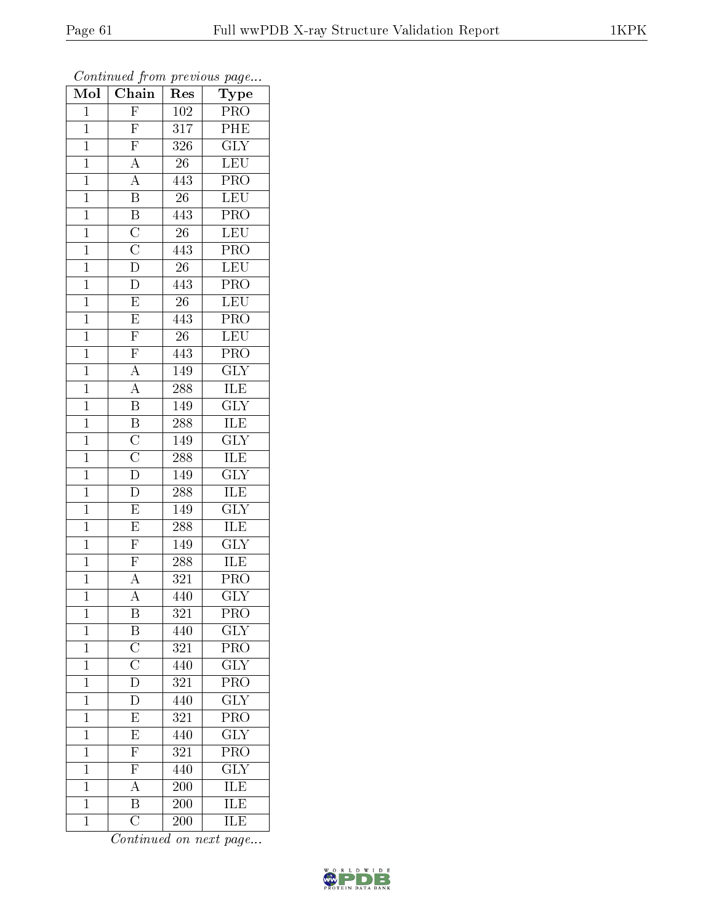| Mol            | $\overline{\text{Chain}}$                                               | Res              | Type                    |
|----------------|-------------------------------------------------------------------------|------------------|-------------------------|
| $\mathbf{1}$   | $\overline{F}$                                                          | 102              | <b>PRO</b>              |
| $\mathbf 1$    | $\overline{F}$                                                          | 317              | PHE                     |
| $\mathbf{1}$   | $\overline{F}$                                                          | 326              | <b>GLY</b>              |
| $\overline{1}$ | $\overline{A}$                                                          | 26               | LEU                     |
| $\overline{1}$ | $\overline{A}$                                                          | $\overline{443}$ | $\overline{\text{PRO}}$ |
| $\mathbf{1}$   | $\overline{\mathbf{B}}$                                                 | 26               | <b>LEU</b>              |
| $\mathbf{1}$   | $\frac{\overline{B}}{\overline{C}}$ $\frac{\overline{C}}{\overline{D}}$ | 443              | PRO                     |
| $\mathbf{1}$   |                                                                         | $\overline{26}$  | <b>LEU</b>              |
| $\mathbf{1}$   |                                                                         | 443              | PRO                     |
| $\mathbf{1}$   |                                                                         | $\overline{26}$  | LEU                     |
| $\mathbf{1}$   | $\overline{D}$                                                          | 443              | $\overline{PRO}$        |
| $\mathbf{1}$   | $\overline{E}$                                                          | $26\,$           | $\overline{\text{LEU}}$ |
| $\mathbf{1}$   | $\overline{E}$                                                          | 443              | PRO                     |
| $\mathbf{1}$   | $\overline{\mathrm{F}}$                                                 | 26               | LEU                     |
| $\mathbf{1}$   | $\frac{\overline{F}}{A}$                                                | 443              | PRO                     |
| $\mathbf{1}$   |                                                                         | 149              | $\overline{\text{GLY}}$ |
| $\overline{1}$ | $\overline{A}$                                                          | 288              | <b>ILE</b>              |
| $\mathbf{1}$   | $\overline{\mathrm{B}}$                                                 | 149              | <b>GLY</b>              |
| $\overline{1}$ | $\overline{B}$                                                          | 288              | $\overline{\text{ILE}}$ |
| $\mathbf{1}$   | $\frac{\overline{C}}{\overline{C}}$                                     | 149              | $\overline{\text{GLY}}$ |
| $\mathbf 1$    |                                                                         | 288              | ILE                     |
| $\mathbf{1}$   |                                                                         | 149              | $\overline{\text{GLY}}$ |
| $\overline{1}$ | $\overline{\rm D}$                                                      | 288              | $\overline{\text{ILE}}$ |
| $\mathbf{1}$   | $\overline{\mathrm{E}}$                                                 | 149              | $\overline{\text{GLY}}$ |
| $\mathbf{1}$   | $\overline{E}$                                                          | 288              | <b>ILE</b>              |
| $\mathbf{1}$   | $\frac{\overline{F}}{\overline{F}}$                                     | 149              | $\overline{\text{GLY}}$ |
| $\mathbf{1}$   |                                                                         | 288              | ILE                     |
| $\mathbf{1}$   |                                                                         | 321              | PRO                     |
| $\mathbf 1$    | $\overline{\rm A}$                                                      | 440              | $\overline{\text{GLY}}$ |
| 1              | B                                                                       | 321              | PRO                     |
| $\mathbf 1$    | $\mathbf{B}$                                                            | 440              | <b>GLY</b>              |
| $\mathbf 1$    | $\overline{\rm C}$                                                      | 321              | $\overline{\text{PRO}}$ |
| $\mathbf 1$    | $\overline{\overline{C}}$                                               | 440              | $\overline{\text{GLY}}$ |
| $\mathbf 1$    | $\overline{\rm D}$                                                      | 321              | $\overline{\text{PRO}}$ |
| $\mathbf{1}$   | $\overline{\rm D}$                                                      | 440              | $\overline{\text{GLY}}$ |
| $\mathbf{1}$   | $\overline{E}$                                                          | $\overline{321}$ | $\overline{\text{PRO}}$ |
| $\mathbf{1}$   | $\overline{E}$                                                          | 440              | $\overline{\text{GLY}}$ |
| $\overline{1}$ | $\overline{\mathrm{F}}$                                                 | 321              | $\overline{\text{PRO}}$ |
| $\mathbf{1}$   | $\overline{F}$                                                          | 440              | $\overline{\text{GLY}}$ |
| $\mathbf 1$    | $\overline{A}$                                                          | 200              | $\overline{\text{ILE}}$ |
| $\mathbf{1}$   | $\overline{\mathrm{B}}$                                                 | 200              | $\overline{\text{ILE}}$ |
| $\mathbf{1}$   | $\overline{\rm C}$                                                      | 200              | $\overline{\text{ILE}}$ |

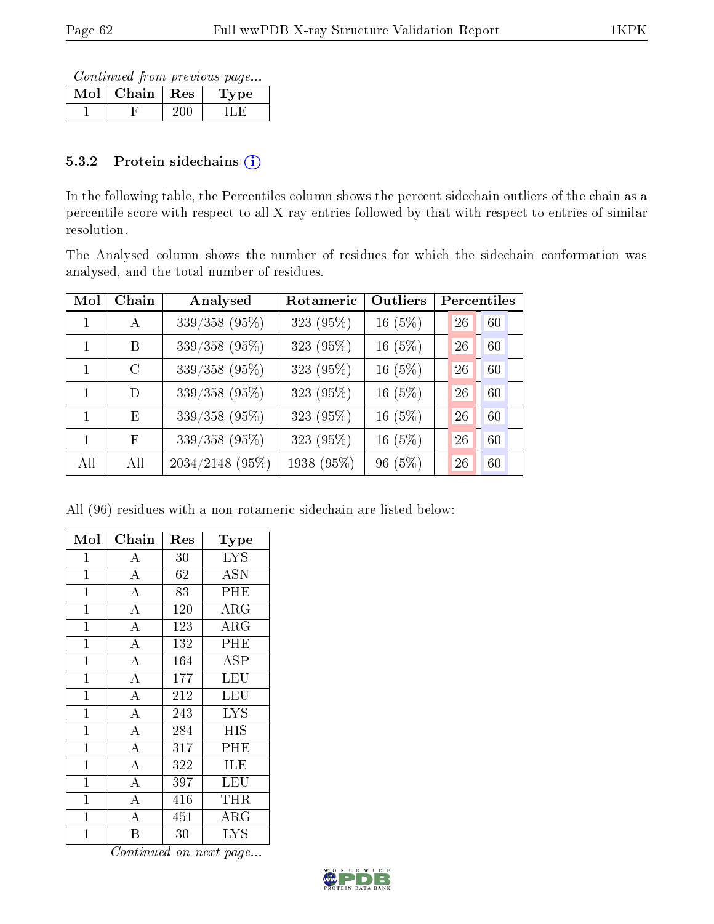Continued from previous page...

| Chain | ∣ Res | ъe |
|-------|-------|----|
|       |       |    |

### 5.3.2 Protein sidechains  $(i)$

In the following table, the Percentiles column shows the percent sidechain outliers of the chain as a percentile score with respect to all X-ray entries followed by that with respect to entries of similar resolution.

The Analysed column shows the number of residues for which the sidechain conformation was analysed, and the total number of residues.

| Mol          | Chain         | Analysed          | Rotameric  | Outliers  | Percentiles |
|--------------|---------------|-------------------|------------|-----------|-------------|
|              | $\mathbf{A}$  | 339/358 (95%)     | 323 (95%)  | 16 $(5%)$ | 26<br>60    |
|              | B             | 339/358 (95%)     | 323 (95%)  | 16 $(5%)$ | 60<br>26    |
| $\mathbf{1}$ | $\mathcal{C}$ | 339/358 (95%)     | 323 (95%)  | 16 $(5%)$ | 60<br>26    |
| 1            | D             | 339/358 (95%)     | 323 (95%)  | $16(5\%)$ | 60<br>26    |
| $\mathbf{1}$ | E             | $339/358$ (95%)   | 323 (95%)  | 16 $(5%)$ | 60<br>26    |
|              | F             | 339/358 (95%)     | 323 (95%)  | 16 $(5%)$ | 60<br>26    |
| All          | All           | $2034/2148$ (95%) | 1938 (95%) | $96(5\%)$ | 60<br>26    |

All (96) residues with a non-rotameric sidechain are listed below:

| Mol            | Chain              | Res | Type        |
|----------------|--------------------|-----|-------------|
| $\mathbf{1}$   | А                  | 30  | <b>LYS</b>  |
| $\mathbf{1}$   | $\overline{\rm A}$ | 62  | <b>ASN</b>  |
| $\mathbf{1}$   | $\overline{\rm A}$ | 83  | PHE         |
| $\mathbf{1}$   | $\bf{A}$           | 120 | $\rm{ARG}$  |
| $\mathbf{1}$   | $\overline{\rm A}$ | 123 | ARG         |
| $\mathbf{1}$   | $\overline{A}$     | 132 | PHE         |
| $\mathbf{1}$   | $\overline{\rm A}$ | 164 | ASP         |
| $\mathbf{1}$   | $\overline{\rm A}$ | 177 | LEU         |
| $\mathbf{1}$   | $\overline{\rm A}$ | 212 | LEU         |
| $\mathbf{1}$   | $\overline{\rm A}$ | 243 | <b>LYS</b>  |
| $\mathbf{1}$   | $\overline{A}$     | 284 | <b>HIS</b>  |
| $\mathbf{1}$   | $\overline{A}$     | 317 | PHE         |
| $\mathbf{1}$   | $\overline{A}$     | 322 | ILE         |
| $\mathbf{1}$   | $\overline{A}$     | 397 | LEU         |
| $\overline{1}$ | $\overline{\rm A}$ | 416 | $\rm THR$   |
| $\mathbf{1}$   | $\overline{\rm A}$ | 451 | ${\rm ARG}$ |
| $\overline{1}$ | Β                  | 30  | <b>LYS</b>  |

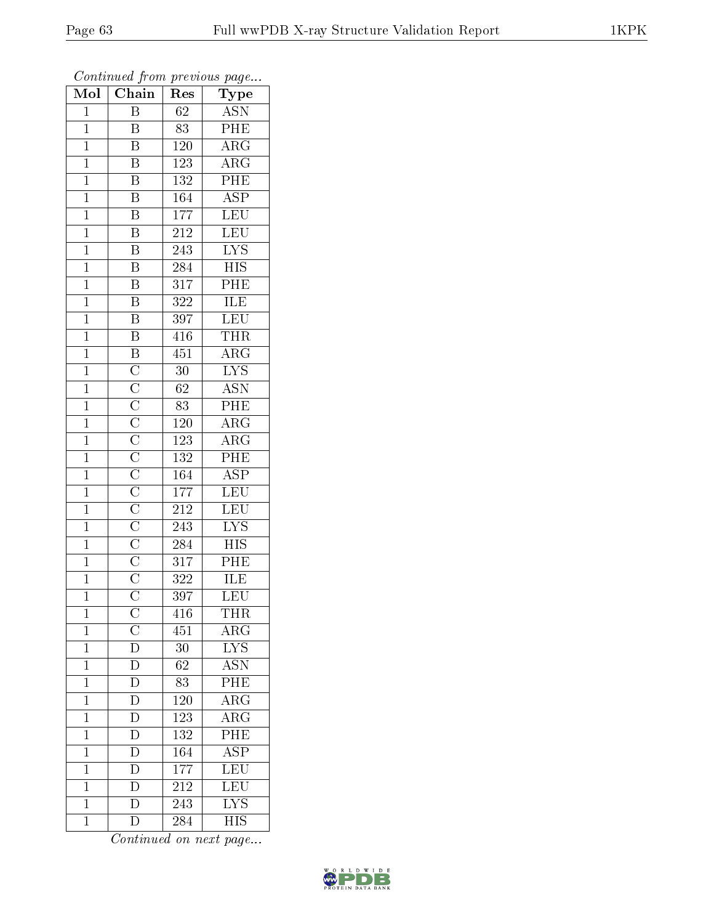| $\overline{\text{Mol}}$ | $\sim$ $\sim$<br>Chain                                                                                                                                                                                            | r -<br>Res       | x.<br>ر .<br>Type         |
|-------------------------|-------------------------------------------------------------------------------------------------------------------------------------------------------------------------------------------------------------------|------------------|---------------------------|
| $\mathbf 1$             | Β                                                                                                                                                                                                                 | 62               | <b>ASN</b>                |
| $\mathbf{1}$            | $\overline{\mathrm{B}}$                                                                                                                                                                                           | 83               | $P\overline{HE}$          |
| $\overline{1}$          | $\overline{\mathrm{B}}$                                                                                                                                                                                           | $120\,$          | $\overline{\rm{ARG}}$     |
| $\mathbf{1}$            | $\, {\bf B}$                                                                                                                                                                                                      | 123              | $\overline{\rm{ARG}}$     |
| $\overline{1}$          | $\overline{B}$                                                                                                                                                                                                    | 132              | PHE                       |
| $\mathbf 1$             | $\overline{\mathrm{B}}$                                                                                                                                                                                           | 164              | $\overline{\text{ASP}}$   |
| $\overline{1}$          | $\overline{\mathrm{B}}$                                                                                                                                                                                           | 177              | $\overline{\text{LEU}}$   |
| $\mathbf{1}$            | $\overline{\mathbf{B}}$                                                                                                                                                                                           | 212              | $\overline{\text{LEU}}$   |
| $\overline{1}$          | $\overline{\mathbf{B}}$                                                                                                                                                                                           | 243              | $\overline{\text{LYS}}$   |
| $\mathbf{1}$            | $\overline{\mathrm{B}}$                                                                                                                                                                                           | 284              | $\overline{\text{HIS}}$   |
| $\mathbf{1}$            | $\overline{\mathrm{B}}$                                                                                                                                                                                           | $3\overline{17}$ | PHE                       |
| $\mathbf{1}$            | $\overline{B}$                                                                                                                                                                                                    | 322              | <b>ILE</b>                |
| $\overline{1}$          | $\overline{B}$                                                                                                                                                                                                    | 397              | <b>LEU</b>                |
| $\mathbf{1}$            | $\overline{\mathbf{B}}$                                                                                                                                                                                           | 416              | <b>THR</b>                |
| $\overline{1}$          |                                                                                                                                                                                                                   | 451              | $\overline{\rm ARG}$      |
| $\mathbf{1}$            | $\overline{B} \overline{C} \overline{C} \overline{C} \overline{C} \overline{C} \overline{C} \overline{C} \overline{C} \overline{C} \overline{C} \overline{C} \overline{C} \overline{C} \overline{C} \overline{C}$ | 30               | $\overline{\text{LYS}}$   |
| $\mathbf{1}$            |                                                                                                                                                                                                                   | $\overline{62}$  | <b>ASN</b>                |
| $\overline{1}$          |                                                                                                                                                                                                                   | 83               | PHE                       |
| $\overline{1}$          |                                                                                                                                                                                                                   | 120              | $\overline{\rm ARG}$      |
| $\overline{1}$          |                                                                                                                                                                                                                   | 123              | $\overline{\text{ARG}}$   |
| $\mathbf{1}$            |                                                                                                                                                                                                                   | $\overline{132}$ | $\overline{\text{PHE}}$   |
| $\overline{1}$          |                                                                                                                                                                                                                   | 164              | $\overline{\text{ASP}}$   |
| $\mathbf{1}$            |                                                                                                                                                                                                                   | 177              | <b>LEU</b>                |
| $\overline{1}$          |                                                                                                                                                                                                                   | $\overline{212}$ | LEU                       |
| $\overline{1}$          |                                                                                                                                                                                                                   | 243              | $\overline{\text{LYS}}$   |
| $\mathbf{1}$            |                                                                                                                                                                                                                   | 284              | $\overline{H}$ IS         |
| $\mathbf{1}$            |                                                                                                                                                                                                                   | 317              | $\overline{\rm{PHE}}$     |
| $\overline{1}$          |                                                                                                                                                                                                                   | 322              | <b>ILE</b>                |
| $\overline{1}$          |                                                                                                                                                                                                                   | 397              | $\overline{\text{LEU}}$   |
| 1                       | $\mathcal{C}$                                                                                                                                                                                                     | 416              | THR                       |
| $\mathbf{1}$            | $\frac{\overline{C}}{\overline{D}}$                                                                                                                                                                               | 451              | $\rm{ARG}$                |
| $\mathbf{1}$            |                                                                                                                                                                                                                   | 30               | $\overline{\text{LYS}}$   |
| $\mathbf{1}$            | $\overline{\rm D}$                                                                                                                                                                                                | 62               | $\overline{\mathrm{ASN}}$ |
| $\overline{1}$          | $\overline{\rm D}$                                                                                                                                                                                                | $\overline{83}$  | $\overline{\rm{PHE}}$     |
| $\mathbf{1}$            | $\mathbf D$                                                                                                                                                                                                       | 120              | $\rm{ARG}$                |
| $\mathbf{1}$            | $\overline{D}$                                                                                                                                                                                                    | $\overline{123}$ | $\overline{\rm ARG}$      |
| $\mathbf 1$             | $\overline{\rm D}$                                                                                                                                                                                                | 132              | PHE                       |
| $\overline{1}$          | $\overline{\rm D}$                                                                                                                                                                                                | 164              | $\overline{\text{ASP}}$   |
| $\mathbf{1}$            | $\overline{\rm D}$                                                                                                                                                                                                | 177              | $\overline{\text{LEU}}$   |
| $\mathbf{1}$            | $\overline{\rm D}$                                                                                                                                                                                                | $\overline{21}2$ | LEU                       |
| $\mathbf 1$             | $\overline{\rm D}$                                                                                                                                                                                                | 243              | $\overline{\rm LYS}$      |
| $\mathbf{1}$            | D                                                                                                                                                                                                                 | 284              | <b>HIS</b>                |

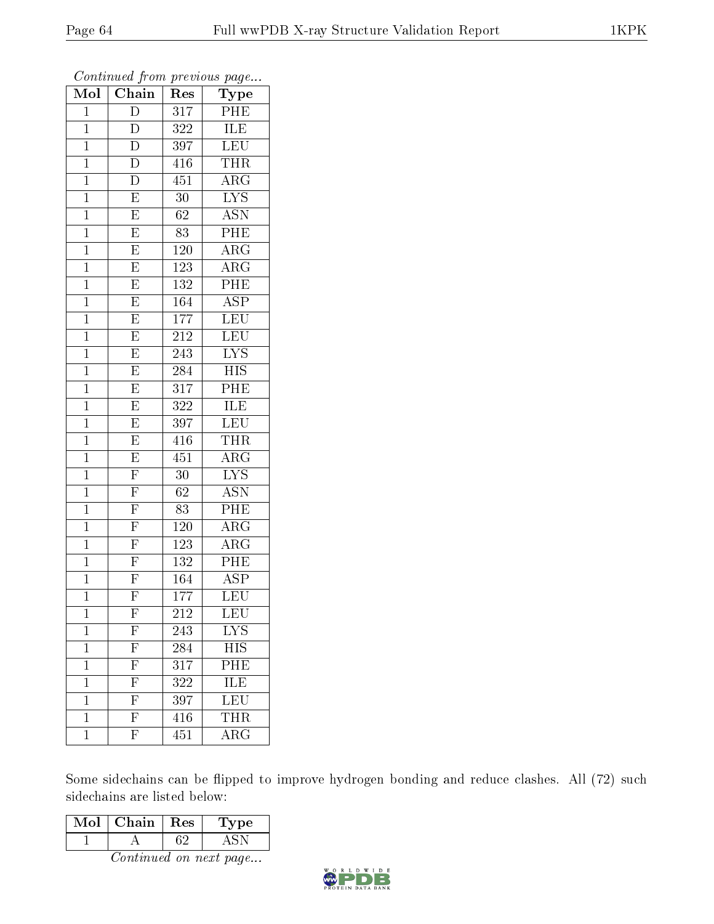| Mol            | $\overline{\text{Chain}}$           | Res              | $\bf Type$              |
|----------------|-------------------------------------|------------------|-------------------------|
| $\mathbf{1}$   | $\overline{\rm D}$                  | $\overline{317}$ | PHE                     |
| $\mathbf 1$    | ${\rm D}$                           | 322              | ILE                     |
| $\mathbf{1}$   | $\overline{\rm D}$                  | 397              | $\overline{\text{LEU}}$ |
| $\mathbf{1}$   | $\overline{\rm D}$                  | 416              | <b>THR</b>              |
| $\overline{1}$ | $\overline{\rm D}$                  | 451              | $\overline{\text{ARG}}$ |
| $\mathbf{1}$   | $\mathbf E$                         | 30               | <b>LYS</b>              |
| $\mathbf{1}$   | $\overline{\mathrm{E}}$             | $\overline{62}$  | <b>ASN</b>              |
| $\mathbf 1$    | $\overline{E}$                      | 83               | $\overline{PHE}$        |
| $\mathbf{1}$   | $\overline{\mathrm{E}}$             | $1\,20$          | $\rm{ARG}$              |
| $\overline{1}$ | $\overline{E}$                      | 123              | $\overline{\rm ARG}$    |
| $\mathbf 1$    | $\overline{\mathrm{E}}$             | 132              | PHE                     |
| $\mathbf{1}$   | $\overline{\mathrm{E}}$             | $\overline{164}$ | $\overline{\text{ASP}}$ |
| $\mathbf 1$    | $\overline{\mathrm{E}}$             | 177              | $\overline{\text{LEU}}$ |
| $\mathbf 1$    | $\overline{E}$                      | 212              | <b>LEU</b>              |
| $\overline{1}$ | $\overline{E}$                      | 243              | $\overline{\text{LYS}}$ |
| $\mathbf{1}$   | $\overline{\mathrm{E}}$             | 284              | HIS                     |
| $\mathbf 1$    | $\overline{E}$                      | $\overline{317}$ | PHE                     |
| $\mathbf{1}$   | $\overline{E}$                      | 322              | ILE                     |
| $\mathbf 1$    | $\overline{E}$                      | 397              | LEU                     |
| $\mathbf{1}$   | $\overline{\mathrm{E}}$             | 416              | <b>THR</b>              |
| $\mathbf{1}$   | $\overline{E}$                      | 451              | $\overline{\rm{ARG}}$   |
| $\overline{1}$ | $\overline{\mathrm{F}}$             | 30               | $\overline{\text{LYS}}$ |
| $\mathbf{1}$   | $\overline{F}$                      | 62               | <b>ASN</b>              |
| $\mathbf 1$    | $\overline{F}$                      | $\overline{83}$  | $\overline{\text{PHE}}$ |
| $\mathbf{1}$   | $\overline{F}$                      | 120              | $\rm{ARG}$              |
| $\mathbf{1}$   | $\frac{\overline{F}}{\overline{F}}$ | 123              | $\rm{ARG}$              |
| $\mathbf{1}$   |                                     | 132              | $\overline{\text{PHE}}$ |
| $\mathbf 1$    | $\overline{F}$                      | 164              | $\overline{\text{ASP}}$ |
| $\mathbf 1$    | $\overline{\mathrm{F}}$             | $\overline{177}$ | $\overline{\text{LEU}}$ |
| 1              | $\mathbf{F}$                        | 212              | $\overline{\text{LEU}}$ |
| $\mathbf 1$    | $\overline{F}$                      | 243              | LYS                     |
| $\mathbf 1$    | $\overline{\mathrm{F}}$             | 284              | <b>HIS</b>              |
| $\mathbf 1$    | $\overline{\mathrm{F}}$             | 317              | PHE                     |
| $\mathbf 1$    | $\overline{\mathrm{F}}$             | $\overline{322}$ | $\overline{\text{ILE}}$ |
| $\mathbf 1$    | $\overline{\mathrm{F}}$             | 397              | LEU                     |
| $\mathbf 1$    | $\overline{F}$                      | $\overline{416}$ | THR                     |
| $\mathbf 1$    | $\overline{\mathrm{F}}$             | 451              | $\rm{ARG}$              |

Some sidechains can be flipped to improve hydrogen bonding and reduce clashes. All (72) such sidechains are listed below:

| Mol | Chain  | ${\mathop{\mathrm{Res}}\nolimits}$ | L'ype : |
|-----|--------|------------------------------------|---------|
|     |        |                                    |         |
|     | $\sim$ |                                    |         |

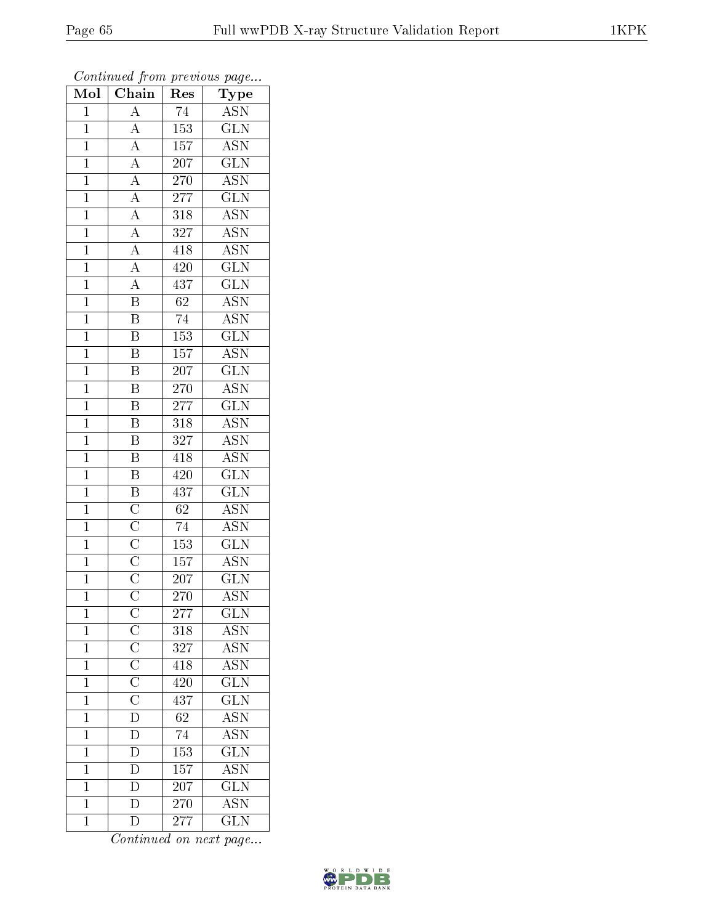| ${\bf Type}$<br><b>ASN</b><br>$\mathbf{A}$<br>74<br>$\mathbf{1}$                                                                                                                                                                 |  |
|----------------------------------------------------------------------------------------------------------------------------------------------------------------------------------------------------------------------------------|--|
|                                                                                                                                                                                                                                  |  |
| $\overline{A}$<br>$\overline{1}$<br>153<br>$\overline{\text{GLN}}$                                                                                                                                                               |  |
| $\rm \overline{ASN}$<br>157<br>$\mathbf{1}$                                                                                                                                                                                      |  |
| $\overline{207}$<br>$\overline{\text{GLN}}$<br>$\mathbf{1}$                                                                                                                                                                      |  |
| $\overline{\text{ASN}}$<br>$\overline{1}$<br>270                                                                                                                                                                                 |  |
| $\overline{\text{GLN}}$<br>277<br>$\mathbf{1}$                                                                                                                                                                                   |  |
| $\frac{\overline{A}}{\overline{A}}$ $\frac{\overline{A}}{\overline{A}}$ $\frac{\overline{A}}{\overline{A}}$<br>$\overline{\text{ASN}}$<br>$\overline{1}$<br>318                                                                  |  |
| $\overline{\text{ASN}}$<br>$\mathbf{1}$<br>327                                                                                                                                                                                   |  |
| $\frac{\overline{A}}{\overline{A}}$<br><b>ASN</b><br>$\mathbf{1}$<br>418                                                                                                                                                         |  |
| $\overline{\text{GLN}}$<br>420<br>$\mathbf{1}$                                                                                                                                                                                   |  |
| $\overline{\text{GLN}}$<br>$\overline{1}$<br>437                                                                                                                                                                                 |  |
| $\overline{B}$<br><b>ASN</b><br>$\overline{1}$<br>$\overline{62}$                                                                                                                                                                |  |
| $\overline{\mathbf{B}}$<br>$\overline{\text{ASN}}$<br>$\overline{74}$<br>$\overline{1}$                                                                                                                                          |  |
| $\overline{\mathbf{B}}$<br>$\overline{\text{GLN}}$<br>153<br>$\mathbf{1}$                                                                                                                                                        |  |
| $\overline{\text{ASN}}$<br>$\overline{\mathrm{B}}$<br>$\overline{157}$<br>$\overline{1}$                                                                                                                                         |  |
| $\overline{\mathrm{B}}$<br>$\overline{\text{GLN}}$<br>$\mathbf{1}$<br>207                                                                                                                                                        |  |
| $\overline{\mathrm{B}}$<br>$\overline{\text{ASN}}$<br>$\overline{1}$<br><b>270</b>                                                                                                                                               |  |
| $\overline{\mathbf{B}}$<br>$\overline{\text{GLN}}$<br>$\mathbf{1}$<br>277                                                                                                                                                        |  |
| $\overline{\mathbf{B}}$<br><b>ASN</b><br>$\overline{318}$<br>$\mathbf{1}$                                                                                                                                                        |  |
| $\overline{\mathrm{B}}$<br>$\overline{\text{ASN}}$<br>327<br>$\mathbf{1}$                                                                                                                                                        |  |
| $\overline{\text{ASN}}$<br>$\overline{1}$<br>$\overline{\mathrm{B}}$<br>418                                                                                                                                                      |  |
| $\overline{\mathbf{B}}$<br>$\overline{\text{GLN}}$<br>$\overline{1}$<br>420                                                                                                                                                      |  |
| $\overline{\text{GLN}}$<br>437<br>$\mathbf{1}$                                                                                                                                                                                   |  |
| $\overline{62}$<br>$\overline{\text{ASN}}$<br>$\overline{1}$                                                                                                                                                                     |  |
| $\overline{\text{B}}$ $\overline{\text{C}}$ $\overline{\text{C}}$ $\overline{\text{C}}$ $\overline{\text{C}}$ $\overline{\text{C}}$ $\overline{\text{C}}$ $\overline{\text{C}}$<br>$\overline{\text{ASN}}$<br>74<br>$\mathbf{1}$ |  |
| $\overline{\text{GLN}}$<br>153<br>$\mathbf{1}$                                                                                                                                                                                   |  |
| $\overline{\mathrm{ASN}}$<br>157<br>$\mathbf{1}$                                                                                                                                                                                 |  |
| 207<br>$\overline{\text{GLN}}$<br>$\mathbf{1}$                                                                                                                                                                                   |  |
| $\overline{\mathrm{ASN}}$<br>$\mathbf 1$<br>270                                                                                                                                                                                  |  |
| $\overline{277}$<br>$\overline{\text{GLN}}$<br>$\mathbf 1$                                                                                                                                                                       |  |
| $\overline{C}\overline{C}\overline{C}\overline{C}\overline{C}$ $\overline{C}\overline{D}\overline{D}$<br>$A\overline{SN}$<br>$\mathbf 1$<br>318                                                                                  |  |
| ASN <sup>-</sup><br>327<br>$\mathbf 1$                                                                                                                                                                                           |  |
| $\overline{\text{ASN}}$<br>418<br>$\mathbf 1$                                                                                                                                                                                    |  |
| $\overline{\text{GLN}}$<br>$\overline{420}$<br>$\mathbf{1}$                                                                                                                                                                      |  |
| $\overline{\text{GLN}}$<br>437<br>$\mathbf{1}$                                                                                                                                                                                   |  |
| ASN<br>$\overline{62}$<br>$\mathbf 1$                                                                                                                                                                                            |  |
| $\overline{\rm{ASN}}$<br>74<br>$\mathbf{1}$                                                                                                                                                                                      |  |
| $\overline{\text{GLN}}$<br>$\overline{\rm D}$<br>153<br>$\mathbf 1$                                                                                                                                                              |  |
| $\overline{\rm D}$<br>$\bar{\rm ASN}$<br>157<br>$\mathbf{1}$                                                                                                                                                                     |  |
| $\overline{D}$<br>$\overline{\text{GLN}}$<br>$\mathbf{1}$<br>207                                                                                                                                                                 |  |
| $\overline{\rm D}$<br>$\overline{\rm ASN}$<br>$\mathbf{1}$<br>270                                                                                                                                                                |  |
| $\overline{\rm D}$<br><b>GLN</b><br>$\mathbf{1}$<br>277                                                                                                                                                                          |  |

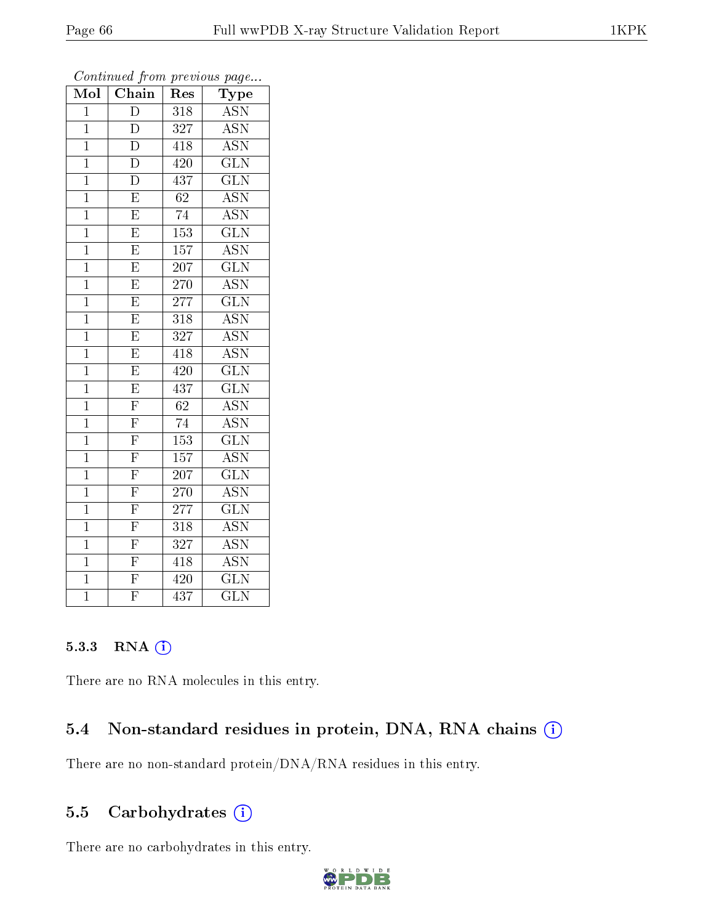| Mol            | <b>Chain</b>                        | Res              | ${\rm \bar{Ty}pe}$        |
|----------------|-------------------------------------|------------------|---------------------------|
| $\mathbf{1}$   | $\overline{\rm D}$                  | 318              | $\overline{ASN}$          |
| $\mathbf{1}$   | $\overline{D}$                      | 327              | $\overline{\mathrm{ASN}}$ |
| $\mathbf{1}$   | $\overline{\rm D}$                  | 418              | $\overline{\mathrm{ASN}}$ |
| $\overline{1}$ | $\overline{\rm D}$                  | $\overline{420}$ | $\overline{\text{GLN}}$   |
| $\mathbf{1}$   | $\overline{\rm D}$                  | 437              | $\overline{\text{GLN}}$   |
| $\mathbf 1$    | $\overline{\mathrm{E}}$             | $\overline{62}$  | <b>ASN</b>                |
| $\mathbf{1}$   | $\overline{\mathrm{E}}$             | 74               | $A\overline{SN}$          |
| $\mathbf{1}$   | $\overline{\mathrm{E}}$             | 153              | $\overline{\text{GLN}}$   |
| $\mathbf{1}$   | $\overline{E}$                      | 157              | <b>ASN</b>                |
| $\mathbf 1$    | $\overline{\mathrm{E}}$             | 207              | $\overline{\text{GLN}}$   |
| $\mathbf{1}$   | $\overline{\mathrm{E}}$             | <b>270</b>       | $\overline{\text{ASN}}$   |
| $\mathbf{1}$   | $\overline{\mathrm{E}}$             | 277              | $\overline{\text{GLN}}$   |
| $\overline{1}$ | $\overline{\mathrm{E}}$             | $\overline{318}$ | <b>ASN</b>                |
| $\mathbf{1}$   | $\overline{\mathrm{E}}$             | $\overline{327}$ | $\overline{\mathrm{ASN}}$ |
| $\overline{1}$ | $\overline{\mathrm{E}}$             | 418              | $\overline{\mathrm{ASN}}$ |
| $\overline{1}$ | $\overline{\mathrm{E}}$             | 420              | $\overline{\text{GLN}}$   |
| $\overline{1}$ | $\overline{\mathrm{E}}$             | 437              | $\overline{\text{GLN}}$   |
| $\overline{1}$ | $\overline{\mathrm{F}}$             | $\overline{62}$  | $\overline{\mathrm{ASN}}$ |
| $\overline{1}$ | $\overline{F}$                      | 74               | $\overline{\mathrm{ASN}}$ |
| $\mathbf{1}$   | $\overline{F}$                      | 153              | GLN                       |
| $\mathbf{1}$   | $\overline{F}$                      | $\overline{1}57$ | <b>ASN</b>                |
| $\overline{1}$ | $\overline{\mathrm{F}}$             | $\overline{207}$ | $\overline{\text{GLN}}$   |
| $\mathbf{1}$   |                                     | 270              | $\overline{\mathrm{ASN}}$ |
| $\overline{1}$ |                                     | 277              | $\overline{\text{GLN}}$   |
| $\overline{1}$ | $\frac{\overline{F}}{\overline{F}}$ | 318              | <b>ASN</b>                |
| $\overline{1}$ | $\overline{\mathrm{F}}$             | 327              | $\overline{\mathrm{ASN}}$ |
| $\overline{1}$ | $\overline{F}$                      | 418              | $\overline{\mathrm{ASN}}$ |
| $\overline{1}$ | $\overline{\mathrm{F}}$             | 420              | $\overline{\text{GLN}}$   |
| $\overline{1}$ | $\overline{\mathrm{F}}$             | 437              | $\overline{\text{GLN}}$   |

#### 5.3.3 RNA [O](https://www.wwpdb.org/validation/2017/XrayValidationReportHelp#rna)i

There are no RNA molecules in this entry.

### 5.4 Non-standard residues in protein, DNA, RNA chains (i)

There are no non-standard protein/DNA/RNA residues in this entry.

## 5.5 Carbohydrates (i)

There are no carbohydrates in this entry.

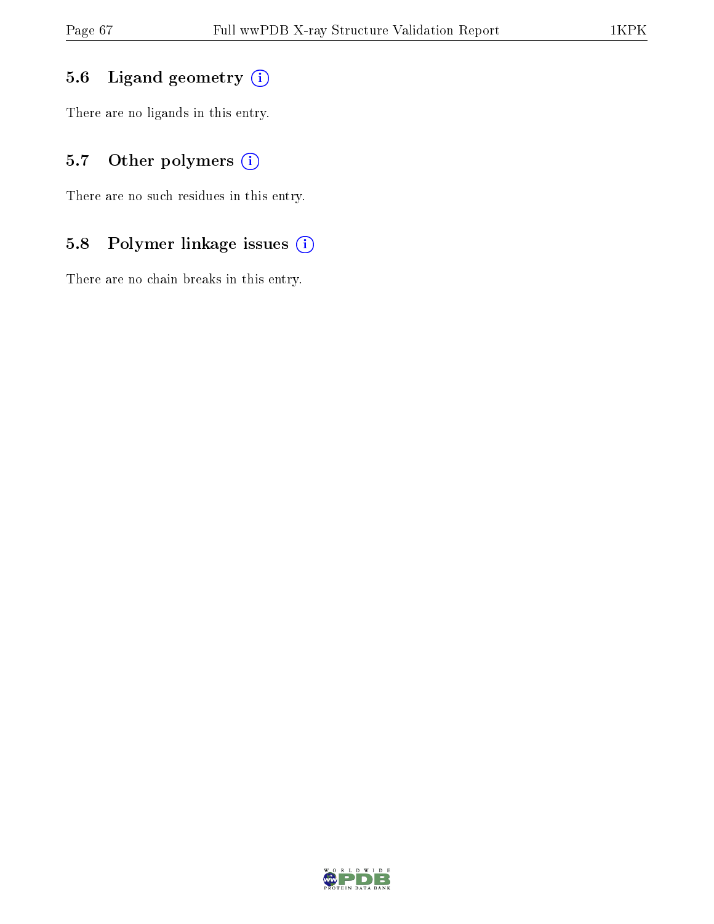## 5.6 Ligand geometry (i)

There are no ligands in this entry.

## 5.7 [O](https://www.wwpdb.org/validation/2017/XrayValidationReportHelp#nonstandard_residues_and_ligands)ther polymers (i)

There are no such residues in this entry.

## 5.8 Polymer linkage issues (i)

There are no chain breaks in this entry.

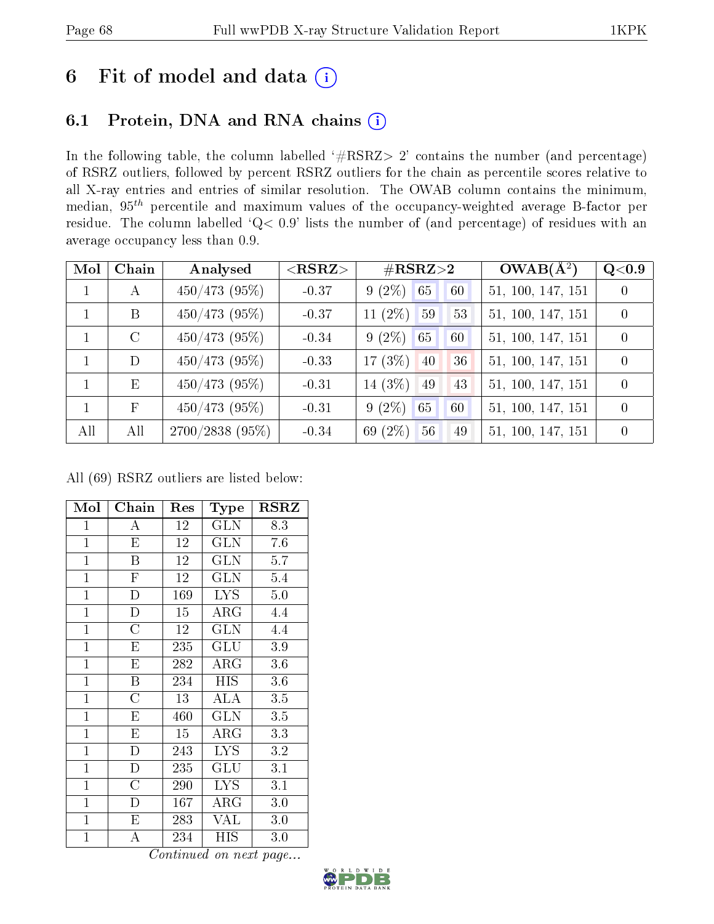# 6 Fit of model and data  $(i)$

## 6.1 Protein, DNA and RNA chains  $(i)$

In the following table, the column labelled  $#RSRZ> 2'$  contains the number (and percentage) of RSRZ outliers, followed by percent RSRZ outliers for the chain as percentile scores relative to all X-ray entries and entries of similar resolution. The OWAB column contains the minimum, median,  $95<sup>th</sup>$  percentile and maximum values of the occupancy-weighted average B-factor per residue. The column labelled ' $Q< 0.9$ ' lists the number of (and percentage) of residues with an average occupancy less than 0.9.

| Mol          | Chain        | Analysed          | $<$ RSRZ $>$ | $\#\text{RSRZ}{>}2$    | $OWAB(\overline{A^2})$ | Q <sub>0.9</sub> |
|--------------|--------------|-------------------|--------------|------------------------|------------------------|------------------|
| $\mathbf{1}$ | A            | $450/473$ (95%)   | $-0.37$      | $9(2\%)$<br>65<br>60   | 51, 100, 147, 151      | $\overline{0}$   |
|              | B            | $450/473$ (95%)   | $-0.37$      | 11 $(2\%)$<br>59<br>53 | 51, 100, 147, 151      | $\theta$         |
|              | $\rm C$      | $450/473$ (95%)   | $-0.34$      | $9(2\%)$<br>60<br>65   | 51, 100, 147, 151      | $\theta$         |
|              | D            | $450/473$ (95%)   | $-0.33$      | 17 $(3\%)$<br>40<br>36 | 51, 100, 147, 151      | $\theta$         |
|              | E            | $450/473$ (95%)   | $-0.31$      | 14 $(3\%)$<br>49<br>43 | 51, 100, 147, 151      | $\theta$         |
|              | $\mathbf{F}$ | $450/473$ (95%)   | $-0.31$      | $9(2\%)$<br>65<br>60   | 51, 100, 147, 151      | $\theta$         |
| All          | All          | $2700/2838(95\%)$ | $-0.34$      | 69 (2%)<br>49<br>56    | 51, 100, 147, 151      | $\theta$         |

All (69) RSRZ outliers are listed below:

| Mol            | Chain                   | Res | Type                 | <b>RSRZ</b> |
|----------------|-------------------------|-----|----------------------|-------------|
| $\mathbf{1}$   | А                       | 12  | <b>GLN</b>           | 8.3         |
| $\mathbf{1}$   | E                       | 12  | <b>GLN</b>           | 7.6         |
| $\mathbf{1}$   | $\overline{\mathrm{B}}$ | 12  | <b>GLN</b>           | 5.7         |
| $\mathbf{1}$   | $\overline{F}$          | 12  | <b>GLN</b>           | 5.4         |
| $\overline{1}$ | $\overline{D}$          | 169 | <b>LYS</b>           | 5.0         |
| $\overline{1}$ | $\mathbf{D}$            | 15  | ARG                  | 4.4         |
| $\overline{1}$ | $\overline{\rm C}$      | 12  | GLN                  | 4.4         |
| $\mathbf{1}$   | $\overline{E}$          | 235 | GLU                  | 3.9         |
| $\mathbf{1}$   | E                       | 282 | $\rm{ARG}$           | 3.6         |
| $\mathbf{1}$   | Β                       | 234 | <b>HIS</b>           | 3.6         |
| $\mathbf{1}$   | $\overline{\rm C}$      | 13  | ALA                  | 3.5         |
| $\overline{1}$ | E                       | 460 | <b>GLN</b>           | 3.5         |
| $\mathbf{1}$   | E                       | 15  | $\rm{ARG}$           | 3.3         |
| $\mathbf{1}$   | $\overline{D}$          | 243 | <b>LYS</b>           | 3.2         |
| $\mathbf{1}$   | $\mathbf{D}$            | 235 | $\operatorname{GLU}$ | 3.1         |
| $\mathbf{1}$   | $\overline{C}$          | 290 | <b>LYS</b>           | 3.1         |
| $\mathbf{1}$   | D                       | 167 | $\rm{ARG}$           | 3.0         |
| $\mathbf{1}$   | Ε                       | 283 | VAL                  | 3.0         |
| $\mathbf{1}$   | А                       | 234 | ΗIS                  | 3.0         |

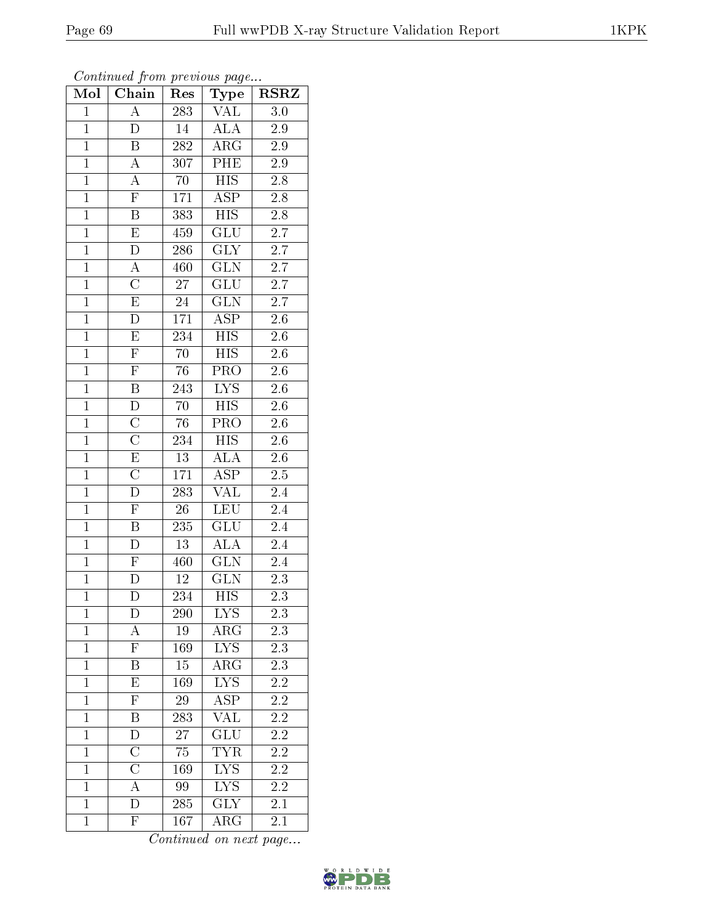|--|

| Mol            | Chain                     | x.<br>Res       | $\mathbf{r}$ $\mathbf{v}$<br>Type | <b>RSRZ</b>      |
|----------------|---------------------------|-----------------|-----------------------------------|------------------|
| $\mathbf{1}$   | $\overline{\rm A}$        | 283             | $\overline{\text{VAL}}$           | 3.0              |
| $\mathbf{1}$   | $\overline{\mathrm{D}}$   | 14              | <b>ALA</b>                        | $\overline{2.9}$ |
| $\overline{1}$ | B                         | 282             | $\overline{\rm{ARG}}$             | 2.9              |
| $\overline{1}$ | $\boldsymbol{A}$          | 307             | PHE                               | 2.9              |
| $\overline{1}$ | $\overline{A}$            | $\overline{70}$ | $\overline{HIS}$                  | $2.\overline{8}$ |
| $\overline{1}$ | $\overline{\mathrm{F}}$   | 171             | <b>ASP</b>                        | 2.8              |
| $\overline{1}$ | $\overline{\mathrm{B}}$   | 383             | <b>HIS</b>                        | $2.8\,$          |
| $\overline{1}$ | $\overline{\mathrm{E}}$   | 459             | GLU                               | 2.7              |
| $\overline{1}$ | $\overline{\rm D}$        | 286             | <b>GLY</b>                        | 2.7              |
| $\overline{1}$ | А                         | 460             | $\overline{\text{GLN}}$           | $\overline{2.7}$ |
| $\mathbf{1}$   | $\overline{\rm C}$        | 27              | $\mathrm{GLU}$                    | $2.7\,$          |
| $\mathbf{1}$   | $\overline{\mathrm{E}}$   | $24\,$          | $\overline{\text{GLN}}$           | $\overline{2.7}$ |
| $\mathbf{1}$   | $\overline{D}$            | 171             | $\overline{\text{ASP}}$           | $2.6\,$          |
| $\overline{1}$ | ${\rm E}$                 | 234             | <b>HIS</b>                        | 2.6              |
| $\overline{1}$ | $\overline{\mathrm{F}}$   | $\overline{70}$ | $\overline{HIS}$                  | $\overline{2.6}$ |
| $\mathbf{1}$   | $\overline{\mathrm{F}}$   | 76              | PRO                               | $2.6\,$          |
| $\overline{1}$ | $\overline{\mathrm{B}}$   | 243             | $\overline{\text{LYS}}$           | $\overline{2.6}$ |
| $\overline{1}$ | $\mathbf D$               | 70              | HIS                               | 2.6              |
| $\overline{1}$ | $\overline{\text{C}}$     | 76              | $\overline{\text{PRO}}$           | $\overline{2.6}$ |
| $\mathbf{1}$   | $\overline{\rm C}$        | 234             | $\overline{HIS}$                  | $\overline{2.6}$ |
| $\overline{1}$ | $\overline{\mathrm{E}}$   | 13              | <b>ALA</b>                        | 2.6              |
| $\overline{1}$ | $\overline{\rm C}$        | 171             | $\overline{\rm ASP}$              | $2.\overline{5}$ |
| $\overline{1}$ | $\overline{D}$            | 283             | VAL                               | 2.4              |
| $\overline{1}$ | $\bar{\mathrm{F}}$        | 26              | $L\overline{EU}$                  | $\overline{2.4}$ |
| $\overline{1}$ | $\overline{B}$            | 235             | GLU                               | 2.4              |
| $\overline{1}$ | D                         | 13              | <b>ALA</b>                        | 2.4              |
| $\overline{1}$ | $\mathbf{F}$              | 460             | GLN                               | $\overline{2}.4$ |
| $\overline{1}$ | $\overline{\rm D}$        | 12              | $\overline{\text{GLN}}$           | 2.3              |
| $\overline{1}$ | $\overline{\rm D}$        | 234             | $\overline{HIS}$                  | $\overline{2.3}$ |
| 1              | D                         | 290             | <b>LYS</b>                        | $2.3\,$          |
| $\mathbf{1}$   | А                         | 19              | $\rm{ARG}$                        | 2.3              |
| $\mathbf{1}$   | $\overline{F}$            | 169             | IYS                               | $\overline{2.3}$ |
| $\mathbf{1}$   | Β                         | 15              | $\rm{ARG}$                        | 2.3              |
| $\mathbf{1}$   | $\overline{\mathrm{E}}$   | 169             | $\overline{\text{LYS}}$           | $\overline{2.2}$ |
| $\mathbf{1}$   | $\boldsymbol{\mathrm{F}}$ | 29              | ASP                               | 2.2              |
| $\mathbf{1}$   | $\overline{\mathrm{B}}$   | 283             | $\overline{\text{VAL}}$           | $\overline{2.2}$ |
| $\mathbf{1}$   | D                         | 27              | GLU                               | 2.2              |
| $\mathbf{1}$   | $\overline{\text{C}}$     | 75              | $\overline{\text{TYR}}$           | $\overline{2.2}$ |
| $\mathbf{1}$   | $\overline{\rm C}$        | 169             | $\overline{\text{L} \text{YS}}$   | $2.\overline{2}$ |
| $\mathbf{1}$   | $\overline{\rm A}$        | 99              | ${\rm LYS}$                       | $2\overline{.2}$ |
| $\mathbf{1}$   | D                         | 285             | $\overline{\text{GLY}}$           | 2.1              |
| $\mathbf{1}$   | $\overline{\mathrm{F}}$   | 167             | ${\rm ARG}$                       | 2.1              |